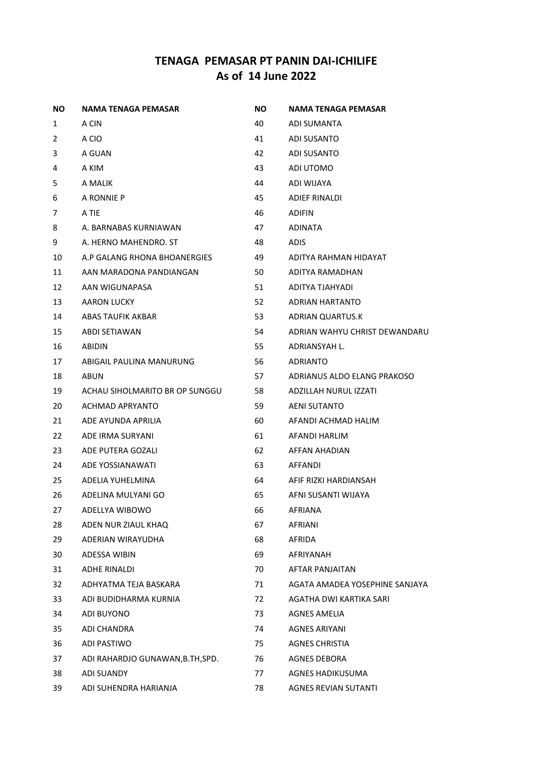| NO.            | NAMA TENAGA PEMASAR              | ΝO | NAMA TENAGA PEMASAR            |
|----------------|----------------------------------|----|--------------------------------|
| 1              | A CIN                            | 40 | ADI SUMANTA                    |
| $\overline{2}$ | A CIO                            | 41 | ADI SUSANTO                    |
| 3              | A GUAN                           | 42 | ADI SUSANTO                    |
| 4              | A KIM                            | 43 | ADI UTOMO                      |
| 5              | A MALIK                          | 44 | ADI WIJAYA                     |
| 6              | A RONNIE P                       | 45 | <b>ADIEF RINALDI</b>           |
| 7              | A TIE                            | 46 | <b>ADIFIN</b>                  |
| 8              | A. BARNABAS KURNIAWAN            | 47 | <b>ADINATA</b>                 |
| 9              | A. HERNO MAHENDRO. ST            | 48 | <b>ADIS</b>                    |
| 10             | A.P GALANG RHONA BHOANERGIES     | 49 | ADITYA RAHMAN HIDAYAT          |
| 11             | AAN MARADONA PANDIANGAN          | 50 | ADITYA RAMADHAN                |
| 12             | AAN WIGUNAPASA                   | 51 | ADITYA TJAHYADI                |
| 13             | AARON LUCKY                      | 52 | ADRIAN HARTANTO                |
| 14             | ABAS TAUFIK AKBAR                | 53 | ADRIAN QUARTUS.K               |
| 15             | <b>ABDI SETIAWAN</b>             | 54 | ADRIAN WAHYU CHRIST DEWANDARU  |
| 16             | <b>ABIDIN</b>                    | 55 | ADRIANSYAH L.                  |
| 17             | ABIGAIL PAULINA MANURUNG         | 56 | ADRIANTO                       |
| 18             | <b>ABUN</b>                      | 57 | ADRIANUS ALDO ELANG PRAKOSO    |
| 19             | ACHAU SIHOLMARITO BR OP SUNGGU   | 58 | ADZILLAH NURUL IZZATI          |
| 20             | ACHMAD APRYANTO                  | 59 | <b>AENI SUTANTO</b>            |
| 21             | ADE AYUNDA APRILIA               | 60 | AFANDI ACHMAD HALIM            |
| 22             | ADE IRMA SURYANI                 | 61 | AFANDI HARLIM                  |
| 23             | ADE PUTERA GOZALI                | 62 | AFFAN AHADIAN                  |
| 24             | ADE YOSSIANAWATI                 | 63 | AFFANDI                        |
| 25             | ADELIA YUHELMINA                 | 64 | AFIF RIZKI HARDIANSAH          |
| 26             | ADELINA MULYANI GO               | 65 | AFNI SUSANTI WIJAYA            |
| 27             | ADELLYA WIBOWO                   | 66 | <b>AFRIANA</b>                 |
| 28             | ADEN NUR ZIAUL KHAQ              | 67 | <b>AFRIANI</b>                 |
| 29             | ADERIAN WIRAYUDHA                | 68 | AFRIDA                         |
| 30             | ADESSA WIBIN                     | 69 | AFRIYANAH                      |
| 31             | ADHE RINALDI                     | 70 | <b>AFTAR PANJAITAN</b>         |
| 32             | ADHYATMA TEJA BASKARA            | 71 | AGATA AMADEA YOSEPHINE SANJAYA |
| 33             | ADI BUDIDHARMA KURNIA            | 72 | AGATHA DWI KARTIKA SARI        |
| 34             | ADI BUYONO                       | 73 | AGNES AMELIA                   |
| 35             | ADI CHANDRA                      | 74 | <b>AGNES ARIYANI</b>           |
| 36             | ADI PASTIWO                      | 75 | <b>AGNES CHRISTIA</b>          |
| 37             | ADI RAHARDJO GUNAWAN, B.TH, SPD. | 76 | <b>AGNES DEBORA</b>            |
| 38             | <b>ADI SUANDY</b>                | 77 | AGNES HADIKUSUMA               |
| 39             | ADI SUHENDRA HARIANJA            | 78 | <b>AGNES REVIAN SUTANTI</b>    |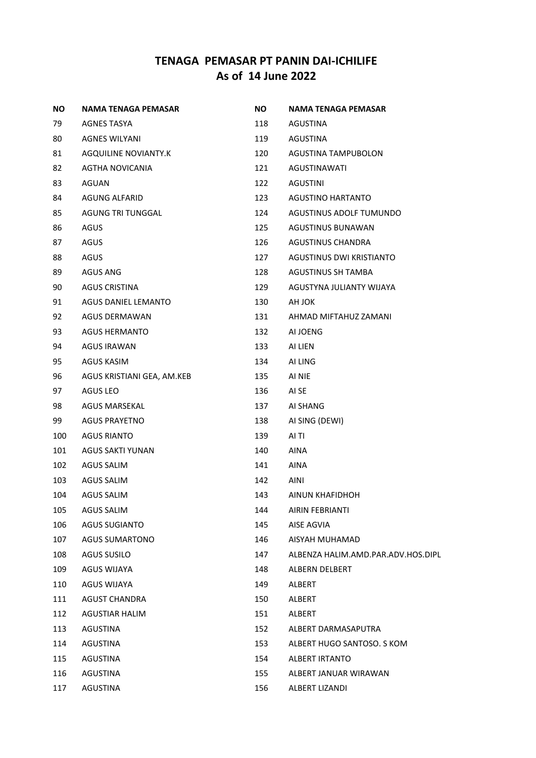| <b>NO</b> | NAMA TENAGA PEMASAR        | <b>NO</b> | NAMA TENAGA PEMASAR                |
|-----------|----------------------------|-----------|------------------------------------|
| 79        | AGNES TASYA                | 118       | AGUSTINA                           |
| 80        | <b>AGNES WILYANI</b>       | 119       | AGUSTINA                           |
| 81        | AGQUILINE NOVIANTY.K       | 120       | AGUSTINA TAMPUBOLON                |
| 82        | AGTHA NOVICANIA            | 121       | AGUSTINAWATI                       |
| 83        | AGUAN                      | 122       | AGUSTINI                           |
| 84        | <b>AGUNG ALFARID</b>       | 123       | <b>AGUSTINO HARTANTO</b>           |
| 85        | AGUNG TRI TUNGGAL          | 124       | AGUSTINUS ADOLF TUMUNDO            |
| 86        | AGUS                       | 125       | AGUSTINUS BUNAWAN                  |
| 87        | AGUS                       | 126       | AGUSTINUS CHANDRA                  |
| 88        | AGUS                       | 127       | AGUSTINUS DWI KRISTIANTO           |
| 89        | AGUS ANG                   | 128       | AGUSTINUS SH TAMBA                 |
| 90        | <b>AGUS CRISTINA</b>       | 129       | AGUSTYNA JULIANTY WIJAYA           |
| 91        | AGUS DANIEL LEMANTO        | 130       | AH JOK                             |
| 92        | <b>AGUS DERMAWAN</b>       | 131       | AHMAD MIFTAHUZ ZAMANI              |
| 93        | <b>AGUS HERMANTO</b>       | 132       | AI JOENG                           |
| 94        | <b>AGUS IRAWAN</b>         | 133       | AI LIEN                            |
| 95        | <b>AGUS KASIM</b>          | 134       | AI LING                            |
| 96        | AGUS KRISTIANI GEA, AM.KEB | 135       | AI NIE                             |
| 97        | AGUS LEO                   | 136       | AI SE                              |
| 98        | <b>AGUS MARSEKAL</b>       | 137       | AI SHANG                           |
| 99        | <b>AGUS PRAYETNO</b>       | 138       | AI SING (DEWI)                     |
| 100       | <b>AGUS RIANTO</b>         | 139       | AI TI                              |
| 101       | AGUS SAKTI YUNAN           | 140       | <b>AINA</b>                        |
| 102       | <b>AGUS SALIM</b>          | 141       | <b>AINA</b>                        |
| 103       | AGUS SALIM                 | 142       | AINI                               |
| 104       | <b>AGUS SALIM</b>          | 143       | AINUN KHAFIDHOH                    |
| 105       | <b>AGUS SALIM</b>          | 144       | AIRIN FEBRIANTI                    |
| 106       | <b>AGUS SUGIANTO</b>       | 145       | AISE AGVIA                         |
| 107       | <b>AGUS SUMARTONO</b>      | 146       | AISYAH MUHAMAD                     |
| 108       | <b>AGUS SUSILO</b>         | 147       | ALBENZA HALIM.AMD.PAR.ADV.HOS.DIPL |
| 109       | <b>AGUS WIJAYA</b>         | 148       | ALBERN DELBERT                     |
| 110       | <b>AGUS WIJAYA</b>         | 149       | <b>ALBERT</b>                      |
| 111       | <b>AGUST CHANDRA</b>       | 150       | <b>ALBERT</b>                      |
| 112       | <b>AGUSTIAR HALIM</b>      | 151       | ALBERT                             |
| 113       | AGUSTINA                   | 152       | ALBERT DARMASAPUTRA                |
| 114       | AGUSTINA                   | 153       | ALBERT HUGO SANTOSO. S KOM         |
| 115       | AGUSTINA                   | 154       | ALBERT IRTANTO                     |
| 116       | AGUSTINA                   | 155       | ALBERT JANUAR WIRAWAN              |
| 117       | AGUSTINA                   | 156       | ALBERT LIZANDI                     |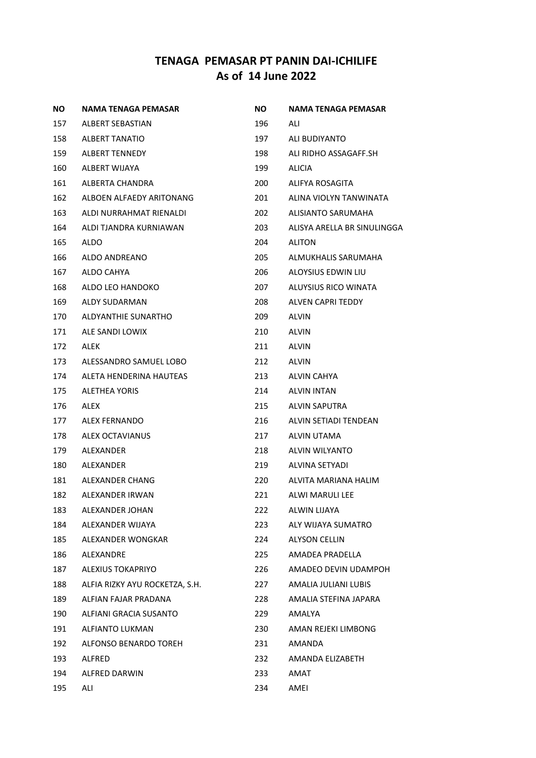| NO. | NAMA TENAGA PEMASAR            | NO. | NAMA TENAGA PEMASAR         |
|-----|--------------------------------|-----|-----------------------------|
| 157 | ALBERT SEBASTIAN               | 196 | ALI                         |
| 158 | <b>ALBERT TANATIO</b>          | 197 | ALI BUDIYANTO               |
| 159 | <b>ALBERT TENNEDY</b>          | 198 | ALI RIDHO ASSAGAFF.SH       |
| 160 | ALBERT WIJAYA                  | 199 | ALICIA                      |
| 161 | ALBERTA CHANDRA                | 200 | ALIFYA ROSAGITA             |
| 162 | ALBOEN ALFAEDY ARITONANG       | 201 | ALINA VIOLYN TANWINATA      |
| 163 | ALDI NURRAHMAT RIENALDI        | 202 | ALISIANTO SARUMAHA          |
| 164 | ALDI TJANDRA KURNIAWAN         | 203 | ALISYA ARELLA BR SINULINGGA |
| 165 | ALDO                           | 204 | <b>ALITON</b>               |
| 166 | ALDO ANDREANO                  | 205 | ALMUKHALIS SARUMAHA         |
| 167 | ALDO CAHYA                     | 206 | ALOYSIUS EDWIN LIU          |
| 168 | ALDO LEO HANDOKO               | 207 | ALUYSIUS RICO WINATA        |
| 169 | ALDY SUDARMAN                  | 208 | ALVEN CAPRI TEDDY           |
| 170 | ALDYANTHIE SUNARTHO            | 209 | <b>ALVIN</b>                |
| 171 | ALE SANDI LOWIX                | 210 | <b>ALVIN</b>                |
| 172 | ALEK                           | 211 | <b>ALVIN</b>                |
| 173 | ALESSANDRO SAMUEL LOBO         | 212 | <b>ALVIN</b>                |
| 174 | ALETA HENDERINA HAUTEAS        | 213 | ALVIN CAHYA                 |
| 175 | ALETHEA YORIS                  | 214 | ALVIN INTAN                 |
| 176 | ALEX                           | 215 | ALVIN SAPUTRA               |
| 177 | ALEX FERNANDO                  | 216 | ALVIN SETIADI TENDEAN       |
| 178 | ALEX OCTAVIANUS                | 217 | ALVIN UTAMA                 |
| 179 | ALEXANDER                      | 218 | ALVIN WILYANTO              |
| 180 | ALEXANDER                      | 219 | ALVINA SETYADI              |
| 181 | ALEXANDER CHANG                | 220 | ALVITA MARIANA HALIM        |
| 182 | ALEXANDER IRWAN                | 221 | ALWI MARULI LEE             |
| 183 | ALEXANDER JOHAN                | 222 | ALWIN LIJAYA                |
| 184 | ALEXANDER WIJAYA               | 223 | ALY WIJAYA SUMATRO          |
| 185 | ALEXANDER WONGKAR              | 224 | <b>ALYSON CELLIN</b>        |
| 186 | ALEXANDRE                      | 225 | AMADEA PRADELLA             |
| 187 | <b>ALEXIUS TOKAPRIYO</b>       | 226 | AMADEO DEVIN UDAMPOH        |
| 188 | ALFIA RIZKY AYU ROCKETZA, S.H. | 227 | AMALIA JULIANI LUBIS        |
| 189 | ALFIAN FAJAR PRADANA           | 228 | AMALIA STEFINA JAPARA       |
| 190 | ALFIANI GRACIA SUSANTO         | 229 | AMALYA                      |
| 191 | <b>ALFIANTO LUKMAN</b>         | 230 | AMAN REJEKI LIMBONG         |
| 192 | ALFONSO BENARDO TOREH          | 231 | AMANDA                      |
| 193 | ALFRED                         | 232 | AMANDA ELIZABETH            |
| 194 | ALFRED DARWIN                  | 233 | AMAT                        |
| 195 | ALI                            | 234 | AMEI                        |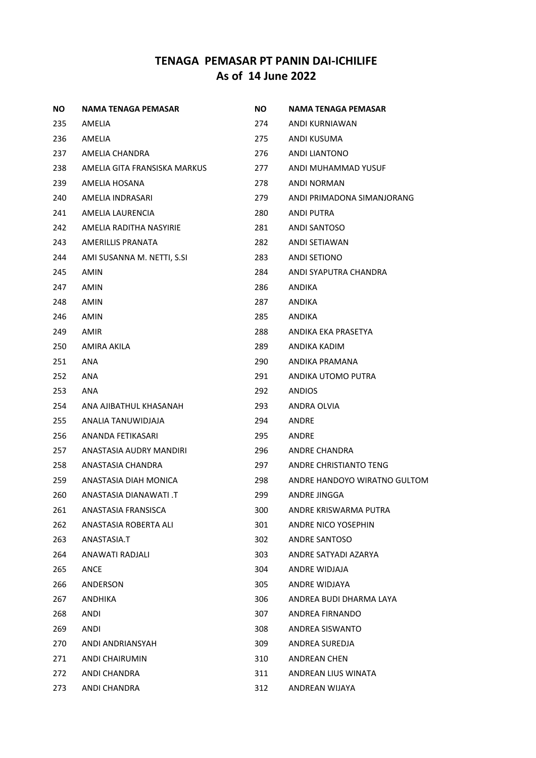| NO. | NAMA TENAGA PEMASAR          | NO. | NAMA TENAGA PEMASAR          |
|-----|------------------------------|-----|------------------------------|
| 235 | AMELIA                       | 274 | ANDI KURNIAWAN               |
| 236 | AMELIA                       | 275 | ANDI KUSUMA                  |
| 237 | AMELIA CHANDRA               | 276 | ANDI LIANTONO                |
| 238 | AMELIA GITA FRANSISKA MARKUS | 277 | ANDI MUHAMMAD YUSUF          |
| 239 | AMELIA HOSANA                | 278 | ANDI NORMAN                  |
| 240 | AMELIA INDRASARI             | 279 | ANDI PRIMADONA SIMANJORANG   |
| 241 | AMELIA LAURENCIA             | 280 | ANDI PUTRA                   |
| 242 | AMELIA RADITHA NASYIRIE      | 281 | ANDI SANTOSO                 |
| 243 | AMERILLIS PRANATA            | 282 | ANDI SETIAWAN                |
| 244 | AMI SUSANNA M. NETTI, S.SI   | 283 | ANDI SETIONO                 |
| 245 | AMIN                         | 284 | ANDI SYAPUTRA CHANDRA        |
| 247 | AMIN                         | 286 | ANDIKA                       |
| 248 | AMIN                         | 287 | ANDIKA                       |
| 246 | AMIN                         | 285 | ANDIKA                       |
| 249 | AMIR                         | 288 | ANDIKA EKA PRASETYA          |
| 250 | AMIRA AKILA                  | 289 | ANDIKA KADIM                 |
| 251 | ANA                          | 290 | ANDIKA PRAMANA               |
| 252 | ANA                          | 291 | ANDIKA UTOMO PUTRA           |
| 253 | ANA                          | 292 | <b>ANDIOS</b>                |
| 254 | ANA AJIBATHUL KHASANAH       | 293 | ANDRA OLVIA                  |
| 255 | ANALIA TANUWIDJAJA           | 294 | ANDRE                        |
| 256 | ANANDA FETIKASARI            | 295 | ANDRE                        |
| 257 | ANASTASIA AUDRY MANDIRI      | 296 | ANDRE CHANDRA                |
| 258 | ANASTASIA CHANDRA            | 297 | ANDRE CHRISTIANTO TENG       |
| 259 | ANASTASIA DIAH MONICA        | 298 | ANDRE HANDOYO WIRATNO GULTOM |
| 260 | T. ITAWANA DIANAWATI         | 299 | ANDRE JINGGA                 |
| 261 | ANASTASIA FRANSISCA          | 300 | ANDRE KRISWARMA PUTRA        |
| 262 | ANASTASIA ROBERTA ALI        | 301 | ANDRE NICO YOSEPHIN          |
| 263 | ANASTASIA.T                  | 302 | <b>ANDRE SANTOSO</b>         |
| 264 | ANAWATI RADJALI              | 303 | ANDRE SATYADI AZARYA         |
| 265 | ANCE                         | 304 | ANDRE WIDJAJA                |
| 266 | ANDERSON                     | 305 | ANDRE WIDJAYA                |
| 267 | ANDHIKA                      | 306 | ANDREA BUDI DHARMA LAYA      |
| 268 | ANDI                         | 307 | ANDREA FIRNANDO              |
| 269 | <b>ANDI</b>                  | 308 | ANDREA SISWANTO              |
| 270 | ANDI ANDRIANSYAH             | 309 | ANDREA SUREDJA               |
| 271 | <b>ANDI CHAIRUMIN</b>        | 310 | <b>ANDREAN CHEN</b>          |
| 272 | ANDI CHANDRA                 | 311 | ANDREAN LIUS WINATA          |
| 273 | ANDI CHANDRA                 | 312 | ANDREAN WIJAYA               |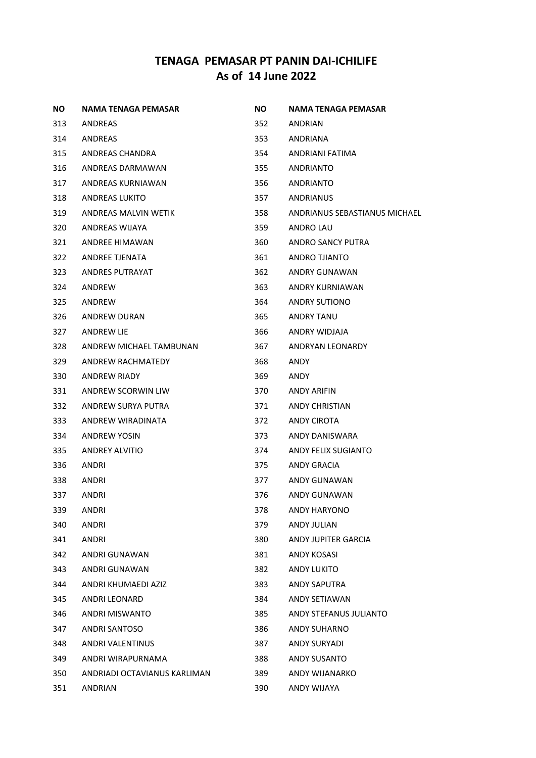| NO. | NAMA TENAGA PEMASAR          | <b>NO</b> | NAMA TENAGA PEMASAR           |
|-----|------------------------------|-----------|-------------------------------|
| 313 | ANDREAS                      | 352       | ANDRIAN                       |
| 314 | ANDREAS                      | 353       | ANDRIANA                      |
| 315 | ANDREAS CHANDRA              | 354       | ANDRIANI FATIMA               |
| 316 | ANDREAS DARMAWAN             | 355       | ANDRIANTO                     |
| 317 | ANDREAS KURNIAWAN            | 356       | ANDRIANTO                     |
| 318 | <b>ANDREAS LUKITO</b>        | 357       | ANDRIANUS                     |
| 319 | ANDREAS MALVIN WETIK         | 358       | ANDRIANUS SEBASTIANUS MICHAEL |
| 320 | ANDREAS WIJAYA               | 359       | ANDRO LAU                     |
| 321 | ANDREE HIMAWAN               | 360       | ANDRO SANCY PUTRA             |
| 322 | ANDREE TJENATA               | 361       | ANDRO TJIANTO                 |
| 323 | ANDRES PUTRAYAT              | 362       | ANDRY GUNAWAN                 |
| 324 | ANDREW                       | 363       | ANDRY KURNIAWAN               |
| 325 | ANDREW                       | 364       | ANDRY SUTIONO                 |
| 326 | ANDREW DURAN                 | 365       | ANDRY TANU                    |
| 327 | ANDREW LIE                   | 366       | ANDRY WIDJAJA                 |
| 328 | ANDREW MICHAEL TAMBUNAN      | 367       | ANDRYAN LEONARDY              |
| 329 | ANDREW RACHMATEDY            | 368       | ANDY                          |
| 330 | <b>ANDREW RIADY</b>          | 369       | ANDY                          |
| 331 | ANDREW SCORWIN LIW           | 370       | ANDY ARIFIN                   |
| 332 | ANDREW SURYA PUTRA           | 371       | ANDY CHRISTIAN                |
| 333 | ANDREW WIRADINATA            | 372       | ANDY CIROTA                   |
| 334 | ANDREW YOSIN                 | 373       | ANDY DANISWARA                |
| 335 | ANDREY ALVITIO               | 374       | ANDY FELIX SUGIANTO           |
| 336 | ANDRI                        | 375       | ANDY GRACIA                   |
| 338 | ANDRI                        | 377       | ANDY GUNAWAN                  |
| 337 | ANDRI                        | 376       | ANDY GUNAWAN                  |
| 339 | <b>ANDRI</b>                 | 378       | <b>ANDY HARYONO</b>           |
| 340 | <b>ANDRI</b>                 | 379       | ANDY JULIAN                   |
| 341 | ANDRI                        | 380       | ANDY JUPITER GARCIA           |
| 342 | ANDRI GUNAWAN                | 381       | <b>ANDY KOSASI</b>            |
| 343 | ANDRI GUNAWAN                | 382       | ANDY LUKITO                   |
| 344 | ANDRI KHUMAEDI AZIZ          | 383       | <b>ANDY SAPUTRA</b>           |
| 345 | ANDRI LEONARD                | 384       | ANDY SETIAWAN                 |
| 346 | ANDRI MISWANTO               | 385       | ANDY STEFANUS JULIANTO        |
| 347 | ANDRI SANTOSO                | 386       | <b>ANDY SUHARNO</b>           |
| 348 | ANDRI VALENTINUS             | 387       | ANDY SURYADI                  |
| 349 | ANDRI WIRAPURNAMA            | 388       | ANDY SUSANTO                  |
| 350 | ANDRIADI OCTAVIANUS KARLIMAN | 389       | ANDY WIJANARKO                |
| 351 | ANDRIAN                      | 390       | ANDY WIJAYA                   |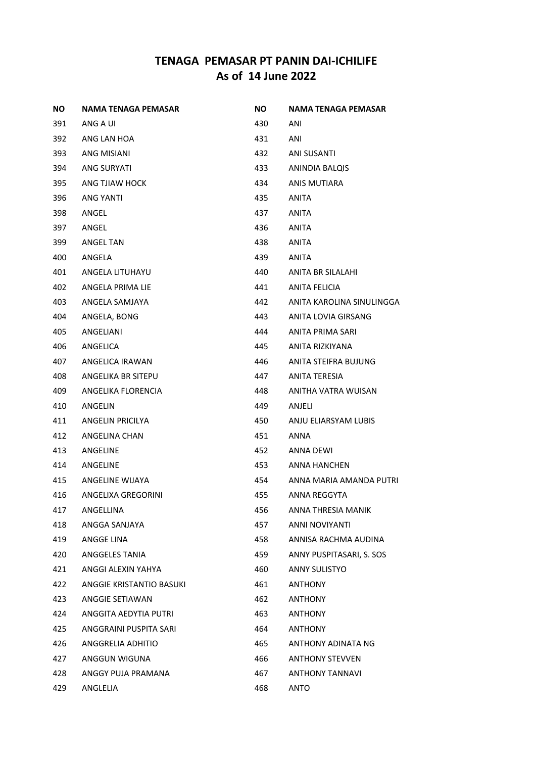| NO. | NAMA TENAGA PEMASAR      | NO.   | NAMA TENAGA PEMASAR       |
|-----|--------------------------|-------|---------------------------|
| 391 | ANG A UI                 | 430   | ANI                       |
| 392 | ANG LAN HOA              | 431   | ANI                       |
| 393 | ANG MISIANI              | 432   | ANI SUSANTI               |
| 394 | ANG SURYATI              | 433 — | ANINDIA BALQIS            |
| 395 | ANG TJIAW HOCK           | 434   | ANIS MUTIARA              |
| 396 | ANG YANTI                | 435   | ANITA                     |
| 398 | ANGEL                    | 437   | ANITA                     |
| 397 | ANGEL                    | 436   | ANITA                     |
| 399 | ANGEL TAN                | 438   | ANITA                     |
| 400 | ANGELA                   | 439.  | ANITA                     |
| 401 | ANGELA LITUHAYU          | 440   | ANITA BR SILALAHI         |
| 402 | ANGELA PRIMA LIE         | 441   | ANITA FELICIA             |
| 403 | ANGELA SAMJAYA           | 442.  | ANITA KAROLINA SINULINGGA |
| 404 | ANGELA, BONG             | 443   | ANITA LOVIA GIRSANG       |
| 405 | ANGELIANI                | 444   | ANITA PRIMA SARI          |
| 406 | ANGELICA                 | 445   | ANITA RIZKIYANA           |
| 407 | ANGELICA IRAWAN          | 446   | ANITA STEIFRA BUJUNG      |
| 408 | ANGELIKA BR SITEPU       | 447   | ANITA TERESIA             |
| 409 | ANGELIKA FLORENCIA       | 448   | ANITHA VATRA WUISAN       |
| 410 | ANGELIN                  | 449.  | ANJELI                    |
| 411 | ANGELIN PRICILYA         | 450   | ANJU ELIARSYAM LUBIS      |
| 412 | ANGELINA CHAN            | 451   | ANNA                      |
| 413 | ANGELINE                 | 452   | ANNA DEWI                 |
| 414 | ANGELINE                 | 453   | ANNA HANCHEN              |
| 415 | ANGELINE WIJAYA          | 454 — | ANNA MARIA AMANDA PUTRI   |
| 416 | ANGELIXA GREGORINI       | 455   | ANNA REGGYTA              |
| 417 | ANGELLINA                | 456   | ANNA THRESIA MANIK        |
| 418 | ANGGA SANJAYA            | 457   | ANNI NOVIYANTI            |
| 419 | ANGGE LINA               | 458   | ANNISA RACHMA AUDINA      |
| 420 | ANGGELES TANIA           | 459   | ANNY PUSPITASARI, S. SOS  |
| 421 | ANGGI ALEXIN YAHYA       | 460   | <b>ANNY SULISTYO</b>      |
| 422 | ANGGIE KRISTANTIO BASUKI | 461   | ANTHONY                   |
| 423 | ANGGIE SETIAWAN          | 462   | ANTHONY                   |
| 424 | ANGGITA AEDYTIA PUTRI    | 463   | ANTHONY                   |
| 425 | ANGGRAINI PUSPITA SARI   | 464   | <b>ANTHONY</b>            |
| 426 | ANGGRELIA ADHITIO        | 465   | ANTHONY ADINATA NG        |
| 427 | ANGGUN WIGUNA            | 466   | <b>ANTHONY STEVVEN</b>    |
| 428 | ANGGY PUJA PRAMANA       | 467   | <b>ANTHONY TANNAVI</b>    |
| 429 | ANGLELIA                 | 468   | ANTO                      |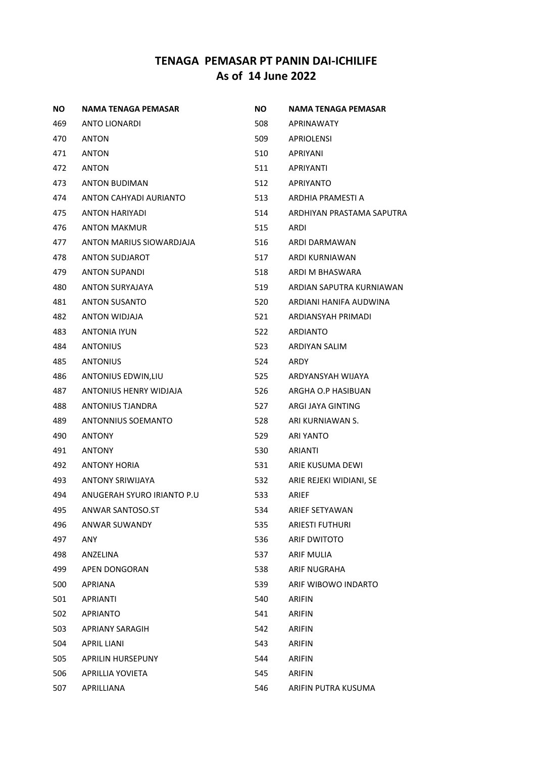| ΝO  | <b>NAMA TENAGA PEMASAR</b> | NO. | NAMA TENAGA PEMASAR       |
|-----|----------------------------|-----|---------------------------|
| 469 | ANTO LIONARDI              | 508 | APRINAWATY                |
| 470 | ANTON                      | 509 | APRIOLENSI                |
| 471 | ANTON                      | 510 | APRIYANI                  |
| 472 | ANTON                      | 511 | APRIYANTI                 |
| 473 | ANTON BUDIMAN              | 512 | APRIYANTO                 |
| 474 | ANTON CAHYADI AURIANTO     | 513 | ARDHIA PRAMESTI A         |
| 475 | <b>ANTON HARIYADI</b>      | 514 | ARDHIYAN PRASTAMA SAPUTRA |
| 476 | <b>ANTON MAKMUR</b>        | 515 | ARDI                      |
| 477 | ANTON MARIUS SIOWARDJAJA   | 516 | ARDI DARMAWAN             |
| 478 | <b>ANTON SUDJAROT</b>      | 517 | ARDI KURNIAWAN            |
| 479 | ANTON SUPANDI              | 518 | ARDI M BHASWARA           |
| 480 | <b>ANTON SURYAJAYA</b>     | 519 | ARDIAN SAPUTRA KURNIAWAN  |
| 481 | <b>ANTON SUSANTO</b>       | 520 | ARDIANI HANIFA AUDWINA    |
| 482 | ANTON WIDJAJA              | 521 | ARDIANSYAH PRIMADI        |
| 483 | <b>ANTONIA IYUN</b>        | 522 | ARDIANTO                  |
| 484 | <b>ANTONIUS</b>            | 523 | ARDIYAN SALIM             |
| 485 | <b>ANTONIUS</b>            | 524 | ARDY                      |
| 486 | ANTONIUS EDWIN, LIU        | 525 | ARDYANSYAH WIJAYA         |
| 487 | ANTONIUS HENRY WIDJAJA     | 526 | ARGHA O.P HASIBUAN        |
| 488 | ANTONIUS TJANDRA           | 527 | ARGI JAYA GINTING         |
| 489 | ANTONNIUS SOEMANTO         | 528 | ARI KURNIAWAN S.          |
| 490 | <b>ANTONY</b>              | 529 | ARI YANTO                 |
| 491 | <b>ANTONY</b>              | 530 | ARIANTI                   |
| 492 | <b>ANTONY HORIA</b>        | 531 | ARIE KUSUMA DEWI          |
| 493 | <b>ANTONY SRIWIJAYA</b>    | 532 | ARIE REJEKI WIDIANI, SE   |
| 494 | ANUGERAH SYURO IRIANTO P.U | 533 | ARIEF                     |
| 495 | ANWAR SANTOSO.ST           | 534 | ARIEF SETYAWAN            |
| 496 | ANWAR SUWANDY              | 535 | <b>ARIESTI FUTHURI</b>    |
| 497 | ANY                        | 536 | <b>ARIF DWITOTO</b>       |
| 498 | ANZELINA                   | 537 | <b>ARIF MULIA</b>         |
| 499 | APEN DONGORAN              | 538 | ARIF NUGRAHA              |
| 500 | <b>APRIANA</b>             | 539 | ARIF WIBOWO INDARTO       |
| 501 | <b>APRIANTI</b>            | 540 | <b>ARIFIN</b>             |
| 502 | <b>APRIANTO</b>            | 541 | <b>ARIFIN</b>             |
| 503 | APRIANY SARAGIH            | 542 | <b>ARIFIN</b>             |
| 504 | APRIL LIANI                | 543 | <b>ARIFIN</b>             |
| 505 | APRILIN HURSEPUNY          | 544 | <b>ARIFIN</b>             |
| 506 | APRILLIA YOVIETA           | 545 | <b>ARIFIN</b>             |
| 507 | APRILLIANA                 | 546 | ARIFIN PUTRA KUSUMA       |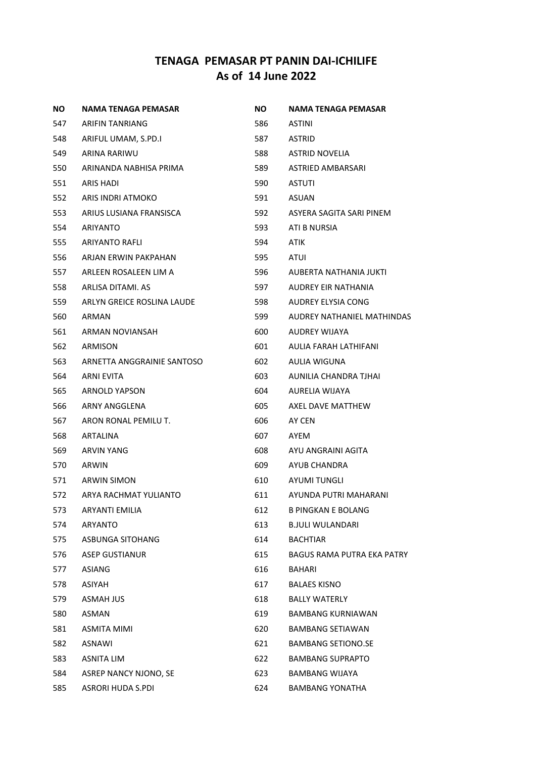| ΝO  | NAMA TENAGA PEMASAR        | NO. | NAMA TENAGA PEMASAR               |
|-----|----------------------------|-----|-----------------------------------|
| 547 | ARIFIN TANRIANG            | 586 | ASTINI                            |
| 548 | ARIFUL UMAM, S.PD.I        | 587 | <b>ASTRID</b>                     |
| 549 | ARINA RARIWU               | 588 | <b>ASTRID NOVELIA</b>             |
| 550 | ARINANDA NABHISA PRIMA     | 589 | ASTRIED AMBARSARI                 |
| 551 | ARIS HADI                  | 590 | ASTUTI                            |
| 552 | ARIS INDRI ATMOKO          | 591 | ASUAN                             |
| 553 | ARIUS LUSIANA FRANSISCA    | 592 | ASYERA SAGITA SARI PINEM          |
| 554 | ARIYANTO                   | 593 | ATI B NURSIA                      |
| 555 | ARIYANTO RAFLI             | 594 | ATIK                              |
| 556 | ARJAN ERWIN PAKPAHAN       | 595 | ATUI                              |
| 557 | ARLEEN ROSALEEN LIM A      | 596 | AUBERTA NATHANIA JUKTI            |
| 558 | ARLISA DITAMI. AS          | 597 | AUDREY EIR NATHANIA               |
| 559 | ARLYN GREICE ROSLINA LAUDE | 598 | AUDREY ELYSIA CONG                |
| 560 | ARMAN                      | 599 | AUDREY NATHANIEL MATHINDAS        |
| 561 | ARMAN NOVIANSAH            | 600 | AUDREY WIJAYA                     |
| 562 | ARMISON                    | 601 | AULIA FARAH LATHIFANI             |
| 563 | ARNETTA ANGGRAINIE SANTOSO | 602 | AULIA WIGUNA                      |
| 564 | ARNI EVITA                 | 603 | AUNILIA CHANDRA TJHAI             |
| 565 | ARNOLD YAPSON              | 604 | AURELIA WIJAYA                    |
| 566 | ARNY ANGGLENA              | 605 | AXEL DAVE MATTHEW                 |
| 567 | ARON RONAL PEMILU T.       | 606 | AY CEN                            |
| 568 | ARTALINA                   | 607 | AYEM                              |
| 569 | <b>ARVIN YANG</b>          | 608 | AYU ANGRAINI AGITA                |
| 570 | ARWIN                      | 609 | AYUB CHANDRA                      |
| 571 | <b>ARWIN SIMON</b>         | 610 | AYUMI TUNGLI                      |
| 572 | ARYA RACHMAT YULIANTO      | 611 | AYUNDA PUTRI MAHARANI             |
| 573 | ARYANTI EMILIA             | 612 | <b>B PINGKAN E BOLANG</b>         |
| 574 | ARYANTO                    | 613 | <b>B.JULI WULANDARI</b>           |
| 575 | ASBUNGA SITOHANG           | 614 | <b>BACHTIAR</b>                   |
| 576 | <b>ASEP GUSTIANUR</b>      | 615 | <b>BAGUS RAMA PUTRA EKA PATRY</b> |
| 577 | ASIANG                     | 616 | BAHARI                            |
| 578 | ASIYAH                     | 617 | <b>BALAES KISNO</b>               |
| 579 | <b>ASMAH JUS</b>           | 618 | <b>BALLY WATERLY</b>              |
| 580 | ASMAN                      | 619 | <b>BAMBANG KURNIAWAN</b>          |
| 581 | <b>ASMITA MIMI</b>         | 620 | <b>BAMBANG SETIAWAN</b>           |
| 582 | ASNAWI                     | 621 | <b>BAMBANG SETIONO.SE</b>         |
| 583 | <b>ASNITA LIM</b>          | 622 | <b>BAMBANG SUPRAPTO</b>           |
| 584 | ASREP NANCY NJONO, SE      | 623 | <b>BAMBANG WIJAYA</b>             |
| 585 | <b>ASRORI HUDA S.PDI</b>   | 624 | <b>BAMBANG YONATHA</b>            |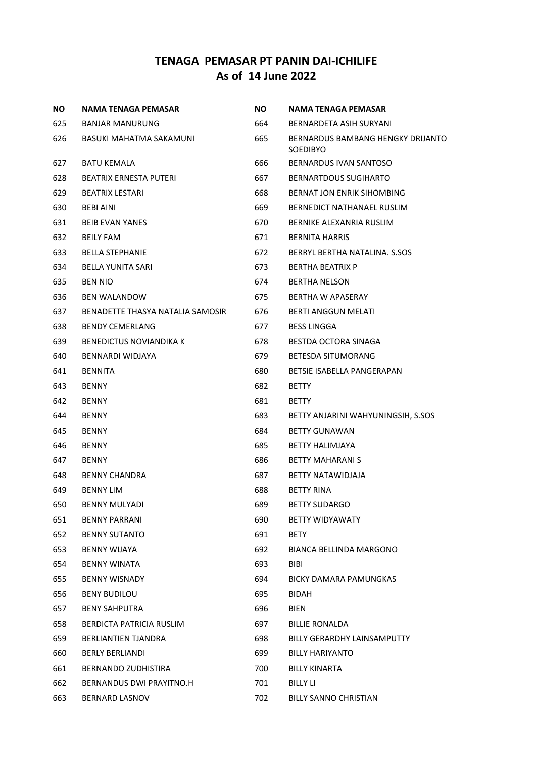| <b>NO</b> | <b>NAMA TENAGA PEMASAR</b>       | <b>NO</b> | NAMA TENAGA PEMASAR                                  |
|-----------|----------------------------------|-----------|------------------------------------------------------|
| 625       | BANJAR MANURUNG                  | 664       | BERNARDETA ASIH SURYANI                              |
| 626       | BASUKI MAHATMA SAKAMUNI          | 665       | BERNARDUS BAMBANG HENGKY DRIJANTO<br><b>SOEDIBYO</b> |
| 627       | <b>BATU KEMALA</b>               | 666       | BERNARDUS IVAN SANTOSO                               |
| 628       | BEATRIX ERNESTA PUTERI           | 667       | BERNARTDOUS SUGIHARTO                                |
| 629       | <b>BEATRIX LESTARI</b>           | 668       | <b>BERNAT JON ENRIK SIHOMBING</b>                    |
| 630       | <b>BEBI AINI</b>                 | 669       | BERNEDICT NATHANAEL RUSLIM                           |
| 631       | <b>BEIB EVAN YANES</b>           | 670       | BERNIKE ALEXANRIA RUSLIM                             |
| 632       | <b>BEILY FAM</b>                 | 671       | <b>BERNITA HARRIS</b>                                |
| 633       | <b>BELLA STEPHANIE</b>           | 672       | BERRYL BERTHA NATALINA. S.SOS                        |
| 634       | BELLA YUNITA SARI                | 673       | <b>BERTHA BEATRIX P</b>                              |
| 635       | <b>BEN NIO</b>                   | 674       | <b>BERTHA NELSON</b>                                 |
| 636       | <b>BEN WALANDOW</b>              | 675       | BERTHA W APASERAY                                    |
| 637       | BENADETTE THASYA NATALIA SAMOSIR | 676       | <b>BERTI ANGGUN MELATI</b>                           |
| 638       | <b>BENDY CEMERLANG</b>           | 677       | <b>BESS LINGGA</b>                                   |
| 639       | <b>BENEDICTUS NOVIANDIKA K</b>   | 678       | BESTDA OCTORA SINAGA                                 |
| 640       | BENNARDI WIDJAYA                 | 679.      | BETESDA SITUMORANG                                   |
| 641       | <b>BENNITA</b>                   | 680       | BETSIE ISABELLA PANGERAPAN                           |
| 643       | <b>BENNY</b>                     | 682       | <b>BETTY</b>                                         |
| 642       | <b>BENNY</b>                     | 681       | <b>BETTY</b>                                         |
| 644       | <b>BENNY</b>                     | 683       | BETTY ANJARINI WAHYUNINGSIH, S.SOS                   |
| 645       | <b>BENNY</b>                     | 684       | <b>BETTY GUNAWAN</b>                                 |
| 646       | <b>BENNY</b>                     | 685       | BETTY HALIMJAYA                                      |
| 647       | <b>BENNY</b>                     | 686       | BETTY MAHARANI S                                     |
| 648       | BENNY CHANDRA                    | 687       | BETTY NATAWIDJAJA                                    |
| 649       | <b>BENNY LIM</b>                 | 688       | <b>BETTY RINA</b>                                    |
| 650       | BENNY MULYADI                    | 689       | <b>BETTY SUDARGO</b>                                 |
| 651       | <b>BENNY PARRANI</b>             | 690       | <b>BETTY WIDYAWATY</b>                               |
| 652       | <b>BENNY SUTANTO</b>             | 691       | BETY                                                 |
| 653       | BENNY WIJAYA                     | 692       | BIANCA BELLINDA MARGONO                              |
| 654       | <b>BENNY WINATA</b>              | 693       | <b>BIBI</b>                                          |
| 655       | <b>BENNY WISNADY</b>             | 694       | BICKY DAMARA PAMUNGKAS                               |
| 656       | <b>BENY BUDILOU</b>              | 695       | <b>BIDAH</b>                                         |
| 657       | <b>BENY SAHPUTRA</b>             | 696       | BIEN                                                 |
| 658       | BERDICTA PATRICIA RUSLIM         | 697       | <b>BILLIE RONALDA</b>                                |
| 659       | <b>BERLIANTIEN TJANDRA</b>       | 698       | BILLY GERARDHY LAINSAMPUTTY                          |
| 660       | <b>BERLY BERLIANDI</b>           | 699       | <b>BILLY HARIYANTO</b>                               |
| 661       | BERNANDO ZUDHISTIRA              | 700       | <b>BILLY KINARTA</b>                                 |
| 662       | BERNANDUS DWI PRAYITNO.H         | 701       | BILLY LI                                             |
| 663       | BERNARD LASNOV                   | 702       | BILLY SANNO CHRISTIAN                                |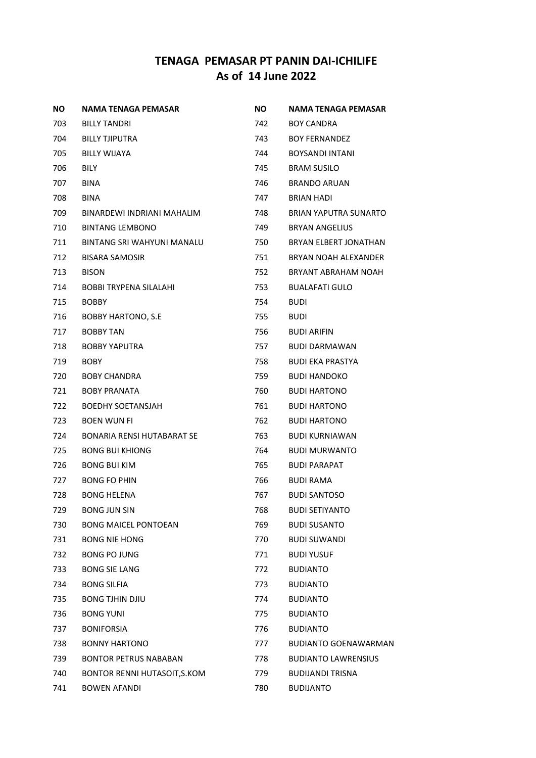| NO. | NAMA TENAGA PEMASAR          | NO.   | NAMA TENAGA PEMASAR         |
|-----|------------------------------|-------|-----------------------------|
| 703 | <b>BILLY TANDRI</b>          | 742   | BOY CANDRA                  |
| 704 | <b>BILLY TJIPUTRA</b>        | 743   | <b>BOY FERNANDEZ</b>        |
| 705 | <b>BILLY WIJAYA</b>          | 744   | BOYSANDI INTANI             |
| 706 | <b>BILY</b>                  | 745   | <b>BRAM SUSILO</b>          |
| 707 | <b>BINA</b>                  | 746   | <b>BRANDO ARUAN</b>         |
| 708 | BINA                         | 747   | BRIAN HADI                  |
| 709 | BINARDEWI INDRIANI MAHALIM   | 748   | BRIAN YAPUTRA SUNARTO       |
| 710 | <b>BINTANG LEMBONO</b>       | 749   | <b>BRYAN ANGELIUS</b>       |
| 711 | BINTANG SRI WAHYUNI MANALU   | 750 — | BRYAN ELBERT JONATHAN       |
| 712 | <b>BISARA SAMOSIR</b>        | 751   | BRYAN NOAH ALEXANDER        |
| 713 | <b>BISON</b>                 | 752   | BRYANT ABRAHAM NOAH         |
| 714 | BOBBI TRYPENA SILALAHI       | 753   | <b>BUALAFATI GULO</b>       |
| 715 | <b>BOBBY</b>                 | 754   | <b>BUDI</b>                 |
| 716 | <b>BOBBY HARTONO, S.E.</b>   | 755   | <b>BUDI</b>                 |
| 717 | <b>BOBBY TAN</b>             | 756   | <b>BUDI ARIFIN</b>          |
| 718 | BOBBY YAPUTRA                | 757   | <b>BUDI DARMAWAN</b>        |
| 719 | <b>BOBY</b>                  | 758   | <b>BUDI EKA PRASTYA</b>     |
| 720 | <b>BOBY CHANDRA</b>          | 759   | <b>BUDI HANDOKO</b>         |
| 721 | <b>BOBY PRANATA</b>          | 760   | <b>BUDI HARTONO</b>         |
| 722 | <b>BOEDHY SOETANSJAH</b>     | 761   | <b>BUDI HARTONO</b>         |
| 723 | <b>BOEN WUN FI</b>           | 762   | <b>BUDI HARTONO</b>         |
| 724 | BONARIA RENSI HUTABARAT SE   | 763   | <b>BUDI KURNIAWAN</b>       |
| 725 | <b>BONG BUI KHIONG</b>       | 764   | <b>BUDI MURWANTO</b>        |
| 726 | <b>BONG BUI KIM</b>          | 765   | <b>BUDI PARAPAT</b>         |
| 727 | <b>BONG FO PHIN</b>          | 766   | <b>BUDI RAMA</b>            |
| 728 | <b>BONG HELENA</b>           | 767   | <b>BUDI SANTOSO</b>         |
| 729 | <b>BONG JUN SIN</b>          | 768   | <b>BUDI SETIYANTO</b>       |
| 730 | <b>BONG MAICEL PONTOEAN</b>  | 769   | <b>BUDI SUSANTO</b>         |
| 731 | <b>BONG NIE HONG</b>         | 770   | <b>BUDI SUWANDI</b>         |
| 732 | <b>BONG PO JUNG</b>          | 771   | <b>BUDI YUSUF</b>           |
| 733 | <b>BONG SIE LANG</b>         | 772   | <b>BUDIANTO</b>             |
| 734 | <b>BONG SILFIA</b>           | 773   | <b>BUDIANTO</b>             |
| 735 | <b>BONG TJHIN DJIU</b>       | 774   | <b>BUDIANTO</b>             |
| 736 | <b>BONG YUNI</b>             | 775   | <b>BUDIANTO</b>             |
| 737 | <b>BONIFORSIA</b>            | 776   | <b>BUDIANTO</b>             |
| 738 | <b>BONNY HARTONO</b>         | 777   | <b>BUDIANTO GOENAWARMAN</b> |
| 739 | <b>BONTOR PETRUS NABABAN</b> | 778   | <b>BUDIANTO LAWRENSIUS</b>  |
| 740 | BONTOR RENNI HUTASOIT, S.KOM | 779   | <b>BUDIJANDI TRISNA</b>     |
| 741 | <b>BOWEN AFANDI</b>          | 780   | <b>BUDIJANTO</b>            |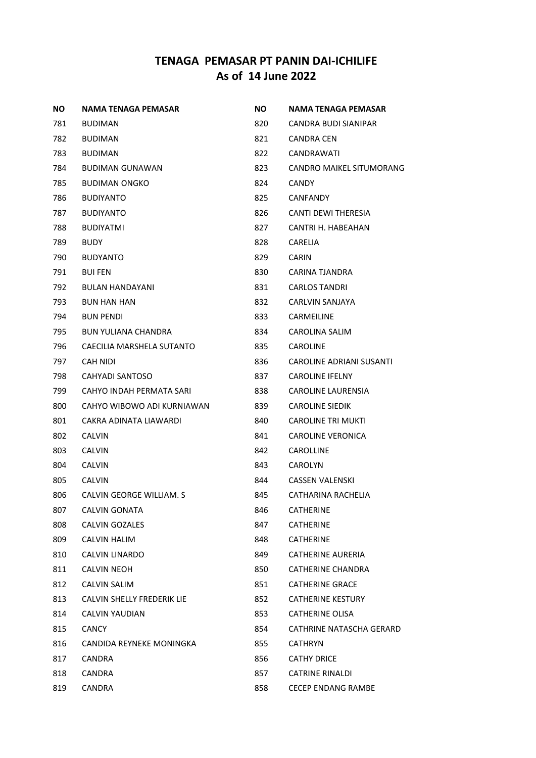| ΝO  | NAMA TENAGA PEMASAR        | NO. | NAMA TENAGA PEMASAR        |
|-----|----------------------------|-----|----------------------------|
| 781 | <b>BUDIMAN</b>             | 820 | CANDRA BUDI SIANIPAR       |
| 782 | <b>BUDIMAN</b>             | 821 | CANDRA CEN                 |
| 783 | <b>BUDIMAN</b>             | 822 | CANDRAWATI                 |
| 784 | BUDIMAN GUNAWAN            | 823 | CANDRO MAIKEL SITUMORANG   |
| 785 | BUDIMAN ONGKO              | 824 | <b>CANDY</b>               |
| 786 | <b>BUDIYANTO</b>           | 825 | <b>CANFANDY</b>            |
| 787 | <b>BUDIYANTO</b>           | 826 | <b>CANTI DEWI THERESIA</b> |
| 788 | <b>BUDIYATMI</b>           | 827 | CANTRI H. HABEAHAN         |
| 789 | <b>BUDY</b>                | 828 | <b>CARELIA</b>             |
| 790 | <b>BUDYANTO</b>            | 829 | <b>CARIN</b>               |
| 791 | <b>BUIFEN</b>              | 830 | CARINA TJANDRA             |
| 792 | <b>BULAN HANDAYANI</b>     | 831 | <b>CARLOS TANDRI</b>       |
| 793 | <b>BUN HAN HAN</b>         | 832 | CARLVIN SANJAYA            |
| 794 | <b>BUN PENDI</b>           | 833 | CARMEILINE                 |
| 795 | <b>BUN YULIANA CHANDRA</b> | 834 | CAROLINA SALIM             |
| 796 | CAECILIA MARSHELA SUTANTO  | 835 | CAROLINE                   |
| 797 | CAH NIDI                   | 836 | CAROLINE ADRIANI SUSANTI   |
| 798 | CAHYADI SANTOSO            | 837 | <b>CAROLINE IFELNY</b>     |
| 799 | CAHYO INDAH PERMATA SARI   | 838 | CAROLINE LAURENSIA         |
| 800 | CAHYO WIBOWO ADI KURNIAWAN | 839 | <b>CAROLINE SIEDIK</b>     |
| 801 | CAKRA ADINATA LIAWARDI     | 840 | CAROLINE TRI MUKTI         |
| 802 | <b>CALVIN</b>              | 841 | <b>CAROLINE VERONICA</b>   |
| 803 | <b>CALVIN</b>              | 842 | CAROLLINE                  |
| 804 | <b>CALVIN</b>              | 843 | <b>CAROLYN</b>             |
| 805 | <b>CALVIN</b>              | 844 | <b>CASSEN VALENSKI</b>     |
| 806 | CALVIN GEORGE WILLIAM. S   | 845 | CATHARINA RACHELIA         |
| 807 | <b>CALVIN GONATA</b>       | 846 | <b>CATHERINE</b>           |
| 808 | CALVIN GOZALES             | 847 | <b>CATHERINE</b>           |
| 809 | CALVIN HALIM               | 848 | <b>CATHERINE</b>           |
| 810 | <b>CALVIN LINARDO</b>      | 849 | CATHERINE AURERIA          |
| 811 | <b>CALVIN NEOH</b>         | 850 | CATHERINE CHANDRA          |
| 812 | CALVIN SALIM               | 851 | <b>CATHERINE GRACE</b>     |
| 813 | CALVIN SHELLY FREDERIK LIE | 852 | <b>CATHERINE KESTURY</b>   |
| 814 | CALVIN YAUDIAN             | 853 | CATHERINE OLISA            |
| 815 | <b>CANCY</b>               | 854 | CATHRINE NATASCHA GERARD   |
| 816 | CANDIDA REYNEKE MONINGKA   | 855 | CATHRYN                    |
| 817 | <b>CANDRA</b>              | 856 | <b>CATHY DRICE</b>         |
| 818 | CANDRA                     | 857 | <b>CATRINE RINALDI</b>     |
| 819 | CANDRA                     | 858 | CECEP ENDANG RAMBE         |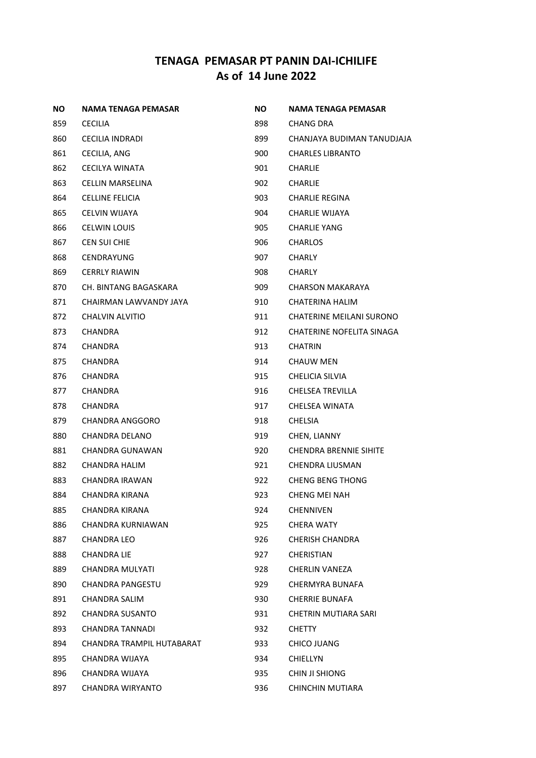| <b>NO</b> | NAMA TENAGA PEMASAR       | ΝO    | NAMA TENAGA PEMASAR             |
|-----------|---------------------------|-------|---------------------------------|
| 859       | <b>CECILIA</b>            | 898   | CHANG DRA                       |
| 860       | <b>CECILIA INDRADI</b>    | 899 — | CHANJAYA BUDIMAN TANUDJAJA      |
| 861       | CECILIA, ANG              | 900   | <b>CHARLES LIBRANTO</b>         |
| 862       | <b>CECILYA WINATA</b>     | 901   | <b>CHARLIE</b>                  |
| 863       | CELLIN MARSELINA          | 902   | CHARLIE                         |
| 864       | <b>CELLINE FELICIA</b>    | 903   | CHARLIE REGINA                  |
| 865       | CELVIN WIJAYA             | 904   | CHARLIE WIJAYA                  |
| 866       | <b>CELWIN LOUIS</b>       | 905   | <b>CHARLIE YANG</b>             |
| 867       | CEN SUI CHIE              | 906   | <b>CHARLOS</b>                  |
| 868       | CENDRAYUNG                | 907   | <b>CHARLY</b>                   |
| 869       | <b>CERRLY RIAWIN</b>      | 908   | CHARLY                          |
| 870       | CH. BINTANG BAGASKARA     | 909   | CHARSON MAKARAYA                |
| 871       | CHAIRMAN LAWVANDY JAYA    | 910   | CHATERINA HALIM                 |
| 872       | CHALVIN ALVITIO           | 911   | <b>CHATERINE MEILANI SURONO</b> |
| 873       | <b>CHANDRA</b>            | 912   | CHATERINE NOFELITA SINAGA       |
| 874       | CHANDRA                   | 913   | <b>CHATRIN</b>                  |
| 875       | <b>CHANDRA</b>            | 914   | <b>CHAUW MEN</b>                |
| 876       | CHANDRA                   | 915   | <b>CHELICIA SILVIA</b>          |
| 877       | CHANDRA                   | 916   | <b>CHELSEA TREVILLA</b>         |
| 878       | CHANDRA                   | 917   | CHELSEA WINATA                  |
| 879       | CHANDRA ANGGORO           | 918   | CHELSIA                         |
| 880       | CHANDRA DELANO            | 919   | CHEN, LIANNY                    |
| 881       | CHANDRA GUNAWAN           | 920   | <b>CHENDRA BRENNIE SIHITE</b>   |
| 882       | CHANDRA HALIM             | 921   | CHENDRA LIUSMAN                 |
| 883       | CHANDRA IRAWAN            | 922   | <b>CHENG BENG THONG</b>         |
| 884       | CHANDRA KIRANA            | 923   | CHENG MEI NAH                   |
| 885       | <b>CHANDRA KIRANA</b>     | 924   | CHENNIVEN                       |
| 886       | CHANDRA KURNIAWAN         | 925   | <b>CHERA WATY</b>               |
| 887       | CHANDRA LEO               | 926   | CHERISH CHANDRA                 |
| 888       | <b>CHANDRA LIE</b>        | 927   | CHERISTIAN                      |
| 889       | <b>CHANDRA MULYATI</b>    | 928   | <b>CHERLIN VANEZA</b>           |
| 890       | CHANDRA PANGESTU          | 929   | CHERMYRA BUNAFA                 |
| 891       | CHANDRA SALIM             | 930   | <b>CHERRIE BUNAFA</b>           |
| 892       | CHANDRA SUSANTO           | 931   | CHETRIN MUTIARA SARI            |
| 893       | CHANDRA TANNADI           | 932   | CHETTY                          |
| 894       | CHANDRA TRAMPIL HUTABARAT | 933   | CHICO JUANG                     |
| 895       | CHANDRA WIJAYA            | 934   | <b>CHIELLYN</b>                 |
| 896       | CHANDRA WIJAYA            | 935   | CHIN JI SHIONG                  |
| 897       | CHANDRA WIRYANTO          | 936   | CHINCHIN MUTIARA                |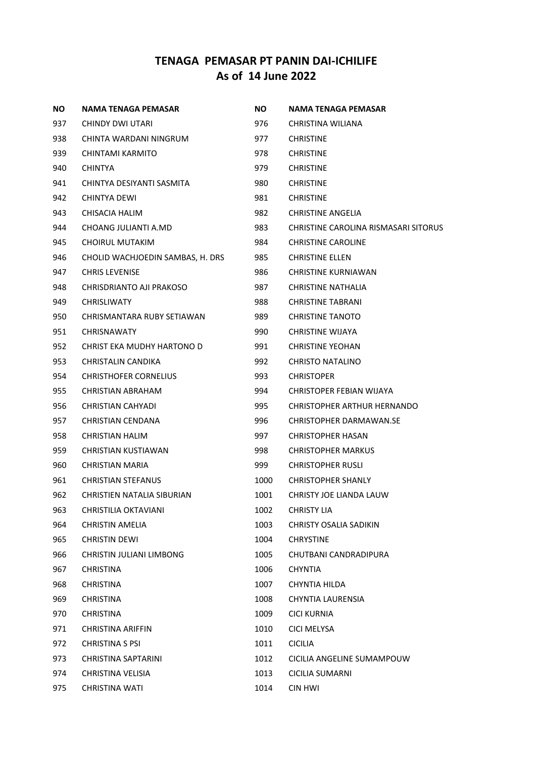| <b>NO</b> | <b>NAMA TENAGA PEMASAR</b>       | NO.  | <b>NAMA TENAGA PEMASAR</b>           |
|-----------|----------------------------------|------|--------------------------------------|
| 937       | CHINDY DWI UTARI                 | 976  | CHRISTINA WILIANA                    |
| 938       | CHINTA WARDANI NINGRUM           | 977  | <b>CHRISTINE</b>                     |
| 939       | CHINTAMI KARMITO                 | 978  | <b>CHRISTINE</b>                     |
| 940       | <b>CHINTYA</b>                   | 979  | <b>CHRISTINE</b>                     |
| 941       | CHINTYA DESIYANTI SASMITA        | 980  | <b>CHRISTINE</b>                     |
| 942       | CHINTYA DEWI                     | 981  | <b>CHRISTINE</b>                     |
| 943       | CHISACIA HALIM                   | 982  | <b>CHRISTINE ANGELIA</b>             |
| 944       | CHOANG JULIANTI A.MD             | 983  | CHRISTINE CAROLINA RISMASARI SITORUS |
| 945       | CHOIRUL MUTAKIM                  | 984  | <b>CHRISTINE CAROLINE</b>            |
| 946       | CHOLID WACHJOEDIN SAMBAS, H. DRS | 985  | <b>CHRISTINE ELLEN</b>               |
| 947       | <b>CHRIS LEVENISE</b>            | 986  | <b>CHRISTINE KURNIAWAN</b>           |
| 948       | CHRISDRIANTO AJI PRAKOSO         | 987  | CHRISTINE NATHALIA                   |
| 949       | <b>CHRISLIWATY</b>               | 988  | <b>CHRISTINE TABRANI</b>             |
| 950       | CHRISMANTARA RUBY SETIAWAN       | 989  | <b>CHRISTINE TANOTO</b>              |
| 951       | <b>CHRISNAWATY</b>               | 990  | <b>CHRISTINE WIJAYA</b>              |
| 952       | CHRIST EKA MUDHY HARTONO D       | 991  | <b>CHRISTINE YEOHAN</b>              |
| 953       | CHRISTALIN CANDIKA               | 992  | CHRISTO NATALINO                     |
| 954       | <b>CHRISTHOFER CORNELIUS</b>     | 993  | <b>CHRISTOPER</b>                    |
| 955       | CHRISTIAN ABRAHAM                | 994  | CHRISTOPER FEBIAN WIJAYA             |
| 956       | CHRISTIAN CAHYADI                | 995  | CHRISTOPHER ARTHUR HERNANDO          |
| 957       | CHRISTIAN CENDANA                | 996  | CHRISTOPHER DARMAWAN.SE              |
| 958       | CHRISTIAN HALIM                  | 997  | CHRISTOPHER HASAN                    |
| 959       | CHRISTIAN KUSTIAWAN              | 998  | <b>CHRISTOPHER MARKUS</b>            |
| 960       | CHRISTIAN MARIA                  | 999  | <b>CHRISTOPHER RUSLI</b>             |
| 961       | <b>CHRISTIAN STEFANUS</b>        | 1000 | CHRISTOPHER SHANLY                   |
| 962       | CHRISTIEN NATALIA SIBURIAN       | 1001 | CHRISTY JOE LIANDA LAUW              |
| 963       | <b>CHRISTILIA OKTAVIANI</b>      | 1002 | <b>CHRISTY LIA</b>                   |
| 964       | <b>CHRISTIN AMELIA</b>           | 1003 | CHRISTY OSALIA SADIKIN               |
| 965       | CHRISTIN DEWI                    | 1004 | <b>CHRYSTINE</b>                     |
| 966       | CHRISTIN JULIANI LIMBONG         | 1005 | CHUTBANI CANDRADIPURA                |
| 967       | <b>CHRISTINA</b>                 | 1006 | <b>CHYNTIA</b>                       |
| 968       | <b>CHRISTINA</b>                 | 1007 | CHYNTIA HILDA                        |
| 969       | <b>CHRISTINA</b>                 | 1008 | CHYNTIA LAURENSIA                    |
| 970       | <b>CHRISTINA</b>                 | 1009 | <b>CICI KURNIA</b>                   |
| 971       | <b>CHRISTINA ARIFFIN</b>         | 1010 | <b>CICI MELYSA</b>                   |
| 972       | <b>CHRISTINA S PSI</b>           | 1011 | <b>CICILIA</b>                       |
| 973       | <b>CHRISTINA SAPTARINI</b>       | 1012 | CICILIA ANGELINE SUMAMPOUW           |
| 974       | CHRISTINA VELISIA                | 1013 | <b>CICILIA SUMARNI</b>               |
| 975       | CHRISTINA WATI                   | 1014 | CIN HWI                              |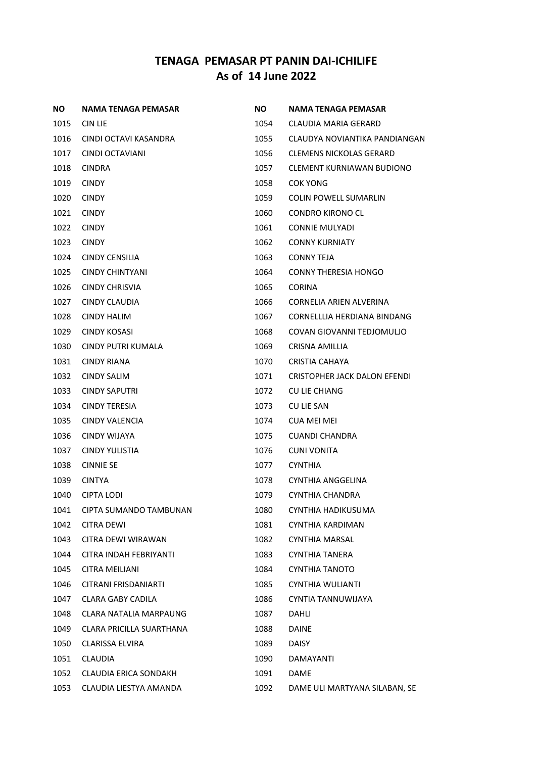| NO.  | NAMA TENAGA PEMASAR             | NO.  | <b>NAMA TENAGA PEMASAR</b>       |
|------|---------------------------------|------|----------------------------------|
| 1015 | CIN LIE                         | 1054 | CLAUDIA MARIA GERARD             |
| 1016 | CINDI OCTAVI KASANDRA           | 1055 | CLAUDYA NOVIANTIKA PANDIANGAN    |
| 1017 | CINDI OCTAVIANI                 | 1056 | <b>CLEMENS NICKOLAS GERARD</b>   |
| 1018 | <b>CINDRA</b>                   | 1057 | <b>CLEMENT KURNIAWAN BUDIONO</b> |
| 1019 | <b>CINDY</b>                    | 1058 | COK YONG                         |
| 1020 | <b>CINDY</b>                    | 1059 | COLIN POWELL SUMARLIN            |
| 1021 | <b>CINDY</b>                    | 1060 | <b>CONDRO KIRONO CL</b>          |
| 1022 | <b>CINDY</b>                    | 1061 | <b>CONNIE MULYADI</b>            |
| 1023 | <b>CINDY</b>                    | 1062 | <b>CONNY KURNIATY</b>            |
| 1024 | <b>CINDY CENSILIA</b>           | 1063 | CONNY TEJA                       |
| 1025 | CINDY CHINTYANI                 | 1064 | <b>CONNY THERESIA HONGO</b>      |
| 1026 | <b>CINDY CHRISVIA</b>           | 1065 | <b>CORINA</b>                    |
| 1027 | <b>CINDY CLAUDIA</b>            | 1066 | CORNELIA ARIEN ALVERINA          |
| 1028 | CINDY HALIM                     | 1067 | CORNELLLIA HERDIANA BINDANG      |
| 1029 | CINDY KOSASI                    | 1068 | COVAN GIOVANNI TEDJOMULIO        |
| 1030 | CINDY PUTRI KUMALA              | 1069 | CRISNA AMILLIA                   |
| 1031 | <b>CINDY RIANA</b>              | 1070 | CRISTIA CAHAYA                   |
| 1032 | <b>CINDY SALIM</b>              | 1071 | CRISTOPHER JACK DALON EFENDI     |
| 1033 | <b>CINDY SAPUTRI</b>            | 1072 | <b>CU LIE CHIANG</b>             |
| 1034 | <b>CINDY TERESIA</b>            | 1073 | <b>CU LIE SAN</b>                |
| 1035 | CINDY VALENCIA                  | 1074 | CUA MEI MEI                      |
| 1036 | CINDY WIJAYA                    | 1075 | <b>CUANDI CHANDRA</b>            |
| 1037 | <b>CINDY YULISTIA</b>           | 1076 | <b>CUNI VONITA</b>               |
| 1038 | <b>CINNIE SE</b>                | 1077 | <b>CYNTHIA</b>                   |
| 1039 | <b>CINTYA</b>                   | 1078 | CYNTHIA ANGGELINA                |
| 1040 | CIPTA LODI                      | 1079 | CYNTHIA CHANDRA                  |
| 1041 | CIPTA SUMANDO TAMBUNAN          | 1080 | CYNTHIA HADIKUSUMA               |
| 1042 | <b>CITRA DEWI</b>               | 1081 | CYNTHIA KARDIMAN                 |
| 1043 | CITRA DEWI WIRAWAN              | 1082 | <b>CYNTHIA MARSAL</b>            |
| 1044 | CITRA INDAH FEBRIYANTI          | 1083 | <b>CYNTHIA TANERA</b>            |
| 1045 | <b>CITRA MEILIANI</b>           | 1084 | <b>CYNTHIA TANOTO</b>            |
| 1046 | CITRANI FRISDANIARTI            | 1085 | CYNTHIA WULIANTI                 |
| 1047 | <b>CLARA GABY CADILA</b>        | 1086 | CYNTIA TANNUWIJAYA               |
| 1048 | <b>CLARA NATALIA MARPAUNG</b>   | 1087 | <b>DAHLI</b>                     |
| 1049 | <b>CLARA PRICILLA SUARTHANA</b> | 1088 | <b>DAINE</b>                     |
| 1050 | <b>CLARISSA ELVIRA</b>          | 1089 | <b>DAISY</b>                     |
| 1051 | <b>CLAUDIA</b>                  | 1090 | DAMAYANTI                        |
| 1052 | <b>CLAUDIA ERICA SONDAKH</b>    | 1091 | DAME                             |
| 1053 | CLAUDIA LIESTYA AMANDA          | 1092 | DAME ULI MARTYANA SILABAN, SE    |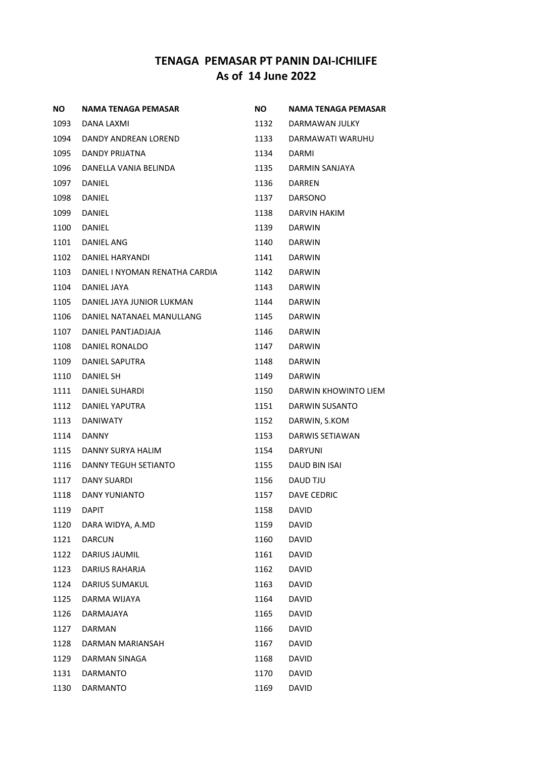| <b>NO</b> | NAMA TENAGA PEMASAR            | <b>NO</b> | <b>NAMA TENAGA PEMASAR</b> |
|-----------|--------------------------------|-----------|----------------------------|
| 1093      | DANA LAXMI                     | 1132      | DARMAWAN JULKY             |
| 1094      | DANDY ANDREAN LOREND           | 1133      | DARMAWATI WARUHU           |
| 1095      | DANDY PRIJATNA                 | 1134      | <b>DARMI</b>               |
| 1096      | DANELLA VANIA BELINDA          | 1135      | DARMIN SANJAYA             |
| 1097      | DANIEL                         | 1136      | DARREN                     |
| 1098      | DANIEL                         | 1137      | <b>DARSONO</b>             |
| 1099      | DANIEL                         | 1138      | DARVIN HAKIM               |
| 1100      | DANIEL                         | 1139      | <b>DARWIN</b>              |
| 1101      | DANIEL ANG                     | 1140      | DARWIN                     |
| 1102      | DANIEL HARYANDI                | 1141      | <b>DARWIN</b>              |
| 1103      | DANIEL I NYOMAN RENATHA CARDIA | 1142      | DARWIN                     |
| 1104      | DANIEL JAYA                    | 1143      | <b>DARWIN</b>              |
| 1105      | DANIEL JAYA JUNIOR LUKMAN      | 1144      | <b>DARWIN</b>              |
| 1106      | DANIEL NATANAEL MANULLANG      | 1145      | DARWIN                     |
| 1107      | DANIEL PANTJADJAJA             | 1146      | <b>DARWIN</b>              |
| 1108      | DANIEL RONALDO                 | 1147      | <b>DARWIN</b>              |
| 1109      | DANIEL SAPUTRA                 | 1148      | <b>DARWIN</b>              |
| 1110      | DANIEL SH                      | 1149      | <b>DARWIN</b>              |
| 1111      | DANIEL SUHARDI                 | 1150      | DARWIN KHOWINTO LIEM       |
| 1112      | DANIEL YAPUTRA                 | 1151      | DARWIN SUSANTO             |
| 1113      | <b>DANIWATY</b>                | 1152      | DARWIN, S.KOM              |
| 1114      | <b>DANNY</b>                   | 1153      | DARWIS SETIAWAN            |
| 1115      | DANNY SURYA HALIM              | 1154      | <b>DARYUNI</b>             |
| 1116      | DANNY TEGUH SETIANTO           | 1155      | <b>DAUD BIN ISAI</b>       |
| 1117      | DANY SUARDI                    | 1156      | DAUD TJU                   |
| 1118      | DANY YUNIANTO                  | 1157      | DAVE CEDRIC                |
| 1119      | <b>DAPIT</b>                   | 1158      | <b>DAVID</b>               |
| 1120      | DARA WIDYA, A.MD               | 1159      | <b>DAVID</b>               |
| 1121      | <b>DARCUN</b>                  | 1160      | DAVID                      |
| 1122      | <b>DARIUS JAUMIL</b>           | 1161      | <b>DAVID</b>               |
| 1123      | DARIUS RAHARJA                 | 1162      | <b>DAVID</b>               |
| 1124      | <b>DARIUS SUMAKUL</b>          | 1163      | <b>DAVID</b>               |
| 1125      | DARMA WIJAYA                   | 1164      | <b>DAVID</b>               |
| 1126      | <b>DARMAJAYA</b>               | 1165      | <b>DAVID</b>               |
| 1127      | DARMAN                         | 1166      | <b>DAVID</b>               |
| 1128      | DARMAN MARIANSAH               | 1167      | <b>DAVID</b>               |
| 1129      | DARMAN SINAGA                  | 1168      | <b>DAVID</b>               |
| 1131      | <b>DARMANTO</b>                | 1170      | DAVID                      |
| 1130      | DARMANTO                       | 1169      | DAVID                      |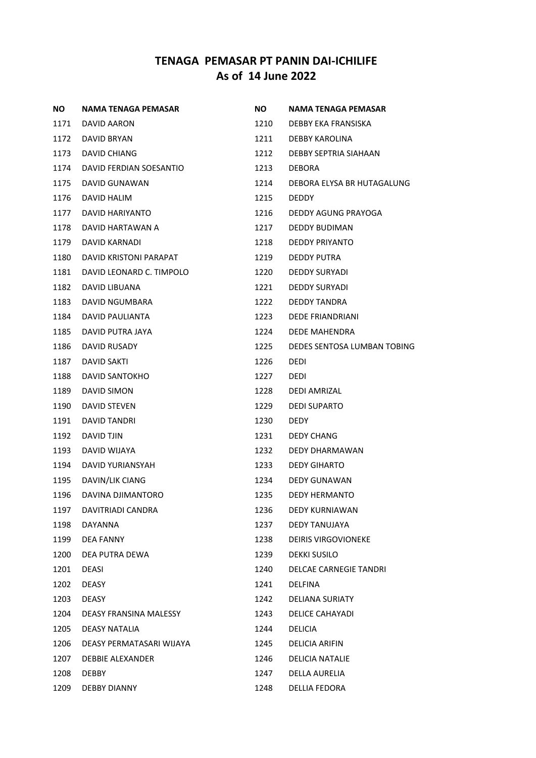| NO.  | NAMA TENAGA PEMASAR      | NO.  | NAMA TENAGA PEMASAR         |
|------|--------------------------|------|-----------------------------|
| 1171 | DAVID AARON              | 1210 | DEBBY EKA FRANSISKA         |
| 1172 | DAVID BRYAN              | 1211 | DEBBY KAROLINA              |
| 1173 | DAVID CHIANG             | 1212 | DEBBY SEPTRIA SIAHAAN       |
| 1174 | DAVID FERDIAN SOESANTIO  | 1213 | <b>DEBORA</b>               |
| 1175 | DAVID GUNAWAN            | 1214 | DEBORA ELYSA BR HUTAGALUNG  |
| 1176 | DAVID HALIM              | 1215 | <b>DEDDY</b>                |
| 1177 | DAVID HARIYANTO          | 1216 | DEDDY AGUNG PRAYOGA         |
| 1178 | DAVID HARTAWAN A         | 1217 | <b>DEDDY BUDIMAN</b>        |
| 1179 | DAVID KARNADI            | 1218 | DEDDY PRIYANTO              |
| 1180 | DAVID KRISTONI PARAPAT   | 1219 | DEDDY PUTRA                 |
| 1181 | DAVID LEONARD C. TIMPOLO | 1220 | DEDDY SURYADI               |
| 1182 | DAVID LIBUANA            | 1221 | <b>DEDDY SURYADI</b>        |
| 1183 | DAVID NGUMBARA           | 1222 | <b>DEDDY TANDRA</b>         |
| 1184 | DAVID PAULIANTA          | 1223 | <b>DEDE FRIANDRIANI</b>     |
| 1185 | DAVID PUTRA JAYA         | 1224 | <b>DEDE MAHENDRA</b>        |
| 1186 | <b>DAVID RUSADY</b>      | 1225 | DEDES SENTOSA LUMBAN TOBING |
| 1187 | DAVID SAKTI              | 1226 | <b>DEDI</b>                 |
| 1188 | DAVID SANTOKHO           | 1227 | <b>DEDI</b>                 |
| 1189 | DAVID SIMON              | 1228 | DEDI AMRIZAL                |
| 1190 | <b>DAVID STEVEN</b>      | 1229 | <b>DEDI SUPARTO</b>         |
| 1191 | DAVID TANDRI             | 1230 | <b>DEDY</b>                 |
| 1192 | DAVID TJIN               | 1231 | <b>DEDY CHANG</b>           |
| 1193 | DAVID WIJAYA             | 1232 | DEDY DHARMAWAN              |
| 1194 | DAVID YURIANSYAH         | 1233 | <b>DEDY GIHARTO</b>         |
| 1195 | DAVIN/LIK CIANG          | 1234 | <b>DEDY GUNAWAN</b>         |
| 1196 | DAVINA DJIMANTORO        | 1235 | <b>DEDY HERMANTO</b>        |
| 1197 | DAVITRIADI CANDRA        | 1236 | <b>DEDY KURNIAWAN</b>       |
| 1198 | DAYANNA                  | 1237 | DEDY TANUJAYA               |
| 1199 | <b>DEA FANNY</b>         | 1238 | <b>DEIRIS VIRGOVIONEKE</b>  |
| 1200 | DEA PUTRA DEWA           | 1239 | <b>DEKKI SUSILO</b>         |
| 1201 | DEASI                    | 1240 | DELCAE CARNEGIE TANDRI      |
| 1202 | <b>DEASY</b>             | 1241 | <b>DELFINA</b>              |
| 1203 | <b>DEASY</b>             | 1242 | <b>DELIANA SURIATY</b>      |
| 1204 | DEASY FRANSINA MALESSY   | 1243 | <b>DELICE CAHAYADI</b>      |
| 1205 | DEASY NATALIA            | 1244 | <b>DELICIA</b>              |
| 1206 | DEASY PERMATASARI WIJAYA | 1245 | <b>DELICIA ARIFIN</b>       |
| 1207 | <b>DEBBIE ALEXANDER</b>  | 1246 | DELICIA NATALIE             |
| 1208 | <b>DEBBY</b>             | 1247 | DELLA AURELIA               |
| 1209 | <b>DEBBY DIANNY</b>      | 1248 | DELLIA FEDORA               |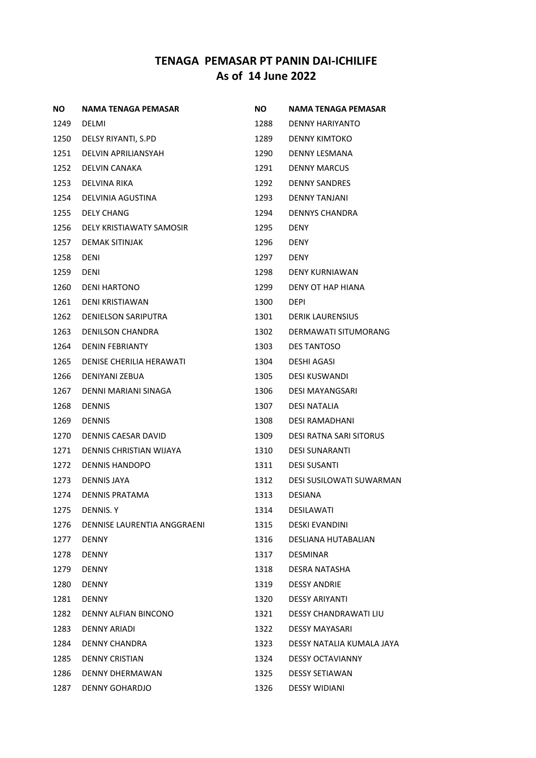| NO.  | NAMA TENAGA PEMASAR         | NO.  | NAMA TENAGA PEMASAR             |
|------|-----------------------------|------|---------------------------------|
| 1249 | DELMI                       | 1288 | DENNY HARIYANTO                 |
| 1250 | DELSY RIYANTI, S.PD         | 1289 | <b>DENNY KIMTOKO</b>            |
| 1251 | DELVIN APRILIANSYAH         | 1290 | <b>DENNY LESMANA</b>            |
| 1252 | DELVIN CANAKA               | 1291 | <b>DENNY MARCUS</b>             |
| 1253 | DELVINA RIKA                | 1292 | <b>DENNY SANDRES</b>            |
| 1254 | DELVINIA AGUSTINA           | 1293 | <b>DENNY TANJANI</b>            |
| 1255 | <b>DELY CHANG</b>           | 1294 | <b>DENNYS CHANDRA</b>           |
| 1256 | DELY KRISTIAWATY SAMOSIR    | 1295 | <b>DENY</b>                     |
| 1257 | DEMAK SITINJAK              | 1296 | <b>DENY</b>                     |
| 1258 | <b>DENI</b>                 | 1297 | <b>DENY</b>                     |
| 1259 | <b>DENI</b>                 | 1298 | DENY KURNIAWAN                  |
| 1260 | <b>DENI HARTONO</b>         | 1299 | DENY OT HAP HIANA               |
| 1261 | <b>DENI KRISTIAWAN</b>      | 1300 | <b>DEPI</b>                     |
| 1262 | <b>DENIELSON SARIPUTRA</b>  | 1301 | <b>DERIK LAURENSIUS</b>         |
| 1263 | <b>DENILSON CHANDRA</b>     | 1302 | DERMAWATI SITUMORANG            |
| 1264 | <b>DENIN FEBRIANTY</b>      | 1303 | DES TANTOSO                     |
| 1265 | DENISE CHERILIA HERAWATI    | 1304 | <b>DESHI AGASI</b>              |
| 1266 | DENIYANI ZEBUA              | 1305 | <b>DESI KUSWANDI</b>            |
| 1267 | DENNI MARIANI SINAGA        | 1306 | <b>DESI MAYANGSARI</b>          |
| 1268 | <b>DENNIS</b>               | 1307 | <b>DESI NATALIA</b>             |
| 1269 | <b>DENNIS</b>               | 1308 | <b>DESI RAMADHANI</b>           |
| 1270 | DENNIS CAESAR DAVID         | 1309 | <b>DESI RATNA SARI SITORUS</b>  |
| 1271 | DENNIS CHRISTIAN WIJAYA     | 1310 | <b>DESI SUNARANTI</b>           |
| 1272 | <b>DENNIS HANDOPO</b>       | 1311 | DESI SUSANTI                    |
| 1273 | <b>DENNIS JAYA</b>          | 1312 | <b>DESI SUSILOWATI SUWARMAN</b> |
| 1274 | DENNIS PRATAMA              | 1313 | <b>DESIANA</b>                  |
| 1275 | <b>DENNIS.Y</b>             | 1314 | <b>DESILAWATI</b>               |
| 1276 | DENNISE LAURENTIA ANGGRAENI | 1315 | <b>DESKI EVANDINI</b>           |
| 1277 | <b>DENNY</b>                | 1316 | DESLIANA HUTABALIAN             |
| 1278 | <b>DENNY</b>                | 1317 | <b>DESMINAR</b>                 |
| 1279 | <b>DENNY</b>                | 1318 | DESRA NATASHA                   |
| 1280 | <b>DENNY</b>                | 1319 | <b>DESSY ANDRIE</b>             |
| 1281 | <b>DENNY</b>                | 1320 | <b>DESSY ARIYANTI</b>           |
| 1282 | DENNY ALFIAN BINCONO        | 1321 | <b>DESSY CHANDRAWATI LIU</b>    |
| 1283 | DENNY ARIADI                | 1322 | <b>DESSY MAYASARI</b>           |
| 1284 | DENNY CHANDRA               | 1323 | DESSY NATALIA KUMALA JAYA       |
| 1285 | <b>DENNY CRISTIAN</b>       | 1324 | <b>DESSY OCTAVIANNY</b>         |
| 1286 | DENNY DHERMAWAN             | 1325 | <b>DESSY SETIAWAN</b>           |
| 1287 | DENNY GOHARDJO              | 1326 | <b>DESSY WIDIANI</b>            |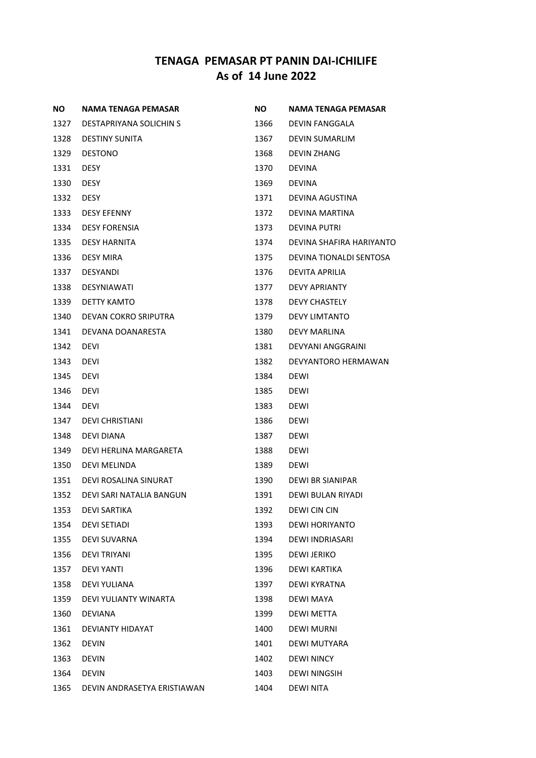| <b>NO</b> | <b>NAMA TENAGA PEMASAR</b>  | ΝO   | NAMA TENAGA PEMASAR      |
|-----------|-----------------------------|------|--------------------------|
| 1327      | DESTAPRIYANA SOLICHIN S     | 1366 | <b>DEVIN FANGGALA</b>    |
| 1328      | <b>DESTINY SUNITA</b>       | 1367 | <b>DEVIN SUMARLIM</b>    |
| 1329      | <b>DESTONO</b>              | 1368 | <b>DEVIN ZHANG</b>       |
| 1331      | <b>DESY</b>                 | 1370 | <b>DEVINA</b>            |
| 1330      | <b>DESY</b>                 | 1369 | <b>DEVINA</b>            |
| 1332      | <b>DESY</b>                 | 1371 | DEVINA AGUSTINA          |
| 1333      | <b>DESY EFENNY</b>          | 1372 | DEVINA MARTINA           |
| 1334      | <b>DESY FORENSIA</b>        | 1373 | <b>DEVINA PUTRI</b>      |
| 1335      | <b>DESY HARNITA</b>         | 1374 | DEVINA SHAFIRA HARIYANTO |
| 1336      | <b>DESY MIRA</b>            | 1375 | DEVINA TIONALDI SENTOSA  |
| 1337      | <b>DESYANDI</b>             | 1376 | DEVITA APRILIA           |
| 1338      | <b>DESYNIAWATI</b>          | 1377 | <b>DEVY APRIANTY</b>     |
| 1339      | DETTY KAMTO                 | 1378 | <b>DEVY CHASTELY</b>     |
| 1340      | DEVAN COKRO SRIPUTRA        | 1379 | <b>DEVY LIMTANTO</b>     |
| 1341      | DEVANA DOANARESTA           | 1380 | <b>DEVY MARLINA</b>      |
| 1342      | <b>DEVI</b>                 | 1381 | DEVYANI ANGGRAINI        |
| 1343      | <b>DEVI</b>                 | 1382 | DEVYANTORO HERMAWAN      |
| 1345      | <b>DEVI</b>                 | 1384 | <b>DEWI</b>              |
| 1346      | <b>DEVI</b>                 | 1385 | <b>DEWI</b>              |
| 1344      | <b>DEVI</b>                 | 1383 | <b>DEWI</b>              |
| 1347      | <b>DEVI CHRISTIANI</b>      | 1386 | <b>DEWI</b>              |
| 1348      | DEVI DIANA                  | 1387 | <b>DEWI</b>              |
| 1349      | DEVI HERLINA MARGARETA      | 1388 | <b>DEWI</b>              |
| 1350      | DEVI MELINDA                | 1389 | <b>DEWI</b>              |
| 1351      | DEVI ROSALINA SINURAT       | 1390 | DEWI BR SIANIPAR         |
| 1352      | DEVI SARI NATALIA BANGUN    | 1391 | <b>DEWI BULAN RIYADI</b> |
| 1353      | DEVI SARTIKA                | 1392 | DEWI CIN CIN             |
| 1354      | <b>DEVI SETIADI</b>         | 1393 | DEWI HORIYANTO           |
| 1355      | <b>DEVI SUVARNA</b>         | 1394 | DEWI INDRIASARI          |
| 1356      | <b>DEVI TRIYANI</b>         | 1395 | <b>DEWI JERIKO</b>       |
| 1357      | <b>DEVI YANTI</b>           | 1396 | DEWI KARTIKA             |
| 1358      | DEVI YULIANA                | 1397 | DEWI KYRATNA             |
| 1359      | DEVI YULIANTY WINARTA       | 1398 | DEWI MAYA                |
| 1360      | <b>DEVIANA</b>              | 1399 | DEWI METTA               |
| 1361      | DEVIANTY HIDAYAT            | 1400 | <b>DEWI MURNI</b>        |
| 1362      | <b>DEVIN</b>                | 1401 | DEWI MUTYARA             |
| 1363      | <b>DEVIN</b>                | 1402 | <b>DEWI NINCY</b>        |
| 1364      | <b>DEVIN</b>                | 1403 | <b>DEWI NINGSIH</b>      |
| 1365      | DEVIN ANDRASETYA ERISTIAWAN | 1404 | <b>DEWI NITA</b>         |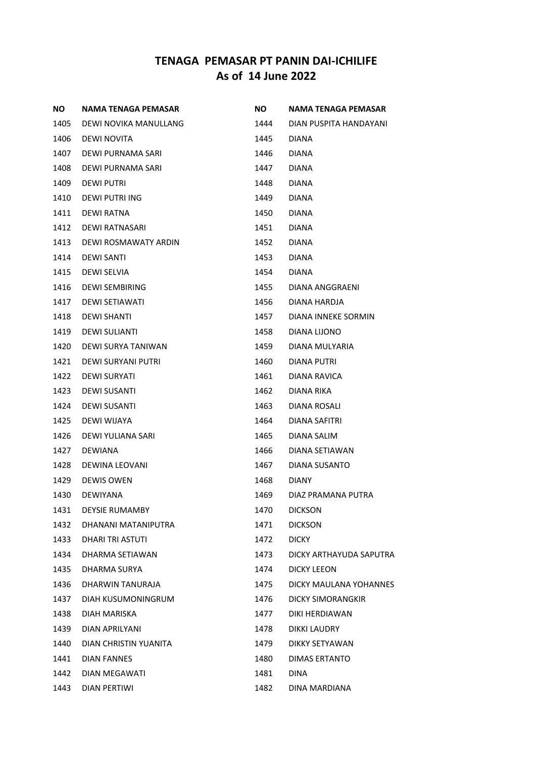| ΝO   | NAMA TENAGA PEMASAR   | NO.  | NAMA TENAGA PEMASAR      |
|------|-----------------------|------|--------------------------|
| 1405 | DEWI NOVIKA MANULLANG | 1444 | DIAN PUSPITA HANDAYANI   |
| 1406 | <b>DEWI NOVITA</b>    | 1445 | <b>DIANA</b>             |
| 1407 | DEWI PURNAMA SARI     | 1446 | <b>DIANA</b>             |
| 1408 | DEWI PURNAMA SARI     | 1447 | <b>DIANA</b>             |
| 1409 | DEWI PUTRI            | 1448 | <b>DIANA</b>             |
| 1410 | DEWI PUTRI ING        | 1449 | <b>DIANA</b>             |
| 1411 | DEWI RATNA            | 1450 | <b>DIANA</b>             |
| 1412 | DEWI RATNASARI        | 1451 | <b>DIANA</b>             |
| 1413 | DEWI ROSMAWATY ARDIN  | 1452 | <b>DIANA</b>             |
| 1414 | <b>DEWI SANTI</b>     | 1453 | <b>DIANA</b>             |
| 1415 | DEWI SELVIA           | 1454 | <b>DIANA</b>             |
| 1416 | <b>DEWI SEMBIRING</b> | 1455 | DIANA ANGGRAENI          |
| 1417 | DEWI SETIAWATI        | 1456 | DIANA HARDJA             |
| 1418 | <b>DEWI SHANTI</b>    | 1457 | DIANA INNEKE SORMIN      |
| 1419 | <b>DEWI SULIANTI</b>  | 1458 | DIANA LIJONO             |
| 1420 | DEWI SURYA TANIWAN    | 1459 | DIANA MULYARIA           |
| 1421 | DEWI SURYANI PUTRI    | 1460 | DIANA PUTRI              |
| 1422 | DEWI SURYATI          | 1461 | DIANA RAVICA             |
| 1423 | DEWI SUSANTI          | 1462 | DIANA RIKA               |
| 1424 | DEWI SUSANTI          | 1463 | DIANA ROSALI             |
| 1425 | DEWI WIJAYA           | 1464 | DIANA SAFITRI            |
| 1426 | DEWI YULIANA SARI     | 1465 | DIANA SALIM              |
| 1427 | <b>DEWIANA</b>        | 1466 | DIANA SETIAWAN           |
| 1428 | DEWINA LEOVANI        | 1467 | DIANA SUSANTO            |
| 1429 | DEWIS OWEN            | 1468 | <b>DIANY</b>             |
| 1430 | <b>DEWIYANA</b>       | 1469 | DIAZ PRAMANA PUTRA       |
| 1431 | <b>DEYSIE RUMAMBY</b> | 1470 | <b>DICKSON</b>           |
| 1432 | DHANANI MATANIPUTRA   | 1471 | <b>DICKSON</b>           |
| 1433 | DHARI TRI ASTUTI      | 1472 | <b>DICKY</b>             |
| 1434 | DHARMA SETIAWAN       | 1473 | DICKY ARTHAYUDA SAPUTRA  |
| 1435 | DHARMA SURYA          | 1474 | <b>DICKY LEEON</b>       |
| 1436 | DHARWIN TANURAJA      | 1475 | DICKY MAULANA YOHANNES   |
| 1437 | DIAH KUSUMONINGRUM    | 1476 | <b>DICKY SIMORANGKIR</b> |
| 1438 | DIAH MARISKA          | 1477 | DIKI HERDIAWAN           |
| 1439 | DIAN APRILYANI        | 1478 | <b>DIKKI LAUDRY</b>      |
| 1440 | DIAN CHRISTIN YUANITA | 1479 | DIKKY SETYAWAN           |
| 1441 | DIAN FANNES           | 1480 | DIMAS ERTANTO            |
| 1442 | DIAN MEGAWATI         | 1481 | <b>DINA</b>              |
| 1443 | DIAN PERTIWI          | 1482 | DINA MARDIANA            |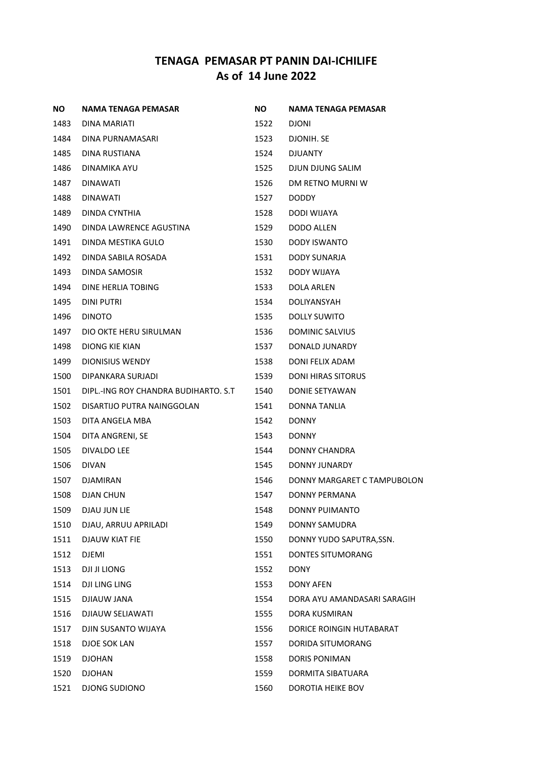| <b>NO</b> | NAMA TENAGA PEMASAR                  | NO.  | <b>NAMA TENAGA PEMASAR</b>  |
|-----------|--------------------------------------|------|-----------------------------|
| 1483      | DINA MARIATI                         | 1522 | <b>DJONI</b>                |
| 1484      | DINA PURNAMASARI                     | 1523 | DJONIH. SE                  |
| 1485      | DINA RUSTIANA                        | 1524 | <b>DJUANTY</b>              |
| 1486      | DINAMIKA AYU                         | 1525 | DJUN DJUNG SALIM            |
| 1487      | DINAWATI                             | 1526 | DM RETNO MURNI W            |
| 1488      | <b>DINAWATI</b>                      | 1527 | DODDY                       |
| 1489      | DINDA CYNTHIA                        | 1528 | DODI WIJAYA                 |
| 1490      | DINDA LAWRENCE AGUSTINA              | 1529 | <b>DODO ALLEN</b>           |
| 1491      | DINDA MESTIKA GULO                   | 1530 | DODY ISWANTO                |
| 1492      | DINDA SABILA ROSADA                  | 1531 | <b>DODY SUNARJA</b>         |
| 1493      | DINDA SAMOSIR                        | 1532 | DODY WIJAYA                 |
| 1494      | DINE HERLIA TOBING                   | 1533 | <b>DOLA ARLEN</b>           |
| 1495      | <b>DINI PUTRI</b>                    | 1534 | <b>DOLIYANSYAH</b>          |
| 1496      | <b>DINOTO</b>                        | 1535 | <b>DOLLY SUWITO</b>         |
| 1497      | DIO OKTE HERU SIRULMAN               | 1536 | <b>DOMINIC SALVIUS</b>      |
| 1498      | DIONG KIE KIAN                       | 1537 | DONALD JUNARDY              |
| 1499      | <b>DIONISIUS WENDY</b>               | 1538 | DONI FELIX ADAM             |
| 1500      | DIPANKARA SURJADI                    | 1539 | <b>DONI HIRAS SITORUS</b>   |
| 1501      | DIPL.-ING ROY CHANDRA BUDIHARTO. S.T | 1540 | DONIE SETYAWAN              |
| 1502      | DISARTIJO PUTRA NAINGGOLAN           | 1541 | DONNA TANLIA                |
| 1503      | DITA ANGELA MBA                      | 1542 | <b>DONNY</b>                |
| 1504      | DITA ANGRENI, SE                     | 1543 | <b>DONNY</b>                |
| 1505      | DIVALDO LEE                          | 1544 | DONNY CHANDRA               |
| 1506      | <b>DIVAN</b>                         | 1545 | <b>DONNY JUNARDY</b>        |
| 1507      | DJAMIRAN                             | 1546 | DONNY MARGARET C TAMPUBOLON |
| 1508      | DJAN CHUN                            | 1547 | DONNY PERMANA               |
| 1509      | DJAU JUN LIE                         | 1548 | DONNY PUIMANTO              |
| 1510      | DJAU, ARRUU APRILADI                 | 1549 | <b>DONNY SAMUDRA</b>        |
| 1511      | DJAUW KIAT FIE                       | 1550 | DONNY YUDO SAPUTRA, SSN.    |
| 1512      | <b>DJEMI</b>                         | 1551 | <b>DONTES SITUMORANG</b>    |
| 1513      | DJI JI LIONG                         | 1552 | <b>DONY</b>                 |
| 1514      | DJI LING LING                        | 1553 | <b>DONY AFEN</b>            |
| 1515      | DJIAUW JANA                          | 1554 | DORA AYU AMANDASARI SARAGIH |
| 1516      | DJIAUW SELIAWATI                     | 1555 | DORA KUSMIRAN               |
| 1517      | DJIN SUSANTO WIJAYA                  | 1556 | DORICE ROINGIN HUTABARAT    |
| 1518      | DJOE SOK LAN                         | 1557 | DORIDA SITUMORANG           |
| 1519      | <b>DJOHAN</b>                        | 1558 | <b>DORIS PONIMAN</b>        |
| 1520      | <b>DJOHAN</b>                        | 1559 | DORMITA SIBATUARA           |
| 1521      | DJONG SUDIONO                        | 1560 | DOROTIA HEIKE BOV           |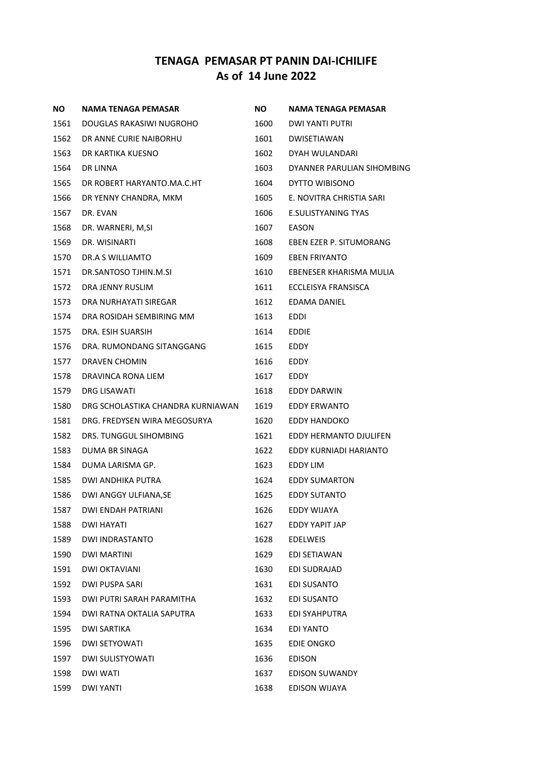| <b>NO</b> | <b>NAMA TENAGA PEMASAR</b>        | NO.  | NAMA TENAGA PEMASAR        |
|-----------|-----------------------------------|------|----------------------------|
| 1561      | DOUGLAS RAKASIWI NUGROHO          | 1600 | DWI YANTI PUTRI            |
| 1562      | DR ANNE CURIE NAIBORHU            | 1601 | <b>DWISETIAWAN</b>         |
| 1563      | DR KARTIKA KUESNO                 | 1602 | DYAH WULANDARI             |
| 1564      | <b>DR LINNA</b>                   | 1603 | DYANNER PARULIAN SIHOMBING |
| 1565      | DR ROBERT HARYANTO.MA.C.HT        | 1604 | DYTTO WIBISONO             |
| 1566      | DR YENNY CHANDRA, MKM             | 1605 | E. NOVITRA CHRISTIA SARI   |
| 1567      | DR. EVAN                          | 1606 | <b>E.SULISTYANING TYAS</b> |
| 1568      | DR. WARNERI, M,SI                 | 1607 | EASON                      |
| 1569      | DR. WISINARTI                     | 1608 | EBEN EZER P. SITUMORANG    |
| 1570      | DR.A S WILLIAMTO                  | 1609 | <b>EBEN FRIYANTO</b>       |
| 1571      | DR.SANTOSO TJHIN.M.SI             | 1610 | EBENESER KHARISMA MULIA    |
| 1572      | DRA JENNY RUSLIM                  | 1611 | ECCLEISYA FRANSISCA        |
| 1573      | DRA NURHAYATI SIREGAR             | 1612 | EDAMA DANIEL               |
| 1574      | DRA ROSIDAH SEMBIRING MM          | 1613 | EDDI                       |
| 1575      | DRA. ESIH SUARSIH                 | 1614 | <b>EDDIE</b>               |
| 1576      | DRA. RUMONDANG SITANGGANG         | 1615 | EDDY                       |
| 1577      | DRAVEN CHOMIN                     | 1616 | EDDY                       |
| 1578      | DRAVINCA RONA LIEM                | 1617 | EDDY                       |
| 1579      | DRG LISAWATI                      | 1618 | EDDY DARWIN                |
| 1580      | DRG SCHOLASTIKA CHANDRA KURNIAWAN | 1619 | <b>EDDY ERWANTO</b>        |
| 1581      | DRG. FREDYSEN WIRA MEGOSURYA      | 1620 | EDDY HANDOKO               |
| 1582      | DRS. TUNGGUL SIHOMBING            | 1621 | EDDY HERMANTO DJULIFEN     |
| 1583      | DUMA BR SINAGA                    | 1622 | EDDY KURNIADI HARIANTO     |
| 1584      | DUMA LARISMA GP.                  | 1623 | EDDY LIM                   |
| 1585      | DWI ANDHIKA PUTRA                 | 1624 | <b>EDDY SUMARTON</b>       |
| 1586      | DWI ANGGY ULFIANA, SE             | 1625 | <b>EDDY SUTANTO</b>        |
| 1587      | <b>DWI ENDAH PATRIANI</b>         | 1626 | EDDY WIJAYA                |
| 1588      | <b>DWI HAYATI</b>                 | 1627 | <b>EDDY YAPIT JAP</b>      |
| 1589      | <b>DWI INDRASTANTO</b>            | 1628 | <b>EDELWEIS</b>            |
| 1590      | <b>DWI MARTINI</b>                | 1629 | EDI SETIAWAN               |
| 1591      | <b>DWI OKTAVIANI</b>              | 1630 | EDI SUDRAJAD               |
| 1592      | DWI PUSPA SARI                    | 1631 | EDI SUSANTO                |
| 1593      | DWI PUTRI SARAH PARAMITHA         | 1632 | EDI SUSANTO                |
| 1594      | DWI RATNA OKTALIA SAPUTRA         | 1633 | EDI SYAHPUTRA              |
| 1595      | <b>DWI SARTIKA</b>                | 1634 | EDI YANTO                  |
| 1596      | <b>DWI SETYOWATI</b>              | 1635 | <b>EDIE ONGKO</b>          |
| 1597      | DWI SULISTYOWATI                  | 1636 | <b>EDISON</b>              |
| 1598      | <b>DWI WATI</b>                   | 1637 | <b>EDISON SUWANDY</b>      |
| 1599      | <b>DWI YANTI</b>                  | 1638 | EDISON WIJAYA              |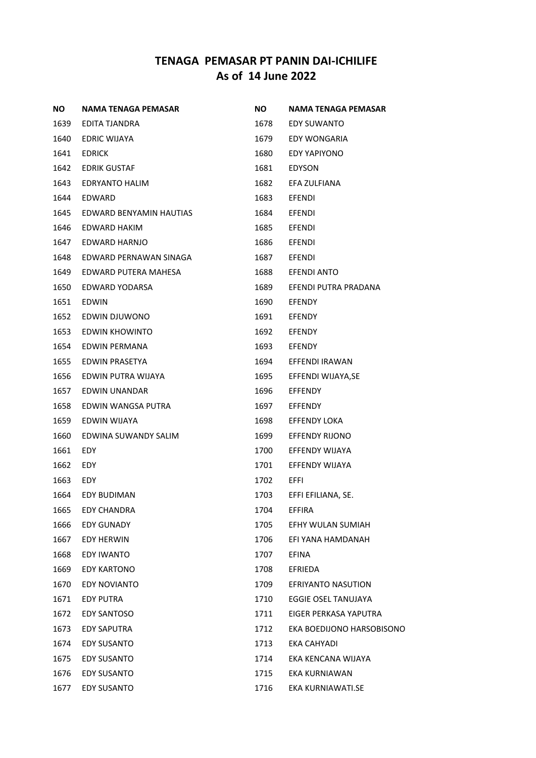| ΝO   | NAMA TENAGA PEMASAR     | NO.  | NAMA TENAGA PEMASAR       |
|------|-------------------------|------|---------------------------|
| 1639 | EDITA TJANDRA           | 1678 | EDY SUWANTO               |
| 1640 | EDRIC WIJAYA            | 1679 | EDY WONGARIA              |
| 1641 | <b>EDRICK</b>           | 1680 | EDY YAPIYONO              |
| 1642 | <b>EDRIK GUSTAF</b>     | 1681 | EDYSON                    |
| 1643 | EDRYANTO HALIM          | 1682 | EFA ZULFIANA              |
| 1644 | EDWARD                  | 1683 | <b>EFENDI</b>             |
| 1645 | EDWARD BENYAMIN HAUTIAS | 1684 | <b>EFENDI</b>             |
| 1646 | EDWARD HAKIM            | 1685 | <b>EFENDI</b>             |
| 1647 | EDWARD HARNJO           | 1686 | <b>EFENDI</b>             |
| 1648 | EDWARD PERNAWAN SINAGA  | 1687 | <b>EFENDI</b>             |
| 1649 | EDWARD PUTERA MAHESA    | 1688 | EFENDI ANTO               |
| 1650 | EDWARD YODARSA          | 1689 | EFENDI PUTRA PRADANA      |
| 1651 | EDWIN                   | 1690 | <b>EFENDY</b>             |
| 1652 | EDWIN DJUWONO           | 1691 | <b>EFENDY</b>             |
| 1653 | EDWIN KHOWINTO          | 1692 | <b>EFENDY</b>             |
| 1654 | EDWIN PERMANA           | 1693 | EFENDY                    |
| 1655 | <b>EDWIN PRASETYA</b>   | 1694 | EFFENDI IRAWAN            |
| 1656 | EDWIN PUTRA WIJAYA      | 1695 | EFFENDI WIJAYA, SE        |
| 1657 | EDWIN UNANDAR           | 1696 | EFFENDY                   |
| 1658 | EDWIN WANGSA PUTRA      | 1697 | EFFENDY                   |
| 1659 | EDWIN WIJAYA            | 1698 | <b>EFFENDY LOKA</b>       |
| 1660 | EDWINA SUWANDY SALIM    | 1699 | <b>EFFENDY RIJONO</b>     |
| 1661 | EDY                     | 1700 | EFFENDY WIJAYA            |
| 1662 | EDY                     | 1701 | EFFENDY WIJAYA            |
| 1663 | EDY                     | 1702 | EFFI                      |
| 1664 | <b>EDY BUDIMAN</b>      | 1703 | EFFI EFILIANA, SE.        |
| 1665 | <b>EDY CHANDRA</b>      | 1704 | <b>EFFIRA</b>             |
| 1666 | <b>EDY GUNADY</b>       | 1705 | EFHY WULAN SUMIAH         |
| 1667 | EDY HERWIN              | 1706 | EFI YANA HAMDANAH         |
| 1668 | EDY IWANTO              | 1707 | <b>EFINA</b>              |
| 1669 | <b>EDY KARTONO</b>      | 1708 | EFRIEDA                   |
| 1670 | <b>EDY NOVIANTO</b>     | 1709 | <b>EFRIYANTO NASUTION</b> |
| 1671 | <b>EDY PUTRA</b>        | 1710 | EGGIE OSEL TANUJAYA       |
| 1672 | <b>EDY SANTOSO</b>      | 1711 | EIGER PERKASA YAPUTRA     |
| 1673 | <b>EDY SAPUTRA</b>      | 1712 | EKA BOEDIJONO HARSOBISONO |
| 1674 | <b>EDY SUSANTO</b>      | 1713 | EKA CAHYADI               |
| 1675 | <b>EDY SUSANTO</b>      | 1714 | EKA KENCANA WIJAYA        |
| 1676 | EDY SUSANTO             | 1715 | EKA KURNIAWAN             |
| 1677 | <b>EDY SUSANTO</b>      | 1716 | EKA KURNIAWATI.SE         |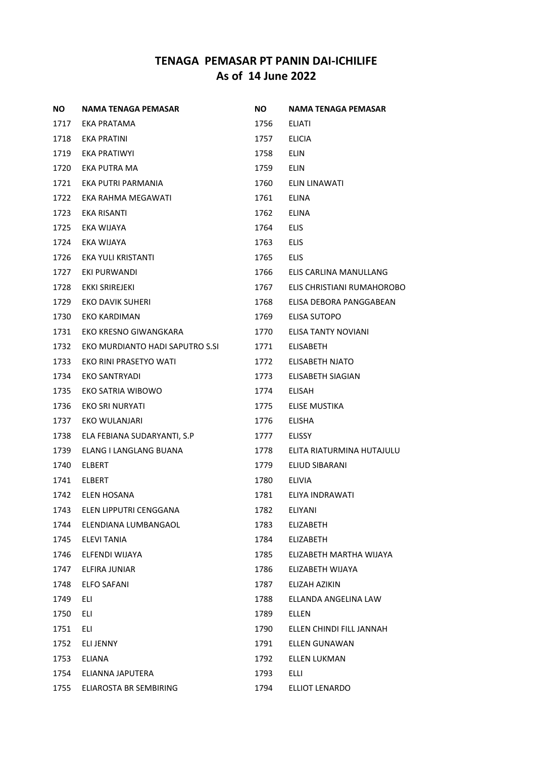| ΝO   | NAMA TENAGA PEMASAR             | <b>NO</b> | <b>NAMA TENAGA PEMASAR</b> |
|------|---------------------------------|-----------|----------------------------|
| 1717 | EKA PRATAMA                     | 1756      | ELIATI                     |
| 1718 | EKA PRATINI                     | 1757      | <b>ELICIA</b>              |
| 1719 | EKA PRATIWYI                    | 1758      | <b>ELIN</b>                |
| 1720 | EKA PUTRA MA                    | 1759      | ELIN                       |
| 1721 | EKA PUTRI PARMANIA              | 1760      | ELIN LINAWATI              |
| 1722 | EKA RAHMA MEGAWATI              | 1761      | <b>ELINA</b>               |
| 1723 | EKA RISANTI                     | 1762      | ELINA                      |
| 1725 | EKA WIJAYA                      | 1764      | <b>ELIS</b>                |
| 1724 | EKA WIJAYA                      | 1763      | <b>ELIS</b>                |
| 1726 | EKA YULI KRISTANTI              | 1765      | <b>ELIS</b>                |
| 1727 | EKI PURWANDI                    | 1766      | ELIS CARLINA MANULLANG     |
| 1728 | EKKI SRIREJEKI                  | 1767      | ELIS CHRISTIANI RUMAHOROBO |
| 1729 | EKO DAVIK SUHERI                | 1768      | ELISA DEBORA PANGGABEAN    |
| 1730 | EKO KARDIMAN                    | 1769      | ELISA SUTOPO               |
| 1731 | EKO KRESNO GIWANGKARA           | 1770      | ELISA TANTY NOVIANI        |
| 1732 | EKO MURDIANTO HADI SAPUTRO S.SI | 1771      | <b>ELISABETH</b>           |
| 1733 | EKO RINI PRASETYO WATI          | 1772      | ELISABETH NJATO            |
| 1734 | EKO SANTRYADI                   | 1773      | ELISABETH SIAGIAN          |
| 1735 | EKO SATRIA WIBOWO               | 1774      | ELISAH                     |
| 1736 | EKO SRI NURYATI                 | 1775      | ELISE MUSTIKA              |
| 1737 | EKO WULANJARI                   | 1776      | <b>ELISHA</b>              |
| 1738 | ELA FEBIANA SUDARYANTI, S.P     | 1777      | <b>ELISSY</b>              |
| 1739 | ELANG I LANGLANG BUANA          | 1778      | ELITA RIATURMINA HUTAJULU  |
| 1740 | <b>ELBERT</b>                   | 1779      | ELIUD SIBARANI             |
| 1741 | <b>ELBERT</b>                   | 1780      | <b>ELIVIA</b>              |
| 1742 | ELEN HOSANA                     | 1781      | ELIYA INDRAWATI            |
| 1743 | ELEN LIPPUTRI CENGGANA          | 1782      | <b>ELIYANI</b>             |
| 1744 | ELENDIANA LUMBANGAOL            | 1783      | <b>ELIZABETH</b>           |
| 1745 | <b>ELEVI TANIA</b>              | 1784      | <b>ELIZABETH</b>           |
| 1746 | ELFENDI WIJAYA                  | 1785      | ELIZABETH MARTHA WIJAYA    |
| 1747 | ELFIRA JUNIAR                   | 1786      | ELIZABETH WIJAYA           |
| 1748 | ELFO SAFANI                     | 1787      | ELIZAH AZIKIN              |
| 1749 | ELI                             | 1788      | ELLANDA ANGELINA LAW       |
| 1750 | ELI                             | 1789      | ELLEN                      |
| 1751 | ELI                             | 1790      | ELLEN CHINDI FILL JANNAH   |
| 1752 | <b>ELI JENNY</b>                | 1791      | <b>ELLEN GUNAWAN</b>       |
| 1753 | ELIANA                          | 1792      | <b>ELLEN LUKMAN</b>        |
| 1754 | ELIANNA JAPUTERA                | 1793      | <b>ELLI</b>                |
| 1755 | ELIAROSTA BR SEMBIRING          | 1794      | ELLIOT LENARDO             |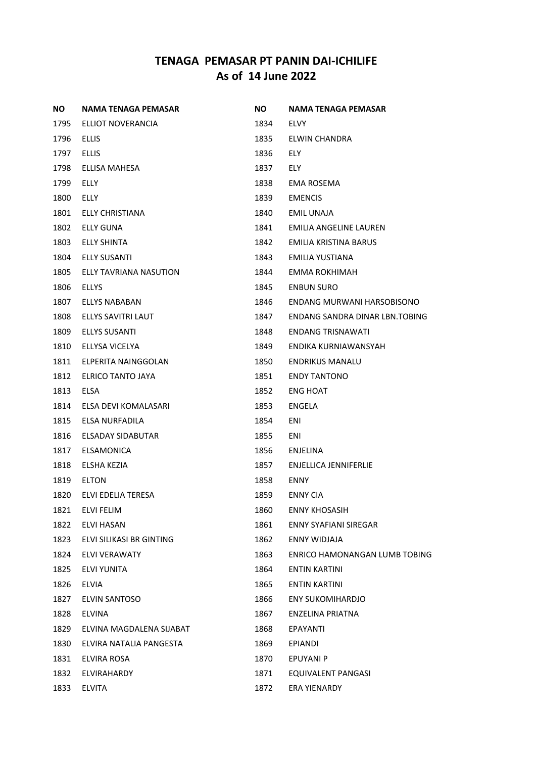| NO.  | NAMA TENAGA PEMASAR      | NO.  | NAMA TENAGA PEMASAR            |
|------|--------------------------|------|--------------------------------|
| 1795 | ELLIOT NOVERANCIA        | 1834 | <b>ELVY</b>                    |
| 1796 | <b>ELLIS</b>             | 1835 | ELWIN CHANDRA                  |
| 1797 | <b>ELLIS</b>             | 1836 | ELY.                           |
| 1798 | ELLISA MAHESA            | 1837 | ELY.                           |
| 1799 | ELLY                     | 1838 | EMA ROSEMA                     |
| 1800 | ELLY                     | 1839 | <b>EMENCIS</b>                 |
| 1801 | ELLY CHRISTIANA          | 1840 | EMIL UNAJA                     |
| 1802 | <b>ELLY GUNA</b>         | 1841 | EMILIA ANGELINE LAUREN         |
| 1803 | <b>ELLY SHINTA</b>       | 1842 | EMILIA KRISTINA BARUS          |
| 1804 | ELLY SUSANTI             | 1843 | EMILIA YUSTIANA                |
| 1805 | ELLY TAVRIANA NASUTION   | 1844 | EMMA ROKHIMAH                  |
| 1806 | <b>ELLYS</b>             | 1845 | <b>ENBUN SURO</b>              |
| 1807 | ELLYS NABABAN            | 1846 | ENDANG MURWANI HARSOBISONO     |
| 1808 | ELLYS SAVITRI LAUT       | 1847 | ENDANG SANDRA DINAR LBN.TOBING |
| 1809 | ELLYS SUSANTI            | 1848 | <b>ENDANG TRISNAWATI</b>       |
| 1810 | ELLYSA VICELYA           | 1849 | ENDIKA KURNIAWANSYAH           |
| 1811 | ELPERITA NAINGGOLAN      | 1850 | <b>ENDRIKUS MANALU</b>         |
| 1812 | ELRICO TANTO JAYA        | 1851 | <b>ENDY TANTONO</b>            |
| 1813 | ELSA                     | 1852 | ENG HOAT                       |
| 1814 | ELSA DEVI KOMALASARI     | 1853 | ENGELA                         |
| 1815 | ELSA NURFADILA           | 1854 | ENI                            |
| 1816 | ELSADAY SIDABUTAR        | 1855 | ENI                            |
| 1817 | ELSAMONICA               | 1856 | ENJELINA                       |
| 1818 | ELSHA KEZIA              | 1857 | ENJELLICA JENNIFERLIE          |
| 1819 | ELTON                    | 1858 | ENNY                           |
| 1820 | ELVI EDELIA TERESA       | 1859 | <b>ENNY CIA</b>                |
| 1821 | ELVI FELIM               | 1860 | ENNY KHOSASIH                  |
| 1822 | ELVI HASAN               | 1861 | <b>ENNY SYAFIANI SIREGAR</b>   |
| 1823 | ELVI SILIKASI BR GINTING | 1862 | ENNY WIDJAJA                   |
| 1824 | <b>ELVI VERAWATY</b>     | 1863 | ENRICO HAMONANGAN LUMB TOBING  |
| 1825 | ELVI YUNITA              | 1864 | ENTIN KARTINI                  |
| 1826 | <b>ELVIA</b>             | 1865 | <b>ENTIN KARTINI</b>           |
| 1827 | ELVIN SANTOSO            | 1866 | <b>ENY SUKOMIHARDJO</b>        |
| 1828 | ELVINA                   | 1867 | ENZELINA PRIATNA               |
| 1829 | ELVINA MAGDALENA SIJABAT | 1868 | EPAYANTI                       |
| 1830 | ELVIRA NATALIA PANGESTA  | 1869 | EPIANDI                        |
| 1831 | ELVIRA ROSA              | 1870 | <b>EPUYANI P</b>               |
| 1832 | ELVIRAHARDY              | 1871 | EQUIVALENT PANGASI             |
| 1833 | <b>ELVITA</b>            | 1872 | ERA YIENARDY                   |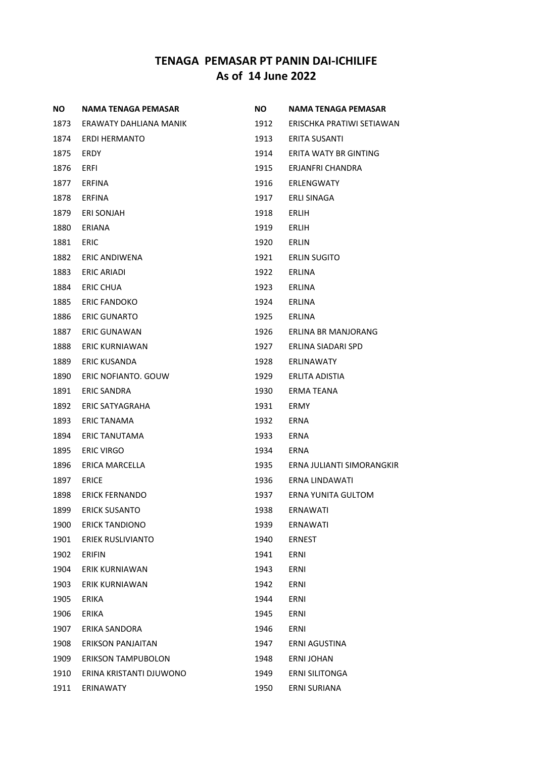| ΝO   | NAMA TENAGA PEMASAR       | ΝO   | <b>NAMA TENAGA PEMASAR</b> |
|------|---------------------------|------|----------------------------|
| 1873 | ERAWATY DAHLIANA MANIK    | 1912 | ERISCHKA PRATIWI SETIAWAN  |
| 1874 | ERDI HERMANTO             | 1913 | ERITA SUSANTI              |
| 1875 | ERDY                      | 1914 | ERITA WATY BR GINTING      |
| 1876 | ERFI                      | 1915 | ERJANFRI CHANDRA           |
| 1877 | ERFINA                    | 1916 | ERLENGWATY                 |
| 1878 | ERFINA                    | 1917 | <b>ERLI SINAGA</b>         |
| 1879 | ERI SONJAH                | 1918 | ERLIH                      |
| 1880 | ERIANA                    | 1919 | ERLIH                      |
| 1881 | <b>ERIC</b>               | 1920 | ERLIN                      |
| 1882 | ERIC ANDIWENA             | 1921 | <b>ERLIN SUGITO</b>        |
| 1883 | ERIC ARIADI               | 1922 | ERLINA                     |
| 1884 | ERIC CHUA                 | 1923 | <b>ERLINA</b>              |
| 1885 | <b>ERIC FANDOKO</b>       | 1924 | ERLINA                     |
| 1886 | <b>ERIC GUNARTO</b>       | 1925 | ERLINA                     |
| 1887 | <b>ERIC GUNAWAN</b>       | 1926 | ERLINA BR MANJORANG        |
| 1888 | ERIC KURNIAWAN            | 1927 | ERLINA SIADARI SPD         |
| 1889 | <b>ERIC KUSANDA</b>       | 1928 | ERLINAWATY                 |
| 1890 | ERIC NOFIANTO, GOUW       | 1929 | ERLITA ADISTIA             |
| 1891 | <b>ERIC SANDRA</b>        | 1930 | ERMA TEANA                 |
| 1892 | ERIC SATYAGRAHA           | 1931 | ERMY                       |
| 1893 | ERIC TANAMA               | 1932 | ERNA                       |
| 1894 | ERIC TANUTAMA             | 1933 | ERNA                       |
| 1895 | <b>ERIC VIRGO</b>         | 1934 | ERNA                       |
| 1896 | ERICA MARCELLA            | 1935 | ERNA JULIANTI SIMORANGKIR  |
| 1897 | <b>ERICE</b>              | 1936 | ERNA LINDAWATI             |
| 1898 | <b>ERICK FERNANDO</b>     | 1937 | ERNA YUNITA GULTOM         |
| 1899 | <b>ERICK SUSANTO</b>      | 1938 | <b>ERNAWATI</b>            |
| 1900 | <b>ERICK TANDIONO</b>     | 1939 | <b>ERNAWATI</b>            |
| 1901 | ERIEK RUSLIVIANTO         | 1940 | <b>ERNEST</b>              |
| 1902 | <b>ERIFIN</b>             | 1941 | <b>ERNI</b>                |
| 1904 | ERIK KURNIAWAN            | 1943 | ERNI                       |
| 1903 | <b>ERIK KURNIAWAN</b>     | 1942 | ERNI                       |
| 1905 | ERIKA                     | 1944 | ERNI                       |
| 1906 | ERIKA                     | 1945 | ERNI                       |
| 1907 | ERIKA SANDORA             | 1946 | ERNI                       |
| 1908 | ERIKSON PANJAITAN         | 1947 | ERNI AGUSTINA              |
| 1909 | <b>ERIKSON TAMPUBOLON</b> | 1948 | <b>ERNI JOHAN</b>          |
| 1910 | ERINA KRISTANTI DJUWONO   | 1949 | <b>ERNI SILITONGA</b>      |
| 1911 | ERINAWATY                 | 1950 | ERNI SURIANA               |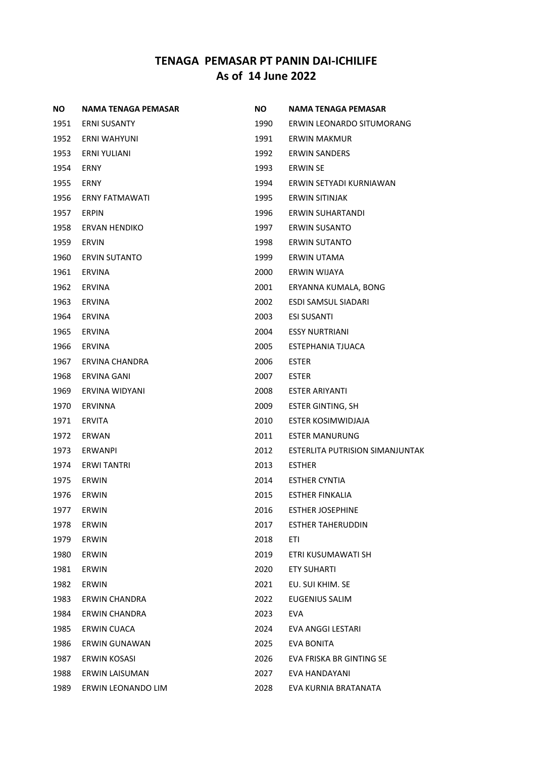| NO.  | NAMA TENAGA PEMASAR   | <b>NO</b> | <b>NAMA TENAGA PEMASAR</b>             |
|------|-----------------------|-----------|----------------------------------------|
| 1951 | <b>ERNI SUSANTY</b>   | 1990      | ERWIN LEONARDO SITUMORANG              |
| 1952 | ERNI WAHYUNI          | 1991      | ERWIN MAKMUR                           |
| 1953 | ERNI YULIANI          | 1992      | <b>ERWIN SANDERS</b>                   |
| 1954 | ERNY                  | 1993      | <b>ERWIN SE</b>                        |
| 1955 | <b>ERNY</b>           | 1994      | ERWIN SETYADI KURNIAWAN                |
| 1956 | <b>ERNY FATMAWATI</b> | 1995      | ERWIN SITINJAK                         |
| 1957 | <b>ERPIN</b>          | 1996      | ERWIN SUHARTANDI                       |
| 1958 | <b>ERVAN HENDIKO</b>  | 1997      | <b>ERWIN SUSANTO</b>                   |
| 1959 | <b>ERVIN</b>          | 1998      | <b>ERWIN SUTANTO</b>                   |
| 1960 | <b>ERVIN SUTANTO</b>  | 1999      | ERWIN UTAMA                            |
| 1961 | <b>ERVINA</b>         | 2000      | ERWIN WIJAYA                           |
| 1962 | <b>ERVINA</b>         | 2001      | ERYANNA KUMALA, BONG                   |
| 1963 | <b>ERVINA</b>         | 2002      | <b>ESDI SAMSUL SIADARI</b>             |
| 1964 | <b>ERVINA</b>         | 2003      | <b>ESI SUSANTI</b>                     |
| 1965 | <b>ERVINA</b>         | 2004      | <b>ESSY NURTRIANI</b>                  |
| 1966 | <b>ERVINA</b>         | 2005      | <b>ESTEPHANIA TJUACA</b>               |
| 1967 | ERVINA CHANDRA        | 2006      | <b>ESTER</b>                           |
| 1968 | <b>ERVINA GANI</b>    | 2007      | <b>ESTER</b>                           |
| 1969 | ERVINA WIDYANI        | 2008      | <b>ESTER ARIYANTI</b>                  |
| 1970 | <b>ERVINNA</b>        | 2009      | <b>ESTER GINTING, SH</b>               |
| 1971 | <b>ERVITA</b>         | 2010      | ESTER KOSIMWIDJAJA                     |
| 1972 | ERWAN                 | 2011      | <b>ESTER MANURUNG</b>                  |
| 1973 | <b>ERWANPI</b>        | 2012      | <b>ESTERLITA PUTRISION SIMANJUNTAK</b> |
| 1974 | <b>ERWI TANTRI</b>    | 2013      | <b>ESTHER</b>                          |
| 1975 | ERWIN                 | 2014      | <b>ESTHER CYNTIA</b>                   |
| 1976 | ERWIN                 | 2015      | ESTHER FINKALIA                        |
| 1977 | <b>ERWIN</b>          | 2016      | <b>ESTHER JOSEPHINE</b>                |
| 1978 | ERWIN                 | 2017      | <b>ESTHER TAHERUDDIN</b>               |
| 1979 | ERWIN                 | 2018      | ETI                                    |
| 1980 | ERWIN                 | 2019      | ETRI KUSUMAWATI SH                     |
| 1981 | ERWIN                 | 2020      | <b>ETY SUHARTI</b>                     |
| 1982 | ERWIN                 | 2021      | EU. SUI KHIM. SE                       |
| 1983 | <b>ERWIN CHANDRA</b>  | 2022      | <b>EUGENIUS SALIM</b>                  |
| 1984 | <b>ERWIN CHANDRA</b>  | 2023      | EVA                                    |
| 1985 | ERWIN CUACA           | 2024      | EVA ANGGI LESTARI                      |
| 1986 | <b>ERWIN GUNAWAN</b>  | 2025      | <b>EVA BONITA</b>                      |
| 1987 | <b>ERWIN KOSASI</b>   | 2026      | EVA FRISKA BR GINTING SE               |
| 1988 | ERWIN LAISUMAN        | 2027      | EVA HANDAYANI                          |
| 1989 | ERWIN LEONANDO LIM    | 2028      | EVA KURNIA BRATANATA                   |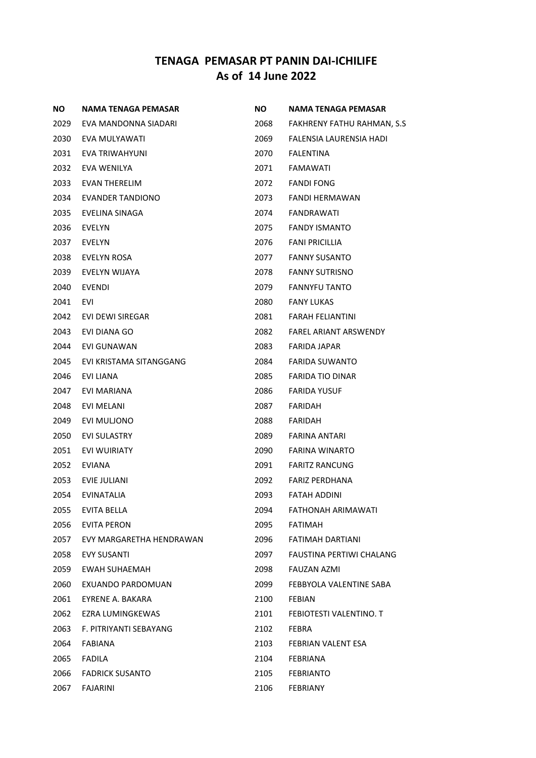| NO.  | NAMA TENAGA PEMASAR      | <b>NO</b> | NAMA TENAGA PEMASAR             |
|------|--------------------------|-----------|---------------------------------|
| 2029 | EVA MANDONNA SIADARI     | 2068      | FAKHRENY FATHU RAHMAN, S.S.     |
| 2030 | EVA MULYAWATI            | 2069      | FALENSIA LAURENSIA HADI         |
| 2031 | EVA TRIWAHYUNI           | 2070      | <b>FALENTINA</b>                |
| 2032 | EVA WENILYA              | 2071      | FAMAWATI                        |
| 2033 | EVAN THERELIM            | 2072      | <b>FANDI FONG</b>               |
| 2034 | <b>EVANDER TANDIONO</b>  | 2073      | <b>FANDI HERMAWAN</b>           |
| 2035 | EVELINA SINAGA           | 2074      | FANDRAWATI                      |
| 2036 | EVELYN                   | 2075      | <b>FANDY ISMANTO</b>            |
| 2037 | EVELYN                   | 2076      | <b>FANI PRICILLIA</b>           |
| 2038 | <b>EVELYN ROSA</b>       | 2077      | <b>FANNY SUSANTO</b>            |
| 2039 | EVELYN WIJAYA            | 2078      | <b>FANNY SUTRISNO</b>           |
| 2040 | EVENDI                   | 2079      | <b>FANNYFU TANTO</b>            |
| 2041 | EVI                      | 2080      | <b>FANY LUKAS</b>               |
| 2042 | EVI DEWI SIREGAR         | 2081      | <b>FARAH FELIANTINI</b>         |
| 2043 | EVI DIANA GO             | 2082      | <b>FAREL ARIANT ARSWENDY</b>    |
| 2044 | EVI GUNAWAN              | 2083      | FARIDA JAPAR                    |
| 2045 | EVI KRISTAMA SITANGGANG  | 2084      | <b>FARIDA SUWANTO</b>           |
| 2046 | EVI LIANA                | 2085      | <b>FARIDA TIO DINAR</b>         |
| 2047 | EVI MARIANA              | 2086      | <b>FARIDA YUSUF</b>             |
| 2048 | EVI MELANI               | 2087      | FARIDAH                         |
| 2049 | EVI MULJONO              | 2088      | FARIDAH                         |
| 2050 | <b>EVI SULASTRY</b>      | 2089      | FARINA ANTARI                   |
| 2051 | <b>EVI WUIRIATY</b>      | 2090      | FARINA WINARTO                  |
| 2052 | EVIANA                   | 2091      | <b>FARITZ RANCUNG</b>           |
| 2053 | EVIE JULIANI             | 2092      | <b>FARIZ PERDHANA</b>           |
| 2054 | <b>EVINATALIA</b>        | 2093      | <b>FATAH ADDINI</b>             |
| 2055 | <b>EVITA BELLA</b>       | 2094      | FATHONAH ARIMAWATI              |
| 2056 | <b>EVITA PERON</b>       | 2095      | <b>FATIMAH</b>                  |
| 2057 | EVY MARGARETHA HENDRAWAN | 2096      | FATIMAH DARTIANI                |
| 2058 | <b>EVY SUSANTI</b>       | 2097      | <b>FAUSTINA PERTIWI CHALANG</b> |
| 2059 | <b>EWAH SUHAEMAH</b>     | 2098      | FAUZAN AZMI                     |
| 2060 | EXUANDO PARDOMUAN        | 2099      | FEBBYOLA VALENTINE SABA         |
| 2061 | EYRENE A. BAKARA         | 2100      | <b>FEBIAN</b>                   |
| 2062 | EZRA LUMINGKEWAS         | 2101      | FEBIOTESTI VALENTINO. T         |
| 2063 | F. PITRIYANTI SEBAYANG   | 2102      | FEBRA                           |
| 2064 | FABIANA                  | 2103      | FEBRIAN VALENT ESA              |
| 2065 | <b>FADILA</b>            | 2104      | FEBRIANA                        |
| 2066 | <b>FADRICK SUSANTO</b>   | 2105      | <b>FEBRIANTO</b>                |
| 2067 | FAJARINI                 | 2106      | FEBRIANY                        |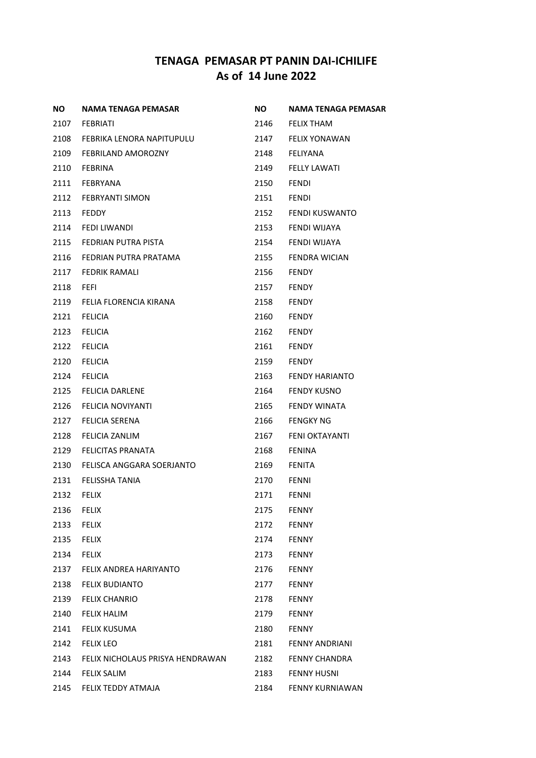| ΝO   | NAMA TENAGA PEMASAR              | NO.  | NAMA TENAGA PEMASAR    |
|------|----------------------------------|------|------------------------|
| 2107 | FEBRIATI                         | 2146 | <b>FELIX THAM</b>      |
| 2108 | FEBRIKA LENORA NAPITUPULU        | 2147 | <b>FELIX YONAWAN</b>   |
| 2109 | FEBRILAND AMOROZNY               | 2148 | FELIYANA               |
| 2110 | <b>FEBRINA</b>                   | 2149 | <b>FELLY LAWATI</b>    |
| 2111 | FEBRYANA                         | 2150 | <b>FENDI</b>           |
| 2112 | <b>FEBRYANTI SIMON</b>           | 2151 | <b>FENDI</b>           |
| 2113 | <b>FEDDY</b>                     | 2152 | FENDI KUSWANTO         |
| 2114 | FEDI LIWANDI                     | 2153 | FENDI WIJAYA           |
| 2115 | FEDRIAN PUTRA PISTA              | 2154 | FENDI WIJAYA           |
| 2116 | FEDRIAN PUTRA PRATAMA            | 2155 | FENDRA WICIAN          |
| 2117 | FEDRIK RAMALI                    | 2156 | <b>FENDY</b>           |
| 2118 | <b>FEFI</b>                      | 2157 | <b>FENDY</b>           |
| 2119 | FELIA FLORENCIA KIRANA           | 2158 | <b>FENDY</b>           |
| 2121 | <b>FELICIA</b>                   | 2160 | <b>FENDY</b>           |
| 2123 | <b>FELICIA</b>                   | 2162 | <b>FENDY</b>           |
| 2122 | <b>FELICIA</b>                   | 2161 | <b>FENDY</b>           |
| 2120 | <b>FELICIA</b>                   | 2159 | <b>FENDY</b>           |
| 2124 | <b>FELICIA</b>                   | 2163 | <b>FENDY HARIANTO</b>  |
| 2125 | FELICIA DARLENE                  | 2164 | <b>FENDY KUSNO</b>     |
| 2126 | FELICIA NOVIYANTI                | 2165 | FENDY WINATA           |
| 2127 | <b>FELICIA SERENA</b>            | 2166 | <b>FENGKY NG</b>       |
| 2128 | FELICIA ZANLIM                   | 2167 | FENI OKTAYANTI         |
| 2129 | <b>FELICITAS PRANATA</b>         | 2168 | <b>FENINA</b>          |
| 2130 | FELISCA ANGGARA SOERJANTO        | 2169 | <b>FENITA</b>          |
| 2131 | <b>FELISSHA TANIA</b>            | 2170 | <b>FENNI</b>           |
| 2132 | <b>FELIX</b>                     | 2171 | <b>FENNI</b>           |
| 2136 | <b>FELIX</b>                     | 2175 | <b>FENNY</b>           |
| 2133 | <b>FELIX</b>                     | 2172 | <b>FENNY</b>           |
| 2135 | <b>FELIX</b>                     | 2174 | <b>FENNY</b>           |
| 2134 | <b>FELIX</b>                     | 2173 | <b>FENNY</b>           |
| 2137 | FELIX ANDREA HARIYANTO           | 2176 | <b>FENNY</b>           |
| 2138 | <b>FELIX BUDIANTO</b>            | 2177 | <b>FENNY</b>           |
| 2139 | <b>FELIX CHANRIO</b>             | 2178 | <b>FENNY</b>           |
| 2140 | <b>FELIX HALIM</b>               | 2179 | <b>FENNY</b>           |
| 2141 | FELIX KUSUMA                     | 2180 | <b>FENNY</b>           |
| 2142 | <b>FELIX LEO</b>                 | 2181 | <b>FENNY ANDRIANI</b>  |
| 2143 | FELIX NICHOLAUS PRISYA HENDRAWAN | 2182 | <b>FENNY CHANDRA</b>   |
| 2144 | <b>FELIX SALIM</b>               | 2183 | <b>FENNY HUSNI</b>     |
| 2145 | FELIX TEDDY ATMAJA               | 2184 | <b>FENNY KURNIAWAN</b> |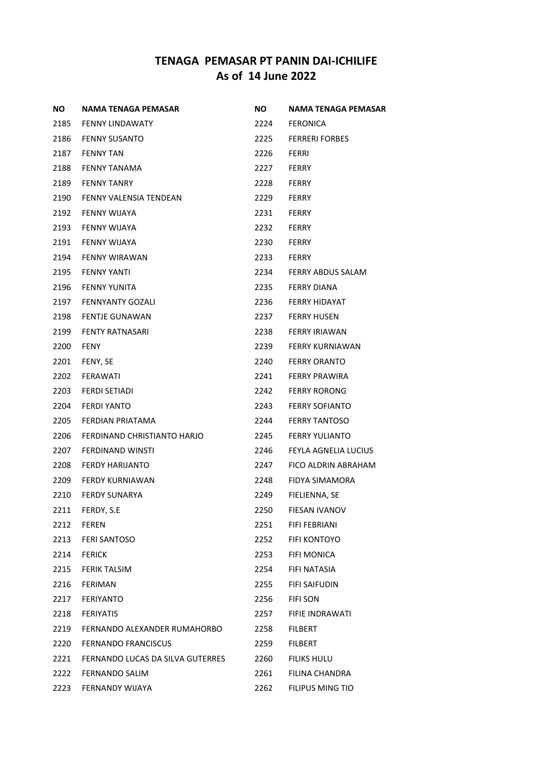| ΝO   | <b>NAMA TENAGA PEMASAR</b>       | NO.  | <b>NAMA TENAGA PEMASAR</b> |
|------|----------------------------------|------|----------------------------|
| 2185 | <b>FENNY LINDAWATY</b>           | 2224 | FERONICA                   |
| 2186 | <b>FENNY SUSANTO</b>             | 2225 | <b>FERRERI FORBES</b>      |
| 2187 | <b>FENNY TAN</b>                 | 2226 | FERRI                      |
| 2188 | FENNY TANAMA                     | 2227 | <b>FERRY</b>               |
| 2189 | <b>FENNY TANRY</b>               | 2228 | <b>FERRY</b>               |
| 2190 | FENNY VALENSIA TENDEAN           | 2229 | <b>FERRY</b>               |
| 2192 | FENNY WIJAYA                     | 2231 | <b>FERRY</b>               |
| 2193 | FENNY WIJAYA                     | 2232 | <b>FERRY</b>               |
| 2191 | FENNY WIJAYA                     | 2230 | <b>FERRY</b>               |
| 2194 | <b>FENNY WIRAWAN</b>             | 2233 | <b>FERRY</b>               |
| 2195 | FENNY YANTI                      | 2234 | FERRY ABDUS SALAM          |
| 2196 | <b>FENNY YUNITA</b>              | 2235 | <b>FERRY DIANA</b>         |
| 2197 | <b>FENNYANTY GOZALI</b>          | 2236 | <b>FERRY HIDAYAT</b>       |
| 2198 | <b>FENTJE GUNAWAN</b>            | 2237 | <b>FERRY HUSEN</b>         |
| 2199 | <b>FENTY RATNASARI</b>           | 2238 | <b>FERRY IRIAWAN</b>       |
| 2200 | <b>FENY</b>                      | 2239 | <b>FERRY KURNIAWAN</b>     |
| 2201 | FENY, SE                         | 2240 | <b>FERRY ORANTO</b>        |
| 2202 | <b>FERAWATI</b>                  | 2241 | <b>FERRY PRAWIRA</b>       |
| 2203 | <b>FERDI SETIADI</b>             | 2242 | <b>FERRY RORONG</b>        |
| 2204 | <b>FERDI YANTO</b>               | 2243 | <b>FERRY SOFIANTO</b>      |
| 2205 | FERDIAN PRIATAMA                 | 2244 | <b>FERRY TANTOSO</b>       |
| 2206 | FERDINAND CHRISTIANTO HARJO      | 2245 | <b>FERRY YULIANTO</b>      |
| 2207 | <b>FERDINAND WINSTI</b>          | 2246 | FEYLA AGNELIA LUCIUS       |
| 2208 | FERDY HARIJANTO                  | 2247 | FICO ALDRIN ABRAHAM        |
| 2209 | <b>FERDY KURNIAWAN</b>           | 2248 | FIDYA SIMAMORA             |
| 2210 | <b>FERDY SUNARYA</b>             | 2249 | FIELIENNA, SE              |
| 2211 | FERDY, S.E                       | 2250 | <b>FIESAN IVANOV</b>       |
| 2212 | <b>FEREN</b>                     | 2251 | FIFI FEBRIANI              |
| 2213 | <b>FERI SANTOSO</b>              | 2252 | <b>FIFI KONTOYO</b>        |
| 2214 | <b>FERICK</b>                    | 2253 | <b>FIFI MONICA</b>         |
| 2215 | <b>FERIK TALSIM</b>              | 2254 | FIFI NATASIA               |
| 2216 | <b>FERIMAN</b>                   | 2255 | <b>FIFI SAIFUDIN</b>       |
| 2217 | <b>FERIYANTO</b>                 | 2256 | <b>FIFI SON</b>            |
| 2218 | <b>FERIYATIS</b>                 | 2257 | FIFIE INDRAWATI            |
| 2219 | FERNANDO ALEXANDER RUMAHORBO     | 2258 | <b>FILBERT</b>             |
| 2220 | <b>FERNANDO FRANCISCUS</b>       | 2259 | <b>FILBERT</b>             |
| 2221 | FERNANDO LUCAS DA SILVA GUTERRES | 2260 | <b>FILIKS HULU</b>         |
| 2222 | <b>FERNANDO SALIM</b>            | 2261 | FILINA CHANDRA             |
| 2223 | FERNANDY WIJAYA                  | 2262 | FILIPUS MING TIO           |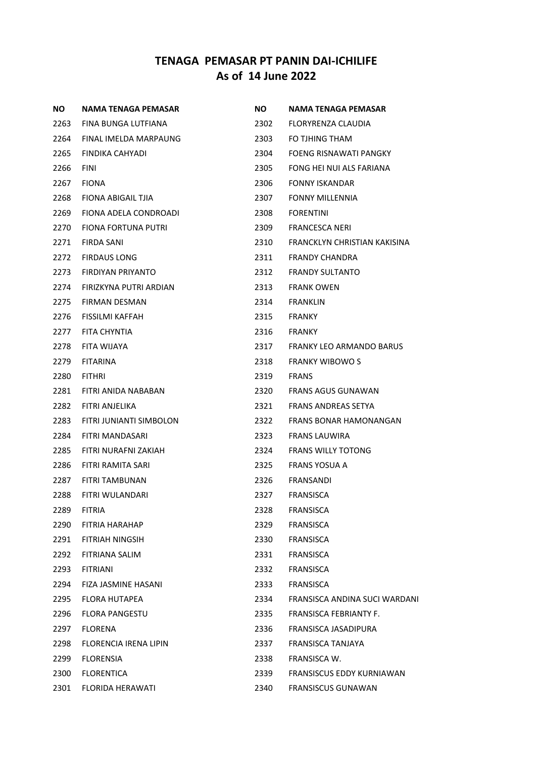| NO.  | NAMA TENAGA PEMASAR     | <b>NO</b> | NAMA TENAGA PEMASAR           |
|------|-------------------------|-----------|-------------------------------|
| 2263 | FINA BUNGA LUTFIANA     | 2302      | FLORYRENZA CLAUDIA            |
| 2264 | FINAL IMELDA MARPAUNG   | 2303      | FO TJHING THAM                |
| 2265 | FINDIKA CAHYADI         | 2304      | FOENG RISNAWATI PANGKY        |
| 2266 | <b>FINI</b>             | 2305      | FONG HEI NUI ALS FARIANA      |
| 2267 | <b>FIONA</b>            | 2306      | <b>FONNY ISKANDAR</b>         |
| 2268 | FIONA ABIGAIL TJIA      | 2307      | <b>FONNY MILLENNIA</b>        |
| 2269 | FIONA ADELA CONDROADI   | 2308      | <b>FORENTINI</b>              |
| 2270 | FIONA FORTUNA PUTRI     | 2309      | FRANCESCA NERI                |
| 2271 | FIRDA SANI              | 2310      | FRANCKLYN CHRISTIAN KAKISINA  |
| 2272 | <b>FIRDAUS LONG</b>     | 2311      | <b>FRANDY CHANDRA</b>         |
| 2273 | FIRDIYAN PRIYANTO       | 2312      | <b>FRANDY SULTANTO</b>        |
| 2274 | FIRIZKYNA PUTRI ARDIAN  | 2313      | <b>FRANK OWEN</b>             |
| 2275 | FIRMAN DESMAN           | 2314      | <b>FRANKLIN</b>               |
| 2276 | FISSILMI KAFFAH         | 2315      | <b>FRANKY</b>                 |
| 2277 | FITA CHYNTIA            | 2316      | <b>FRANKY</b>                 |
| 2278 | FITA WIJAYA             | 2317      | FRANKY LEO ARMANDO BARUS      |
| 2279 | <b>FITARINA</b>         | 2318      | <b>FRANKY WIBOWO S</b>        |
| 2280 | <b>FITHRI</b>           | 2319      | <b>FRANS</b>                  |
| 2281 | FITRI ANIDA NABABAN     | 2320      | FRANS AGUS GUNAWAN            |
| 2282 | FITRI ANJELIKA          | 2321      | FRANS ANDREAS SETYA           |
| 2283 | FITRI JUNIANTI SIMBOLON | 2322      | FRANS BONAR HAMONANGAN        |
| 2284 | FITRI MANDASARI         | 2323      | FRANS LAUWIRA                 |
| 2285 | FITRI NURAFNI ZAKIAH    | 2324      | <b>FRANS WILLY TOTONG</b>     |
| 2286 | FITRI RAMITA SARI       | 2325      | FRANS YOSUA A                 |
| 2287 | FITRI TAMBUNAN          | 2326      | FRANSANDI                     |
| 2288 | FITRI WULANDARI         | 2327      | FRANSISCA                     |
| 2289 | <b>FITRIA</b>           | 2328      | <b>FRANSISCA</b>              |
| 2290 | FITRIA HARAHAP          | 2329      | <b>FRANSISCA</b>              |
| 2291 | FITRIAH NINGSIH         | 2330      | FRANSISCA                     |
| 2292 | FITRIANA SALIM          | 2331      | <b>FRANSISCA</b>              |
| 2293 | <b>FITRIANI</b>         | 2332      | FRANSISCA                     |
| 2294 | FIZA JASMINE HASANI     | 2333      | FRANSISCA                     |
| 2295 | <b>FLORA HUTAPEA</b>    | 2334      | FRANSISCA ANDINA SUCI WARDANI |
| 2296 | FLORA PANGESTU          | 2335      | FRANSISCA FEBRIANTY F.        |
| 2297 | <b>FLORENA</b>          | 2336      | FRANSISCA JASADIPURA          |
| 2298 | FLORENCIA IRENA LIPIN   | 2337      | FRANSISCA TANJAYA             |
| 2299 | <b>FLORENSIA</b>        | 2338      | FRANSISCA W.                  |
| 2300 | <b>FLORENTICA</b>       | 2339      | FRANSISCUS EDDY KURNIAWAN     |
| 2301 | FLORIDA HERAWATI        | 2340      | <b>FRANSISCUS GUNAWAN</b>     |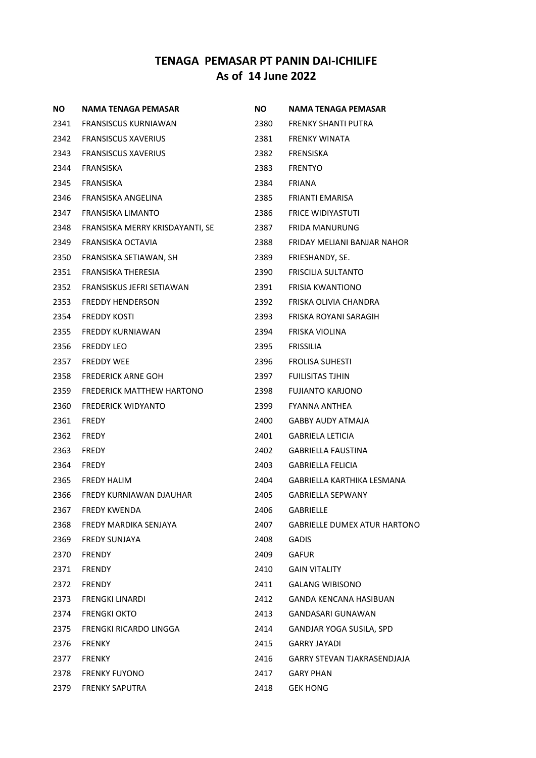| NO.  | NAMA TENAGA PEMASAR              | <b>NO</b> | NAMA TENAGA PEMASAR                 |
|------|----------------------------------|-----------|-------------------------------------|
| 2341 | FRANSISCUS KURNIAWAN             | 2380      | FRENKY SHANTI PUTRA                 |
| 2342 | <b>FRANSISCUS XAVERIUS</b>       | 2381      | FRENKY WINATA                       |
| 2343 | <b>FRANSISCUS XAVERIUS</b>       | 2382      | FRENSISKA                           |
| 2344 | FRANSISKA                        | 2383      | <b>FRENTYO</b>                      |
| 2345 | FRANSISKA                        | 2384      | <b>FRIANA</b>                       |
| 2346 | FRANSISKA ANGELINA               | 2385      | FRIANTI EMARISA                     |
| 2347 | <b>FRANSISKA LIMANTO</b>         | 2386      | <b>FRICE WIDIYASTUTI</b>            |
| 2348 | FRANSISKA MERRY KRISDAYANTI, SE  | 2387      | <b>FRIDA MANURUNG</b>               |
| 2349 | FRANSISKA OCTAVIA                | 2388      | FRIDAY MELIANI BANJAR NAHOR         |
| 2350 | FRANSISKA SETIAWAN, SH           | 2389      | FRIESHANDY, SE.                     |
| 2351 | FRANSISKA THERESIA               | 2390      | FRISCILIA SULTANTO                  |
| 2352 | FRANSISKUS JEFRI SETIAWAN        | 2391      | <b>FRISIA KWANTIONO</b>             |
| 2353 | <b>FREDDY HENDERSON</b>          | 2392      | FRISKA OLIVIA CHANDRA               |
| 2354 | <b>FREDDY KOSTI</b>              | 2393      | FRISKA ROYANI SARAGIH               |
| 2355 | <b>FREDDY KURNIAWAN</b>          | 2394      | FRISKA VIOLINA                      |
| 2356 | <b>FREDDY LEO</b>                | 2395      | <b>FRISSILIA</b>                    |
| 2357 | <b>FREDDY WEE</b>                | 2396      | <b>FROLISA SUHESTI</b>              |
| 2358 | <b>FREDERICK ARNE GOH</b>        | 2397      | <b>FUILISITAS TJHIN</b>             |
| 2359 | <b>FREDERICK MATTHEW HARTONO</b> | 2398      | <b>FUJIANTO KARJONO</b>             |
| 2360 | <b>FREDERICK WIDYANTO</b>        | 2399      | <b>FYANNA ANTHEA</b>                |
| 2361 | <b>FREDY</b>                     | 2400      | GABBY AUDY ATMAJA                   |
| 2362 | <b>FREDY</b>                     | 2401      | <b>GABRIELA LETICIA</b>             |
| 2363 | <b>FREDY</b>                     | 2402      | <b>GABRIELLA FAUSTINA</b>           |
| 2364 | <b>FREDY</b>                     | 2403      | <b>GABRIELLA FELICIA</b>            |
| 2365 | <b>FREDY HALIM</b>               | 2404      | GABRIELLA KARTHIKA LESMANA          |
| 2366 | FREDY KURNIAWAN DJAUHAR          | 2405      | <b>GABRIELLA SEPWANY</b>            |
| 2367 | <b>FREDY KWENDA</b>              | 2406      | GABRIELLE                           |
| 2368 | FREDY MARDIKA SENJAYA            | 2407      | <b>GABRIELLE DUMEX ATUR HARTONO</b> |
| 2369 | <b>FREDY SUNJAYA</b>             | 2408      | <b>GADIS</b>                        |
| 2370 | <b>FRENDY</b>                    | 2409      | <b>GAFUR</b>                        |
| 2371 | <b>FRENDY</b>                    | 2410      | <b>GAIN VITALITY</b>                |
| 2372 | <b>FRENDY</b>                    | 2411      | <b>GALANG WIBISONO</b>              |
| 2373 | <b>FRENGKI LINARDI</b>           | 2412      | <b>GANDA KENCANA HASIBUAN</b>       |
| 2374 | <b>FRENGKI OKTO</b>              | 2413      | GANDASARI GUNAWAN                   |
| 2375 | FRENGKI RICARDO LINGGA           | 2414      | GANDJAR YOGA SUSILA, SPD            |
| 2376 | <b>FRENKY</b>                    | 2415      | <b>GARRY JAYADI</b>                 |
| 2377 | <b>FRENKY</b>                    | 2416      | <b>GARRY STEVAN TJAKRASENDJAJA</b>  |
| 2378 | <b>FRENKY FUYONO</b>             | 2417      | <b>GARY PHAN</b>                    |
| 2379 | <b>FRENKY SAPUTRA</b>            | 2418      | <b>GEK HONG</b>                     |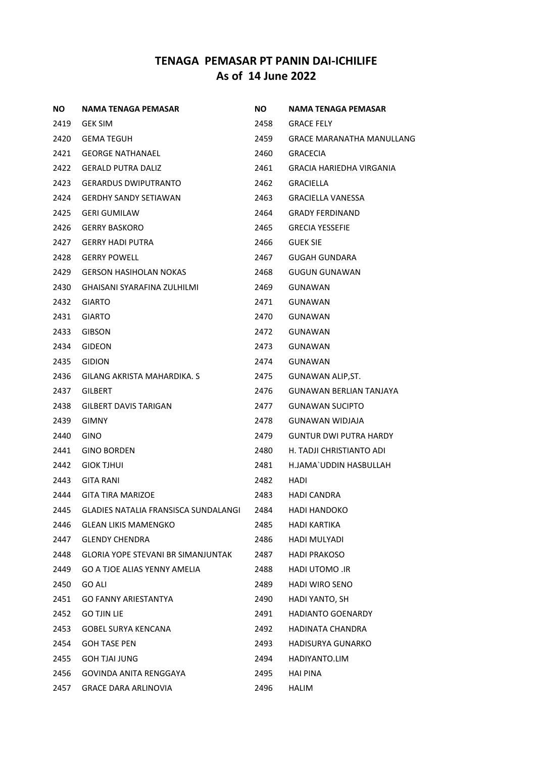| ΝO   | <b>NAMA TENAGA PEMASAR</b>                | ΝO   | NAMA TENAGA PEMASAR           |
|------|-------------------------------------------|------|-------------------------------|
| 2419 | <b>GEK SIM</b>                            | 2458 | <b>GRACE FELY</b>             |
| 2420 | <b>GEMA TEGUH</b>                         | 2459 | GRACE MARANATHA MANULLANG     |
| 2421 | <b>GEORGE NATHANAEL</b>                   | 2460 | <b>GRACECIA</b>               |
| 2422 | <b>GERALD PUTRA DALIZ</b>                 | 2461 | GRACIA HARIEDHA VIRGANIA      |
| 2423 | <b>GERARDUS DWIPUTRANTO</b>               | 2462 | <b>GRACIELLA</b>              |
| 2424 | <b>GERDHY SANDY SETIAWAN</b>              | 2463 | GRACIELLA VANESSA             |
| 2425 | <b>GERI GUMILAW</b>                       | 2464 | <b>GRADY FERDINAND</b>        |
| 2426 | <b>GERRY BASKORO</b>                      | 2465 | <b>GRECIA YESSEFIE</b>        |
| 2427 | <b>GERRY HADI PUTRA</b>                   | 2466 | <b>GUEK SIE</b>               |
| 2428 | <b>GERRY POWELL</b>                       | 2467 | <b>GUGAH GUNDARA</b>          |
| 2429 | <b>GERSON HASIHOLAN NOKAS</b>             | 2468 | GUGUN GUNAWAN                 |
| 2430 | GHAISANI SYARAFINA ZULHILMI               | 2469 | GUNAWAN                       |
| 2432 | <b>GIARTO</b>                             | 2471 | GUNAWAN                       |
| 2431 | <b>GIARTO</b>                             | 2470 | GUNAWAN                       |
| 2433 | <b>GIBSON</b>                             | 2472 | GUNAWAN                       |
| 2434 | GIDEON                                    | 2473 | GUNAWAN                       |
| 2435 | <b>GIDION</b>                             | 2474 | GUNAWAN                       |
| 2436 | GILANG AKRISTA MAHARDIKA. S               | 2475 | GUNAWAN ALIP, ST.             |
| 2437 | GILBERT                                   | 2476 | GUNAWAN BERLIAN TANJAYA       |
| 2438 | GILBERT DAVIS TARIGAN                     | 2477 | <b>GUNAWAN SUCIPTO</b>        |
| 2439 | <b>GIMNY</b>                              | 2478 | GUNAWAN WIDJAJA               |
| 2440 | <b>GINO</b>                               | 2479 | <b>GUNTUR DWI PUTRA HARDY</b> |
| 2441 | <b>GINO BORDEN</b>                        | 2480 | H. TADJI CHRISTIANTO ADI      |
| 2442 | <b>GIOK TJHUI</b>                         | 2481 | H.JAMA`UDDIN HASBULLAH        |
| 2443 | <b>GITA RANI</b>                          | 2482 | HADI                          |
| 2444 | GITA TIRA MARIZOE                         | 2483 | HADI CANDRA                   |
| 2445 | GLADIES NATALIA FRANSISCA SUNDALANGI      | 2484 | <b>HADI HANDOKO</b>           |
| 2446 | <b>GLEAN LIKIS MAMENGKO</b>               | 2485 | <b>HADI KARTIKA</b>           |
| 2447 | <b>GLENDY CHENDRA</b>                     | 2486 | HADI MULYADI                  |
| 2448 | <b>GLORIA YOPE STEVANI BR SIMANJUNTAK</b> | 2487 | <b>HADI PRAKOSO</b>           |
| 2449 | GO A TJOE ALIAS YENNY AMELIA              | 2488 | HADI UTOMO .IR                |
| 2450 | <b>GO ALI</b>                             | 2489 | <b>HADI WIRO SENO</b>         |
| 2451 | GO FANNY ARIESTANTYA                      | 2490 | HADI YANTO, SH                |
| 2452 | <b>GO TJIN LIE</b>                        | 2491 | <b>HADIANTO GOENARDY</b>      |
| 2453 | <b>GOBEL SURYA KENCANA</b>                | 2492 | <b>HADINATA CHANDRA</b>       |
| 2454 | <b>GOH TASE PEN</b>                       | 2493 | HADISURYA GUNARKO             |
| 2455 | <b>GOH TJAI JUNG</b>                      | 2494 | HADIYANTO.LIM                 |
| 2456 | GOVINDA ANITA RENGGAYA                    | 2495 | <b>HAI PINA</b>               |
| 2457 | <b>GRACE DARA ARLINOVIA</b>               | 2496 | <b>HALIM</b>                  |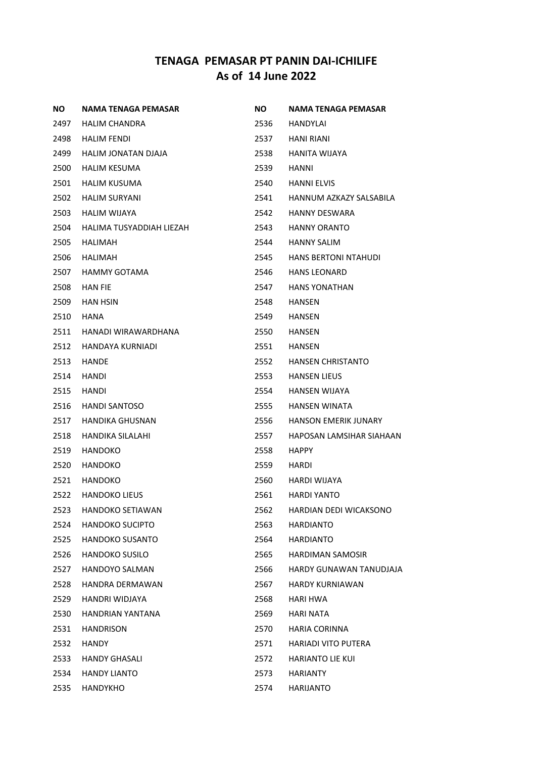| ΝO   | <b>NAMA TENAGA PEMASAR</b> | NO.  | NAMA TENAGA PEMASAR         |
|------|----------------------------|------|-----------------------------|
| 2497 | HALIM CHANDRA              | 2536 | HANDYLAI                    |
| 2498 | HALIM FENDI                | 2537 | HANI RIANI                  |
| 2499 | HALIM JONATAN DJAJA        | 2538 | HANITA WIJAYA               |
| 2500 | HALIM KESUMA               | 2539 | HANNI                       |
| 2501 | HALIM KUSUMA               | 2540 | <b>HANNI ELVIS</b>          |
| 2502 | <b>HALIM SURYANI</b>       | 2541 | HANNUM AZKAZY SALSABILA     |
| 2503 | <b>HALIM WIJAYA</b>        | 2542 | <b>HANNY DESWARA</b>        |
| 2504 | HALIMA TUSYADDIAH LIEZAH   | 2543 | <b>HANNY ORANTO</b>         |
| 2505 | HALIMAH                    | 2544 | HANNY SALIM                 |
| 2506 | HALIMAH                    | 2545 | <b>HANS BERTONI NTAHUDI</b> |
| 2507 | HAMMY GOTAMA               | 2546 | <b>HANS LEONARD</b>         |
| 2508 | <b>HAN FIE</b>             | 2547 | <b>HANS YONATHAN</b>        |
| 2509 | <b>HAN HSIN</b>            | 2548 | <b>HANSEN</b>               |
| 2510 | <b>HANA</b>                | 2549 | HANSEN                      |
| 2511 | HANADI WIRAWARDHANA        | 2550 | HANSEN                      |
| 2512 | HANDAYA KURNIADI           | 2551 | <b>HANSEN</b>               |
| 2513 | <b>HANDE</b>               | 2552 | <b>HANSEN CHRISTANTO</b>    |
| 2514 | HANDI                      | 2553 | <b>HANSEN LIEUS</b>         |
| 2515 | HANDI                      | 2554 | HANSEN WIJAYA               |
| 2516 | <b>HANDI SANTOSO</b>       | 2555 | <b>HANSEN WINATA</b>        |
| 2517 | HANDIKA GHUSNAN            | 2556 | <b>HANSON EMERIK JUNARY</b> |
| 2518 | HANDIKA SILALAHI           | 2557 | HAPOSAN LAMSIHAR SIAHAAN    |
| 2519 | <b>HANDOKO</b>             | 2558 | <b>HAPPY</b>                |
| 2520 | <b>HANDOKO</b>             | 2559 | HARDI                       |
| 2521 | HANDOKO                    | 2560 | HARDI WIJAYA                |
| 2522 | <b>HANDOKO LIEUS</b>       | 2561 | <b>HARDI YANTO</b>          |
| 2523 | <b>HANDOKO SETIAWAN</b>    | 2562 | HARDIAN DEDI WICAKSONO      |
| 2524 | <b>HANDOKO SUCIPTO</b>     | 2563 | <b>HARDIANTO</b>            |
| 2525 | <b>HANDOKO SUSANTO</b>     | 2564 | <b>HARDIANTO</b>            |
| 2526 | <b>HANDOKO SUSILO</b>      | 2565 | <b>HARDIMAN SAMOSIR</b>     |
| 2527 | HANDOYO SALMAN             | 2566 | HARDY GUNAWAN TANUDJAJA     |
| 2528 | <b>HANDRA DERMAWAN</b>     | 2567 | <b>HARDY KURNIAWAN</b>      |
| 2529 | HANDRI WIDJAYA             | 2568 | HARI HWA                    |
| 2530 | HANDRIAN YANTANA           | 2569 | <b>HARI NATA</b>            |
| 2531 | <b>HANDRISON</b>           | 2570 | <b>HARIA CORINNA</b>        |
| 2532 | <b>HANDY</b>               | 2571 | <b>HARIADI VITO PUTERA</b>  |
| 2533 | <b>HANDY GHASALI</b>       | 2572 | <b>HARIANTO LIE KUI</b>     |
| 2534 | <b>HANDY LIANTO</b>        | 2573 | <b>HARIANTY</b>             |
| 2535 | HANDYKHO                   | 2574 | <b>HARIJANTO</b>            |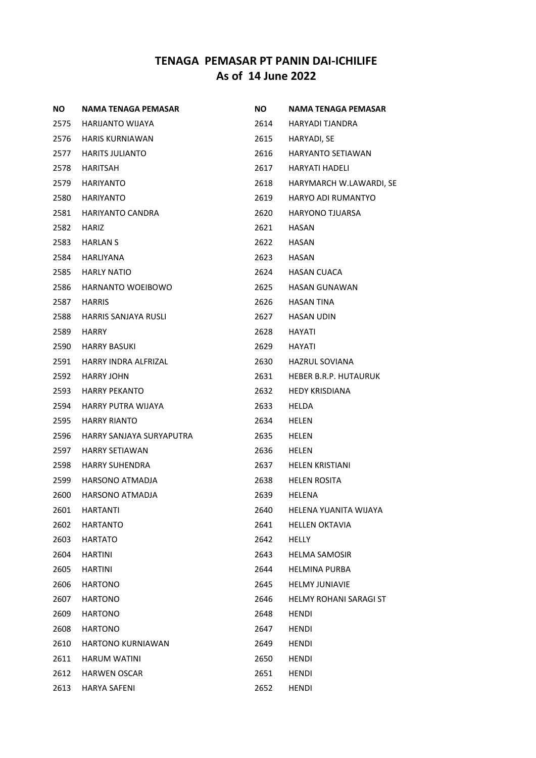| <b>NO</b> | NAMA TENAGA PEMASAR      | <b>NO</b> | <b>NAMA TENAGA PEMASAR</b>    |
|-----------|--------------------------|-----------|-------------------------------|
| 2575      | HARIJANTO WIJAYA         | 2614      | HARYADI TJANDRA               |
| 2576      | <b>HARIS KURNIAWAN</b>   | 2615      | HARYADI, SE                   |
| 2577      | <b>HARITS JULIANTO</b>   | 2616      | <b>HARYANTO SETIAWAN</b>      |
| 2578      | HARITSAH                 | 2617      | HARYATI HADELI                |
| 2579      | HARIYANTO                | 2618      | HARYMARCH W.LAWARDI, SE       |
| 2580      | HARIYANTO                | 2619      | <b>HARYO ADI RUMANTYO</b>     |
| 2581      | HARIYANTO CANDRA         | 2620      | HARYONO TJUARSA               |
| 2582      | <b>HARIZ</b>             | 2621      | HASAN                         |
| 2583      | <b>HARLAN S</b>          | 2622      | HASAN                         |
| 2584      | <b>HARLIYANA</b>         | 2623      | HASAN                         |
| 2585      | <b>HARLY NATIO</b>       | 2624      | HASAN CUACA                   |
| 2586      | <b>HARNANTO WOEIBOWO</b> | 2625      | <b>HASAN GUNAWAN</b>          |
| 2587      | <b>HARRIS</b>            | 2626      | <b>HASAN TINA</b>             |
| 2588      | HARRIS SANJAYA RUSLI     | 2627      | HASAN UDIN                    |
| 2589      | HARRY                    | 2628      | HAYATI                        |
| 2590      | <b>HARRY BASUKI</b>      | 2629      | HAYATI                        |
| 2591      | HARRY INDRA ALFRIZAL     | 2630      | HAZRUL SOVIANA                |
| 2592      | <b>HARRY JOHN</b>        | 2631      | <b>HEBER B.R.P. HUTAURUK</b>  |
| 2593      | <b>HARRY PEKANTO</b>     | 2632      | <b>HEDY KRISDIANA</b>         |
| 2594      | HARRY PUTRA WIJAYA       | 2633      | HELDA                         |
| 2595      | <b>HARRY RIANTO</b>      | 2634      | HELEN                         |
| 2596      | HARRY SANJAYA SURYAPUTRA | 2635      | HELEN                         |
| 2597      | HARRY SETIAWAN           | 2636      | HELEN                         |
| 2598      | <b>HARRY SUHENDRA</b>    | 2637      | <b>HELEN KRISTIANI</b>        |
| 2599      | HARSONO ATMADJA          | 2638      | <b>HELEN ROSITA</b>           |
| 2600      | HARSONO ATMADJA          | 2639      | HELENA                        |
| 2601      | <b>HARTANTI</b>          | 2640      | HELENA YUANITA WIJAYA         |
| 2602      | <b>HARTANTO</b>          | 2641      | <b>HELLEN OKTAVIA</b>         |
| 2603      | HARTATO                  | 2642      | <b>HELLY</b>                  |
| 2604      | <b>HARTINI</b>           | 2643      | <b>HELMA SAMOSIR</b>          |
| 2605      | <b>HARTINI</b>           | 2644      | <b>HELMINA PURBA</b>          |
| 2606      | <b>HARTONO</b>           | 2645      | <b>HELMY JUNIAVIE</b>         |
| 2607      | <b>HARTONO</b>           | 2646      | <b>HELMY ROHANI SARAGI ST</b> |
| 2609      | <b>HARTONO</b>           | 2648      | HENDI                         |
| 2608      | <b>HARTONO</b>           | 2647      | HENDI                         |
| 2610      | <b>HARTONO KURNIAWAN</b> | 2649      | HENDI                         |
| 2611      | <b>HARUM WATINI</b>      | 2650      | HENDI                         |
| 2612      | <b>HARWEN OSCAR</b>      | 2651      | HENDI                         |
| 2613      | HARYA SAFENI             | 2652      | HENDI                         |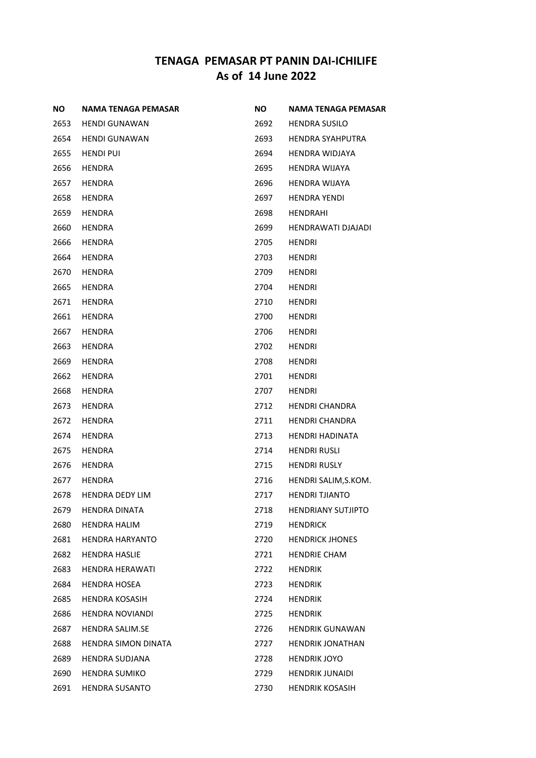| NO.  | NAMA TENAGA PEMASAR        | NO.  | <b>NAMA TENAGA PEMASAR</b> |
|------|----------------------------|------|----------------------------|
| 2653 | <b>HENDI GUNAWAN</b>       | 2692 | <b>HENDRA SUSILO</b>       |
| 2654 | <b>HENDI GUNAWAN</b>       | 2693 | <b>HENDRA SYAHPUTRA</b>    |
| 2655 | <b>HENDI PUI</b>           | 2694 | <b>HENDRA WIDJAYA</b>      |
| 2656 | <b>HENDRA</b>              | 2695 | <b>HENDRA WIJAYA</b>       |
| 2657 | <b>HENDRA</b>              | 2696 | <b>HENDRA WIJAYA</b>       |
| 2658 | <b>HENDRA</b>              | 2697 | <b>HENDRA YENDI</b>        |
| 2659 | <b>HENDRA</b>              | 2698 | <b>HENDRAHI</b>            |
| 2660 | <b>HENDRA</b>              | 2699 | HENDRAWATI DJAJADI         |
| 2666 | <b>HENDRA</b>              | 2705 | <b>HENDRI</b>              |
| 2664 | <b>HENDRA</b>              | 2703 | <b>HENDRI</b>              |
| 2670 | HENDRA                     | 2709 | HENDRI                     |
| 2665 | <b>HENDRA</b>              | 2704 | <b>HENDRI</b>              |
| 2671 | <b>HENDRA</b>              | 2710 | <b>HENDRI</b>              |
| 2661 | <b>HENDRA</b>              | 2700 | <b>HENDRI</b>              |
| 2667 | <b>HENDRA</b>              | 2706 | <b>HENDRI</b>              |
| 2663 | <b>HENDRA</b>              | 2702 | <b>HENDRI</b>              |
| 2669 | <b>HENDRA</b>              | 2708 | <b>HENDRI</b>              |
| 2662 | <b>HENDRA</b>              | 2701 | <b>HENDRI</b>              |
| 2668 | HENDRA                     | 2707 | <b>HENDRI</b>              |
| 2673 | <b>HENDRA</b>              | 2712 | <b>HENDRI CHANDRA</b>      |
| 2672 | <b>HENDRA</b>              | 2711 | <b>HENDRI CHANDRA</b>      |
| 2674 | <b>HENDRA</b>              | 2713 | <b>HENDRI HADINATA</b>     |
| 2675 | <b>HENDRA</b>              | 2714 | <b>HENDRI RUSLI</b>        |
| 2676 | <b>HENDRA</b>              | 2715 | <b>HENDRI RUSLY</b>        |
| 2677 | <b>HENDRA</b>              | 2716 | HENDRI SALIM, S.KOM.       |
| 2678 | <b>HENDRA DEDY LIM</b>     | 2717 | <b>HENDRI TJIANTO</b>      |
| 2679 | <b>HENDRA DINATA</b>       | 2718 | <b>HENDRIANY SUTJIPTO</b>  |
| 2680 | <b>HENDRA HALIM</b>        | 2719 | <b>HENDRICK</b>            |
| 2681 | <b>HENDRA HARYANTO</b>     | 2720 | <b>HENDRICK JHONES</b>     |
| 2682 | <b>HENDRA HASLIE</b>       | 2721 | <b>HENDRIE CHAM</b>        |
| 2683 | <b>HENDRA HERAWATI</b>     | 2722 | <b>HENDRIK</b>             |
| 2684 | <b>HENDRA HOSEA</b>        | 2723 | <b>HENDRIK</b>             |
| 2685 | <b>HENDRA KOSASIH</b>      | 2724 | <b>HENDRIK</b>             |
| 2686 | <b>HENDRA NOVIANDI</b>     | 2725 | <b>HENDRIK</b>             |
| 2687 | <b>HENDRA SALIM.SE</b>     | 2726 | <b>HENDRIK GUNAWAN</b>     |
| 2688 | <b>HENDRA SIMON DINATA</b> | 2727 | <b>HENDRIK JONATHAN</b>    |
| 2689 | <b>HENDRA SUDJANA</b>      | 2728 | <b>HENDRIK JOYO</b>        |
| 2690 | <b>HENDRA SUMIKO</b>       | 2729 | <b>HENDRIK JUNAIDI</b>     |
| 2691 | <b>HENDRA SUSANTO</b>      | 2730 | <b>HENDRIK KOSASIH</b>     |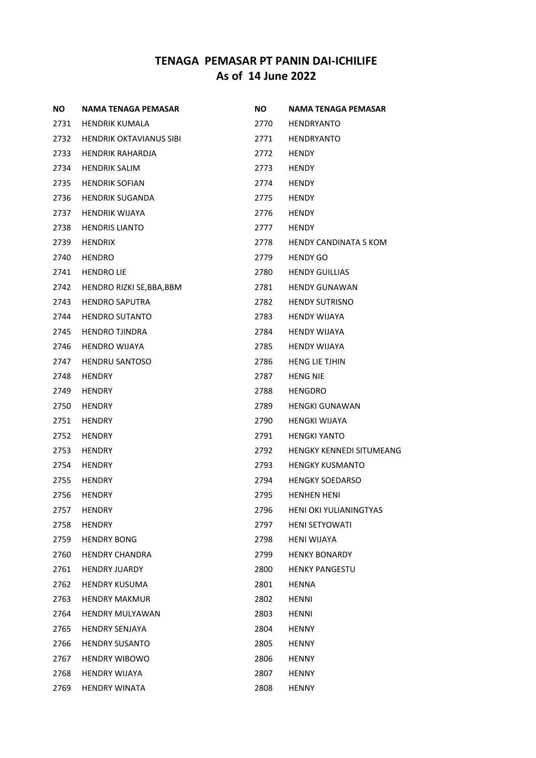| <b>NO</b> | NAMA TENAGA PEMASAR            | <b>NO</b> | NAMA TENAGA PEMASAR             |
|-----------|--------------------------------|-----------|---------------------------------|
| 2731      | <b>HENDRIK KUMALA</b>          | 2770      | <b>HENDRYANTO</b>               |
| 2732      | <b>HENDRIK OKTAVIANUS SIBI</b> | 2771      | <b>HENDRYANTO</b>               |
| 2733      | <b>HENDRIK RAHARDJA</b>        | 2772      | <b>HENDY</b>                    |
| 2734      | <b>HENDRIK SALIM</b>           | 2773      | <b>HENDY</b>                    |
| 2735      | <b>HENDRIK SOFIAN</b>          | 2774      | <b>HENDY</b>                    |
| 2736      | <b>HENDRIK SUGANDA</b>         | 2775      | <b>HENDY</b>                    |
| 2737      | <b>HENDRIK WIJAYA</b>          | 2776      | <b>HENDY</b>                    |
| 2738      | <b>HENDRIS LIANTO</b>          | 2777      | <b>HENDY</b>                    |
| 2739      | <b>HENDRIX</b>                 | 2778      | HENDY CANDINATA S KOM           |
| 2740      | <b>HENDRO</b>                  | 2779      | <b>HENDY GO</b>                 |
| 2741      | <b>HENDRO LIE</b>              | 2780      | <b>HENDY GUILLIAS</b>           |
| 2742      | HENDRO RIZKI SE, BBA, BBM      | 2781      | <b>HENDY GUNAWAN</b>            |
| 2743      | <b>HENDRO SAPUTRA</b>          | 2782      | <b>HENDY SUTRISNO</b>           |
| 2744      | <b>HENDRO SUTANTO</b>          | 2783      | <b>HENDY WIJAYA</b>             |
| 2745      | <b>HENDRO TJINDRA</b>          | 2784      | <b>HENDY WIJAYA</b>             |
| 2746      | HENDRO WIJAYA                  | 2785      | HENDY WIJAYA                    |
| 2747      | <b>HENDRU SANTOSO</b>          | 2786      | <b>HENG LIE TJHIN</b>           |
| 2748      | <b>HENDRY</b>                  | 2787      | <b>HENG NIE</b>                 |
| 2749      | <b>HENDRY</b>                  | 2788      | <b>HENGDRO</b>                  |
| 2750      | <b>HENDRY</b>                  | 2789      | <b>HENGKI GUNAWAN</b>           |
| 2751      | <b>HENDRY</b>                  | 2790      | <b>HENGKI WIJAYA</b>            |
| 2752      | <b>HENDRY</b>                  | 2791      | <b>HENGKI YANTO</b>             |
| 2753      | <b>HENDRY</b>                  | 2792      | <b>HENGKY KENNEDI SITUMEANG</b> |
| 2754      | <b>HENDRY</b>                  | 2793      | <b>HENGKY KUSMANTO</b>          |
| 2755      | <b>HENDRY</b>                  | 2794      | <b>HENGKY SOEDARSO</b>          |
| 2756      | <b>HENDRY</b>                  | 2795      | <b>HENHEN HENI</b>              |
| 2757      | <b>HENDRY</b>                  | 2796      | HENI OKI YULIANINGTYAS          |
| 2758      | <b>HENDRY</b>                  | 2797      | <b>HENI SETYOWATI</b>           |
| 2759      | <b>HENDRY BONG</b>             | 2798      | <b>HENI WIJAYA</b>              |
| 2760      | <b>HENDRY CHANDRA</b>          | 2799      | <b>HENKY BONARDY</b>            |
| 2761      | <b>HENDRY JUARDY</b>           | 2800      | <b>HENKY PANGESTU</b>           |
| 2762      | <b>HENDRY KUSUMA</b>           | 2801      | HENNA                           |
| 2763      | <b>HENDRY MAKMUR</b>           | 2802      | HENNI                           |
| 2764      | <b>HENDRY MULYAWAN</b>         | 2803      | HENNI                           |
| 2765      | <b>HENDRY SENJAYA</b>          | 2804      | <b>HENNY</b>                    |
| 2766      | <b>HENDRY SUSANTO</b>          | 2805      | <b>HENNY</b>                    |
| 2767      | <b>HENDRY WIBOWO</b>           | 2806      | <b>HENNY</b>                    |
| 2768      | <b>HENDRY WIJAYA</b>           | 2807      | <b>HENNY</b>                    |
| 2769      | <b>HENDRY WINATA</b>           | 2808      | <b>HENNY</b>                    |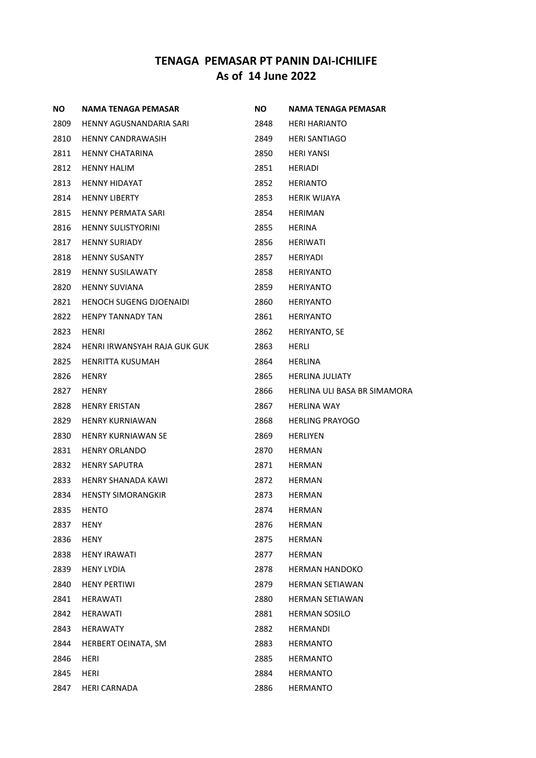| <b>NO</b> | NAMA TENAGA PEMASAR            | <b>NO</b> | NAMA TENAGA PEMASAR          |
|-----------|--------------------------------|-----------|------------------------------|
| 2809      | HENNY AGUSNANDARIA SARI        | 2848      | <b>HERI HARIANTO</b>         |
| 2810      | <b>HENNY CANDRAWASIH</b>       | 2849      | <b>HERI SANTIAGO</b>         |
| 2811      | <b>HENNY CHATARINA</b>         | 2850      | <b>HERI YANSI</b>            |
| 2812      | <b>HENNY HALIM</b>             | 2851      | HERIADI                      |
| 2813      | <b>HENNY HIDAYAT</b>           | 2852      | <b>HERIANTO</b>              |
| 2814      | <b>HENNY LIBERTY</b>           | 2853      | HERIK WIJAYA                 |
| 2815      | <b>HENNY PERMATA SARI</b>      | 2854      | HERIMAN                      |
| 2816      | <b>HENNY SULISTYORINI</b>      | 2855      | HERINA                       |
| 2817      | <b>HENNY SURIADY</b>           | 2856      | HERIWATI                     |
| 2818      | <b>HENNY SUSANTY</b>           | 2857      | <b>HERIYADI</b>              |
| 2819      | <b>HENNY SUSILAWATY</b>        | 2858      | <b>HERIYANTO</b>             |
| 2820      | <b>HENNY SUVIANA</b>           | 2859      | <b>HERIYANTO</b>             |
| 2821      | <b>HENOCH SUGENG DJOENAIDI</b> | 2860      | <b>HERIYANTO</b>             |
| 2822      | <b>HENPY TANNADY TAN</b>       | 2861      | <b>HERIYANTO</b>             |
| 2823      | HENRI                          | 2862      | HERIYANTO, SE                |
| 2824      | HENRI IRWANSYAH RAJA GUK GUK   | 2863      | HERLI                        |
| 2825      | HENRITTA KUSUMAH               | 2864      | HERLINA                      |
| 2826      | <b>HENRY</b>                   | 2865      | <b>HERLINA JULIATY</b>       |
| 2827      | <b>HENRY</b>                   | 2866      | HERLINA ULI BASA BR SIMAMORA |
| 2828      | <b>HENRY ERISTAN</b>           | 2867      | <b>HERLINA WAY</b>           |
| 2829      | HENRY KURNIAWAN                | 2868      | <b>HERLING PRAYOGO</b>       |
| 2830      | <b>HENRY KURNIAWAN SE</b>      | 2869      | HERLIYEN                     |
| 2831      | <b>HENRY ORLANDO</b>           | 2870      | HERMAN                       |
| 2832      | <b>HENRY SAPUTRA</b>           | 2871      | <b>HERMAN</b>                |
| 2833      | HENRY SHANADA KAWI             | 2872      | HERMAN                       |
| 2834      | <b>HENSTY SIMORANGKIR</b>      | 2873      | <b>HERMAN</b>                |
| 2835      | <b>HENTO</b>                   | 2874      | <b>HERMAN</b>                |
| 2837      | <b>HENY</b>                    | 2876      | <b>HERMAN</b>                |
| 2836      | HENY                           | 2875      | <b>HERMAN</b>                |
| 2838      | <b>HENY IRAWATI</b>            | 2877      | HERMAN                       |
| 2839      | HENY LYDIA                     | 2878      | HERMAN HANDOKO               |
| 2840      | <b>HENY PERTIWI</b>            | 2879      | <b>HERMAN SETIAWAN</b>       |
| 2841      | HERAWATI                       | 2880      | <b>HERMAN SETIAWAN</b>       |
| 2842      | HERAWATI                       | 2881      | <b>HERMAN SOSILO</b>         |
| 2843      | HERAWATY                       | 2882      | <b>HERMANDI</b>              |
| 2844      | HERBERT OEINATA, SM            | 2883      | HERMANTO                     |
| 2846      | HERI                           | 2885      | HERMANTO                     |
| 2845      | HERI                           | 2884      | <b>HERMANTO</b>              |
| 2847      | <b>HERI CARNADA</b>            | 2886      | <b>HERMANTO</b>              |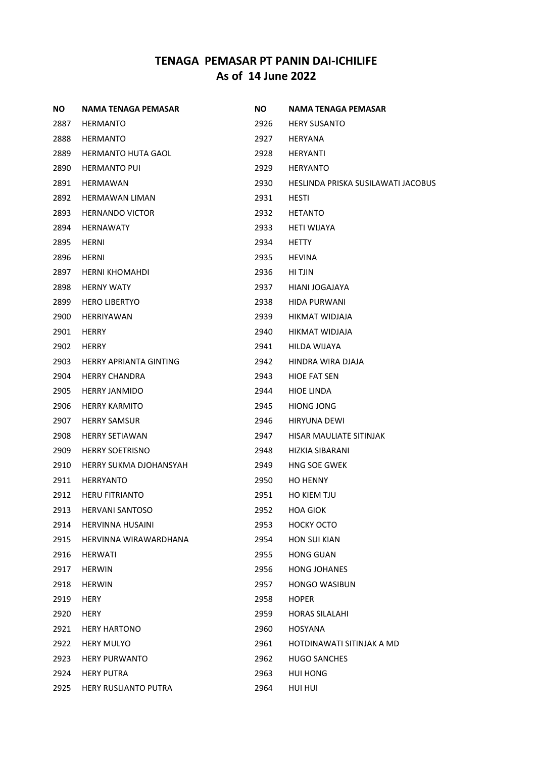| NO.  | <b>NAMA TENAGA PEMASAR</b>    | NO.  | <b>NAMA TENAGA PEMASAR</b>         |
|------|-------------------------------|------|------------------------------------|
| 2887 | <b>HERMANTO</b>               | 2926 | <b>HERY SUSANTO</b>                |
| 2888 | <b>HERMANTO</b>               | 2927 | <b>HERYANA</b>                     |
| 2889 | <b>HERMANTO HUTA GAOL</b>     | 2928 | HERYANTI                           |
| 2890 | <b>HERMANTO PUI</b>           | 2929 | <b>HERYANTO</b>                    |
| 2891 | <b>HERMAWAN</b>               | 2930 | HESLINDA PRISKA SUSILAWATI JACOBUS |
| 2892 | <b>HERMAWAN LIMAN</b>         | 2931 | <b>HESTI</b>                       |
| 2893 | <b>HERNANDO VICTOR</b>        | 2932 | <b>HETANTO</b>                     |
| 2894 | <b>HERNAWATY</b>              | 2933 | <b>HETI WIJAYA</b>                 |
| 2895 | <b>HERNI</b>                  | 2934 | <b>HETTY</b>                       |
| 2896 | <b>HERNI</b>                  | 2935 | HEVINA                             |
| 2897 | HERNI KHOMAHDI                | 2936 | HI TJIN                            |
| 2898 | <b>HERNY WATY</b>             | 2937 | HIANI JOGAJAYA                     |
| 2899 | <b>HERO LIBERTYO</b>          | 2938 | <b>HIDA PURWANI</b>                |
| 2900 | <b>HERRIYAWAN</b>             | 2939 | HIKMAT WIDJAJA                     |
| 2901 | <b>HERRY</b>                  | 2940 | HIKMAT WIDJAJA                     |
| 2902 | <b>HERRY</b>                  | 2941 | HILDA WIJAYA                       |
| 2903 | <b>HERRY APRIANTA GINTING</b> | 2942 | HINDRA WIRA DJAJA                  |
| 2904 | <b>HERRY CHANDRA</b>          | 2943 | <b>HIOE FAT SEN</b>                |
| 2905 | <b>HERRY JANMIDO</b>          | 2944 | <b>HIOE LINDA</b>                  |
| 2906 | <b>HERRY KARMITO</b>          | 2945 | <b>HIONG JONG</b>                  |
| 2907 | <b>HERRY SAMSUR</b>           | 2946 | <b>HIRYUNA DEWI</b>                |
| 2908 | <b>HERRY SETIAWAN</b>         | 2947 | HISAR MAULIATE SITINJAK            |
| 2909 | <b>HERRY SOETRISNO</b>        | 2948 | HIZKIA SIBARANI                    |
| 2910 | <b>HERRY SUKMA DJOHANSYAH</b> | 2949 | <b>HNG SOE GWEK</b>                |
| 2911 | <b>HERRYANTO</b>              | 2950 | <b>HO HENNY</b>                    |
| 2912 | <b>HERU FITRIANTO</b>         | 2951 | HO KIEM TJU                        |
| 2913 | <b>HERVANI SANTOSO</b>        | 2952 | <b>HOA GIOK</b>                    |
| 2914 | <b>HERVINNA HUSAINI</b>       | 2953 | <b>HOCKY OCTO</b>                  |
| 2915 | HERVINNA WIRAWARDHANA         | 2954 | <b>HON SUI KIAN</b>                |
| 2916 | <b>HERWATI</b>                | 2955 | <b>HONG GUAN</b>                   |
| 2917 | <b>HERWIN</b>                 | 2956 | <b>HONG JOHANES</b>                |
| 2918 | <b>HERWIN</b>                 | 2957 | <b>HONGO WASIBUN</b>               |
| 2919 | <b>HERY</b>                   | 2958 | <b>HOPER</b>                       |
| 2920 | <b>HERY</b>                   | 2959 | <b>HORAS SILALAHI</b>              |
| 2921 | <b>HERY HARTONO</b>           | 2960 | HOSYANA                            |
| 2922 | <b>HERY MULYO</b>             | 2961 | HOTDINAWATI SITINJAK A MD          |
| 2923 | <b>HERY PURWANTO</b>          | 2962 | <b>HUGO SANCHES</b>                |
| 2924 | <b>HERY PUTRA</b>             | 2963 | HUI HONG                           |
| 2925 | HERY RUSLIANTO PUTRA          | 2964 | HUI HUI                            |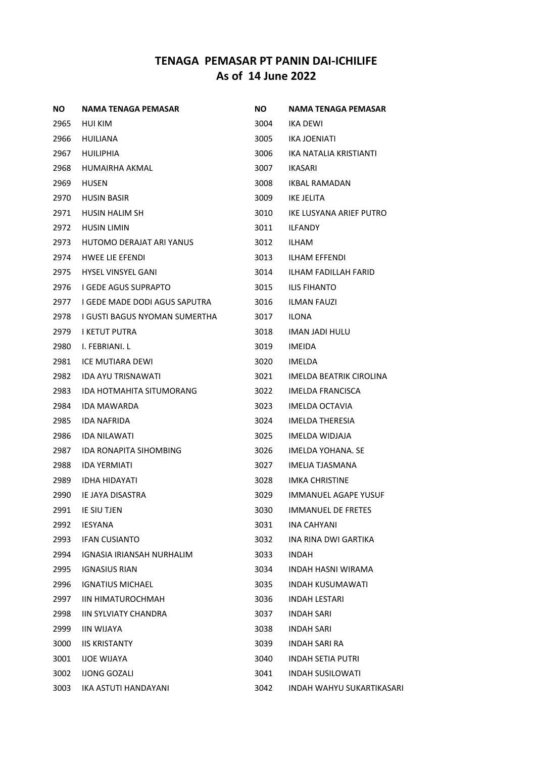| ΝO   | <b>NAMA TENAGA PEMASAR</b>    | NO.  | NAMA TENAGA PEMASAR              |
|------|-------------------------------|------|----------------------------------|
| 2965 | HUI KIM                       | 3004 | IKA DEWI                         |
| 2966 | HUILIANA                      | 3005 | IKA JOENIATI                     |
| 2967 | HUILIPHIA                     | 3006 | IKA NATALIA KRISTIANTI           |
| 2968 | HUMAIRHA AKMAL                | 3007 | IKASARI                          |
| 2969 | <b>HUSEN</b>                  | 3008 | IKBAL RAMADAN                    |
| 2970 | <b>HUSIN BASIR</b>            | 3009 | IKE JELITA                       |
| 2971 | <b>HUSIN HALIM SH</b>         | 3010 | IKE LUSYANA ARIEF PUTRO          |
| 2972 | <b>HUSIN LIMIN</b>            | 3011 | <b>ILFANDY</b>                   |
| 2973 | HUTOMO DERAJAT ARI YANUS      | 3012 | ILHAM                            |
| 2974 | <b>HWEE LIE EFENDI</b>        | 3013 | <b>ILHAM EFFENDI</b>             |
| 2975 | <b>HYSEL VINSYEL GANI</b>     | 3014 | ILHAM FADILLAH FARID             |
| 2976 | I GEDE AGUS SUPRAPTO          | 3015 | <b>ILIS FIHANTO</b>              |
| 2977 | I GEDE MADE DODI AGUS SAPUTRA | 3016 | <b>ILMAN FAUZI</b>               |
| 2978 | I GUSTI BAGUS NYOMAN SUMERTHA | 3017 | <b>ILONA</b>                     |
| 2979 | I KETUT PUTRA                 | 3018 | <b>IMAN JADI HULU</b>            |
| 2980 | I. FEBRIANI. L                | 3019 | <b>IMEIDA</b>                    |
| 2981 | ICE MUTIARA DEWI              | 3020 | IMELDA                           |
| 2982 | <b>IDA AYU TRISNAWATI</b>     | 3021 | IMELDA BEATRIK CIROLINA          |
| 2983 | IDA HOTMAHITA SITUMORANG      | 3022 | IMELDA FRANCISCA                 |
| 2984 | IDA MAWARDA                   | 3023 | <b>IMELDA OCTAVIA</b>            |
| 2985 | <b>IDA NAFRIDA</b>            | 3024 | <b>IMELDA THERESIA</b>           |
| 2986 | <b>IDA NILAWATI</b>           | 3025 | IMELDA WIDJAJA                   |
| 2987 | IDA RONAPITA SIHOMBING        | 3026 | IMELDA YOHANA, SE                |
| 2988 | <b>IDA YERMIATI</b>           | 3027 | IMELIA TJASMANA                  |
| 2989 | <b>IDHA HIDAYATI</b>          | 3028 | <b>IMKA CHRISTINE</b>            |
| 2990 | IE JAYA DISASTRA              | 3029 | <b>IMMANUEL AGAPE YUSUF</b>      |
| 2991 | IE SIU TJEN                   | 3030 | <b>IMMANUEL DE FRETES</b>        |
| 2992 | <b>IESYANA</b>                | 3031 | <b>INA CAHYANI</b>               |
| 2993 | <b>IFAN CUSIANTO</b>          | 3032 | INA RINA DWI GARTIKA             |
| 2994 | IGNASIA IRIANSAH NURHALIM     | 3033 | <b>INDAH</b>                     |
| 2995 | <b>IGNASIUS RIAN</b>          | 3034 | INDAH HASNI WIRAMA               |
| 2996 | <b>IGNATIUS MICHAEL</b>       | 3035 | <b>INDAH KUSUMAWATI</b>          |
| 2997 | IIN HIMATUROCHMAH             | 3036 | <b>INDAH LESTARI</b>             |
| 2998 | <b>IIN SYLVIATY CHANDRA</b>   | 3037 | <b>INDAH SARI</b>                |
| 2999 | <b>IIN WIJAYA</b>             | 3038 | INDAH SARI                       |
| 3000 | <b>IIS KRISTANTY</b>          | 3039 | INDAH SARI RA                    |
| 3001 | <b>IJOE WIJAYA</b>            | 3040 | <b>INDAH SETIA PUTRI</b>         |
| 3002 | <b>IJONG GOZALI</b>           | 3041 | <b>INDAH SUSILOWATI</b>          |
| 3003 | IKA ASTUTI HANDAYANI          | 3042 | <b>INDAH WAHYU SUKARTIKASARI</b> |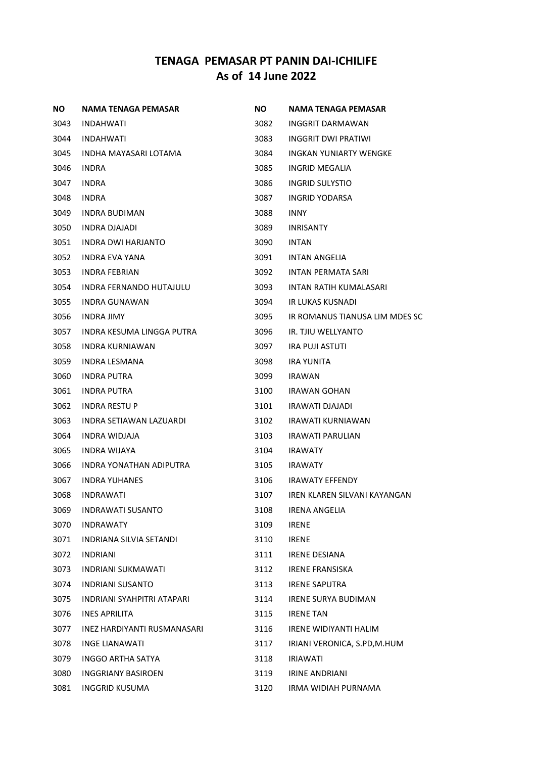| NO.  | <b>NAMA TENAGA PEMASAR</b>     | NO.  | NAMA TENAGA PEMASAR            |
|------|--------------------------------|------|--------------------------------|
| 3043 | INDAHWATI                      | 3082 | <b>INGGRIT DARMAWAN</b>        |
| 3044 | INDAHWATI                      | 3083 | INGGRIT DWI PRATIWI            |
| 3045 | INDHA MAYASARI LOTAMA          | 3084 | <b>INGKAN YUNIARTY WENGKE</b>  |
| 3046 | <b>INDRA</b>                   | 3085 | INGRID MEGALIA                 |
| 3047 | <b>INDRA</b>                   | 3086 | INGRID SULYSTIO                |
| 3048 | <b>INDRA</b>                   | 3087 | INGRID YODARSA                 |
| 3049 | INDRA BUDIMAN                  | 3088 | <b>INNY</b>                    |
| 3050 | <b>INDRA DJAJADI</b>           | 3089 | <b>INRISANTY</b>               |
| 3051 | INDRA DWI HARJANTO             | 3090 | INTAN                          |
| 3052 | INDRA EVA YANA                 | 3091 | <b>INTAN ANGELIA</b>           |
| 3053 | <b>INDRA FEBRIAN</b>           | 3092 | INTAN PERMATA SARI             |
| 3054 | <b>INDRA FERNANDO HUTAJULU</b> | 3093 | INTAN RATIH KUMALASARI         |
| 3055 | <b>INDRA GUNAWAN</b>           | 3094 | IR LUKAS KUSNADI               |
| 3056 | <b>INDRA JIMY</b>              | 3095 | IR ROMANUS TIANUSA LIM MDES SC |
| 3057 | INDRA KESUMA LINGGA PUTRA      | 3096 | <b>IR. TJIU WELLYANTO</b>      |
| 3058 | <b>INDRA KURNIAWAN</b>         | 3097 | <b>IRA PUJI ASTUTI</b>         |
| 3059 | INDRA LESMANA                  | 3098 | <b>IRA YUNITA</b>              |
| 3060 | <b>INDRA PUTRA</b>             | 3099 | <b>IRAWAN</b>                  |
| 3061 | <b>INDRA PUTRA</b>             | 3100 | IRAWAN GOHAN                   |
| 3062 | <b>INDRA RESTU P</b>           | 3101 | IRAWATI DJAJADI                |
| 3063 | INDRA SETIAWAN LAZUARDI        | 3102 | IRAWATI KURNIAWAN              |
| 3064 | INDRA WIDJAJA                  | 3103 | <b>IRAWATI PARULIAN</b>        |
| 3065 | <b>INDRA WIJAYA</b>            | 3104 | <b>IRAWATY</b>                 |
| 3066 | INDRA YONATHAN ADIPUTRA        | 3105 | <b>IRAWATY</b>                 |
| 3067 | <b>INDRA YUHANES</b>           | 3106 | <b>IRAWATY EFFENDY</b>         |
| 3068 | <b>INDRAWATI</b>               | 3107 | IREN KLAREN SILVANI KAYANGAN   |
| 3069 | <b>INDRAWATI SUSANTO</b>       | 3108 | <b>IRENA ANGELIA</b>           |
| 3070 | <b>INDRAWATY</b>               | 3109 | <b>IRENE</b>                   |
| 3071 | <b>INDRIANA SILVIA SETANDI</b> | 3110 | <b>IRENE</b>                   |
| 3072 | <b>INDRIANI</b>                | 3111 | <b>IRENE DESIANA</b>           |
| 3073 | <b>INDRIANI SUKMAWATI</b>      | 3112 | <b>IRENE FRANSISKA</b>         |
| 3074 | <b>INDRIANI SUSANTO</b>        | 3113 | <b>IRENE SAPUTRA</b>           |
| 3075 | INDRIANI SYAHPITRI ATAPARI     | 3114 | <b>IRENE SURYA BUDIMAN</b>     |
| 3076 | <b>INES APRILITA</b>           | 3115 | <b>IRENE TAN</b>               |
| 3077 | INEZ HARDIYANTI RUSMANASARI    | 3116 | <b>IRENE WIDIYANTI HALIM</b>   |
| 3078 | <b>INGE LIANAWATI</b>          | 3117 | IRIANI VERONICA, S.PD, M.HUM   |
| 3079 | INGGO ARTHA SATYA              | 3118 | <b>IRIAWATI</b>                |
| 3080 | <b>INGGRIANY BASIROEN</b>      | 3119 | <b>IRINE ANDRIANI</b>          |
| 3081 | <b>INGGRID KUSUMA</b>          | 3120 | IRMA WIDIAH PURNAMA            |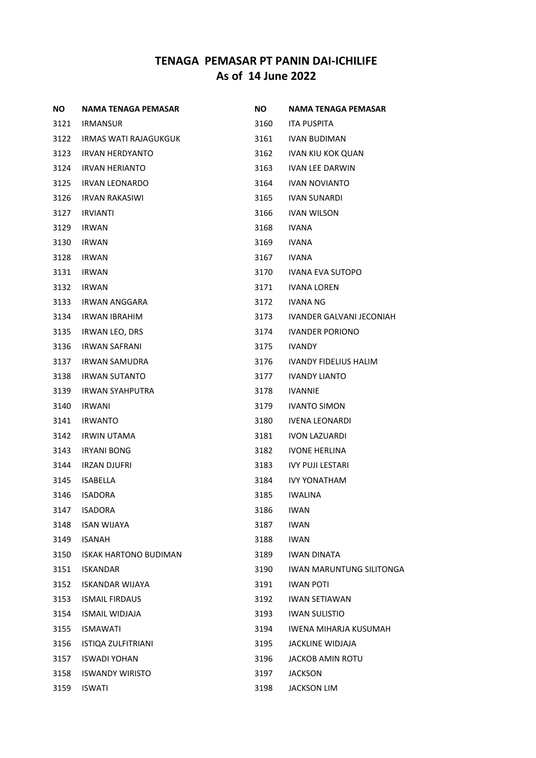| NO.  | NAMA TENAGA PEMASAR          | <b>NO</b> | NAMA TENAGA PEMASAR             |
|------|------------------------------|-----------|---------------------------------|
| 3121 | IRMANSUR                     | 3160      | ITA PUSPITA                     |
| 3122 | IRMAS WATI RAJAGUKGUK        | 3161      | <b>IVAN BUDIMAN</b>             |
| 3123 | IRVAN HERDYANTO              | 3162      | <b>IVAN KIU KOK QUAN</b>        |
| 3124 | IRVAN HERIANTO               | 3163      | <b>IVAN LEE DARWIN</b>          |
| 3125 | IRVAN LEONARDO               | 3164      | <b>IVAN NOVIANTO</b>            |
| 3126 | IRVAN RAKASIWI               | 3165      | <b>IVAN SUNARDI</b>             |
| 3127 | <b>IRVIANTI</b>              | 3166      | <b>IVAN WILSON</b>              |
| 3129 | <b>IRWAN</b>                 | 3168      | <b>IVANA</b>                    |
| 3130 | IRWAN                        | 3169      | IVANA                           |
| 3128 | IRWAN                        | 3167      | IVANA                           |
| 3131 | IRWAN                        | 3170      | IVANA EVA SUTOPO                |
| 3132 | <b>IRWAN</b>                 | 3171      | <b>IVANA LOREN</b>              |
| 3133 | IRWAN ANGGARA                | 3172      | IVANA NG                        |
| 3134 | IRWAN IBRAHIM                | 3173      | IVANDER GALVANI JECONIAH        |
| 3135 | <b>IRWAN LEO, DRS</b>        | 3174      | <b>IVANDER PORIONO</b>          |
| 3136 | <b>IRWAN SAFRANI</b>         | 3175      | IVANDY                          |
| 3137 | IRWAN SAMUDRA                | 3176      | <b>IVANDY FIDELIUS HALIM</b>    |
| 3138 | <b>IRWAN SUTANTO</b>         | 3177      | <b>IVANDY LIANTO</b>            |
| 3139 | IRWAN SYAHPUTRA              | 3178      | <b>IVANNIE</b>                  |
| 3140 | IRWANI                       | 3179      | <b>IVANTO SIMON</b>             |
| 3141 | IRWANTO                      | 3180      | <b>IVENA LEONARDI</b>           |
| 3142 | <b>IRWIN UTAMA</b>           | 3181      | <b>IVON LAZUARDI</b>            |
| 3143 | <b>IRYANI BONG</b>           | 3182      | <b>IVONE HERLINA</b>            |
| 3144 | IRZAN DJUFRI                 | 3183      | <b>IVY PUJI LESTARI</b>         |
| 3145 | <b>ISABELLA</b>              | 3184      | <b>IVY YONATHAM</b>             |
| 3146 | <b>ISADORA</b>               | 3185      | <b>IWALINA</b>                  |
| 3147 | <b>ISADORA</b>               | 3186      | <b>IWAN</b>                     |
| 3148 | <b>ISAN WIJAYA</b>           | 3187      | <b>IWAN</b>                     |
| 3149 | <b>ISANAH</b>                | 3188      | <b>IWAN</b>                     |
| 3150 | <b>ISKAK HARTONO BUDIMAN</b> | 3189      | <b>IWAN DINATA</b>              |
| 3151 | <b>ISKANDAR</b>              | 3190      | <b>IWAN MARUNTUNG SILITONGA</b> |
| 3152 | <b>ISKANDAR WIJAYA</b>       | 3191      | <b>IWAN POTI</b>                |
| 3153 | <b>ISMAIL FIRDAUS</b>        | 3192      | <b>IWAN SETIAWAN</b>            |
| 3154 | <b>ISMAIL WIDJAJA</b>        | 3193      | <b>IWAN SULISTIO</b>            |
| 3155 | <b>ISMAWATI</b>              | 3194      | IWENA MIHARJA KUSUMAH           |
| 3156 | <b>ISTIQA ZULFITRIANI</b>    | 3195      | JACKLINE WIDJAJA                |
| 3157 | <b>ISWADI YOHAN</b>          | 3196      | JACKOB AMIN ROTU                |
| 3158 | <b>ISWANDY WIRISTO</b>       | 3197      | <b>JACKSON</b>                  |
| 3159 | <b>ISWATI</b>                | 3198      | <b>JACKSON LIM</b>              |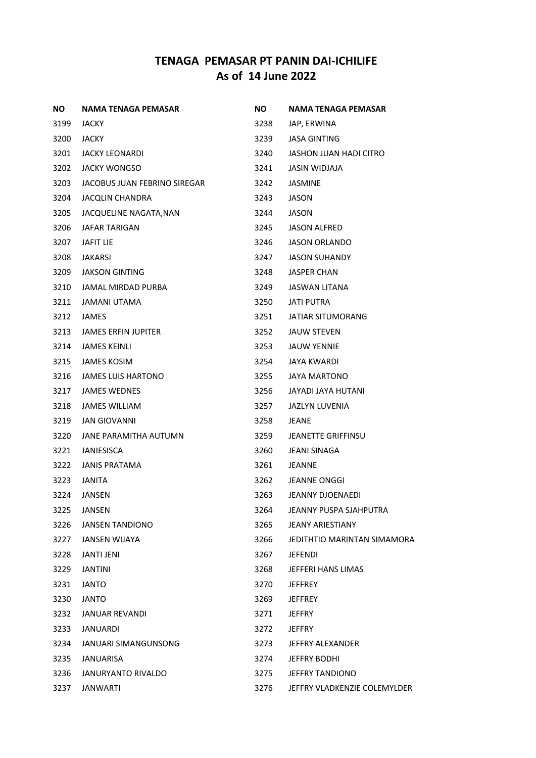| NO.  | NAMA TENAGA PEMASAR          | NO.  | NAMA TENAGA PEMASAR          |
|------|------------------------------|------|------------------------------|
| 3199 | <b>JACKY</b>                 | 3238 | JAP, ERWINA                  |
| 3200 | <b>JACKY</b>                 | 3239 | <b>JASA GINTING</b>          |
| 3201 | JACKY LEONARDI               | 3240 | JASHON JUAN HADI CITRO       |
| 3202 | <b>JACKY WONGSO</b>          | 3241 | JASIN WIDJAJA                |
| 3203 | JACOBUS JUAN FEBRINO SIREGAR | 3242 | JASMINE                      |
| 3204 | <b>JACQLIN CHANDRA</b>       | 3243 | JASON                        |
| 3205 | JACQUELINE NAGATA, NAN       | 3244 | JASON                        |
| 3206 | <b>JAFAR TARIGAN</b>         | 3245 | <b>JASON ALFRED</b>          |
| 3207 | JAFIT LIE                    | 3246 | JASON ORLANDO                |
| 3208 | JAKARSI                      | 3247 | <b>JASON SUHANDY</b>         |
| 3209 | JAKSON GINTING               | 3248 | JASPER CHAN                  |
| 3210 | JAMAL MIRDAD PURBA           | 3249 | <b>JASWAN LITANA</b>         |
| 3211 | JAMANI UTAMA                 | 3250 | <b>JATI PUTRA</b>            |
| 3212 | JAMES                        | 3251 | JATIAR SITUMORANG            |
| 3213 | <b>JAMES ERFIN JUPITER</b>   | 3252 | JAUW STEVEN                  |
| 3214 | JAMES KEINLI                 | 3253 | <b>JAUW YENNIE</b>           |
| 3215 | <b>JAMES KOSIM</b>           | 3254 | JAYA KWARDI                  |
| 3216 | JAMES LUIS HARTONO           | 3255 | <b>JAYA MARTONO</b>          |
| 3217 | <b>JAMES WEDNES</b>          | 3256 | JAYADI JAYA HUTANI           |
| 3218 | <b>JAMES WILLIAM</b>         | 3257 | JAZLYN LUVENIA               |
| 3219 | <b>JAN GIOVANNI</b>          | 3258 | JEANE                        |
| 3220 | JANE PARAMITHA AUTUMN        | 3259 | <b>JEANETTE GRIFFINSU</b>    |
| 3221 | JANIESISCA                   | 3260 | JEANI SINAGA                 |
| 3222 | <b>JANIS PRATAMA</b>         | 3261 | <b>JEANNE</b>                |
| 3223 | JANITA                       | 3262 | JEANNE ONGGI                 |
| 3224 | JANSEN                       | 3263 | JEANNY DJOENAEDI             |
| 3225 | JANSEN                       | 3264 | JEANNY PUSPA SJAHPUTRA       |
| 3226 | <b>JANSEN TANDIONO</b>       | 3265 | <b>JEANY ARIESTIANY</b>      |
| 3227 | JANSEN WIJAYA                | 3266 | JEDITHTIO MARINTAN SIMAMORA  |
| 3228 | <b>JANTI JENI</b>            | 3267 | <b>JEFENDI</b>               |
| 3229 | <b>JANTINI</b>               | 3268 | JEFFERI HANS LIMAS           |
| 3231 | <b>JANTO</b>                 | 3270 | <b>JEFFREY</b>               |
| 3230 | <b>JANTO</b>                 | 3269 | <b>JEFFREY</b>               |
| 3232 | JANUAR REVANDI               | 3271 | <b>JEFFRY</b>                |
| 3233 | <b>JANUARDI</b>              | 3272 | <b>JEFFRY</b>                |
| 3234 | JANUARI SIMANGUNSONG         | 3273 | JEFFRY ALEXANDER             |
| 3235 | <b>JANUARISA</b>             | 3274 | <b>JEFFRY BODHI</b>          |
| 3236 | JANURYANTO RIVALDO           | 3275 | <b>JEFFRY TANDIONO</b>       |
| 3237 | JANWARTI                     | 3276 | JEFFRY VLADKENZIE COLEMYLDER |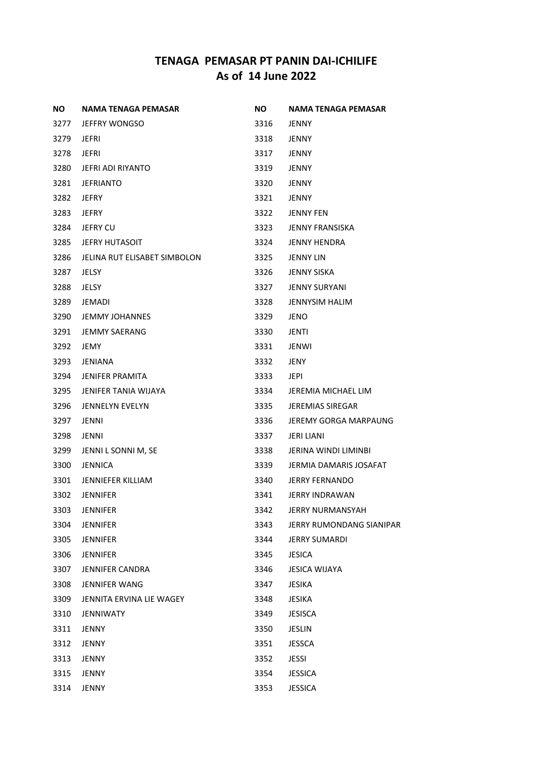| NO.  | NAMA TENAGA PEMASAR          | NO.  | NAMA TENAGA PEMASAR      |
|------|------------------------------|------|--------------------------|
| 3277 | JEFFRY WONGSO                | 3316 | <b>JENNY</b>             |
| 3279 | JEFRI                        | 3318 | <b>JENNY</b>             |
| 3278 | JEFRI                        | 3317 | <b>JENNY</b>             |
| 3280 | <b>JEFRI ADI RIYANTO</b>     | 3319 | <b>JENNY</b>             |
| 3281 | <b>JEFRIANTO</b>             | 3320 | <b>JENNY</b>             |
| 3282 | <b>JEFRY</b>                 | 3321 | <b>JENNY</b>             |
| 3283 | <b>JEFRY</b>                 | 3322 | <b>JENNY FEN</b>         |
| 3284 | <b>JEFRY CU</b>              | 3323 | <b>JENNY FRANSISKA</b>   |
| 3285 | <b>JEFRY HUTASOIT</b>        | 3324 | <b>JENNY HENDRA</b>      |
| 3286 | JELINA RUT ELISABET SIMBOLON | 3325 | <b>JENNY LIN</b>         |
| 3287 | JELSY                        | 3326 | JENNY SISKA              |
| 3288 | <b>JELSY</b>                 | 3327 | <b>JENNY SURYANI</b>     |
| 3289 | JEMADI                       | 3328 | <b>JENNYSIM HALIM</b>    |
| 3290 | <b>JEMMY JOHANNES</b>        | 3329 | JENO                     |
| 3291 | <b>JEMMY SAERANG</b>         | 3330 | JENTI                    |
| 3292 | JEMY                         | 3331 | <b>JENWI</b>             |
| 3293 | JENIANA                      | 3332 | <b>JENY</b>              |
| 3294 | <b>JENIFER PRAMITA</b>       | 3333 | <b>JEPI</b>              |
| 3295 | JENIFER TANIA WIJAYA         | 3334 | JEREMIA MICHAEL LIM      |
| 3296 | <b>JENNELYN EVELYN</b>       | 3335 | <b>JEREMIAS SIREGAR</b>  |
| 3297 | JENNI                        | 3336 | JEREMY GORGA MARPAUNG    |
| 3298 | <b>JENNI</b>                 | 3337 | <b>JERI LIANI</b>        |
| 3299 | JENNI L SONNI M, SE          | 3338 | JERINA WINDI LIMINBI     |
| 3300 | <b>JENNICA</b>               | 3339 | JERMIA DAMARIS JOSAFAT   |
| 3301 | <b>JENNIEFER KILLIAM</b>     | 3340 | <b>JERRY FERNANDO</b>    |
| 3302 | JENNIFER                     | 3341 | <b>JERRY INDRAWAN</b>    |
| 3303 | <b>JENNIFER</b>              | 3342 | <b>JERRY NURMANSYAH</b>  |
| 3304 | <b>JENNIFER</b>              | 3343 | JERRY RUMONDANG SIANIPAR |
| 3305 | <b>JENNIFER</b>              | 3344 | <b>JERRY SUMARDI</b>     |
| 3306 | <b>JENNIFER</b>              | 3345 | <b>JESICA</b>            |
| 3307 | <b>JENNIFER CANDRA</b>       | 3346 | <b>JESICA WIJAYA</b>     |
| 3308 | <b>JENNIFER WANG</b>         | 3347 | <b>JESIKA</b>            |
| 3309 | JENNITA ERVINA LIE WAGEY     | 3348 | JESIKA                   |
| 3310 | <b>JENNIWATY</b>             | 3349 | <b>JESISCA</b>           |
| 3311 | <b>JENNY</b>                 | 3350 | <b>JESLIN</b>            |
| 3312 | JENNY                        | 3351 | <b>JESSCA</b>            |
| 3313 | JENNY                        | 3352 | JESSI                    |
| 3315 | JENNY                        | 3354 | <b>JESSICA</b>           |
| 3314 | JENNY                        | 3353 | <b>JESSICA</b>           |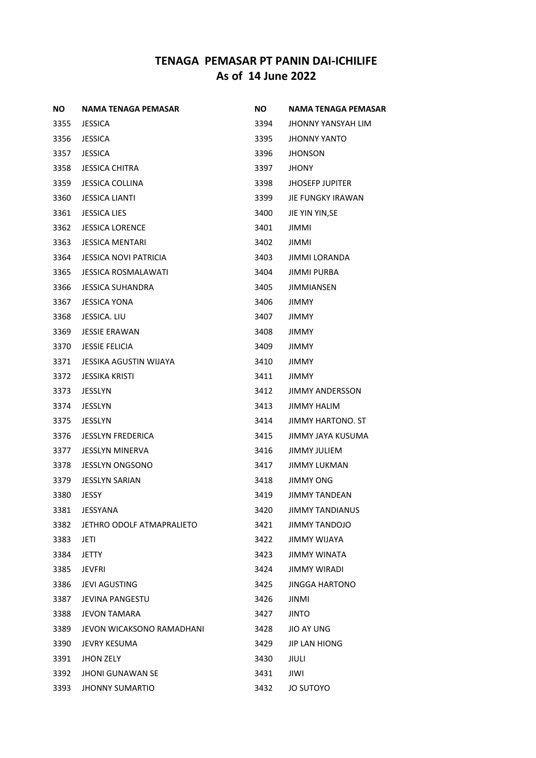| ΝO   | <b>NAMA TENAGA PEMASAR</b>   | NO.  | NAMA TENAGA PEMASAR    |
|------|------------------------------|------|------------------------|
| 3355 | <b>JESSICA</b>               | 3394 | JHONNY YANSYAH LIM     |
| 3356 | <b>JESSICA</b>               | 3395 | JHONNY YANTO           |
| 3357 | <b>JESSICA</b>               | 3396 | <b>JHONSON</b>         |
| 3358 | <b>JESSICA CHITRA</b>        | 3397 | <b>JHONY</b>           |
| 3359 | <b>JESSICA COLLINA</b>       | 3398 | <b>JHOSEFP JUPITER</b> |
| 3360 | <b>JESSICA LIANTI</b>        | 3399 | JIE FUNGKY IRAWAN      |
| 3361 | <b>JESSICA LIES</b>          | 3400 | JIE YIN YIN, SE        |
| 3362 | <b>JESSICA LORENCE</b>       | 3401 | JIMMIL                 |
| 3363 | <b>JESSICA MENTARI</b>       | 3402 | JIMMI                  |
| 3364 | <b>JESSICA NOVI PATRICIA</b> | 3403 | JIMMI LORANDA          |
| 3365 | <b>JESSICA ROSMALAWATI</b>   | 3404 | JIMMI PURBA            |
| 3366 | <b>JESSICA SUHANDRA</b>      | 3405 | <b>JIMMIANSEN</b>      |
| 3367 | <b>JESSICA YONA</b>          | 3406 | <b>JIMMY</b>           |
| 3368 | JESSICA. LIU                 | 3407 | JIMMY                  |
| 3369 | <b>JESSIE ERAWAN</b>         | 3408 | <b>JIMMY</b>           |
| 3370 | <b>JESSIE FELICIA</b>        | 3409 | JIMMY                  |
| 3371 | JESSIKA AGUSTIN WIJAYA       | 3410 | JIMMY                  |
| 3372 | <b>JESSIKA KRISTI</b>        | 3411 | JIMMY                  |
| 3373 | <b>JESSLYN</b>               | 3412 | JIMMY ANDERSSON        |
| 3374 | <b>JESSLYN</b>               | 3413 | <b>JIMMY HALIM</b>     |
| 3375 | <b>JESSLYN</b>               | 3414 | JIMMY HARTONO. ST      |
| 3376 | <b>JESSLYN FREDERICA</b>     | 3415 | JIMMY JAYA KUSUMA      |
| 3377 | <b>JESSLYN MINERVA</b>       | 3416 | JIMMY JULIEM           |
| 3378 | <b>JESSLYN ONGSONO</b>       | 3417 | <b>JIMMY LUKMAN</b>    |
| 3379 | <b>JESSLYN SARIAN</b>        | 3418 | <b>JIMMY ONG</b>       |
| 3380 | JESSY                        | 3419 | <b>JIMMY TANDEAN</b>   |
| 3381 | JESSYANA                     | 3420 | JIMMY TANDIANUS        |
| 3382 | JETHRO ODOLF ATMAPRALIETO    | 3421 | <b>JIMMY TANDOJO</b>   |
| 3383 | JETI                         | 3422 | JIMMY WIJAYA           |
| 3384 | <b>JETTY</b>                 | 3423 | JIMMY WINATA           |
| 3385 | JEVFRI                       | 3424 | JIMMY WIRADI           |
| 3386 | <b>JEVI AGUSTING</b>         | 3425 | JINGGA HARTONO         |
| 3387 | <b>JEVINA PANGESTU</b>       | 3426 | JINMI                  |
| 3388 | JEVON TAMARA                 | 3427 | <b>JINTO</b>           |
| 3389 | JEVON WICAKSONO RAMADHANI    | 3428 | JIO AY UNG             |
| 3390 | JEVRY KESUMA                 | 3429 | <b>JIP LAN HIONG</b>   |
| 3391 | <b>JHON ZELY</b>             | 3430 | JIULI                  |
| 3392 | <b>JHONI GUNAWAN SE</b>      | 3431 | JIWI                   |
| 3393 | <b>JHONNY SUMARTIO</b>       | 3432 | JO SUTOYO              |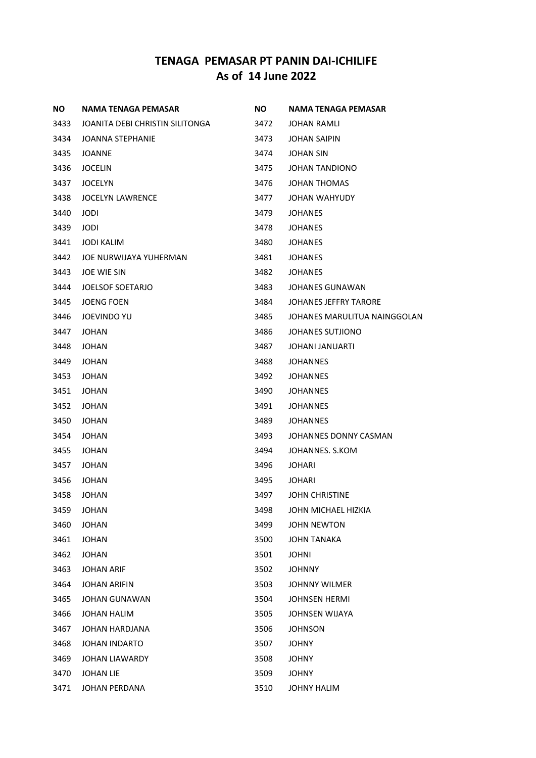| NO.  | <b>NAMA TENAGA PEMASAR</b>      | <b>NO</b> | NAMA TENAGA PEMASAR          |
|------|---------------------------------|-----------|------------------------------|
| 3433 | JOANITA DEBI CHRISTIN SILITONGA | 3472      | JOHAN RAMLI                  |
| 3434 | JOANNA STEPHANIE                | 3473      | <b>JOHAN SAIPIN</b>          |
| 3435 | <b>JOANNE</b>                   | 3474      | <b>JOHAN SIN</b>             |
| 3436 | <b>JOCELIN</b>                  | 3475      | JOHAN TANDIONO               |
| 3437 | <b>JOCELYN</b>                  | 3476      | <b>JOHAN THOMAS</b>          |
| 3438 | <b>JOCELYN LAWRENCE</b>         | 3477      | JOHAN WAHYUDY                |
| 3440 | <b>JODI</b>                     | 3479      | <b>JOHANES</b>               |
| 3439 | <b>JODI</b>                     | 3478      | <b>JOHANES</b>               |
| 3441 | <b>JODI KALIM</b>               | 3480      | <b>JOHANES</b>               |
| 3442 | JOE NURWIJAYA YUHERMAN          | 3481      | JOHANES                      |
| 3443 | JOE WIE SIN                     | 3482      | <b>JOHANES</b>               |
| 3444 | <b>JOELSOF SOETARJO</b>         | 3483      | <b>JOHANES GUNAWAN</b>       |
| 3445 | <b>JOENG FOEN</b>               | 3484      | <b>JOHANES JEFFRY TARORE</b> |
| 3446 | <b>JOEVINDO YU</b>              | 3485      | JOHANES MARULITUA NAINGGOLAN |
| 3447 | <b>JOHAN</b>                    | 3486      | JOHANES SUTJIONO             |
| 3448 | JOHAN                           | 3487      | JOHANI JANUARTI              |
| 3449 | <b>JOHAN</b>                    | 3488      | JOHANNES                     |
| 3453 | <b>JOHAN</b>                    | 3492      | JOHANNES                     |
| 3451 | JOHAN                           | 3490      | JOHANNES                     |
| 3452 | <b>JOHAN</b>                    | 3491      | JOHANNES                     |
| 3450 | <b>JOHAN</b>                    | 3489      | JOHANNES                     |
| 3454 | <b>JOHAN</b>                    | 3493      | JOHANNES DONNY CASMAN        |
| 3455 | JOHAN                           | 3494      | JOHANNES. S.KOM              |
| 3457 | JOHAN                           | 3496      | JOHARI                       |
| 3456 | <b>JOHAN</b>                    | 3495      | JOHARI                       |
| 3458 | JOHAN                           | 3497      | <b>JOHN CHRISTINE</b>        |
| 3459 | <b>JOHAN</b>                    | 3498      | JOHN MICHAEL HIZKIA          |
| 3460 | <b>JOHAN</b>                    | 3499      | <b>JOHN NEWTON</b>           |
| 3461 | <b>JOHAN</b>                    | 3500      | <b>JOHN TANAKA</b>           |
| 3462 | <b>JOHAN</b>                    | 3501      | <b>JOHNI</b>                 |
| 3463 | <b>JOHAN ARIF</b>               | 3502      | <b>JOHNNY</b>                |
| 3464 | <b>JOHAN ARIFIN</b>             | 3503      | <b>JOHNNY WILMER</b>         |
| 3465 | <b>JOHAN GUNAWAN</b>            | 3504      | <b>JOHNSEN HERMI</b>         |
| 3466 | <b>JOHAN HALIM</b>              | 3505      | JOHNSEN WIJAYA               |
| 3467 | JOHAN HARDJANA                  | 3506      | JOHNSON                      |
| 3468 | <b>JOHAN INDARTO</b>            | 3507      | <b>JOHNY</b>                 |
| 3469 | <b>JOHAN LIAWARDY</b>           | 3508      | <b>JOHNY</b>                 |
| 3470 | <b>JOHAN LIE</b>                | 3509      | <b>JOHNY</b>                 |
| 3471 | JOHAN PERDANA                   | 3510      | JOHNY HALIM                  |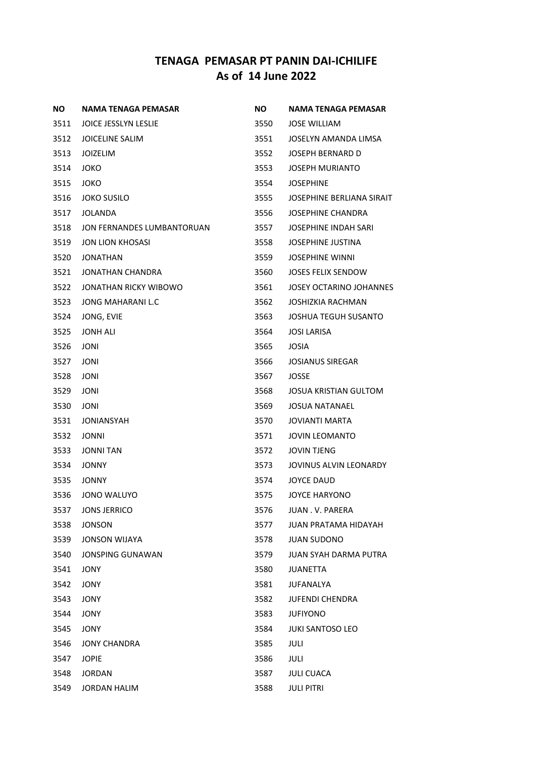| ΝO   | <b>NAMA TENAGA PEMASAR</b>  | ΝO   | <b>NAMA TENAGA PEMASAR</b>   |
|------|-----------------------------|------|------------------------------|
| 3511 | <b>JOICE JESSLYN LESLIE</b> | 3550 | <b>JOSE WILLIAM</b>          |
| 3512 | <b>JOICELINE SALIM</b>      | 3551 | JOSELYN AMANDA LIMSA         |
| 3513 | <b>JOIZELIM</b>             | 3552 | <b>JOSEPH BERNARD D</b>      |
| 3514 | <b>JOKO</b>                 | 3553 | <b>JOSEPH MURIANTO</b>       |
| 3515 | <b>JOKO</b>                 | 3554 | <b>JOSEPHINE</b>             |
| 3516 | <b>JOKO SUSILO</b>          | 3555 | JOSEPHINE BERLIANA SIRAIT    |
| 3517 | <b>JOLANDA</b>              | 3556 | <b>JOSEPHINE CHANDRA</b>     |
| 3518 | JON FERNANDES LUMBANTORUAN  | 3557 | JOSEPHINE INDAH SARI         |
| 3519 | JON LION KHOSASI            | 3558 | <b>JOSEPHINE JUSTINA</b>     |
| 3520 | <b>JONATHAN</b>             | 3559 | <b>JOSEPHINE WINNI</b>       |
| 3521 | JONATHAN CHANDRA            | 3560 | <b>JOSES FELIX SENDOW</b>    |
| 3522 | JONATHAN RICKY WIBOWO       | 3561 | JOSEY OCTARINO JOHANNES      |
| 3523 | <b>JONG MAHARANI L.C</b>    | 3562 | JOSHIZKIA RACHMAN            |
| 3524 | JONG, EVIE                  | 3563 | <b>JOSHUA TEGUH SUSANTO</b>  |
| 3525 | <b>JONH ALI</b>             | 3564 | JOSI LARISA                  |
| 3526 | JONI                        | 3565 | JOSIA                        |
| 3527 | <b>JONI</b>                 | 3566 | <b>JOSIANUS SIREGAR</b>      |
| 3528 | <b>JONI</b>                 | 3567 | JOSSE                        |
| 3529 | JONI                        | 3568 | JOSUA KRISTIAN GULTOM        |
| 3530 | JONI                        | 3569 | <b>JOSUA NATANAEL</b>        |
| 3531 | JONIANSYAH                  | 3570 | <b>JOVIANTI MARTA</b>        |
| 3532 | JONNI                       | 3571 | <b>JOVIN LEOMANTO</b>        |
| 3533 | <b>JONNI TAN</b>            | 3572 | <b>JOVIN TJENG</b>           |
| 3534 | <b>JONNY</b>                | 3573 | JOVINUS ALVIN LEONARDY       |
| 3535 | <b>JONNY</b>                | 3574 | <b>JOYCE DAUD</b>            |
| 3536 | <b>JONO WALUYO</b>          | 3575 | <b>JOYCE HARYONO</b>         |
| 3537 | <b>JONS JERRICO</b>         | 3576 | JUAN . V. PARERA             |
| 3538 | <b>JONSON</b>               | 3577 | <b>JUAN PRATAMA HIDAYAH</b>  |
| 3539 | <b>JONSON WIJAYA</b>        | 3578 | <b>JUAN SUDONO</b>           |
| 3540 | <b>JONSPING GUNAWAN</b>     | 3579 | <b>JUAN SYAH DARMA PUTRA</b> |
| 3541 | JONY                        | 3580 | <b>JUANETTA</b>              |
| 3542 | <b>JONY</b>                 | 3581 | <b>JUFANALYA</b>             |
| 3543 | <b>JONY</b>                 | 3582 | <b>JUFENDI CHENDRA</b>       |
| 3544 | <b>JONY</b>                 | 3583 | <b>JUFIYONO</b>              |
| 3545 | <b>JONY</b>                 | 3584 | <b>JUKI SANTOSO LEO</b>      |
| 3546 | <b>JONY CHANDRA</b>         | 3585 | <b>JULI</b>                  |
| 3547 | <b>JOPIE</b>                | 3586 | JULI                         |
| 3548 | <b>JORDAN</b>               | 3587 | <b>JULI CUACA</b>            |
| 3549 | <b>JORDAN HALIM</b>         | 3588 | <b>JULI PITRI</b>            |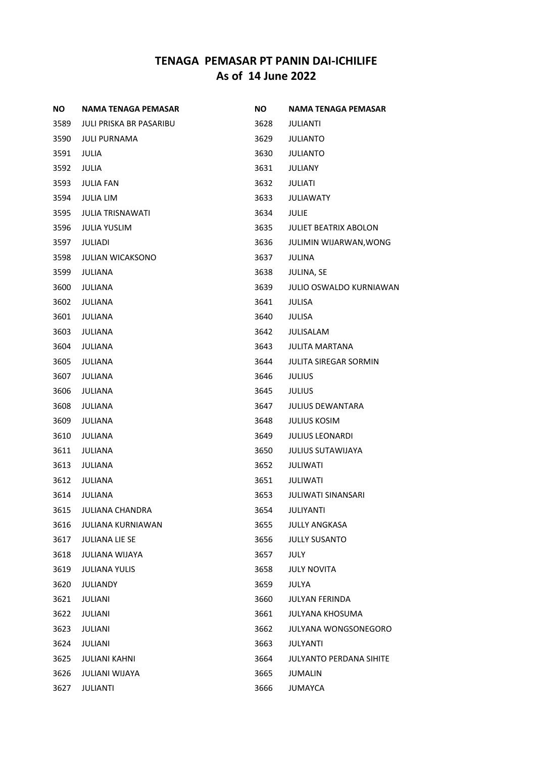| ΝO   | NAMA TENAGA PEMASAR      | NO.  | NAMA TENAGA PEMASAR            |
|------|--------------------------|------|--------------------------------|
| 3589 | JULI PRISKA BR PASARIBU  | 3628 | JULIANTI                       |
| 3590 | <b>JULI PURNAMA</b>      | 3629 | JULIANTO                       |
| 3591 | JULIA                    | 3630 | JULIANTO                       |
| 3592 | <b>JULIA</b>             | 3631 | JULIANY                        |
| 3593 | <b>JULIA FAN</b>         | 3632 | JULIATI                        |
| 3594 | <b>JULIA LIM</b>         | 3633 | <b>JULIAWATY</b>               |
| 3595 | <b>JULIA TRISNAWATI</b>  | 3634 | <b>JULIE</b>                   |
| 3596 | <b>JULIA YUSLIM</b>      | 3635 | <b>JULIET BEATRIX ABOLON</b>   |
| 3597 | JULIADI                  | 3636 | <b>JULIMIN WIJARWAN, WONG</b>  |
| 3598 | <b>JULIAN WICAKSONO</b>  | 3637 | JULINA                         |
| 3599 | JULIANA                  | 3638 | JULINA, SE                     |
| 3600 | <b>JULIANA</b>           | 3639 | <b>JULIO OSWALDO KURNIAWAN</b> |
| 3602 | <b>JULIANA</b>           | 3641 | <b>JULISA</b>                  |
| 3601 | <b>JULIANA</b>           | 3640 | <b>JULISA</b>                  |
| 3603 | <b>JULIANA</b>           | 3642 | <b>JULISALAM</b>               |
| 3604 | <b>JULIANA</b>           | 3643 | <b>JULITA MARTANA</b>          |
| 3605 | <b>JULIANA</b>           | 3644 | <b>JULITA SIREGAR SORMIN</b>   |
| 3607 | <b>JULIANA</b>           | 3646 | <b>JULIUS</b>                  |
| 3606 | <b>JULIANA</b>           | 3645 | <b>JULIUS</b>                  |
| 3608 | <b>JULIANA</b>           | 3647 | <b>JULIUS DEWANTARA</b>        |
| 3609 | <b>JULIANA</b>           | 3648 | <b>JULIUS KOSIM</b>            |
| 3610 | <b>JULIANA</b>           | 3649 | <b>JULIUS LEONARDI</b>         |
| 3611 | <b>JULIANA</b>           | 3650 | <b>JULIUS SUTAWIJAYA</b>       |
| 3613 | <b>JULIANA</b>           | 3652 | <b>JULIWATI</b>                |
| 3612 | <b>JULIANA</b>           | 3651 | <b>JULIWATI</b>                |
| 3614 | <b>JULIANA</b>           | 3653 | <b>JULIWATI SINANSARI</b>      |
| 3615 | JULIANA CHANDRA          | 3654 | <b>JULIYANTI</b>               |
| 3616 | <b>JULIANA KURNIAWAN</b> | 3655 | <b>JULLY ANGKASA</b>           |
| 3617 | <b>JULIANA LIE SE</b>    | 3656 | <b>JULLY SUSANTO</b>           |
| 3618 | <b>JULIANA WIJAYA</b>    | 3657 | <b>JULY</b>                    |
| 3619 | <b>JULIANA YULIS</b>     | 3658 | <b>JULY NOVITA</b>             |
| 3620 | <b>JULIANDY</b>          | 3659 | <b>JULYA</b>                   |
| 3621 | <b>JULIANI</b>           | 3660 | <b>JULYAN FERINDA</b>          |
| 3622 | JULIANI                  | 3661 | <b>JULYANA KHOSUMA</b>         |
| 3623 | <b>JULIANI</b>           | 3662 | <b>JULYANA WONGSONEGORO</b>    |
| 3624 | JULIANI                  | 3663 | <b>JULYANTI</b>                |
| 3625 | <b>JULIANI KAHNI</b>     | 3664 | <b>JULYANTO PERDANA SIHITE</b> |
| 3626 | <b>JULIANI WIJAYA</b>    | 3665 | <b>JUMALIN</b>                 |
| 3627 | JULIANTI                 | 3666 | JUMAYCA                        |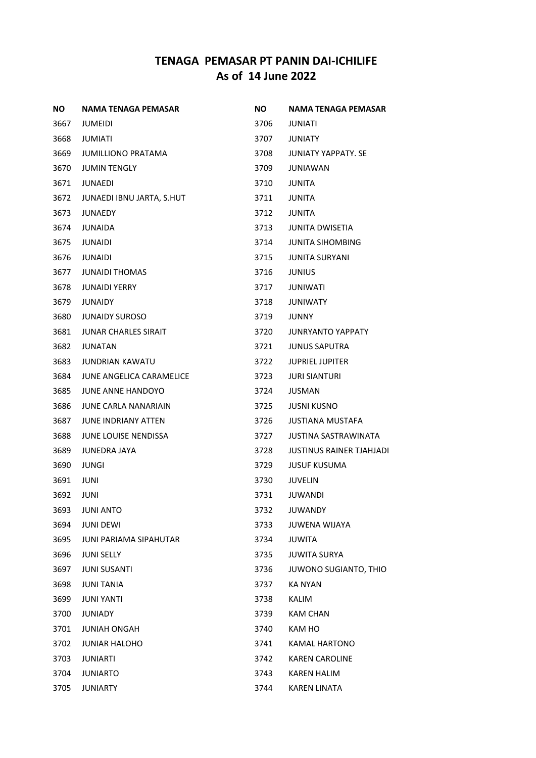| ΝO   | <b>NAMA TENAGA PEMASAR</b>    | NO.  | NAMA TENAGA PEMASAR             |
|------|-------------------------------|------|---------------------------------|
| 3667 | JUMEIDI                       | 3706 | JUNIATI                         |
| 3668 | JUMIATI                       | 3707 | <b>JUNIATY</b>                  |
| 3669 | JUMILLIONO PRATAMA            | 3708 | <b>JUNIATY YAPPATY, SE</b>      |
| 3670 | <b>JUMIN TENGLY</b>           | 3709 | JUNIAWAN                        |
| 3671 | JUNAEDI                       | 3710 | JUNITA                          |
| 3672 | JUNAEDI IBNU JARTA, S.HUT     | 3711 | <b>JUNITA</b>                   |
| 3673 | <b>JUNAEDY</b>                | 3712 | <b>JUNITA</b>                   |
| 3674 | <b>JUNAIDA</b>                | 3713 | <b>JUNITA DWISETIA</b>          |
| 3675 | JUNAIDI                       | 3714 | <b>JUNITA SIHOMBING</b>         |
| 3676 | JUNAIDI                       | 3715 | <b>JUNITA SURYANI</b>           |
| 3677 | <b>JUNAIDI THOMAS</b>         | 3716 | <b>JUNIUS</b>                   |
| 3678 | <b>JUNAIDI YERRY</b>          | 3717 | <b>JUNIWATI</b>                 |
| 3679 | <b>JUNAIDY</b>                | 3718 | <b>JUNIWATY</b>                 |
| 3680 | <b>JUNAIDY SUROSO</b>         | 3719 | <b>JUNNY</b>                    |
| 3681 | <b>JUNAR CHARLES SIRAIT</b>   | 3720 | <b>JUNRYANTO YAPPATY</b>        |
| 3682 | JUNATAN                       | 3721 | <b>JUNUS SAPUTRA</b>            |
| 3683 | <b>JUNDRIAN KAWATU</b>        | 3722 | <b>JUPRIEL JUPITER</b>          |
| 3684 | JUNE ANGELICA CARAMELICE      | 3723 | <b>JURI SIANTURI</b>            |
| 3685 | <b>JUNE ANNE HANDOYO</b>      | 3724 | JUSMAN                          |
| 3686 | <b>JUNE CARLA NANARIAIN</b>   | 3725 | <b>JUSNI KUSNO</b>              |
| 3687 | <b>JUNE INDRIANY ATTEN</b>    | 3726 | <b>JUSTIANA MUSTAFA</b>         |
| 3688 | JUNE LOUISE NENDISSA          | 3727 | JUSTINA SASTRAWINATA            |
| 3689 | JUNEDRA JAYA                  | 3728 | <b>JUSTINUS RAINER TJAHJADI</b> |
| 3690 | <b>JUNGI</b>                  | 3729 | <b>JUSUF KUSUMA</b>             |
| 3691 | <b>JUNI</b>                   | 3730 | JUVELIN                         |
| 3692 | <b>JUNI</b>                   | 3731 | <b>JUWANDI</b>                  |
| 3693 | <b>JUNI ANTO</b>              | 3732 | <b>JUWANDY</b>                  |
| 3694 | <b>JUNI DEWI</b>              | 3733 | <b>JUWENA WIJAYA</b>            |
| 3695 | <b>JUNI PARIAMA SIPAHUTAR</b> | 3734 | JUWITA                          |
| 3696 | <b>JUNI SELLY</b>             | 3735 | <b>JUWITA SURYA</b>             |
| 3697 | <b>JUNI SUSANTI</b>           | 3736 | JUWONO SUGIANTO, THIO           |
| 3698 | <b>JUNI TANIA</b>             | 3737 | <b>KA NYAN</b>                  |
| 3699 | <b>JUNI YANTI</b>             | 3738 | <b>KALIM</b>                    |
| 3700 | <b>JUNIADY</b>                | 3739 | <b>KAM CHAN</b>                 |
| 3701 | <b>JUNIAH ONGAH</b>           | 3740 | KAM HO                          |
| 3702 | <b>JUNIAR HALOHO</b>          | 3741 | <b>KAMAL HARTONO</b>            |
| 3703 | <b>JUNIARTI</b>               | 3742 | <b>KAREN CAROLINE</b>           |
| 3704 | <b>JUNIARTO</b>               | 3743 | <b>KAREN HALIM</b>              |
| 3705 | <b>JUNIARTY</b>               | 3744 | <b>KAREN LINATA</b>             |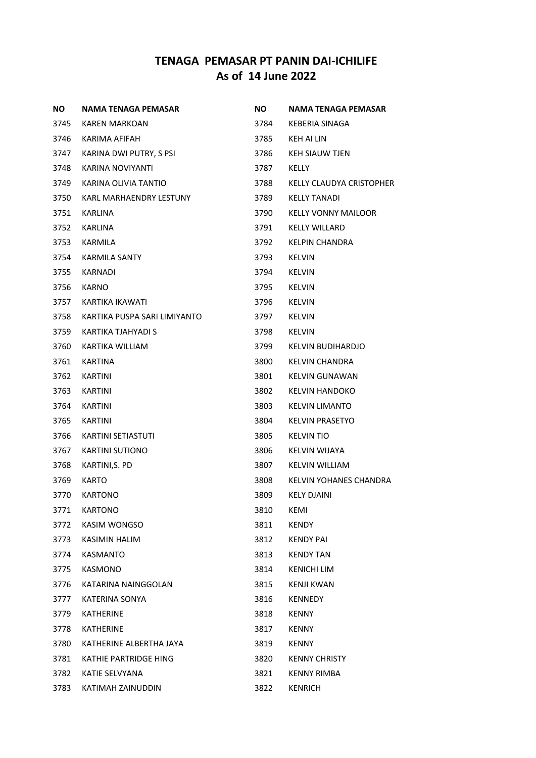| NO.  | NAMA TENAGA PEMASAR          | <b>NO</b> | <b>NAMA TENAGA PEMASAR</b> |
|------|------------------------------|-----------|----------------------------|
| 3745 | KAREN MARKOAN                | 3784      | KEBERIA SINAGA             |
| 3746 | KARIMA AFIFAH                | 3785      | KEH AI LIN                 |
| 3747 | KARINA DWI PUTRY, S PSI      | 3786      | <b>KEH SIAUW TJEN</b>      |
| 3748 | KARINA NOVIYANTI             | 3787      | KELLY                      |
| 3749 | KARINA OLIVIA TANTIO         | 3788      | KELLY CLAUDYA CRISTOPHER   |
| 3750 | KARL MARHAENDRY LESTUNY      | 3789      | <b>KELLY TANADI</b>        |
| 3751 | <b>KARLINA</b>               | 3790      | <b>KELLY VONNY MAILOOR</b> |
| 3752 | KARLINA                      | 3791      | <b>KELLY WILLARD</b>       |
| 3753 | KARMILA                      | 3792      | <b>KELPIN CHANDRA</b>      |
| 3754 | KARMILA SANTY                | 3793      | <b>KELVIN</b>              |
| 3755 | KARNADI                      | 3794      | <b>KELVIN</b>              |
| 3756 | <b>KARNO</b>                 | 3795      | <b>KELVIN</b>              |
| 3757 | KARTIKA IKAWATI              | 3796      | <b>KELVIN</b>              |
| 3758 | KARTIKA PUSPA SARI LIMIYANTO | 3797      | <b>KELVIN</b>              |
| 3759 | KARTIKA TJAHYADI S           | 3798      | <b>KELVIN</b>              |
| 3760 | KARTIKA WILLIAM              | 3799      | KELVIN BUDIHARDJO          |
| 3761 | KARTINA                      | 3800      | KELVIN CHANDRA             |
| 3762 | KARTINI                      | 3801      | KELVIN GUNAWAN             |
| 3763 | KARTINI                      | 3802      | KELVIN HANDOKO             |
| 3764 | KARTINI                      | 3803      | <b>KELVIN LIMANTO</b>      |
| 3765 | KARTINI                      | 3804      | <b>KELVIN PRASETYO</b>     |
| 3766 | <b>KARTINI SETIASTUTI</b>    | 3805      | <b>KELVIN TIO</b>          |
| 3767 | <b>KARTINI SUTIONO</b>       | 3806      | KELVIN WIJAYA              |
| 3768 | KARTINI, S. PD               | 3807      | <b>KELVIN WILLIAM</b>      |
| 3769 | <b>KARTO</b>                 | 3808      | KELVIN YOHANES CHANDRA     |
| 3770 | <b>KARTONO</b>               | 3809      | <b>KELY DJAINI</b>         |
| 3771 | <b>KARTONO</b>               | 3810      | <b>KEMI</b>                |
| 3772 | <b>KASIM WONGSO</b>          | 3811      | <b>KENDY</b>               |
| 3773 | KASIMIN HALIM                | 3812      | <b>KENDY PAI</b>           |
| 3774 | <b>KASMANTO</b>              | 3813      | <b>KENDY TAN</b>           |
| 3775 | KASMONO                      | 3814      | KENICHI LIM                |
| 3776 | KATARINA NAINGGOLAN          | 3815      | <b>KENJI KWAN</b>          |
| 3777 | <b>KATERINA SONYA</b>        | 3816      | <b>KENNEDY</b>             |
| 3779 | <b>KATHERINE</b>             | 3818      | <b>KENNY</b>               |
| 3778 | <b>KATHERINE</b>             | 3817      | <b>KENNY</b>               |
| 3780 | KATHERINE ALBERTHA JAYA      | 3819      | <b>KENNY</b>               |
| 3781 | KATHIE PARTRIDGE HING        | 3820      | <b>KENNY CHRISTY</b>       |
| 3782 | KATIE SELVYANA               | 3821      | <b>KENNY RIMBA</b>         |
| 3783 | KATIMAH ZAINUDDIN            | 3822      | KENRICH                    |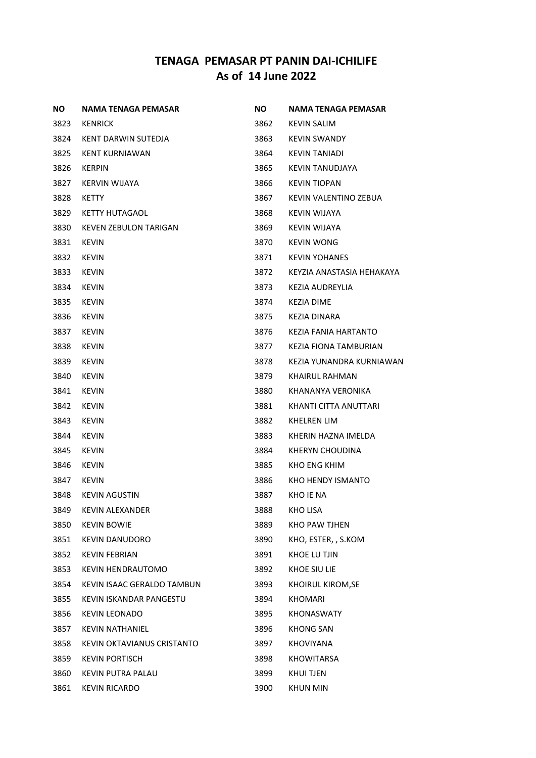| <b>NO</b> | NAMA TENAGA PEMASAR        | <b>NO</b> | NAMA TENAGA PEMASAR       |
|-----------|----------------------------|-----------|---------------------------|
| 3823      | <b>KENRICK</b>             | 3862      | KEVIN SALIM               |
| 3824      | KENT DARWIN SUTEDJA        | 3863      | <b>KEVIN SWANDY</b>       |
| 3825      | <b>KENT KURNIAWAN</b>      | 3864      | <b>KEVIN TANIADI</b>      |
| 3826      | <b>KERPIN</b>              | 3865      | KEVIN TANUDJAYA           |
| 3827      | KERVIN WIJAYA              | 3866      | <b>KEVIN TIOPAN</b>       |
| 3828      | KETTY                      | 3867      | KEVIN VALENTINO ZEBUA     |
| 3829      | KETTY HUTAGAOL             | 3868      | KEVIN WIJAYA              |
| 3830      | KEVEN ZEBULON TARIGAN      | 3869      | KEVIN WIJAYA              |
| 3831      | <b>KEVIN</b>               | 3870      | <b>KEVIN WONG</b>         |
| 3832      | <b>KEVIN</b>               | 3871      | <b>KEVIN YOHANES</b>      |
| 3833      | KEVIN                      | 3872      | KEYZIA ANASTASIA HEHAKAYA |
| 3834      | <b>KEVIN</b>               | 3873      | KEZIA AUDREYLIA           |
| 3835      | KEVIN                      | 3874      | KEZIA DIME                |
| 3836      | KEVIN                      | 3875      | KEZIA DINARA              |
| 3837      | <b>KEVIN</b>               | 3876      | KEZIA FANIA HARTANTO      |
| 3838      | KEVIN                      | 3877      | KEZIA FIONA TAMBURIAN     |
| 3839      | <b>KEVIN</b>               | 3878      | KEZIA YUNANDRA KURNIAWAN  |
| 3840      | <b>KEVIN</b>               | 3879      | KHAIRUL RAHMAN            |
| 3841      | KEVIN                      | 3880      | KHANANYA VERONIKA         |
| 3842      | <b>KEVIN</b>               | 3881      | KHANTI CITTA ANUTTARI     |
| 3843      | KEVIN                      | 3882      | KHELREN LIM               |
| 3844      | KEVIN                      | 3883      | KHERIN HAZNA IMELDA       |
| 3845      | KEVIN                      | 3884      | KHERYN CHOUDINA           |
| 3846      | KEVIN                      | 3885      | KHO ENG KHIM              |
| 3847      | KEVIN                      | 3886      | KHO HENDY ISMANTO         |
| 3848      | KEVIN AGUSTIN              | 3887      | KHO IE NA                 |
| 3849      | <b>KEVIN ALEXANDER</b>     | 3888      | <b>KHO LISA</b>           |
| 3850      | <b>KEVIN BOWIE</b>         | 3889      | KHO PAW TJHEN             |
| 3851      | KEVIN DANUDORO             | 3890      | KHO, ESTER, , S.KOM       |
| 3852      | <b>KEVIN FEBRIAN</b>       | 3891      | KHOE LU TJIN              |
| 3853      | <b>KEVIN HENDRAUTOMO</b>   | 3892      | KHOE SIU LIE              |
| 3854      | KEVIN ISAAC GERALDO TAMBUN | 3893      | KHOIRUL KIROM, SE         |
| 3855      | KEVIN ISKANDAR PANGESTU    | 3894      | <b>KHOMARI</b>            |
| 3856      | KEVIN LEONADO              | 3895      | KHONASWATY                |
| 3857      | <b>KEVIN NATHANIEL</b>     | 3896      | <b>KHONG SAN</b>          |
| 3858      | KEVIN OKTAVIANUS CRISTANTO | 3897      | <b>KHOVIYANA</b>          |
| 3859      | KEVIN PORTISCH             | 3898      | <b>KHOWITARSA</b>         |
| 3860      | <b>KEVIN PUTRA PALAU</b>   | 3899      | <b>KHUI TJEN</b>          |
| 3861      | KEVIN RICARDO              | 3900      | KHUN MIN                  |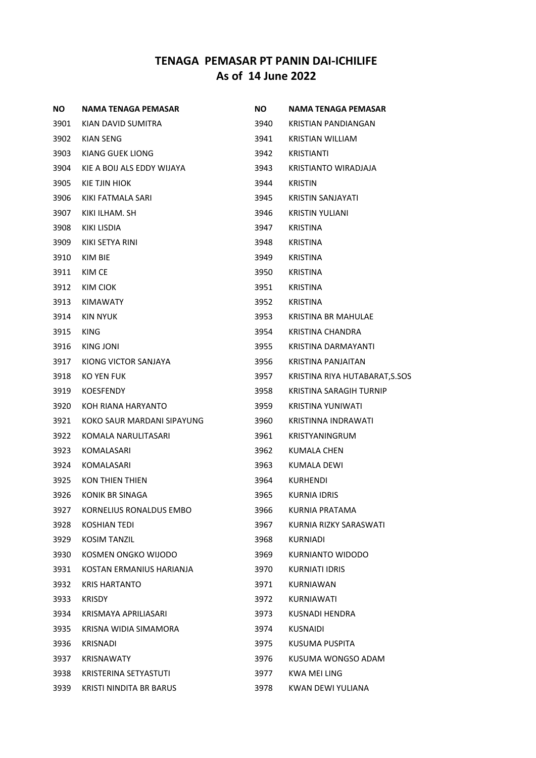| NO.  | <b>NAMA TENAGA PEMASAR</b> | <b>NO</b> | NAMA TENAGA PEMASAR            |
|------|----------------------------|-----------|--------------------------------|
| 3901 | KIAN DAVID SUMITRA         | 3940      | <b>KRISTIAN PANDIANGAN</b>     |
| 3902 | <b>KIAN SENG</b>           | 3941      | KRISTIAN WILLIAM               |
| 3903 | KIANG GUEK LIONG           | 3942      | KRISTIANTI                     |
| 3904 | KIE A BOIJ ALS EDDY WIJAYA | 3943      | KRISTIANTO WIRADJAJA           |
| 3905 | KIE TJIN HIOK              | 3944      | <b>KRISTIN</b>                 |
| 3906 | KIKI FATMALA SARI          | 3945      | KRISTIN SANJAYATI              |
| 3907 | KIKI ILHAM. SH             | 3946      | <b>KRISTIN YULIANI</b>         |
| 3908 | KIKI LISDIA                | 3947      | <b>KRISTINA</b>                |
| 3909 | KIKI SETYA RINI            | 3948      | <b>KRISTINA</b>                |
| 3910 | KIM BIE                    | 3949      | <b>KRISTINA</b>                |
| 3911 | KIM CE                     | 3950      | <b>KRISTINA</b>                |
| 3912 | KIM CIOK                   | 3951      | <b>KRISTINA</b>                |
| 3913 | <b>KIMAWATY</b>            | 3952      | <b>KRISTINA</b>                |
| 3914 | KIN NYUK                   | 3953      | KRISTINA BR MAHULAE            |
| 3915 | <b>KING</b>                | 3954      | KRISTINA CHANDRA               |
| 3916 | KING JONI                  | 3955      | KRISTINA DARMAYANTI            |
| 3917 | KIONG VICTOR SANJAYA       | 3956      | KRISTINA PANJAITAN             |
| 3918 | KO YEN FUK                 | 3957      | KRISTINA RIYA HUTABARAT, S.SOS |
| 3919 | <b>KOESFENDY</b>           | 3958      | <b>KRISTINA SARAGIH TURNIP</b> |
| 3920 | KOH RIANA HARYANTO         | 3959      | KRISTINA YUNIWATI              |
| 3921 | KOKO SAUR MARDANI SIPAYUNG | 3960      | KRISTINNA INDRAWATI            |
| 3922 | KOMALA NARULITASARI        | 3961      | <b>KRISTYANINGRUM</b>          |
| 3923 | KOMALASARI                 | 3962      | KUMALA CHEN                    |
| 3924 | KOMALASARI                 | 3963      | KUMALA DEWI                    |
| 3925 | <b>KON THIEN THIEN</b>     | 3964      | <b>KURHENDI</b>                |
| 3926 | KONIK BR SINAGA            | 3965      | KURNIA IDRIS                   |
| 3927 | KORNELIUS RONALDUS EMBO    | 3966      | <b>KURNIA PRATAMA</b>          |
| 3928 | KOSHIAN TEDI               | 3967      | KURNIA RIZKY SARASWATI         |
| 3929 | KOSIM TANZIL               | 3968      | KURNIADI                       |
| 3930 | KOSMEN ONGKO WIJODO        | 3969      | KURNIANTO WIDODO               |
| 3931 | KOSTAN ERMANIUS HARIANJA   | 3970      | <b>KURNIATI IDRIS</b>          |
| 3932 | <b>KRIS HARTANTO</b>       | 3971      | <b>KURNIAWAN</b>               |
| 3933 | <b>KRISDY</b>              | 3972      | KURNIAWATI                     |
| 3934 | KRISMAYA APRILIASARI       | 3973      | KUSNADI HENDRA                 |
| 3935 | KRISNA WIDIA SIMAMORA      | 3974      | <b>KUSNAIDI</b>                |
| 3936 | KRISNADI                   | 3975      | KUSUMA PUSPITA                 |
| 3937 | KRISNAWATY                 | 3976      | KUSUMA WONGSO ADAM             |
| 3938 | KRISTERINA SETYASTUTI      | 3977      | <b>KWA MEI LING</b>            |
| 3939 | KRISTI NINDITA BR BARUS    | 3978      | KWAN DEWI YULIANA              |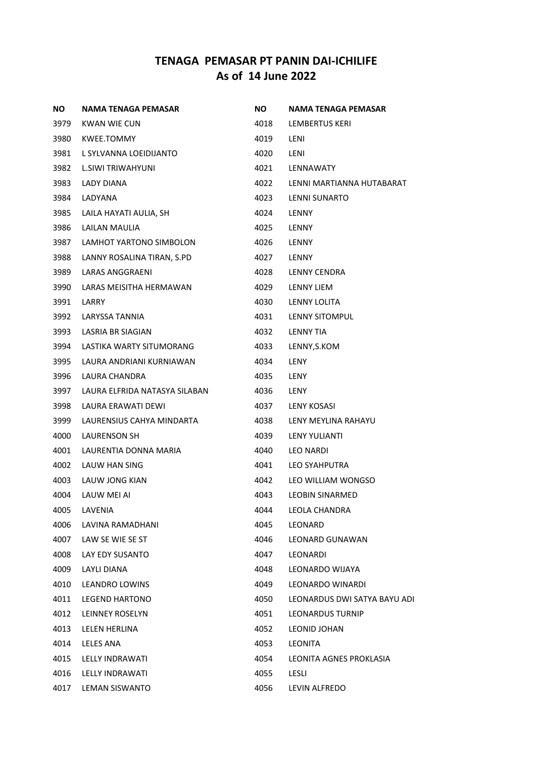| <b>NO</b> | NAMA TENAGA PEMASAR           | <b>NO</b> | <b>NAMA TENAGA PEMASAR</b>   |
|-----------|-------------------------------|-----------|------------------------------|
| 3979      | KWAN WIE CUN                  | 4018      | LEMBERTUS KERI               |
| 3980      | KWEE.TOMMY                    | 4019      | LENI                         |
| 3981      | L SYLVANNA LOEIDIJANTO        | 4020      | LENI                         |
| 3982      | L.SIWI TRIWAHYUNI             | 4021      | LENNAWATY                    |
| 3983      | LADY DIANA                    | 4022      | LENNI MARTIANNA HUTABARAT    |
| 3984      | LADYANA                       | 4023      | LENNI SUNARTO                |
| 3985      | LAILA HAYATI AULIA, SH        | 4024      | <b>LENNY</b>                 |
| 3986      | LAILAN MAULIA                 | 4025      | LENNY                        |
| 3987      | LAMHOT YARTONO SIMBOLON       | 4026      | <b>LENNY</b>                 |
| 3988      | LANNY ROSALINA TIRAN, S.PD    | 4027      | <b>LENNY</b>                 |
| 3989      | LARAS ANGGRAENI               | 4028      | LENNY CENDRA                 |
| 3990      | LARAS MEISITHA HERMAWAN       | 4029      | <b>LENNY LIEM</b>            |
| 3991      | LARRY                         | 4030      | LENNY LOLITA                 |
| 3992      | LARYSSA TANNIA                | 4031      | LENNY SITOMPUL               |
| 3993      | LASRIA BR SIAGIAN             | 4032      | LENNY TIA                    |
| 3994      | LASTIKA WARTY SITUMORANG      | 4033      | LENNY, S.KOM                 |
| 3995      | LAURA ANDRIANI KURNIAWAN      | 4034      | LENY                         |
| 3996      | LAURA CHANDRA                 | 4035      | LENY                         |
| 3997      | LAURA ELFRIDA NATASYA SILABAN | 4036      | LENY                         |
| 3998      | LAURA ERAWATI DEWI            | 4037      | <b>LENY KOSASI</b>           |
| 3999      | LAURENSIUS CAHYA MINDARTA     | 4038      | LENY MEYLINA RAHAYU          |
| 4000      | <b>LAURENSON SH</b>           | 4039      | LENY YULIANTI                |
| 4001      | LAURENTIA DONNA MARIA         | 4040      | <b>LEO NARDI</b>             |
| 4002      | LAUW HAN SING                 | 4041      | LEO SYAHPUTRA                |
| 4003      | LAUW JONG KIAN                | 4042      | LEO WILLIAM WONGSO           |
| 4004      | LAUW MEI AI                   | 4043      | <b>LEOBIN SINARMED</b>       |
| 4005      | LAVENIA                       | 4044      | LEOLA CHANDRA                |
| 4006      | LAVINA RAMADHANI              | 4045      | LEONARD                      |
| 4007      | LAW SE WIE SE ST              | 4046      | LEONARD GUNAWAN              |
| 4008      | LAY EDY SUSANTO               | 4047      | LEONARDI                     |
| 4009      | <b>LAYLI DIANA</b>            | 4048      | LEONARDO WIJAYA              |
| 4010      | <b>LEANDRO LOWINS</b>         | 4049      | <b>LEONARDO WINARDI</b>      |
| 4011      | <b>LEGEND HARTONO</b>         | 4050      | LEONARDUS DWI SATYA BAYU ADI |
| 4012      | LEINNEY ROSELYN               | 4051      | LEONARDUS TURNIP             |
| 4013      | LELEN HERLINA                 | 4052      | LEONID JOHAN                 |
| 4014      | LELES ANA                     | 4053      | LEONITA                      |
| 4015      | LELLY INDRAWATI               | 4054      | LEONITA AGNES PROKLASIA      |
| 4016      | LELLY INDRAWATI               | 4055      | LESLI                        |
| 4017      | LEMAN SISWANTO                | 4056      | LEVIN ALFREDO                |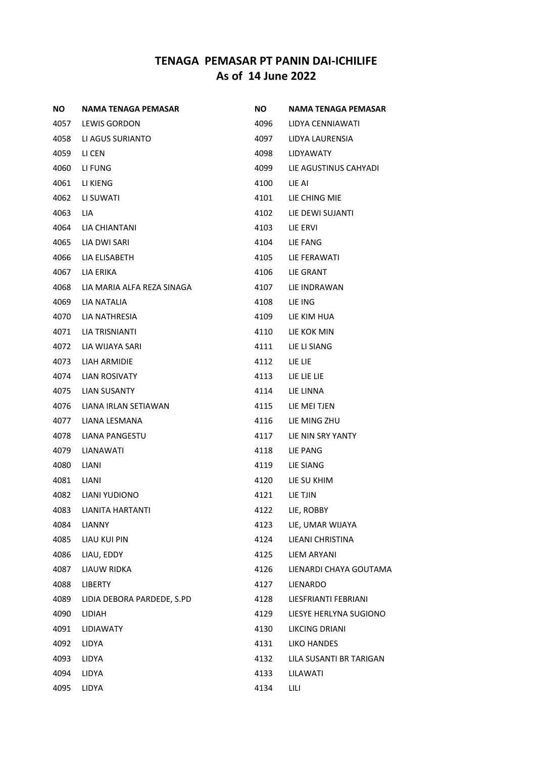| <b>NO</b> | NAMA TENAGA PEMASAR        | ΝO   | NAMA TENAGA PEMASAR     |
|-----------|----------------------------|------|-------------------------|
| 4057      | <b>LEWIS GORDON</b>        | 4096 | LIDYA CENNIAWATI        |
| 4058      | LI AGUS SURIANTO           | 4097 | LIDYA LAURENSIA         |
| 4059      | LI CEN                     | 4098 | <b>LIDYAWATY</b>        |
| 4060      | LI FUNG                    | 4099 | LIE AGUSTINUS CAHYADI   |
| 4061      | LI KIENG                   | 4100 | LIE AI                  |
| 4062      | LI SUWATI                  | 4101 | LIE CHING MIE           |
| 4063      | LIA.                       | 4102 | LIE DEWI SUJANTI        |
| 4064      | LIA CHIANTANI              | 4103 | LIE ERVI                |
| 4065      | LIA DWI SARI               | 4104 | LIE FANG                |
| 4066      | LIA ELISABETH              | 4105 | LIE FERAWATI            |
| 4067      | LIA ERIKA                  | 4106 | LIE GRANT               |
| 4068      | LIA MARIA ALFA REZA SINAGA | 4107 | LIE INDRAWAN            |
| 4069      | <b>LIA NATALIA</b>         | 4108 | LIE ING                 |
| 4070      | LIA NATHRESIA              | 4109 | LIE KIM HUA             |
| 4071      | LIA TRISNIANTI             | 4110 | LIE KOK MIN             |
| 4072      | LIA WIJAYA SARI            | 4111 | LIE LI SIANG            |
| 4073      | LIAH ARMIDIE               | 4112 | LIE LIE                 |
| 4074      | LIAN ROSIVATY              | 4113 | LIE LIE LIE             |
| 4075      | LIAN SUSANTY               | 4114 | LIE LINNA               |
| 4076      | LIANA IRLAN SETIAWAN       | 4115 | LIE MEI TJEN            |
| 4077      | LIANA LESMANA              | 4116 | LIE MING ZHU            |
| 4078      | LIANA PANGESTU             | 4117 | LIE NIN SRY YANTY       |
| 4079      | LIANAWATI                  | 4118 | LIE PANG                |
| 4080      | LIANI                      | 4119 | LIE SIANG               |
| 4081      | LIANI                      | 4120 | LIE SU KHIM             |
| 4082      | <b>LIANI YUDIONO</b>       | 4121 | LIE TJIN                |
| 4083      | <b>LIANITA HARTANTI</b>    | 4122 | LIE, ROBBY              |
| 4084      | <b>LIANNY</b>              | 4123 | LIE, UMAR WIJAYA        |
| 4085      | <b>LIAU KUI PIN</b>        | 4124 | LIEANI CHRISTINA        |
| 4086      | LIAU, EDDY                 | 4125 | <b>LIEM ARYANI</b>      |
| 4087      | LIAUW RIDKA                | 4126 | LIENARDI CHAYA GOUTAMA  |
| 4088      | LIBERTY                    | 4127 | <b>LIENARDO</b>         |
| 4089      | LIDIA DEBORA PARDEDE, S.PD | 4128 | LIESFRIANTI FEBRIANI    |
| 4090      | LIDIAH                     | 4129 | LIESYE HERLYNA SUGIONO  |
| 4091      | <b>LIDIAWATY</b>           | 4130 | LIKCING DRIANI          |
| 4092      | LIDYA                      | 4131 | LIKO HANDES             |
| 4093      | LIDYA                      | 4132 | LILA SUSANTI BR TARIGAN |
| 4094      | LIDYA                      | 4133 | LILAWATI                |
| 4095      | LIDYA                      | 4134 | LILI                    |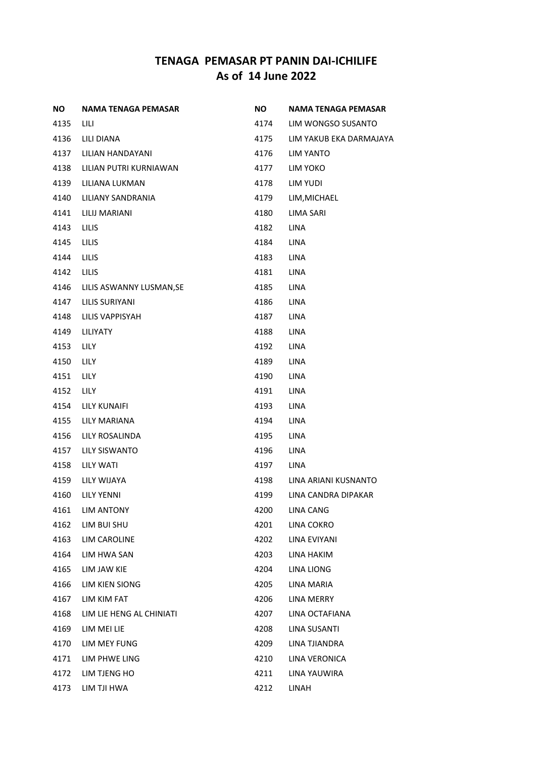| ΝO   | <b>NAMA TENAGA PEMASAR</b> | <b>NO</b> | <b>NAMA TENAGA PEMASAR</b> |
|------|----------------------------|-----------|----------------------------|
| 4135 | LILI                       | 4174      | LIM WONGSO SUSANTO         |
| 4136 | LILI DIANA                 | 4175      | LIM YAKUB EKA DARMAJAYA    |
| 4137 | LILIAN HANDAYANI           | 4176      | <b>LIM YANTO</b>           |
| 4138 | LILIAN PUTRI KURNIAWAN     | 4177      | LIM YOKO                   |
| 4139 | LILIANA LUKMAN             | 4178      | LIM YUDI                   |
| 4140 | LILIANY SANDRANIA          | 4179      | LIM, MICHAEL               |
| 4141 | LILIJ MARIANI              | 4180      | <b>LIMA SARI</b>           |
| 4143 | <b>LILIS</b>               | 4182      | <b>LINA</b>                |
| 4145 | LILIS                      | 4184      | LINA                       |
| 4144 | LILIS                      | 4183      | LINA                       |
| 4142 | LILIS                      | 4181      | LINA                       |
| 4146 | LILIS ASWANNY LUSMAN, SE   | 4185      | <b>LINA</b>                |
| 4147 | LILIS SURIYANI             | 4186      | <b>LINA</b>                |
| 4148 | LILIS VAPPISYAH            | 4187      | <b>LINA</b>                |
| 4149 | LILIYATY                   | 4188      | LINA                       |
| 4153 | LILY                       | 4192      | LINA                       |
| 4150 | LILY                       | 4189      | <b>LINA</b>                |
| 4151 | LILY                       | 4190      | <b>LINA</b>                |
| 4152 | <b>LILY</b>                | 4191      | LINA                       |
| 4154 | LILY KUNAIFI               | 4193      | <b>LINA</b>                |
| 4155 | <b>LILY MARIANA</b>        | 4194      | <b>LINA</b>                |
| 4156 | LILY ROSALINDA             | 4195      | <b>LINA</b>                |
| 4157 | LILY SISWANTO              | 4196      | <b>LINA</b>                |
| 4158 | LILY WATI                  | 4197      | <b>LINA</b>                |
| 4159 | LILY WIJAYA                | 4198      | LINA ARIANI KUSNANTO       |
| 4160 | <b>LILY YENNI</b>          | 4199      | LINA CANDRA DIPAKAR        |
| 4161 | <b>LIM ANTONY</b>          | 4200      | <b>LINA CANG</b>           |
| 4162 | LIM BUI SHU                | 4201      | LINA COKRO                 |
| 4163 | LIM CAROLINE               | 4202      | LINA EVIYANI               |
| 4164 | LIM HWA SAN                | 4203      | LINA HAKIM                 |
| 4165 | LIM JAW KIE                | 4204      | LINA LIONG                 |
| 4166 | LIM KIEN SIONG             | 4205      | LINA MARIA                 |
| 4167 | LIM KIM FAT                | 4206      | <b>LINA MERRY</b>          |
| 4168 | LIM LIE HENG AL CHINIATI   | 4207      | LINA OCTAFIANA             |
| 4169 | LIM MEI LIE                | 4208      | LINA SUSANTI               |
| 4170 | LIM MEY FUNG               | 4209      | LINA TJIANDRA              |
| 4171 | LIM PHWE LING              | 4210      | LINA VERONICA              |
| 4172 | LIM TJENG HO               | 4211      | LINA YAUWIRA               |
| 4173 | LIM TJI HWA                | 4212      | LINAH                      |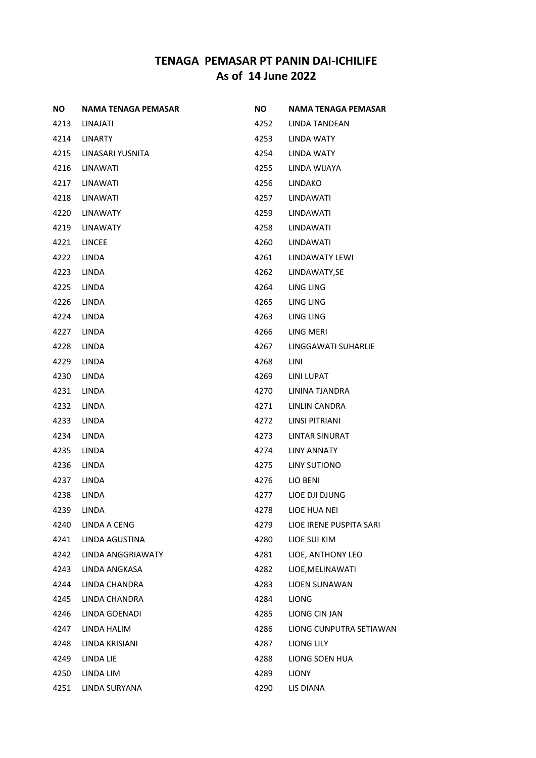| ΝO   | <b>NAMA TENAGA PEMASAR</b> | NO.  | <b>NAMA TENAGA PEMASAR</b> |
|------|----------------------------|------|----------------------------|
| 4213 | LINAJATI                   | 4252 | LINDA TANDEAN              |
| 4214 | <b>LINARTY</b>             | 4253 | LINDA WATY                 |
| 4215 | LINASARI YUSNITA           | 4254 | LINDA WATY                 |
| 4216 | <b>LINAWATI</b>            | 4255 | LINDA WIJAYA               |
| 4217 | LINAWATI                   | 4256 | <b>LINDAKO</b>             |
| 4218 | <b>LINAWATI</b>            | 4257 | LINDAWATI                  |
| 4220 | <b>LINAWATY</b>            | 4259 | LINDAWATI                  |
| 4219 | <b>LINAWATY</b>            | 4258 | LINDAWATI                  |
| 4221 | <b>LINCEE</b>              | 4260 | LINDAWATI                  |
| 4222 | <b>LINDA</b>               | 4261 | LINDAWATY LEWI             |
| 4223 | LINDA                      | 4262 | LINDAWATY, SE              |
| 4225 | <b>LINDA</b>               | 4264 | LING LING                  |
| 4226 | <b>LINDA</b>               | 4265 | LING LING                  |
| 4224 | LINDA                      | 4263 | LING LING                  |
| 4227 | <b>LINDA</b>               | 4266 | LING MERI                  |
| 4228 | LINDA                      | 4267 | LINGGAWATI SUHARLIE        |
| 4229 | LINDA                      | 4268 | LINI                       |
| 4230 | <b>LINDA</b>               | 4269 | LINI LUPAT                 |
| 4231 | LINDA                      | 4270 | LININA TJANDRA             |
| 4232 | <b>LINDA</b>               | 4271 | LINLIN CANDRA              |
| 4233 | <b>LINDA</b>               | 4272 | LINSI PITRIANI             |
| 4234 | LINDA                      | 4273 | LINTAR SINURAT             |
| 4235 | <b>LINDA</b>               | 4274 | LINY ANNATY                |
| 4236 | LINDA                      | 4275 | LINY SUTIONO               |
| 4237 | LINDA                      | 4276 | LIO BENI                   |
| 4238 | <b>LINDA</b>               | 4277 | LIOE DJI DJUNG             |
| 4239 | LINDA                      | 4278 | LIOE HUA NEI               |
| 4240 | <b>LINDA A CENG</b>        | 4279 | LIOE IRENE PUSPITA SARI    |
| 4241 | LINDA AGUSTINA             | 4280 | LIOE SUI KIM               |
| 4242 | LINDA ANGGRIAWATY          | 4281 | LIOE, ANTHONY LEO          |
| 4243 | LINDA ANGKASA              | 4282 | LIOE, MELINAWATI           |
| 4244 | LINDA CHANDRA              | 4283 | <b>LIOEN SUNAWAN</b>       |
| 4245 | LINDA CHANDRA              | 4284 | <b>LIONG</b>               |
| 4246 | LINDA GOENADI              | 4285 | LIONG CIN JAN              |
| 4247 | LINDA HALIM                | 4286 | LIONG CUNPUTRA SETIAWAN    |
| 4248 | LINDA KRISIANI             | 4287 | LIONG LILY                 |
| 4249 | LINDA LIE                  | 4288 | LIONG SOEN HUA             |
| 4250 | LINDA LIM                  | 4289 | LIONY                      |
| 4251 | LINDA SURYANA              | 4290 | LIS DIANA                  |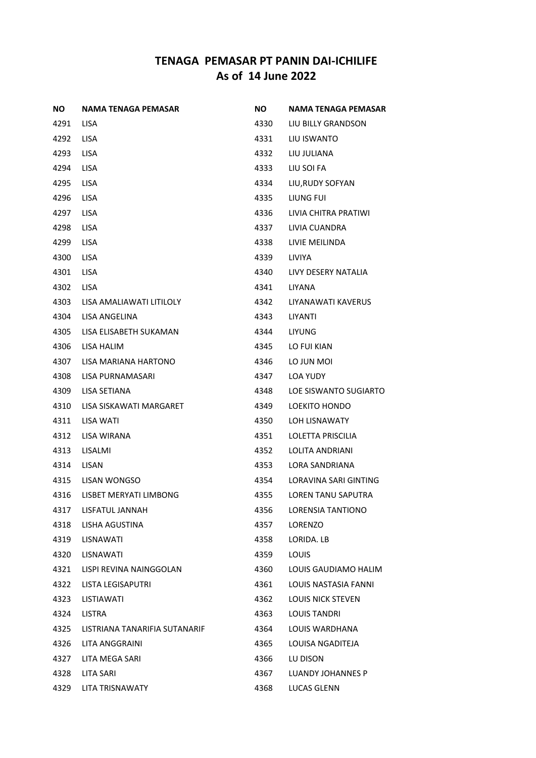| <b>NO</b> | NAMA TENAGA PEMASAR           | ΝO   | NAMA TENAGA PEMASAR          |
|-----------|-------------------------------|------|------------------------------|
| 4291      | <b>LISA</b>                   | 4330 | LIU BILLY GRANDSON           |
| 4292      | <b>LISA</b>                   | 4331 | LIU ISWANTO                  |
| 4293      | <b>LISA</b>                   | 4332 | LIU JULIANA                  |
| 4294      | <b>LISA</b>                   | 4333 | LIU SOI FA                   |
| 4295      | <b>LISA</b>                   | 4334 | LIU, RUDY SOFYAN             |
| 4296      | <b>LISA</b>                   | 4335 | LIUNG FUI                    |
| 4297      | <b>LISA</b>                   | 4336 | LIVIA CHITRA PRATIWI         |
| 4298      | <b>LISA</b>                   | 4337 | LIVIA CUANDRA                |
| 4299      | <b>LISA</b>                   | 4338 | LIVIE MEILINDA               |
| 4300      | <b>LISA</b>                   | 4339 | LIVIYA                       |
| 4301      | <b>LISA</b>                   | 4340 | LIVY DESERY NATALIA          |
| 4302      | <b>LISA</b>                   | 4341 | <b>LIYANA</b>                |
| 4303      | LISA AMALIAWATI LITILOLY      | 4342 | LIYANAWATI KAVERUS           |
| 4304      | LISA ANGELINA                 | 4343 | LIYANTI                      |
| 4305      | LISA ELISABETH SUKAMAN        | 4344 | <b>LIYUNG</b>                |
| 4306      | LISA HALIM                    | 4345 | LO FUI KIAN                  |
| 4307      | LISA MARIANA HARTONO          | 4346 | LO JUN MOI                   |
| 4308      | LISA PURNAMASARI              | 4347 | LOA YUDY                     |
| 4309      | LISA SETIANA                  | 4348 | LOE SISWANTO SUGIARTO        |
| 4310      | LISA SISKAWATI MARGARET       | 4349 | LOEKITO HONDO                |
| 4311      | LISA WATI                     | 4350 | LOH LISNAWATY                |
| 4312      | LISA WIRANA                   | 4351 | LOLETTA PRISCILIA            |
| 4313      | LISALMI                       | 4352 | <b>LOLITA ANDRIANI</b>       |
| 4314      | <b>LISAN</b>                  | 4353 | LORA SANDRIANA               |
| 4315      | LISAN WONGSO                  | 4354 | <b>LORAVINA SARI GINTING</b> |
| 4316      | LISBET MERYATI LIMBONG        | 4355 | <b>LOREN TANU SAPUTRA</b>    |
| 4317      | LISFATUL JANNAH               | 4356 | <b>LORENSIA TANTIONO</b>     |
| 4318      | LISHA AGUSTINA                | 4357 | <b>LORENZO</b>               |
| 4319      | LISNAWATI                     | 4358 | LORIDA. LB                   |
| 4320      | LISNAWATI                     | 4359 | <b>LOUIS</b>                 |
| 4321      | LISPI REVINA NAINGGOLAN       | 4360 | LOUIS GAUDIAMO HALIM         |
| 4322      | LISTA LEGISAPUTRI             | 4361 | LOUIS NASTASIA FANNI         |
| 4323      | LISTIAWATI                    | 4362 | <b>LOUIS NICK STEVEN</b>     |
| 4324      | LISTRA                        | 4363 | <b>LOUIS TANDRI</b>          |
| 4325      | LISTRIANA TANARIFIA SUTANARIF | 4364 | LOUIS WARDHANA               |
| 4326      | LITA ANGGRAINI                | 4365 | LOUISA NGADITEJA             |
| 4327      | LITA MEGA SARI                | 4366 | LU DISON                     |
| 4328      | LITA SARI                     | 4367 | LUANDY JOHANNES P            |
| 4329      | LITA TRISNAWATY               | 4368 | LUCAS GLENN                  |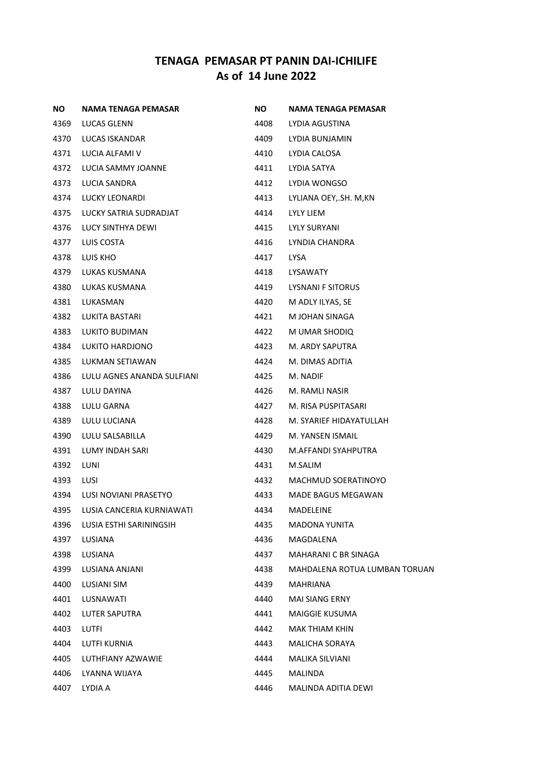| <b>NO</b> | NAMA TENAGA PEMASAR        | <b>NO</b> | NAMA TENAGA PEMASAR           |
|-----------|----------------------------|-----------|-------------------------------|
| 4369      | LUCAS GLENN                | 4408      | LYDIA AGUSTINA                |
| 4370      | LUCAS ISKANDAR             | 4409      | LYDIA BUNJAMIN                |
| 4371      | LUCIA ALFAMI V             | 4410      | LYDIA CALOSA                  |
| 4372      | LUCIA SAMMY JOANNE         | 4411      | LYDIA SATYA                   |
| 4373      | LUCIA SANDRA               | 4412      | LYDIA WONGSO                  |
| 4374      | LUCKY LEONARDI             | 4413      | LYLIANA OEY, SH. M, KN        |
| 4375      | LUCKY SATRIA SUDRADJAT     | 4414      | LYLY LIEM                     |
| 4376      | LUCY SINTHYA DEWI          | 4415      | LYLY SURYANI                  |
| 4377      | LUIS COSTA                 | 4416      | LYNDIA CHANDRA                |
| 4378      | LUIS KHO                   | 4417      | <b>LYSA</b>                   |
| 4379      | LUKAS KUSMANA              | 4418      | LYSAWATY                      |
| 4380      | LUKAS KUSMANA              | 4419      | <b>LYSNANI F SITORUS</b>      |
| 4381      | LUKASMAN                   | 4420      | M ADLY ILYAS, SE              |
| 4382      | LUKITA BASTARI             | 4421      | M JOHAN SINAGA                |
| 4383      | LUKITO BUDIMAN             | 4422      | M UMAR SHODIQ                 |
| 4384      | LUKITO HARDJONO            | 4423      | M. ARDY SAPUTRA               |
| 4385      | LUKMAN SETIAWAN            | 4424      | M. DIMAS ADITIA               |
| 4386      | LULU AGNES ANANDA SULFIANI | 4425      | M. NADIF                      |
| 4387      | LULU DAYINA                | 4426      | M. RAMLI NASIR                |
| 4388      | LULU GARNA                 | 4427      | M. RISA PUSPITASARI           |
| 4389      | LULU LUCIANA               | 4428      | M. SYARIEF HIDAYATULLAH       |
| 4390      | LULU SALSABILLA            | 4429      | M. YANSEN ISMAIL              |
| 4391      | LUMY INDAH SARI            | 4430      | M.AFFANDI SYAHPUTRA           |
| 4392      | LUNI                       | 4431      | M.SALIM                       |
| 4393      | LUSI                       | 4432      | MACHMUD SOERATINOYO           |
| 4394      | LUSI NOVIANI PRASETYO      | 4433      | MADE BAGUS MEGAWAN            |
| 4395      | LUSIA CANCERIA KURNIAWATI  | 4434      | MADELEINE                     |
| 4396      | LUSIA ESTHI SARININGSIH    | 4435      | <b>MADONA YUNITA</b>          |
| 4397      | LUSIANA                    | 4436      | MAGDALENA                     |
| 4398      | LUSIANA                    | 4437      | MAHARANI C BR SINAGA          |
| 4399      | LUSIANA ANJANI             | 4438      | MAHDALENA ROTUA LUMBAN TORUAN |
| 4400      | LUSIANI SIM                | 4439      | <b>MAHRIANA</b>               |
| 4401      | LUSNAWATI                  | 4440      | <b>MAI SIANG ERNY</b>         |
| 4402      | LUTER SAPUTRA              | 4441      | MAIGGIE KUSUMA                |
| 4403      | LUTFI                      | 4442      | MAK THIAM KHIN                |
| 4404      | LUTFI KURNIA               | 4443      | MALICHA SORAYA                |
| 4405      | LUTHFIANY AZWAWIE          | 4444      | MALIKA SILVIANI               |
| 4406      | LYANNA WIJAYA              | 4445      | MALINDA                       |
| 4407      | LYDIA A                    | 4446      | MALINDA ADITIA DEWI           |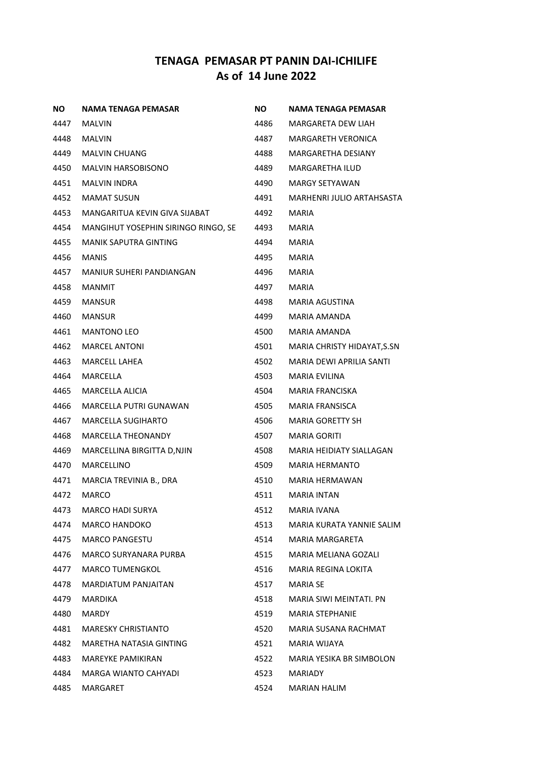| ΝO   | NAMA TENAGA PEMASAR                 | NO.  | NAMA TENAGA PEMASAR         |
|------|-------------------------------------|------|-----------------------------|
| 4447 | <b>MALVIN</b>                       | 4486 | MARGARETA DEW LIAH          |
| 4448 | <b>MALVIN</b>                       | 4487 | <b>MARGARETH VERONICA</b>   |
| 4449 | <b>MALVIN CHUANG</b>                | 4488 | <b>MARGARETHA DESIANY</b>   |
| 4450 | <b>MALVIN HARSOBISONO</b>           | 4489 | <b>MARGARETHA ILUD</b>      |
| 4451 | MALVIN INDRA                        | 4490 | <b>MARGY SETYAWAN</b>       |
| 4452 | <b>MAMAT SUSUN</b>                  | 4491 | MARHENRI JULIO ARTAHSASTA   |
| 4453 | MANGARITUA KEVIN GIVA SIJABAT       | 4492 | <b>MARIA</b>                |
| 4454 | MANGIHUT YOSEPHIN SIRINGO RINGO, SE | 4493 | <b>MARIA</b>                |
| 4455 | MANIK SAPUTRA GINTING               | 4494 | MARIA                       |
| 4456 | <b>MANIS</b>                        | 4495 | MARIA                       |
| 4457 | MANIUR SUHERI PANDIANGAN            | 4496 | MARIA                       |
| 4458 | MANMIT                              | 4497 | <b>MARIA</b>                |
| 4459 | <b>MANSUR</b>                       | 4498 | MARIA AGUSTINA              |
| 4460 | <b>MANSUR</b>                       | 4499 | <b>MARIA AMANDA</b>         |
| 4461 | <b>MANTONO LEO</b>                  | 4500 | MARIA AMANDA                |
| 4462 | <b>MARCEL ANTONI</b>                | 4501 | MARIA CHRISTY HIDAYAT, S.SN |
| 4463 | <b>MARCELL LAHEA</b>                | 4502 | MARIA DEWI APRILIA SANTI    |
| 4464 | MARCELLA                            | 4503 | <b>MARIA EVILINA</b>        |
| 4465 | MARCELLA ALICIA                     | 4504 | MARIA FRANCISKA             |
| 4466 | <b>MARCELLA PUTRI GUNAWAN</b>       | 4505 | <b>MARIA FRANSISCA</b>      |
| 4467 | <b>MARCELLA SUGIHARTO</b>           | 4506 | <b>MARIA GORETTY SH</b>     |
| 4468 | <b>MARCELLA THEONANDY</b>           | 4507 | <b>MARIA GORITI</b>         |
| 4469 | MARCELLINA BIRGITTA D, NJIN         | 4508 | MARIA HEIDIATY SIALLAGAN    |
| 4470 | <b>MARCELLINO</b>                   | 4509 | MARIA HERMANTO              |
| 4471 | MARCIA TREVINIA B., DRA             | 4510 | MARIA HERMAWAN              |
| 4472 | <b>MARCO</b>                        | 4511 | <b>MARIA INTAN</b>          |
| 4473 | <b>MARCO HADI SURYA</b>             | 4512 | <b>MARIA IVANA</b>          |
| 4474 | <b>MARCO HANDOKO</b>                | 4513 | MARIA KURATA YANNIE SALIM   |
| 4475 | <b>MARCO PANGESTU</b>               | 4514 | MARIA MARGARETA             |
| 4476 | <b>MARCO SURYANARA PURBA</b>        | 4515 | MARIA MELIANA GOZALI        |
| 4477 | <b>MARCO TUMENGKOL</b>              | 4516 | MARIA REGINA LOKITA         |
| 4478 | <b>MARDIATUM PANJAITAN</b>          | 4517 | <b>MARIA SE</b>             |
| 4479 | MARDIKA                             | 4518 | MARIA SIWI MEINTATI. PN     |
| 4480 | MARDY                               | 4519 | <b>MARIA STEPHANIE</b>      |
| 4481 | <b>MARESKY CHRISTIANTO</b>          | 4520 | MARIA SUSANA RACHMAT        |
| 4482 | MARETHA NATASIA GINTING             | 4521 | MARIA WIJAYA                |
| 4483 | <b>MAREYKE PAMIKIRAN</b>            | 4522 | MARIA YESIKA BR SIMBOLON    |
| 4484 | MARGA WIANTO CAHYADI                | 4523 | <b>MARIADY</b>              |
| 4485 | MARGARET                            | 4524 | MARIAN HALIM                |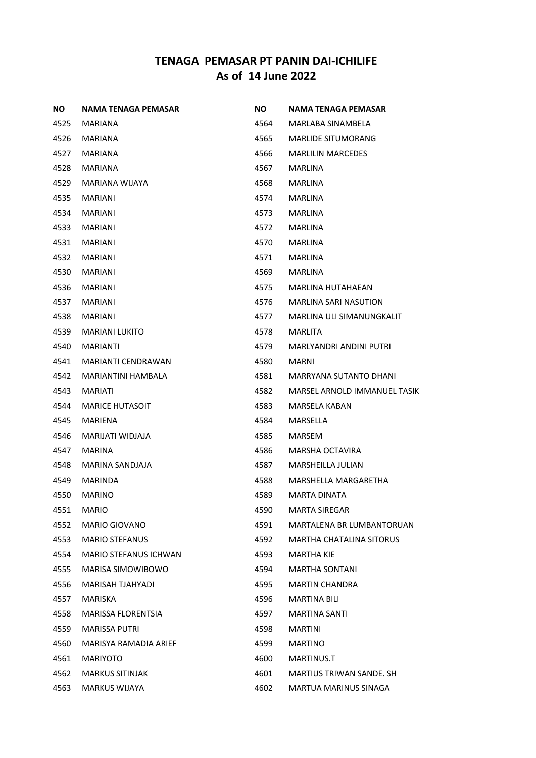| <b>NO</b> | <b>NAMA TENAGA PEMASAR</b>   | NO.  | <b>NAMA TENAGA PEMASAR</b>      |
|-----------|------------------------------|------|---------------------------------|
| 4525      | MARIANA                      | 4564 | MARLABA SINAMBELA               |
| 4526      | MARIANA                      | 4565 | <b>MARLIDE SITUMORANG</b>       |
| 4527      | MARIANA                      | 4566 | <b>MARLILIN MARCEDES</b>        |
| 4528      | MARIANA                      | 4567 | <b>MARLINA</b>                  |
| 4529      | MARIANA WIJAYA               | 4568 | MARLINA                         |
| 4535      | <b>MARIANI</b>               | 4574 | <b>MARLINA</b>                  |
| 4534      | <b>MARIANI</b>               | 4573 | <b>MARLINA</b>                  |
| 4533      | <b>MARIANI</b>               | 4572 | <b>MARLINA</b>                  |
| 4531      | MARIANI                      | 4570 | MARLINA                         |
| 4532      | MARIANI                      | 4571 | MARLINA                         |
| 4530      | MARIANI                      | 4569 | MARLINA                         |
| 4536      | <b>MARIANI</b>               | 4575 | <b>MARLINA HUTAHAEAN</b>        |
| 4537      | <b>MARIANI</b>               | 4576 | <b>MARLINA SARI NASUTION</b>    |
| 4538      | <b>MARIANI</b>               | 4577 | MARLINA ULI SIMANUNGKALIT       |
| 4539      | <b>MARIANI LUKITO</b>        | 4578 | MARLITA                         |
| 4540      | <b>MARIANTI</b>              | 4579 | MARLYANDRI ANDINI PUTRI         |
| 4541      | <b>MARIANTI CENDRAWAN</b>    | 4580 | <b>MARNI</b>                    |
| 4542      | MARIANTINI HAMBALA           | 4581 | <b>MARRYANA SUTANTO DHANI</b>   |
| 4543      | <b>MARIATI</b>               | 4582 | MARSEL ARNOLD IMMANUEL TASIK    |
| 4544      | <b>MARICE HUTASOIT</b>       | 4583 | MARSELA KABAN                   |
| 4545      | MARIENA                      | 4584 | MARSELLA                        |
| 4546      | MARIJATI WIDJAJA             | 4585 | <b>MARSEM</b>                   |
| 4547      | <b>MARINA</b>                | 4586 | MARSHA OCTAVIRA                 |
| 4548      | MARINA SANDJAJA              | 4587 | MARSHEILLA JULIAN               |
| 4549      | <b>MARINDA</b>               | 4588 | MARSHELLA MARGARETHA            |
| 4550      | <b>MARINO</b>                | 4589 | <b>MARTA DINATA</b>             |
| 4551      | <b>MARIO</b>                 | 4590 | <b>MARTA SIREGAR</b>            |
| 4552      | <b>MARIO GIOVANO</b>         | 4591 | MARTALENA BR LUMBANTORUAN       |
| 4553      | <b>MARIO STEFANUS</b>        | 4592 | <b>MARTHA CHATALINA SITORUS</b> |
| 4554      | <b>MARIO STEFANUS ICHWAN</b> | 4593 | <b>MARTHA KIE</b>               |
| 4555      | MARISA SIMOWIBOWO            | 4594 | <b>MARTHA SONTANI</b>           |
| 4556      | MARISAH TJAHYADI             | 4595 | <b>MARTIN CHANDRA</b>           |
| 4557      | MARISKA                      | 4596 | <b>MARTINA BILI</b>             |
| 4558      | MARISSA FLORENTSIA           | 4597 | <b>MARTINA SANTI</b>            |
| 4559      | <b>MARISSA PUTRI</b>         | 4598 | <b>MARTINI</b>                  |
| 4560      | MARISYA RAMADIA ARIEF        | 4599 | <b>MARTINO</b>                  |
| 4561      | <b>MARIYOTO</b>              | 4600 | MARTINUS.T                      |
| 4562      | <b>MARKUS SITINJAK</b>       | 4601 | MARTIUS TRIWAN SANDE. SH        |
| 4563      | <b>MARKUS WIJAYA</b>         | 4602 | <b>MARTUA MARINUS SINAGA</b>    |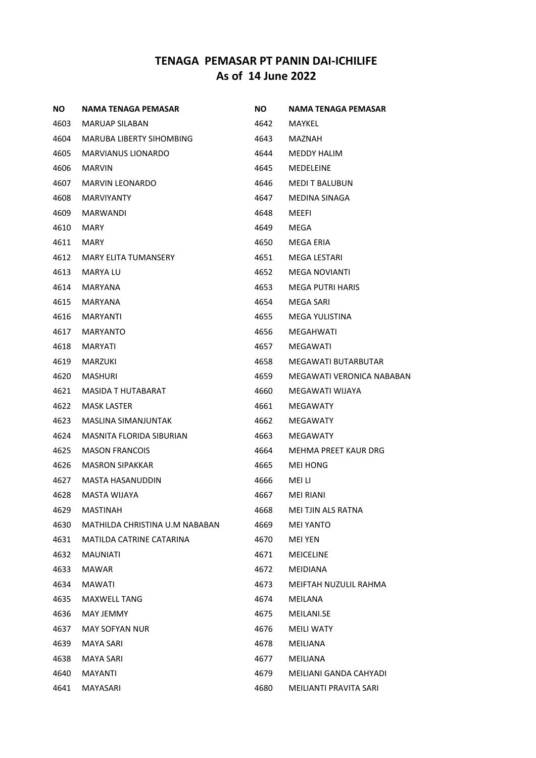| ΝO   | <b>NAMA TENAGA PEMASAR</b>     | NO.  | NAMA TENAGA PEMASAR       |
|------|--------------------------------|------|---------------------------|
| 4603 | MARUAP SILABAN                 | 4642 | MAYKEL                    |
| 4604 | MARUBA LIBERTY SIHOMBING       | 4643 | MAZNAH                    |
| 4605 | <b>MARVIANUS LIONARDO</b>      | 4644 | MEDDY HALIM               |
| 4606 | <b>MARVIN</b>                  | 4645 | MEDELEINE                 |
| 4607 | MARVIN LEONARDO                | 4646 | <b>MEDIT BALUBUN</b>      |
| 4608 | <b>MARVIYANTY</b>              | 4647 | MEDINA SINAGA             |
| 4609 | <b>MARWANDI</b>                | 4648 | MEEFI                     |
| 4610 | <b>MARY</b>                    | 4649 | MEGA                      |
| 4611 | MARY                           | 4650 | MEGA ERIA                 |
| 4612 | MARY ELITA TUMANSERY           | 4651 | MEGA LESTARI              |
| 4613 | MARYA LU                       | 4652 | MEGA NOVIANTI             |
| 4614 | MARYANA                        | 4653 | <b>MEGA PUTRI HARIS</b>   |
| 4615 | <b>MARYANA</b>                 | 4654 | MEGA SARI                 |
| 4616 | MARYANTI                       | 4655 | MEGA YULISTINA            |
| 4617 | <b>MARYANTO</b>                | 4656 | MEGAHWATI                 |
| 4618 | <b>MARYATI</b>                 | 4657 | MEGAWATI                  |
| 4619 | <b>MARZUKI</b>                 | 4658 | MEGAWATI BUTARBUTAR       |
| 4620 | <b>MASHURI</b>                 | 4659 | MEGAWATI VERONICA NABABAN |
| 4621 | MASIDA T HUTABARAT             | 4660 | MEGAWATI WIJAYA           |
| 4622 | <b>MASK LASTER</b>             | 4661 | <b>MEGAWATY</b>           |
| 4623 | MASLINA SIMANJUNTAK            | 4662 | <b>MEGAWATY</b>           |
| 4624 | MASNITA FLORIDA SIBURIAN       | 4663 | <b>MEGAWATY</b>           |
| 4625 | <b>MASON FRANCOIS</b>          | 4664 | MEHMA PREET KAUR DRG      |
| 4626 | <b>MASRON SIPAKKAR</b>         | 4665 | <b>MEI HONG</b>           |
| 4627 | MASTA HASANUDDIN               | 4666 | MEI LI                    |
| 4628 | MASTA WIJAYA                   | 4667 | <b>MEI RIANI</b>          |
| 4629 | <b>MASTINAH</b>                | 4668 | MEI TJIN ALS RATNA        |
| 4630 | MATHILDA CHRISTINA U.M NABABAN | 4669 | <b>MEI YANTO</b>          |
| 4631 | MATILDA CATRINE CATARINA       | 4670 | <b>MEI YEN</b>            |
| 4632 | <b>MAUNIATI</b>                | 4671 | <b>MEICELINE</b>          |
| 4633 | MAWAR                          | 4672 | <b>MEIDIANA</b>           |
| 4634 | <b>MAWATI</b>                  | 4673 | MEIFTAH NUZULIL RAHMA     |
| 4635 | <b>MAXWELL TANG</b>            | 4674 | MEILANA                   |
| 4636 | MAY JEMMY                      | 4675 | MEILANI.SE                |
| 4637 | <b>MAY SOFYAN NUR</b>          | 4676 | <b>MEILI WATY</b>         |
| 4639 | <b>MAYA SARI</b>               | 4678 | MEILIANA                  |
| 4638 | <b>MAYA SARI</b>               | 4677 | MEILIANA                  |
| 4640 | <b>MAYANTI</b>                 | 4679 | MEILIANI GANDA CAHYADI    |
| 4641 | MAYASARI                       | 4680 | MEILIANTI PRAVITA SARI    |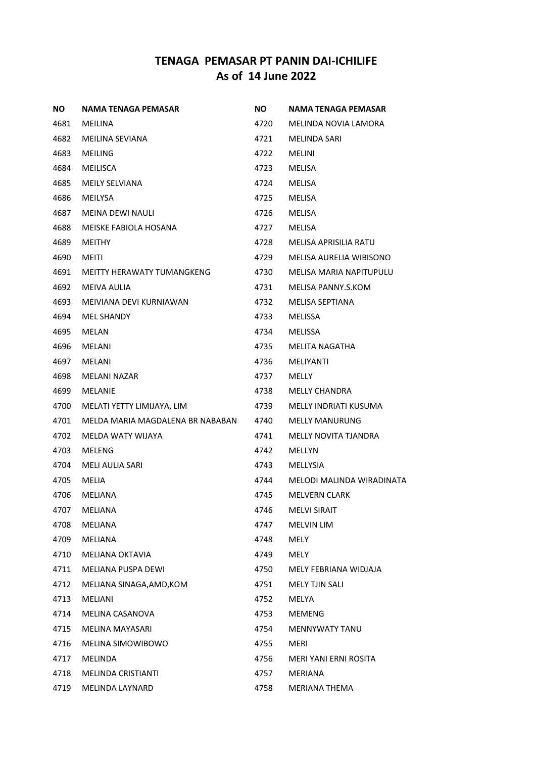| ΝO   | NAMA TENAGA PEMASAR              | NO.  | NAMA TENAGA PEMASAR          |
|------|----------------------------------|------|------------------------------|
| 4681 | MEILINA                          | 4720 | MELINDA NOVIA LAMORA         |
| 4682 | MEILINA SEVIANA                  | 4721 | <b>MELINDA SARI</b>          |
| 4683 | MEILING                          | 4722 | MELINI                       |
| 4684 | <b>MEILISCA</b>                  | 4723 | <b>MELISA</b>                |
| 4685 | <b>MEILY SELVIANA</b>            | 4724 | MELISA                       |
| 4686 | <b>MEILYSA</b>                   | 4725 | MELISA                       |
| 4687 | <b>MEINA DEWI NAULI</b>          | 4726 | MELISA                       |
| 4688 | MEISKE FABIOLA HOSANA            | 4727 | <b>MELISA</b>                |
| 4689 | MEITHY                           | 4728 | MELISA APRISILIA RATU        |
| 4690 | MEITI                            | 4729 | MELISA AURELIA WIBISONO      |
| 4691 | MEITTY HERAWATY TUMANGKENG       | 4730 | MELISA MARIA NAPITUPULU      |
| 4692 | MEIVA AULIA                      | 4731 | MELISA PANNY.S.KOM           |
| 4693 | MEIVIANA DEVI KURNIAWAN          | 4732 | MELISA SEPTIANA              |
| 4694 | <b>MEL SHANDY</b>                | 4733 | <b>MELISSA</b>               |
| 4695 | MELAN                            | 4734 | MELISSA                      |
| 4696 | MELANI                           | 4735 | MELITA NAGATHA               |
| 4697 | MELANI                           | 4736 | <b>MELIYANTI</b>             |
| 4698 | MELANI NAZAR                     | 4737 | MELLY                        |
| 4699 | MELANIE                          | 4738 | <b>MELLY CHANDRA</b>         |
| 4700 | MELATI YETTY LIMIJAYA, LIM       | 4739 | MELLY INDRIATI KUSUMA        |
| 4701 | MELDA MARIA MAGDALENA BR NABABAN | 4740 | <b>MELLY MANURUNG</b>        |
| 4702 | MELDA WATY WIJAYA                | 4741 | MELLY NOVITA TJANDRA         |
| 4703 | MELENG                           | 4742 | MELLYN                       |
| 4704 | <b>MELI AULIA SARI</b>           | 4743 | MELLYSIA                     |
| 4705 | MELIA                            | 4744 | MELODI MALINDA WIRADINATA    |
| 4706 | MELIANA                          | 4745 | <b>MELVERN CLARK</b>         |
| 4707 | MELIANA                          | 4746 | <b>MELVI SIRAIT</b>          |
| 4708 | MELIANA                          | 4747 | <b>MELVIN LIM</b>            |
| 4709 | MELIANA                          | 4748 | MELY                         |
| 4710 | <b>MELIANA OKTAVIA</b>           | 4749 | MELY                         |
| 4711 | <b>MELIANA PUSPA DEWI</b>        | 4750 | MELY FEBRIANA WIDJAJA        |
| 4712 | MELIANA SINAGA, AMD, KOM         | 4751 | MELY TJIN SALI               |
| 4713 | MELIANI                          | 4752 | MELYA                        |
| 4714 | MELINA CASANOVA                  | 4753 | <b>MEMENG</b>                |
| 4715 | MELINA MAYASARI                  | 4754 | <b>MENNYWATY TANU</b>        |
| 4716 | MELINA SIMOWIBOWO                | 4755 | MERI                         |
| 4717 | <b>MELINDA</b>                   | 4756 | <b>MERI YANI ERNI ROSITA</b> |
| 4718 | <b>MELINDA CRISTIANTI</b>        | 4757 | MERIANA                      |
| 4719 | MELINDA LAYNARD                  | 4758 | MERIANA THEMA                |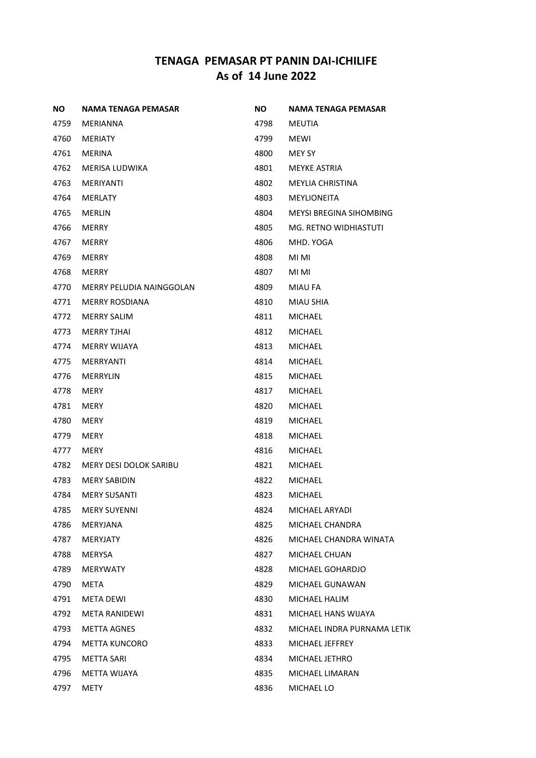| <b>NO</b> | <b>NAMA TENAGA PEMASAR</b>    | ΝO   | NAMA TENAGA PEMASAR            |
|-----------|-------------------------------|------|--------------------------------|
| 4759      | MERIANNA                      | 4798 | <b>MEUTIA</b>                  |
| 4760      | <b>MERIATY</b>                | 4799 | <b>MEWI</b>                    |
| 4761      | <b>MERINA</b>                 | 4800 | MEY SY                         |
| 4762      | MERISA LUDWIKA                | 4801 | MEYKE ASTRIA                   |
| 4763      | <b>MERIYANTI</b>              | 4802 | MEYLIA CHRISTINA               |
| 4764      | <b>MERLATY</b>                | 4803 | <b>MEYLIONEITA</b>             |
| 4765      | <b>MERLIN</b>                 | 4804 | <b>MEYSI BREGINA SIHOMBING</b> |
| 4766      | <b>MERRY</b>                  | 4805 | MG. RETNO WIDHIASTUTI          |
| 4767      | <b>MERRY</b>                  | 4806 | MHD. YOGA                      |
| 4769      | <b>MERRY</b>                  | 4808 | MI MI                          |
| 4768      | <b>MERRY</b>                  | 4807 | MI MI                          |
| 4770      | MERRY PELUDIA NAINGGOLAN      | 4809 | <b>MIAU FA</b>                 |
| 4771      | <b>MERRY ROSDIANA</b>         | 4810 | <b>MIAU SHIA</b>               |
| 4772      | <b>MERRY SALIM</b>            | 4811 | <b>MICHAEL</b>                 |
| 4773      | <b>MERRY TJHAI</b>            | 4812 | <b>MICHAEL</b>                 |
| 4774      | <b>MERRY WIJAYA</b>           | 4813 | <b>MICHAEL</b>                 |
| 4775      | <b>MERRYANTI</b>              | 4814 | <b>MICHAEL</b>                 |
| 4776      | <b>MERRYLIN</b>               | 4815 | <b>MICHAEL</b>                 |
| 4778      | <b>MERY</b>                   | 4817 | MICHAEL                        |
| 4781      | <b>MERY</b>                   | 4820 | <b>MICHAEL</b>                 |
| 4780      | MERY                          | 4819 | <b>MICHAEL</b>                 |
| 4779      | <b>MERY</b>                   | 4818 | MICHAEL                        |
| 4777      | MERY                          | 4816 | <b>MICHAEL</b>                 |
| 4782      | <b>MERY DESI DOLOK SARIBU</b> | 4821 | MICHAEL                        |
| 4783      | <b>MERY SABIDIN</b>           | 4822 | MICHAEL                        |
| 4784      | <b>MERY SUSANTI</b>           | 4823 | <b>MICHAEL</b>                 |
| 4785      | <b>MERY SUYENNI</b>           | 4824 | MICHAEL ARYADI                 |
| 4786      | MERYJANA                      | 4825 | MICHAEL CHANDRA                |
| 4787      | MERYJATY                      | 4826 | MICHAEL CHANDRA WINATA         |
| 4788      | <b>MERYSA</b>                 | 4827 | MICHAEL CHUAN                  |
| 4789      | <b>MERYWATY</b>               | 4828 | MICHAEL GOHARDJO               |
| 4790      | META                          | 4829 | MICHAEL GUNAWAN                |
| 4791      | <b>META DEWI</b>              | 4830 | MICHAEL HALIM                  |
| 4792      | <b>META RANIDEWI</b>          | 4831 | MICHAEL HANS WIJAYA            |
| 4793      | <b>METTA AGNES</b>            | 4832 | MICHAEL INDRA PURNAMA LETIK    |
| 4794      | <b>METTA KUNCORO</b>          | 4833 | MICHAEL JEFFREY                |
| 4795      | METTA SARI                    | 4834 | MICHAEL JETHRO                 |
| 4796      | METTA WIJAYA                  | 4835 | MICHAEL LIMARAN                |
| 4797      | METY                          | 4836 | MICHAEL LO                     |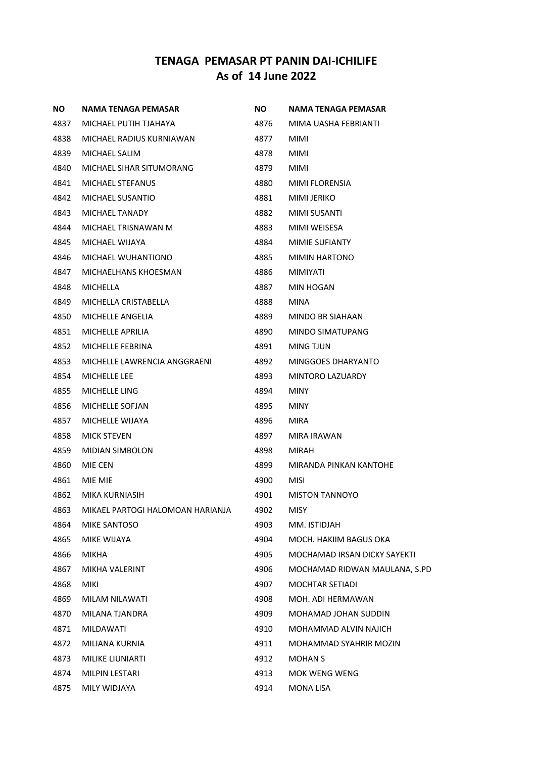| <b>NO</b> | <b>NAMA TENAGA PEMASAR</b>       | <b>NO</b> | NAMA TENAGA PEMASAR           |
|-----------|----------------------------------|-----------|-------------------------------|
| 4837      | MICHAEL PUTIH TJAHAYA            | 4876      | MIMA UASHA FEBRIANTI          |
| 4838      | MICHAEL RADIUS KURNIAWAN         | 4877      | MIMI                          |
| 4839      | MICHAEL SALIM                    | 4878      | MIMI                          |
| 4840      | MICHAEL SIHAR SITUMORANG         | 4879      | <b>MIMI</b>                   |
| 4841      | MICHAEL STEFANUS                 | 4880      | MIMI FLORENSIA                |
| 4842      | MICHAEL SUSANTIO                 | 4881      | <b>MIMI JERIKO</b>            |
| 4843      | <b>MICHAEL TANADY</b>            | 4882      | MIMI SUSANTI                  |
| 4844      | MICHAEL TRISNAWAN M              | 4883      | <b>MIMI WEISESA</b>           |
| 4845      | MICHAEL WIJAYA                   | 4884      | MIMIE SUFIANTY                |
| 4846      | MICHAEL WUHANTIONO               | 4885      | <b>MIMIN HARTONO</b>          |
| 4847      | MICHAELHANS KHOESMAN             | 4886      | MIMIYATI                      |
| 4848      | <b>MICHELLA</b>                  | 4887      | <b>MIN HOGAN</b>              |
| 4849      | MICHELLA CRISTABELLA             | 4888      | <b>MINA</b>                   |
| 4850      | MICHELLE ANGELIA                 | 4889      | MINDO BR SIAHAAN              |
| 4851      | MICHELLE APRILIA                 | 4890      | MINDO SIMATUPANG              |
| 4852      | MICHELLE FEBRINA                 | 4891      | MING TJUN                     |
| 4853      | MICHELLE LAWRENCIA ANGGRAENI     | 4892      | MINGGOES DHARYANTO            |
| 4854      | <b>MICHELLE LEE</b>              | 4893      | MINTORO LAZUARDY              |
| 4855      | MICHELLE LING                    | 4894      | <b>MINY</b>                   |
| 4856      | MICHELLE SOFJAN                  | 4895      | <b>MINY</b>                   |
| 4857      | MICHELLE WIJAYA                  | 4896      | <b>MIRA</b>                   |
| 4858      | <b>MICK STEVEN</b>               | 4897      | MIRA IRAWAN                   |
| 4859      | <b>MIDIAN SIMBOLON</b>           | 4898      | MIRAH                         |
| 4860      | MIE CEN                          | 4899      | MIRANDA PINKAN KANTOHE        |
| 4861      | MIE MIE                          | 4900      | <b>MISI</b>                   |
| 4862      | MIKA KURNIASIH                   | 4901      | <b>MISTON TANNOYO</b>         |
| 4863      | MIKAEL PARTOGI HALOMOAN HARIANJA | 4902      | <b>MISY</b>                   |
| 4864      | <b>MIKE SANTOSO</b>              | 4903      | MM. ISTIDJAH                  |
| 4865      | MIKE WIJAYA                      | 4904      | MOCH. HAKIIM BAGUS OKA        |
| 4866      | <b>MIKHA</b>                     | 4905      | MOCHAMAD IRSAN DICKY SAYEKTI  |
| 4867      | MIKHA VALERINT                   | 4906      | MOCHAMAD RIDWAN MAULANA, S.PD |
| 4868      | MIKI                             | 4907      | <b>MOCHTAR SETIADI</b>        |
| 4869      | MILAM NILAWATI                   | 4908      | MOH. ADI HERMAWAN             |
| 4870      | MILANA TJANDRA                   | 4909      | MOHAMAD JOHAN SUDDIN          |
| 4871      | MILDAWATI                        | 4910      | MOHAMMAD ALVIN NAJICH         |
| 4872      | MILIANA KURNIA                   | 4911      | MOHAMMAD SYAHRIR MOZIN        |
| 4873      | MILIKE LIUNIARTI                 | 4912      | <b>MOHAN S</b>                |
| 4874      | <b>MILPIN LESTARI</b>            | 4913      | MOK WENG WENG                 |
| 4875      | MILY WIDJAYA                     | 4914      | MONA LISA                     |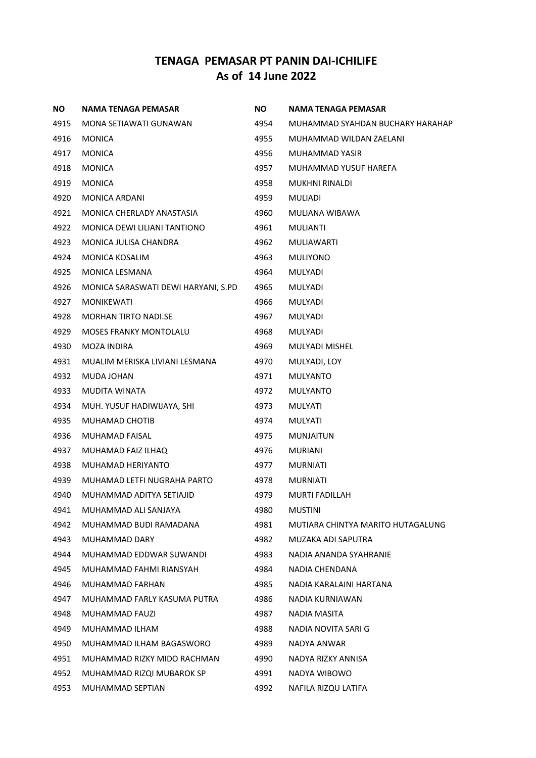| ΝO   | NAMA TENAGA PEMASAR                 | <b>NO</b> | NAMA TENAGA PEMASAR               |
|------|-------------------------------------|-----------|-----------------------------------|
| 4915 | MONA SETIAWATI GUNAWAN              | 4954      | MUHAMMAD SYAHDAN BUCHARY HARAHAP  |
| 4916 | <b>MONICA</b>                       | 4955      | MUHAMMAD WILDAN ZAELANI           |
| 4917 | <b>MONICA</b>                       | 4956      | MUHAMMAD YASIR                    |
| 4918 | <b>MONICA</b>                       | 4957      | MUHAMMAD YUSUF HAREFA             |
| 4919 | <b>MONICA</b>                       | 4958      | MUKHNI RINALDI                    |
| 4920 | MONICA ARDANI                       | 4959      | MULIADI                           |
| 4921 | MONICA CHERLADY ANASTASIA           | 4960      | MULIANA WIBAWA                    |
| 4922 | MONICA DEWI LILIANI TANTIONO        | 4961      | <b>MULIANTI</b>                   |
| 4923 | MONICA JULISA CHANDRA               | 4962      | MULIAWARTI                        |
| 4924 | <b>MONICA KOSALIM</b>               | 4963      | <b>MULIYONO</b>                   |
| 4925 | MONICA LESMANA                      | 4964      | MULYADI                           |
| 4926 | MONICA SARASWATI DEWI HARYANI, S.PD | 4965      | MULYADI                           |
| 4927 | <b>MONIKEWATI</b>                   | 4966      | MULYADI                           |
| 4928 | <b>MORHAN TIRTO NADI.SE</b>         | 4967      | MULYADI                           |
| 4929 | <b>MOSES FRANKY MONTOLALU</b>       | 4968      | <b>MULYADI</b>                    |
| 4930 | MOZA INDIRA                         | 4969      | MULYADI MISHEL                    |
| 4931 | MUALIM MERISKA LIVIANI LESMANA      | 4970      | MULYADI, LOY                      |
| 4932 | MUDA JOHAN                          | 4971      | MULYANTO                          |
| 4933 | MUDITA WINATA                       | 4972      | <b>MULYANTO</b>                   |
| 4934 | MUH. YUSUF HADIWIJAYA, SHI          | 4973      | MULYATI                           |
| 4935 | MUHAMAD CHOTIB                      | 4974      | MULYATI                           |
| 4936 | MUHAMAD FAISAL                      | 4975      | <b>MUNJAITUN</b>                  |
| 4937 | MUHAMAD FAIZ ILHAQ                  | 4976      | <b>MURIANI</b>                    |
| 4938 | MUHAMAD HERIYANTO                   | 4977      | <b>MURNIATI</b>                   |
| 4939 | MUHAMAD LETFI NUGRAHA PARTO         | 4978      | <b>MURNIATI</b>                   |
| 4940 | MUHAMMAD ADITYA SETIAJID            | 4979      | <b>MURTI FADILLAH</b>             |
| 4941 | MUHAMMAD ALI SANJAYA                | 4980      | <b>MUSTINI</b>                    |
| 4942 | MUHAMMAD BUDI RAMADANA              | 4981      | MUTIARA CHINTYA MARITO HUTAGALUNG |
| 4943 | MUHAMMAD DARY                       | 4982      | MUZAKA ADI SAPUTRA                |
| 4944 | MUHAMMAD EDDWAR SUWANDI             | 4983      | NADIA ANANDA SYAHRANIE            |
| 4945 | MUHAMMAD FAHMI RIANSYAH             | 4984      | NADIA CHENDANA                    |
| 4946 | MUHAMMAD FARHAN                     | 4985      | NADIA KARALAINI HARTANA           |
| 4947 | MUHAMMAD FARLY KASUMA PUTRA         | 4986      | NADIA KURNIAWAN                   |
| 4948 | MUHAMMAD FAUZI                      | 4987      | NADIA MASITA                      |
| 4949 | MUHAMMAD ILHAM                      | 4988      | NADIA NOVITA SARI G               |
| 4950 | MUHAMMAD ILHAM BAGASWORO            | 4989      | NADYA ANWAR                       |
| 4951 | MUHAMMAD RIZKY MIDO RACHMAN         | 4990      | NADYA RIZKY ANNISA                |
| 4952 | MUHAMMAD RIZQI MUBAROK SP           | 4991      | NADYA WIBOWO                      |
| 4953 | MUHAMMAD SEPTIAN                    | 4992      | NAFILA RIZQU LATIFA               |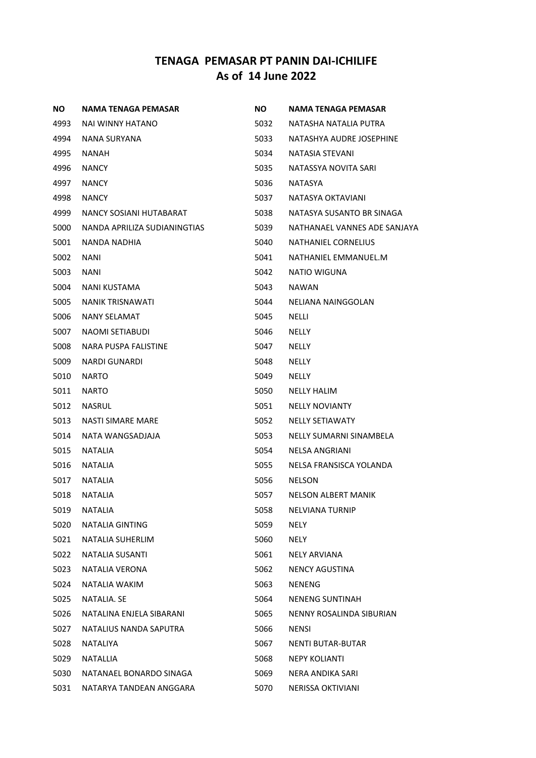| NO.  | NAMA TENAGA PEMASAR          | NO.  | NAMA TENAGA PEMASAR          |
|------|------------------------------|------|------------------------------|
| 4993 | NAI WINNY HATANO             | 5032 | NATASHA NATALIA PUTRA        |
| 4994 | NANA SURYANA                 | 5033 | NATASHYA AUDRE JOSEPHINE     |
| 4995 | <b>NANAH</b>                 | 5034 | NATASIA STEVANI              |
| 4996 | <b>NANCY</b>                 | 5035 | NATASSYA NOVITA SARI         |
| 4997 | <b>NANCY</b>                 | 5036 | <b>NATASYA</b>               |
| 4998 | <b>NANCY</b>                 | 5037 | NATASYA OKTAVIANI            |
| 4999 | NANCY SOSIANI HUTABARAT      | 5038 | NATASYA SUSANTO BR SINAGA    |
| 5000 | NANDA APRILIZA SUDIANINGTIAS | 5039 | NATHANAEL VANNES ADE SANJAYA |
| 5001 | NANDA NADHIA                 | 5040 | NATHANIEL CORNELIUS          |
| 5002 | <b>NANI</b>                  | 5041 | NATHANIEL EMMANUEL.M         |
| 5003 | <b>NANI</b>                  | 5042 | NATIO WIGUNA                 |
| 5004 | <b>NANI KUSTAMA</b>          | 5043 | <b>NAWAN</b>                 |
| 5005 | <b>NANIK TRISNAWATI</b>      | 5044 | NELIANA NAINGGOLAN           |
| 5006 | NANY SELAMAT                 | 5045 | NELLI                        |
| 5007 | NAOMI SETIABUDI              | 5046 | <b>NELLY</b>                 |
| 5008 | NARA PUSPA FALISTINE         | 5047 | <b>NELLY</b>                 |
| 5009 | <b>NARDI GUNARDI</b>         | 5048 | <b>NELLY</b>                 |
| 5010 | <b>NARTO</b>                 | 5049 | <b>NELLY</b>                 |
| 5011 | <b>NARTO</b>                 | 5050 | <b>NELLY HALIM</b>           |
| 5012 | <b>NASRUL</b>                | 5051 | <b>NELLY NOVIANTY</b>        |
| 5013 | NASTI SIMARE MARE            | 5052 | <b>NELLY SETIAWATY</b>       |
| 5014 | NATA WANGSADJAJA             | 5053 | NELLY SUMARNI SINAMBELA      |
| 5015 | <b>NATALIA</b>               | 5054 | NELSA ANGRIANI               |
| 5016 | <b>NATALIA</b>               | 5055 | NELSA FRANSISCA YOLANDA      |
| 5017 | <b>NATALIA</b>               | 5056 | <b>NELSON</b>                |
| 5018 | <b>NATALIA</b>               | 5057 | <b>NELSON ALBERT MANIK</b>   |
| 5019 | <b>NATALIA</b>               | 5058 | <b>NELVIANA TURNIP</b>       |
| 5020 | NATALIA GINTING              | 5059 | NELY                         |
| 5021 | NATALIA SUHERLIM             | 5060 | <b>NELY</b>                  |
| 5022 | <b>NATALIA SUSANTI</b>       | 5061 | NELY ARVIANA                 |
| 5023 | <b>NATALIA VERONA</b>        | 5062 | <b>NENCY AGUSTINA</b>        |
| 5024 | NATALIA WAKIM                | 5063 | <b>NENENG</b>                |
| 5025 | NATALIA. SE                  | 5064 | <b>NENENG SUNTINAH</b>       |
| 5026 | NATALINA ENJELA SIBARANI     | 5065 | NENNY ROSALINDA SIBURIAN     |
| 5027 | NATALIUS NANDA SAPUTRA       | 5066 | <b>NENSI</b>                 |
| 5028 | NATALIYA                     | 5067 | <b>NENTI BUTAR-BUTAR</b>     |
| 5029 | <b>NATALLIA</b>              | 5068 | <b>NEPY KOLIANTI</b>         |
| 5030 | NATANAEL BONARDO SINAGA      | 5069 | NERA ANDIKA SARI             |
| 5031 | NATARYA TANDEAN ANGGARA      | 5070 | <b>NERISSA OKTIVIANI</b>     |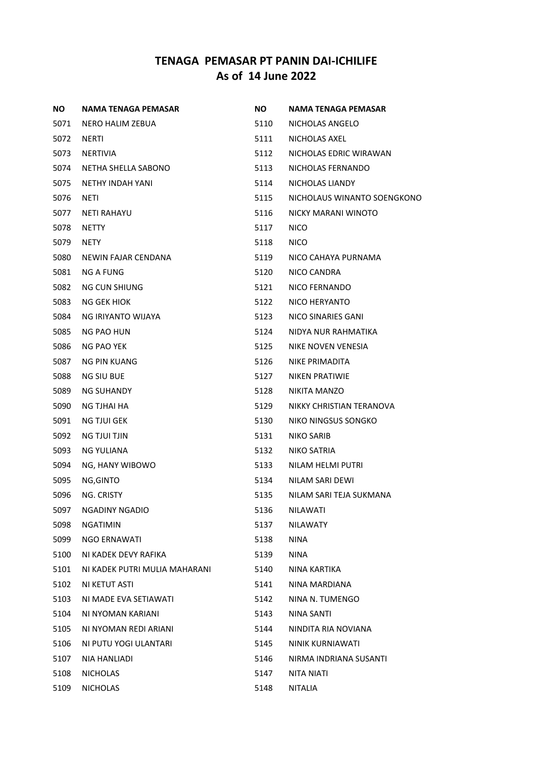| NO.  | NAMA TENAGA PEMASAR           | ΝO   | NAMA TENAGA PEMASAR         |
|------|-------------------------------|------|-----------------------------|
| 5071 | NERO HALIM ZEBUA              | 5110 | NICHOLAS ANGELO             |
| 5072 | <b>NERTI</b>                  | 5111 | NICHOLAS AXEL               |
| 5073 | NERTIVIA                      | 5112 | NICHOLAS EDRIC WIRAWAN      |
| 5074 | NETHA SHELLA SABONO           | 5113 | NICHOLAS FERNANDO           |
| 5075 | NETHY INDAH YANI              | 5114 | NICHOLAS LIANDY             |
| 5076 | NETI                          | 5115 | NICHOLAUS WINANTO SOENGKONO |
| 5077 | <b>NETI RAHAYU</b>            | 5116 | NICKY MARANI WINOTO         |
| 5078 | <b>NETTY</b>                  | 5117 | <b>NICO</b>                 |
| 5079 | NETY                          | 5118 | <b>NICO</b>                 |
| 5080 | NEWIN FAJAR CENDANA           | 5119 | NICO CAHAYA PURNAMA         |
| 5081 | NG A FUNG                     | 5120 | NICO CANDRA                 |
| 5082 | NG CUN SHIUNG                 | 5121 | NICO FERNANDO               |
| 5083 | NG GEK HIOK                   | 5122 | NICO HERYANTO               |
| 5084 | NG IRIYANTO WIJAYA            | 5123 | NICO SINARIES GANI          |
| 5085 | NG PAO HUN                    | 5124 | NIDYA NUR RAHMATIKA         |
| 5086 | NG PAO YEK                    | 5125 | NIKE NOVEN VENESIA          |
| 5087 | NG PIN KUANG                  | 5126 | NIKE PRIMADITA              |
| 5088 | <b>NG SIU BUE</b>             | 5127 | NIKEN PRATIWIE              |
| 5089 | NG SUHANDY                    | 5128 | NIKITA MANZO                |
| 5090 | NG TJHAI HA                   | 5129 | NIKKY CHRISTIAN TERANOVA    |
| 5091 | NG TJUI GEK                   | 5130 | NIKO NINGSUS SONGKO         |
| 5092 | <b>NG TJUI TJIN</b>           | 5131 | NIKO SARIB                  |
| 5093 | NG YULIANA                    | 5132 | NIKO SATRIA                 |
| 5094 | NG, HANY WIBOWO               | 5133 | NILAM HELMI PUTRI           |
| 5095 | NG, GINTO                     | 5134 | NILAM SARI DEWI             |
| 5096 | NG. CRISTY                    | 5135 | NILAM SARI TEJA SUKMANA     |
| 5097 | <b>NGADINY NGADIO</b>         | 5136 | <b>NILAWATI</b>             |
| 5098 | <b>NGATIMIN</b>               | 5137 | <b>NILAWATY</b>             |
| 5099 | NGO ERNAWATI                  | 5138 | <b>NINA</b>                 |
| 5100 | NI KADEK DEVY RAFIKA          | 5139 | <b>NINA</b>                 |
| 5101 | NI KADEK PUTRI MULIA MAHARANI | 5140 | NINA KARTIKA                |
| 5102 | NI KETUT ASTI                 | 5141 | NINA MARDIANA               |
| 5103 | NI MADE EVA SETIAWATI         | 5142 | NINA N. TUMENGO             |
| 5104 | NI NYOMAN KARIANI             | 5143 | NINA SANTI                  |
| 5105 | NI NYOMAN REDI ARIANI         | 5144 | NINDITA RIA NOVIANA         |
| 5106 | NI PUTU YOGI ULANTARI         | 5145 | NINIK KURNIAWATI            |
| 5107 | NIA HANLIADI                  | 5146 | NIRMA INDRIANA SUSANTI      |
| 5108 | <b>NICHOLAS</b>               | 5147 | NITA NIATI                  |
| 5109 | <b>NICHOLAS</b>               | 5148 | <b>NITALIA</b>              |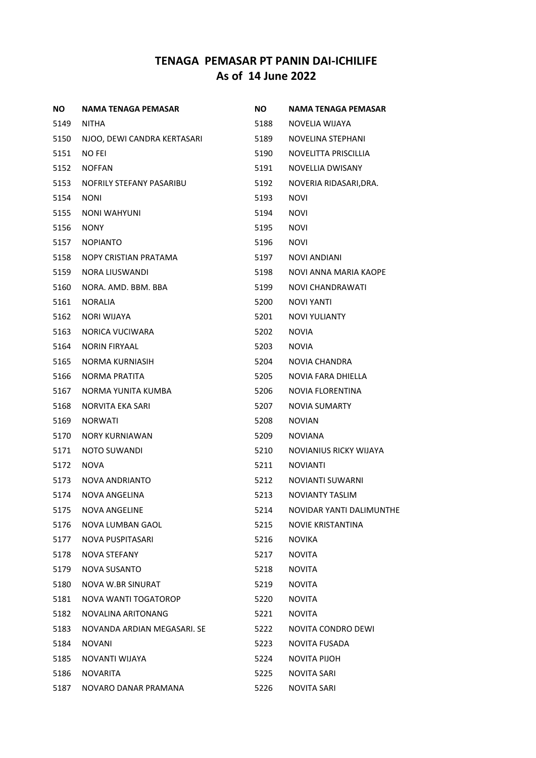| ΝO   | <b>NAMA TENAGA PEMASAR</b>  | NO.  | NAMA TENAGA PEMASAR      |
|------|-----------------------------|------|--------------------------|
| 5149 | <b>NITHA</b>                | 5188 | NOVELIA WIJAYA           |
| 5150 | NJOO, DEWI CANDRA KERTASARI | 5189 | NOVELINA STEPHANI        |
| 5151 | <b>NO FEI</b>               | 5190 | NOVELITTA PRISCILLIA     |
| 5152 | <b>NOFFAN</b>               | 5191 | NOVELLIA DWISANY         |
| 5153 | NOFRILY STEFANY PASARIBU    | 5192 | NOVERIA RIDASARI, DRA.   |
| 5154 | <b>NONI</b>                 | 5193 | <b>NOVI</b>              |
| 5155 | <b>NONI WAHYUNI</b>         | 5194 | <b>NOVI</b>              |
| 5156 | <b>NONY</b>                 | 5195 | <b>NOVI</b>              |
| 5157 | <b>NOPIANTO</b>             | 5196 | <b>NOVI</b>              |
| 5158 | NOPY CRISTIAN PRATAMA       | 5197 | <b>NOVI ANDIANI</b>      |
| 5159 | NORA LIUSWANDI              | 5198 | NOVI ANNA MARIA KAOPE    |
| 5160 | NORA, AMD, BBM, BBA         | 5199 | <b>NOVI CHANDRAWATI</b>  |
| 5161 | <b>NORALIA</b>              | 5200 | NOVI YANTI               |
| 5162 | <b>NORI WIJAYA</b>          | 5201 | <b>NOVI YULIANTY</b>     |
| 5163 | NORICA VUCIWARA             | 5202 | <b>NOVIA</b>             |
| 5164 | <b>NORIN FIRYAAL</b>        | 5203 | <b>NOVIA</b>             |
| 5165 | NORMA KURNIASIH             | 5204 | <b>NOVIA CHANDRA</b>     |
| 5166 | NORMA PRATITA               | 5205 | NOVIA FARA DHIELLA       |
| 5167 | NORMA YUNITA KUMBA          | 5206 | NOVIA FLORENTINA         |
| 5168 | NORVITA EKA SARI            | 5207 | <b>NOVIA SUMARTY</b>     |
| 5169 | <b>NORWATI</b>              | 5208 | <b>NOVIAN</b>            |
| 5170 | <b>NORY KURNIAWAN</b>       | 5209 | <b>NOVIANA</b>           |
| 5171 | NOTO SUWANDI                | 5210 | NOVIANIUS RICKY WIJAYA   |
| 5172 | <b>NOVA</b>                 | 5211 | <b>NOVIANTI</b>          |
| 5173 | NOVA ANDRIANTO              | 5212 | NOVIANTI SUWARNI         |
| 5174 | <b>NOVA ANGELINA</b>        | 5213 | <b>NOVIANTY TASLIM</b>   |
| 5175 | NOVA ANGELINE               | 5214 | NOVIDAR YANTI DALIMUNTHE |
| 5176 | NOVA LUMBAN GAOL            | 5215 | NOVIE KRISTANTINA        |
| 5177 | NOVA PUSPITASARI            | 5216 | <b>NOVIKA</b>            |
| 5178 | NOVA STEFANY                | 5217 | <b>NOVITA</b>            |
| 5179 | <b>NOVA SUSANTO</b>         | 5218 | <b>NOVITA</b>            |
| 5180 | NOVA W.BR SINURAT           | 5219 | <b>NOVITA</b>            |
| 5181 | NOVA WANTI TOGATOROP        | 5220 | <b>NOVITA</b>            |
| 5182 | NOVALINA ARITONANG          | 5221 | <b>NOVITA</b>            |
| 5183 | NOVANDA ARDIAN MEGASARI. SE | 5222 | NOVITA CONDRO DEWI       |
| 5184 | <b>NOVANI</b>               | 5223 | NOVITA FUSADA            |
| 5185 | NOVANTI WIJAYA              | 5224 | NOVITA PIJOH             |
| 5186 | <b>NOVARITA</b>             | 5225 | NOVITA SARI              |
| 5187 | NOVARO DANAR PRAMANA        | 5226 | NOVITA SARI              |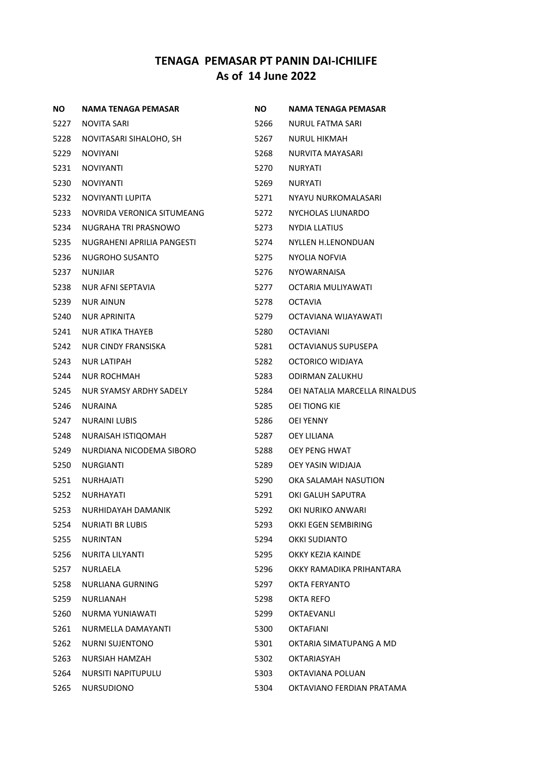| <b>NO</b> | NAMA TENAGA PEMASAR        | <b>NO</b> | NAMA TENAGA PEMASAR           |
|-----------|----------------------------|-----------|-------------------------------|
| 5227      | NOVITA SARI                | 5266      | NURUL FATMA SARI              |
| 5228      | NOVITASARI SIHALOHO, SH    | 5267      | <b>NURUL HIKMAH</b>           |
| 5229      | <b>NOVIYANI</b>            | 5268      | NURVITA MAYASARI              |
| 5231      | <b>NOVIYANTI</b>           | 5270      | <b>NURYATI</b>                |
| 5230      | <b>NOVIYANTI</b>           | 5269      | <b>NURYATI</b>                |
| 5232      | NOVIYANTI LUPITA           | 5271      | NYAYU NURKOMALASARI           |
| 5233      | NOVRIDA VERONICA SITUMEANG | 5272      | NYCHOLAS LIUNARDO             |
| 5234      | NUGRAHA TRI PRASNOWO       | 5273      | NYDIA LLATIUS                 |
| 5235      | NUGRAHENI APRILIA PANGESTI | 5274      | NYLLEN H.LENONDUAN            |
| 5236      | NUGROHO SUSANTO            | 5275      | NYOLIA NOFVIA                 |
| 5237      | NUNJIAR                    | 5276      | NYOWARNAISA                   |
| 5238      | <b>NUR AFNI SEPTAVIA</b>   | 5277      | OCTARIA MULIYAWATI            |
| 5239      | <b>NUR AINUN</b>           | 5278      | <b>OCTAVIA</b>                |
| 5240      | NUR APRINITA               | 5279      | OCTAVIANA WIJAYAWATI          |
| 5241      | NUR ATIKA THAYEB           | 5280      | <b>OCTAVIANI</b>              |
| 5242      | NUR CINDY FRANSISKA        | 5281      | OCTAVIANUS SUPUSEPA           |
| 5243      | NUR LATIPAH                | 5282      | OCTORICO WIDJAYA              |
| 5244      | <b>NUR ROCHMAH</b>         | 5283      | ODIRMAN ZALUKHU               |
| 5245      | NUR SYAMSY ARDHY SADELY    | 5284      | OEI NATALIA MARCELLA RINALDUS |
| 5246      | NURAINA                    | 5285      | OEI TIONG KIE                 |
| 5247      | NURAINI LUBIS              | 5286      | OEI YENNY                     |
| 5248      | NURAISAH ISTIQOMAH         | 5287      | OEY LILIANA                   |
| 5249      | NURDIANA NICODEMA SIBORO   | 5288      | OEY PENG HWAT                 |
| 5250      | <b>NURGIANTI</b>           | 5289      | OEY YASIN WIDJAJA             |
| 5251      | NURHAJATI                  | 5290      | OKA SALAMAH NASUTION          |
| 5252      | NURHAYATI                  | 5291      | OKI GALUH SAPUTRA             |
| 5253      | NURHIDAYAH DAMANIK         | 5292      | OKI NURIKO ANWARI             |
| 5254      | <b>NURIATI BR LUBIS</b>    | 5293      | OKKI EGEN SEMBIRING           |
| 5255      | NURINTAN                   | 5294      | OKKI SUDIANTO                 |
| 5256      | NURITA LILYANTI            | 5295      | OKKY KEZIA KAINDE             |
| 5257      | NURLAELA                   | 5296      | OKKY RAMADIKA PRIHANTARA      |
| 5258      | NURLIANA GURNING           | 5297      | OKTA FERYANTO                 |
| 5259      | NURLIANAH                  | 5298      | OKTA REFO                     |
| 5260      | NURMA YUNIAWATI            | 5299      | OKTAEVANLI                    |
| 5261      | NURMELLA DAMAYANTI         | 5300      | <b>OKTAFIANI</b>              |
| 5262      | NURNI SUJENTONO            | 5301      | OKTARIA SIMATUPANG A MD       |
| 5263      | NURSIAH HAMZAH             | 5302      | OKTARIASYAH                   |
| 5264      | NURSITI NAPITUPULU         | 5303      | OKTAVIANA POLUAN              |
| 5265      | <b>NURSUDIONO</b>          | 5304      | OKTAVIANO FERDIAN PRATAMA     |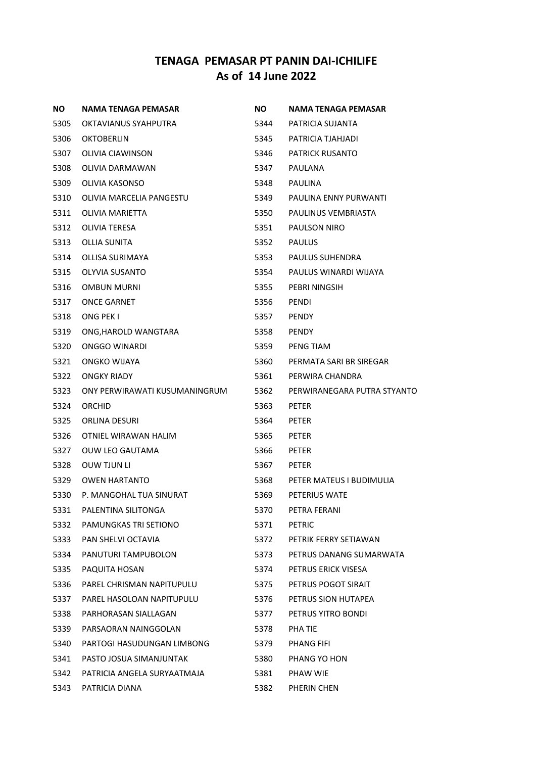| NO.  | <b>NAMA TENAGA PEMASAR</b>    | NO.  | NAMA TENAGA PEMASAR         |
|------|-------------------------------|------|-----------------------------|
| 5305 | OKTAVIANUS SYAHPUTRA          | 5344 | PATRICIA SUJANTA            |
| 5306 | <b>OKTOBERLIN</b>             | 5345 | PATRICIA TJAHJADI           |
| 5307 | OLIVIA CIAWINSON              | 5346 | <b>PATRICK RUSANTO</b>      |
| 5308 | OLIVIA DARMAWAN               | 5347 | <b>PAULANA</b>              |
| 5309 | OLIVIA KASONSO                | 5348 | PAULINA                     |
| 5310 | OLIVIA MARCELIA PANGESTU      | 5349 | PAULINA ENNY PURWANTI       |
| 5311 | OLIVIA MARIETTA               | 5350 | PAULINUS VEMBRIASTA         |
| 5312 | <b>OLIVIA TERESA</b>          | 5351 | PAULSON NIRO                |
| 5313 | OLLIA SUNITA                  | 5352 | <b>PAULUS</b>               |
| 5314 | OLLISA SURIMAYA               | 5353 | PAULUS SUHENDRA             |
| 5315 | OLYVIA SUSANTO                | 5354 | PAULUS WINARDI WIJAYA       |
| 5316 | <b>OMBUN MURNI</b>            | 5355 | PEBRI NINGSIH               |
| 5317 | <b>ONCE GARNET</b>            | 5356 | PENDI                       |
| 5318 | ONG PEK I                     | 5357 | <b>PENDY</b>                |
| 5319 | ONG, HAROLD WANGTARA          | 5358 | <b>PENDY</b>                |
| 5320 | ONGGO WINARDI                 | 5359 | PENG TIAM                   |
| 5321 | ONGKO WIJAYA                  | 5360 | PERMATA SARI BR SIREGAR     |
| 5322 | ONGKY RIADY                   | 5361 | PERWIRA CHANDRA             |
| 5323 | ONY PERWIRAWATI KUSUMANINGRUM | 5362 | PERWIRANEGARA PUTRA STYANTO |
| 5324 | ORCHID                        | 5363 | <b>PETER</b>                |
| 5325 | ORLINA DESURI                 | 5364 | <b>PETER</b>                |
| 5326 | OTNIEL WIRAWAN HALIM          | 5365 | PETER                       |
| 5327 | OUW LEO GAUTAMA               | 5366 | PETER                       |
| 5328 | <b>OUW TJUN LI</b>            | 5367 | PETER                       |
| 5329 | <b>OWEN HARTANTO</b>          | 5368 | PETER MATEUS I BUDIMULIA    |
| 5330 | P. MANGOHAL TUA SINURAT       | 5369 | PETERIUS WATE               |
| 5331 | PALENTINA SILITONGA           | 5370 | PETRA FERANI                |
| 5332 | PAMUNGKAS TRI SETIONO         | 5371 | <b>PETRIC</b>               |
| 5333 | PAN SHELVI OCTAVIA            | 5372 | PETRIK FERRY SETIAWAN       |
| 5334 | PANUTURI TAMPUBOLON           | 5373 | PETRUS DANANG SUMARWATA     |
| 5335 | PAQUITA HOSAN                 | 5374 | PETRUS ERICK VISESA         |
| 5336 | PAREL CHRISMAN NAPITUPULU     | 5375 | PETRUS POGOT SIRAIT         |
| 5337 | PAREL HASOLOAN NAPITUPULU     | 5376 | PETRUS SION HUTAPEA         |
| 5338 | PARHORASAN SIALLAGAN          | 5377 | PETRUS YITRO BONDI          |
| 5339 | PARSAORAN NAINGGOLAN          | 5378 | PHA TIE                     |
| 5340 | PARTOGI HASUDUNGAN LIMBONG    | 5379 | PHANG FIFI                  |
| 5341 | PASTO JOSUA SIMANJUNTAK       | 5380 | PHANG YO HON                |
| 5342 | PATRICIA ANGELA SURYAATMAJA   | 5381 | PHAW WIE                    |
| 5343 | PATRICIA DIANA                | 5382 | PHERIN CHEN                 |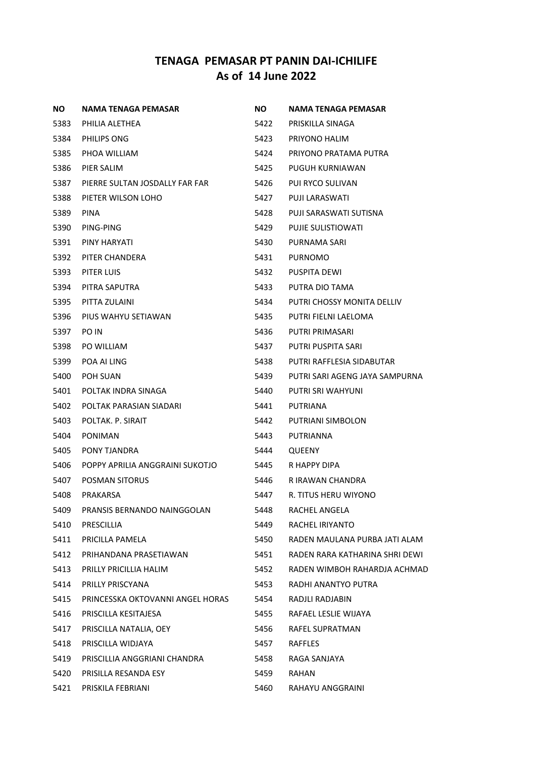| <b>NO</b> | NAMA TENAGA PEMASAR              | NO.  | <b>NAMA TENAGA PEMASAR</b>     |
|-----------|----------------------------------|------|--------------------------------|
| 5383      | PHILIA ALETHEA                   | 5422 | PRISKILLA SINAGA               |
| 5384      | PHILIPS ONG                      | 5423 | PRIYONO HALIM                  |
| 5385      | PHOA WILLIAM                     | 5424 | PRIYONO PRATAMA PUTRA          |
| 5386      | PIER SALIM                       | 5425 | PUGUH KURNIAWAN                |
| 5387      | PIERRE SULTAN JOSDALLY FAR FAR   | 5426 | PUI RYCO SULIVAN               |
| 5388      | PIETER WILSON LOHO               | 5427 | PUJI LARASWATI                 |
| 5389      | <b>PINA</b>                      | 5428 | PUJI SARASWATI SUTISNA         |
| 5390      | PING-PING                        | 5429 | <b>PUJIE SULISTIOWATI</b>      |
| 5391      | PINY HARYATI                     | 5430 | PURNAMA SARI                   |
| 5392      | PITER CHANDERA                   | 5431 | <b>PURNOMO</b>                 |
| 5393      | PITER LUIS                       | 5432 | PUSPITA DEWI                   |
| 5394      | PITRA SAPUTRA                    | 5433 | PUTRA DIO TAMA                 |
| 5395      | PITTA ZULAINI                    | 5434 | PUTRI CHOSSY MONITA DELLIV     |
| 5396      | PIUS WAHYU SETIAWAN              | 5435 | PUTRI FIELNI LAELOMA           |
| 5397      | PO IN                            | 5436 | PUTRI PRIMASARI                |
| 5398      | PO WILLIAM                       | 5437 | PUTRI PUSPITA SARI             |
| 5399      | POA AI LING                      | 5438 | PUTRI RAFFLESIA SIDABUTAR      |
| 5400      | POH SUAN                         | 5439 | PUTRI SARI AGENG JAYA SAMPURNA |
| 5401      | POLTAK INDRA SINAGA              | 5440 | PUTRI SRI WAHYUNI              |
| 5402      | POLTAK PARASIAN SIADARI          | 5441 | PUTRIANA                       |
| 5403      | POLTAK. P. SIRAIT                | 5442 | PUTRIANI SIMBOLON              |
| 5404      | PONIMAN                          | 5443 | PUTRIANNA                      |
| 5405      | PONY TJANDRA                     | 5444 | QUEENY                         |
| 5406      | POPPY APRILIA ANGGRAINI SUKOTJO  | 5445 | R HAPPY DIPA                   |
| 5407      | <b>POSMAN SITORUS</b>            | 5446 | R IRAWAN CHANDRA               |
| 5408      | PRAKARSA                         | 5447 | R. TITUS HERU WIYONO           |
| 5409      | PRANSIS BERNANDO NAINGGOLAN      | 5448 | RACHEL ANGELA                  |
| 5410      | PRESCILLIA                       | 5449 | RACHEL IRIYANTO                |
| 5411      | PRICILLA PAMELA                  | 5450 | RADEN MAULANA PURBA JATI ALAM  |
| 5412      | PRIHANDANA PRASETIAWAN           | 5451 | RADEN RARA KATHARINA SHRI DEWI |
| 5413      | PRILLY PRICILLIA HALIM           | 5452 | RADEN WIMBOH RAHARDJA ACHMAD   |
| 5414      | PRILLY PRISCYANA                 | 5453 | RADHI ANANTYO PUTRA            |
| 5415      | PRINCESSKA OKTOVANNI ANGEL HORAS | 5454 | RADJLI RADJABIN                |
| 5416      | PRISCILLA KESITAJESA             | 5455 | RAFAEL LESLIE WIJAYA           |
| 5417      | PRISCILLA NATALIA, OEY           | 5456 | RAFEL SUPRATMAN                |
| 5418      | PRISCILLA WIDJAYA                | 5457 | RAFFLES                        |
| 5419      | PRISCILLIA ANGGRIANI CHANDRA     | 5458 | RAGA SANJAYA                   |
| 5420      | PRISILLA RESANDA ESY             | 5459 | RAHAN                          |
| 5421      | PRISKILA FEBRIANI                | 5460 | RAHAYU ANGGRAINI               |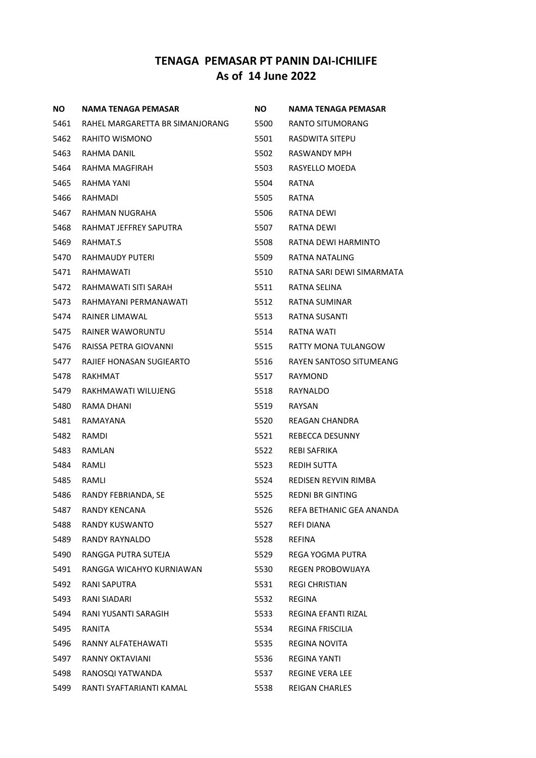| ΝO   | NAMA TENAGA PEMASAR             | NO.  | NAMA TENAGA PEMASAR       |
|------|---------------------------------|------|---------------------------|
| 5461 | RAHEL MARGARETTA BR SIMANJORANG | 5500 | RANTO SITUMORANG          |
| 5462 | RAHITO WISMONO                  | 5501 | RASDWITA SITEPU           |
| 5463 | RAHMA DANIL                     | 5502 | RASWANDY MPH              |
| 5464 | RAHMA MAGFIRAH                  | 5503 | RASYELLO MOEDA            |
| 5465 | RAHMA YANI                      | 5504 | RATNA                     |
| 5466 | RAHMADI                         | 5505 | RATNA                     |
| 5467 | RAHMAN NUGRAHA                  | 5506 | RATNA DEWI                |
| 5468 | RAHMAT JEFFREY SAPUTRA          | 5507 | RATNA DEWI                |
| 5469 | RAHMAT.S                        | 5508 | RATNA DEWI HARMINTO       |
| 5470 | RAHMAUDY PUTERI                 | 5509 | RATNA NATALING            |
| 5471 | RAHMAWATI                       | 5510 | RATNA SARI DEWI SIMARMATA |
| 5472 | RAHMAWATI SITI SARAH            | 5511 | RATNA SELINA              |
| 5473 | RAHMAYANI PERMANAWATI           | 5512 | RATNA SUMINAR             |
| 5474 | RAINER LIMAWAL                  | 5513 | RATNA SUSANTI             |
| 5475 | RAINER WAWORUNTU                | 5514 | RATNA WATI                |
| 5476 | RAISSA PETRA GIOVANNI           | 5515 | RATTY MONA TULANGOW       |
| 5477 | RAJIEF HONASAN SUGIEARTO        | 5516 | RAYEN SANTOSO SITUMEANG   |
| 5478 | RAKHMAT                         | 5517 | RAYMOND                   |
| 5479 | RAKHMAWATI WILUJENG             | 5518 | RAYNALDO                  |
| 5480 | RAMA DHANI                      | 5519 | RAYSAN                    |
| 5481 | RAMAYANA                        | 5520 | REAGAN CHANDRA            |
| 5482 | RAMDI                           | 5521 | REBECCA DESUNNY           |
| 5483 | RAMLAN                          | 5522 | REBI SAFRIKA              |
| 5484 | RAMLI                           | 5523 | REDIH SUTTA               |
| 5485 | RAMLI                           | 5524 | REDISEN REYVIN RIMBA      |
| 5486 | RANDY FEBRIANDA, SE             | 5525 | <b>REDNI BR GINTING</b>   |
| 5487 | <b>RANDY KENCANA</b>            | 5526 | REFA BETHANIC GEA ANANDA  |
| 5488 | <b>RANDY KUSWANTO</b>           | 5527 | REFI DIANA                |
| 5489 | RANDY RAYNALDO                  | 5528 | REFINA                    |
| 5490 | RANGGA PUTRA SUTEJA             | 5529 | REGA YOGMA PUTRA          |
| 5491 | RANGGA WICAHYO KURNIAWAN        | 5530 | <b>REGEN PROBOWIJAYA</b>  |
| 5492 | RANI SAPUTRA                    | 5531 | <b>REGI CHRISTIAN</b>     |
| 5493 | RANI SIADARI                    | 5532 | REGINA                    |
| 5494 | RANI YUSANTI SARAGIH            | 5533 | REGINA EFANTI RIZAL       |
| 5495 | RANITA                          | 5534 | <b>REGINA FRISCILIA</b>   |
| 5496 | RANNY ALFATEHAWATI              | 5535 | REGINA NOVITA             |
| 5497 | <b>RANNY OKTAVIANI</b>          | 5536 | REGINA YANTI              |
| 5498 | RANOSQI YATWANDA                | 5537 | <b>REGINE VERA LEE</b>    |
| 5499 | RANTI SYAFTARIANTI KAMAL        | 5538 | <b>REIGAN CHARLES</b>     |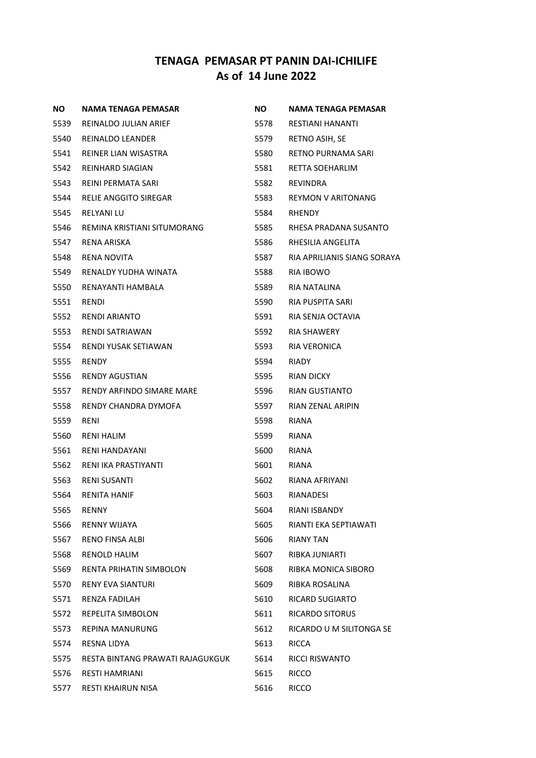| ΝO   | NAMA TENAGA PEMASAR              | NO.  | NAMA TENAGA PEMASAR         |
|------|----------------------------------|------|-----------------------------|
| 5539 | REINALDO JULIAN ARIEF            | 5578 | <b>RESTIANI HANANTI</b>     |
| 5540 | REINALDO LEANDER                 | 5579 | RETNO ASIH, SE              |
| 5541 | REINER LIAN WISASTRA             | 5580 | RETNO PURNAMA SARI          |
| 5542 | <b>REINHARD SIAGIAN</b>          | 5581 | RETTA SOEHARLIM             |
| 5543 | REINI PERMATA SARI               | 5582 | REVINDRA                    |
| 5544 | RELIE ANGGITO SIREGAR            | 5583 | REYMON V ARITONANG          |
| 5545 | RELYANI LU                       | 5584 | <b>RHENDY</b>               |
| 5546 | REMINA KRISTIANI SITUMORANG      | 5585 | RHESA PRADANA SUSANTO       |
| 5547 | RENA ARISKA                      | 5586 | RHESILIA ANGELITA           |
| 5548 | RENA NOVITA                      | 5587 | RIA APRILIANIS SIANG SORAYA |
| 5549 | RENALDY YUDHA WINATA             | 5588 | RIA IBOWO                   |
| 5550 | RENAYANTI HAMBALA                | 5589 | RIA NATALINA                |
| 5551 | RENDI                            | 5590 | RIA PUSPITA SARI            |
| 5552 | <b>RENDI ARIANTO</b>             | 5591 | RIA SENJA OCTAVIA           |
| 5553 | RENDI SATRIAWAN                  | 5592 | <b>RIA SHAWERY</b>          |
| 5554 | RENDI YUSAK SETIAWAN             | 5593 | RIA VERONICA                |
| 5555 | RENDY                            | 5594 | RIADY                       |
| 5556 | RENDY AGUSTIAN                   | 5595 | RIAN DICKY                  |
| 5557 | RENDY ARFINDO SIMARE MARE        | 5596 | RIAN GUSTIANTO              |
| 5558 | RENDY CHANDRA DYMOFA             | 5597 | RIAN ZENAL ARIPIN           |
| 5559 | RENI                             | 5598 | RIANA                       |
| 5560 | RENI HALIM                       | 5599 | RIANA                       |
| 5561 | RENI HANDAYANI                   | 5600 | RIANA                       |
| 5562 | RENI IKA PRASTIYANTI             | 5601 | RIANA                       |
| 5563 | RENI SUSANTI                     | 5602 | RIANA AFRIYANI              |
| 5564 | RENITA HANIF                     | 5603 | RIANADESI                   |
| 5565 | <b>RENNY</b>                     | 5604 | <b>RIANI ISBANDY</b>        |
| 5566 | <b>RENNY WIJAYA</b>              | 5605 | RIANTI EKA SEPTIAWATI       |
| 5567 | RENO FINSA ALBI                  | 5606 | <b>RIANY TAN</b>            |
| 5568 | <b>RENOLD HALIM</b>              | 5607 | RIBKA JUNIARTI              |
| 5569 | RENTA PRIHATIN SIMBOLON          | 5608 | RIBKA MONICA SIBORO         |
| 5570 | <b>RENY EVA SIANTURI</b>         | 5609 | RIBKA ROSALINA              |
| 5571 | <b>RENZA FADILAH</b>             | 5610 | RICARD SUGIARTO             |
| 5572 | REPELITA SIMBOLON                | 5611 | RICARDO SITORUS             |
| 5573 | <b>REPINA MANURUNG</b>           | 5612 | RICARDO U M SILITONGA SE    |
| 5574 | RESNA LIDYA                      | 5613 | RICCA                       |
| 5575 | RESTA BINTANG PRAWATI RAJAGUKGUK | 5614 | <b>RICCI RISWANTO</b>       |
| 5576 | <b>RESTI HAMRIANI</b>            | 5615 | RICCO                       |
| 5577 | RESTI KHAIRUN NISA               | 5616 | <b>RICCO</b>                |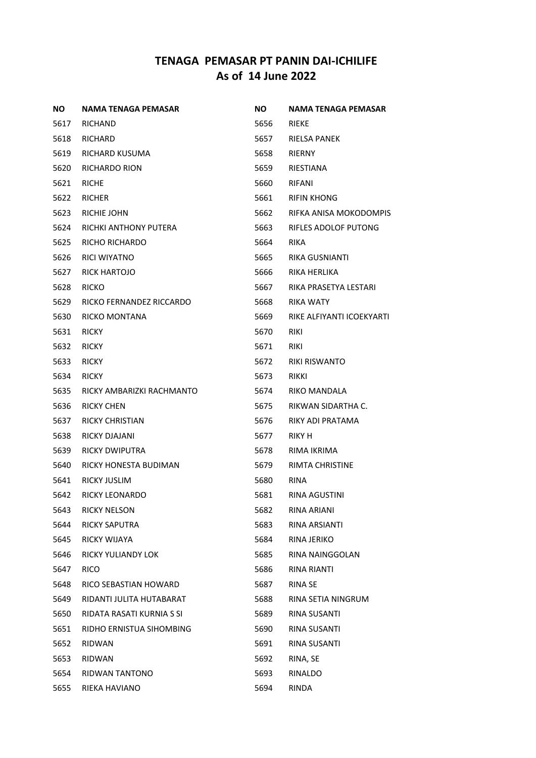| NO.  | NAMA TENAGA PEMASAR       | ΝO   | NAMA TENAGA PEMASAR       |
|------|---------------------------|------|---------------------------|
| 5617 | RICHAND                   | 5656 | RIEKE                     |
| 5618 | RICHARD                   | 5657 | RIELSA PANEK              |
| 5619 | RICHARD KUSUMA            | 5658 | <b>RIERNY</b>             |
| 5620 | <b>RICHARDO RION</b>      | 5659 | RIESTIANA                 |
| 5621 | <b>RICHE</b>              | 5660 | RIFANI                    |
| 5622 | <b>RICHER</b>             | 5661 | <b>RIFIN KHONG</b>        |
| 5623 | RICHIE JOHN               | 5662 | RIFKA ANISA MOKODOMPIS    |
| 5624 | RICHKI ANTHONY PUTERA     | 5663 | RIFLES ADOLOF PUTONG      |
| 5625 | RICHO RICHARDO            | 5664 | <b>RIKA</b>               |
| 5626 | RICI WIYATNO              | 5665 | RIKA GUSNIANTI            |
| 5627 | RICK HARTOJO              | 5666 | RIKA HERLIKA              |
| 5628 | <b>RICKO</b>              | 5667 | RIKA PRASETYA LESTARI     |
| 5629 | RICKO FERNANDEZ RICCARDO  | 5668 | RIKA WATY                 |
| 5630 | RICKO MONTANA             | 5669 | RIKE ALFIYANTI ICOEKYARTI |
| 5631 | <b>RICKY</b>              | 5670 | <b>RIKI</b>               |
| 5632 | <b>RICKY</b>              | 5671 | <b>RIKI</b>               |
| 5633 | <b>RICKY</b>              | 5672 | <b>RIKI RISWANTO</b>      |
| 5634 | <b>RICKY</b>              | 5673 | RIKKI                     |
| 5635 | RICKY AMBARIZKI RACHMANTO | 5674 | <b>RIKO MANDALA</b>       |
| 5636 | RICKY CHEN                | 5675 | RIKWAN SIDARTHA C.        |
| 5637 | <b>RICKY CHRISTIAN</b>    | 5676 | RIKY ADI PRATAMA          |
| 5638 | RICKY DJAJANI             | 5677 | RIKY H                    |
| 5639 | RICKY DWIPUTRA            | 5678 | RIMA IKRIMA               |
| 5640 | RICKY HONESTA BUDIMAN     | 5679 | RIMTA CHRISTINE           |
| 5641 | RICKY JUSLIM              | 5680 | <b>RINA</b>               |
| 5642 | RICKY LEONARDO            | 5681 | <b>RINA AGUSTINI</b>      |
| 5643 | <b>RICKY NELSON</b>       | 5682 | RINA ARIANI               |
| 5644 | <b>RICKY SAPUTRA</b>      | 5683 | <b>RINA ARSIANTI</b>      |
| 5645 | RICKY WIJAYA              | 5684 | RINA JERIKO               |
| 5646 | RICKY YULIANDY LOK        | 5685 | RINA NAINGGOLAN           |
| 5647 | <b>RICO</b>               | 5686 | RINA RIANTI               |
| 5648 | RICO SEBASTIAN HOWARD     | 5687 | <b>RINA SE</b>            |
| 5649 | RIDANTI JULITA HUTABARAT  | 5688 | RINA SETIA NINGRUM        |
| 5650 | RIDATA RASATI KURNIA S SI | 5689 | <b>RINA SUSANTI</b>       |
| 5651 | RIDHO ERNISTUA SIHOMBING  | 5690 | RINA SUSANTI              |
| 5652 | RIDWAN                    | 5691 | RINA SUSANTI              |
| 5653 | <b>RIDWAN</b>             | 5692 | RINA, SE                  |
| 5654 | RIDWAN TANTONO            | 5693 | RINALDO                   |
| 5655 | RIEKA HAVIANO             | 5694 | RINDA                     |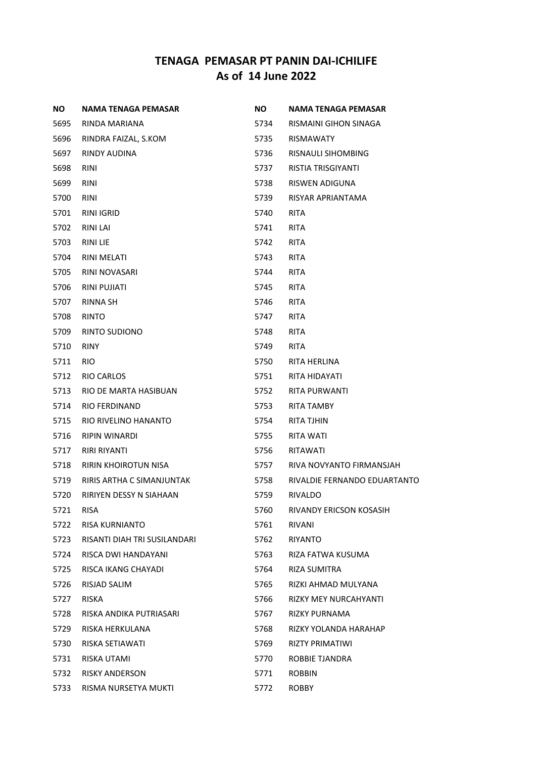| <b>NO</b> | NAMA TENAGA PEMASAR          | NO.  | NAMA TENAGA PEMASAR          |
|-----------|------------------------------|------|------------------------------|
| 5695      | RINDA MARIANA                | 5734 | RISMAINI GIHON SINAGA        |
| 5696      | RINDRA FAIZAL, S.KOM         | 5735 | <b>RISMAWATY</b>             |
| 5697      | RINDY AUDINA                 | 5736 | RISNAULI SIHOMBING           |
| 5698      | RINI                         | 5737 | <b>RISTIA TRISGIYANTI</b>    |
| 5699      | <b>RINI</b>                  | 5738 | RISWEN ADIGUNA               |
| 5700      | <b>RINI</b>                  | 5739 | RISYAR APRIANTAMA            |
| 5701      | <b>RINI IGRID</b>            | 5740 | <b>RITA</b>                  |
| 5702      | <b>RINI LAI</b>              | 5741 | <b>RITA</b>                  |
| 5703      | <b>RINI LIE</b>              | 5742 | RITA                         |
| 5704      | <b>RINI MELATI</b>           | 5743 | RITA                         |
| 5705      | RINI NOVASARI                | 5744 | RITA                         |
| 5706      | RINI PUJIATI                 | 5745 | <b>RITA</b>                  |
| 5707      | <b>RINNA SH</b>              | 5746 | <b>RITA</b>                  |
| 5708      | <b>RINTO</b>                 | 5747 | RITA                         |
| 5709      | RINTO SUDIONO                | 5748 | RITA                         |
| 5710      | <b>RINY</b>                  | 5749 | <b>RITA</b>                  |
| 5711      | RIO.                         | 5750 | RITA HERLINA                 |
| 5712      | RIO CARLOS                   | 5751 | RITA HIDAYATI                |
| 5713      | RIO DE MARTA HASIBUAN        | 5752 | RITA PURWANTI                |
| 5714      | <b>RIO FERDINAND</b>         | 5753 | <b>RITA TAMBY</b>            |
| 5715      | RIO RIVELINO HANANTO         | 5754 | RITA TJHIN                   |
| 5716      | RIPIN WINARDI                | 5755 | RITA WATI                    |
| 5717      | <b>RIRI RIYANTI</b>          | 5756 | RITAWATI                     |
| 5718      | <b>RIRIN KHOIROTUN NISA</b>  | 5757 | RIVA NOVYANTO FIRMANSJAH     |
| 5719      | RIRIS ARTHA C SIMANJUNTAK    | 5758 | RIVALDIE FERNANDO EDUARTANTO |
| 5720      | RIRIYEN DESSY N SIAHAAN      | 5759 | <b>RIVALDO</b>               |
| 5721      | <b>RISA</b>                  | 5760 | RIVANDY ERICSON KOSASIH      |
| 5722      | RISA KURNIANTO               | 5761 | RIVANI                       |
| 5723      | RISANTI DIAH TRI SUSILANDARI | 5762 | <b>RIYANTO</b>               |
| 5724      | RISCA DWI HANDAYANI          | 5763 | RIZA FATWA KUSUMA            |
| 5725      | RISCA IKANG CHAYADI          | 5764 | RIZA SUMITRA                 |
| 5726      | RISJAD SALIM                 | 5765 | RIZKI AHMAD MULYANA          |
| 5727      | RISKA                        | 5766 | <b>RIZKY MEY NURCAHYANTI</b> |
| 5728      | RISKA ANDIKA PUTRIASARI      | 5767 | RIZKY PURNAMA                |
| 5729      | RISKA HERKULANA              | 5768 | RIZKY YOLANDA HARAHAP        |
| 5730      | RISKA SETIAWATI              | 5769 | RIZTY PRIMATIWI              |
| 5731      | RISKA UTAMI                  | 5770 | ROBBIE TJANDRA               |
| 5732      | <b>RISKY ANDERSON</b>        | 5771 | <b>ROBBIN</b>                |
| 5733      | RISMA NURSETYA MUKTI         | 5772 | <b>ROBBY</b>                 |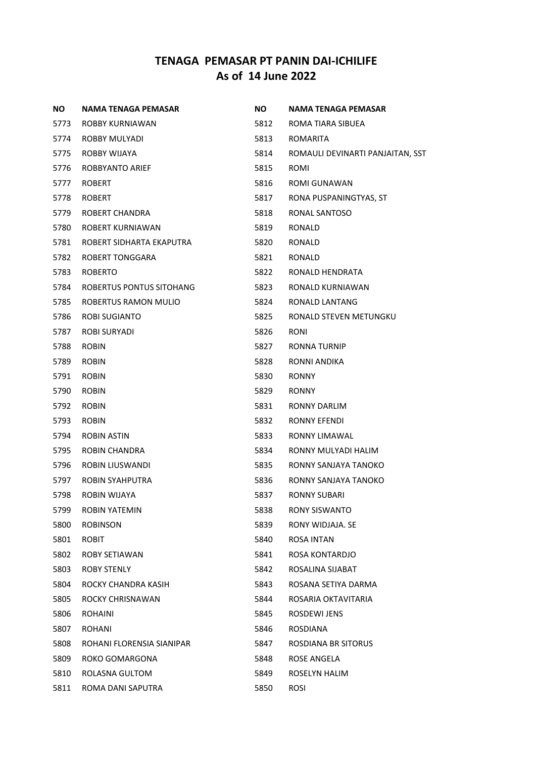| NO.  | NAMA TENAGA PEMASAR       | <b>NO</b> | <b>NAMA TENAGA PEMASAR</b>       |
|------|---------------------------|-----------|----------------------------------|
| 5773 | ROBBY KURNIAWAN           | 5812      | ROMA TIARA SIBUEA                |
| 5774 | ROBBY MULYADI             | 5813      | <b>ROMARITA</b>                  |
| 5775 | ROBBY WIJAYA              | 5814      | ROMAULI DEVINARTI PANJAITAN, SST |
| 5776 | <b>ROBBYANTO ARIEF</b>    | 5815      | <b>ROMI</b>                      |
| 5777 | <b>ROBERT</b>             | 5816      | ROMI GUNAWAN                     |
| 5778 | <b>ROBERT</b>             | 5817      | RONA PUSPANINGTYAS, ST           |
| 5779 | ROBERT CHANDRA            | 5818      | RONAL SANTOSO                    |
| 5780 | ROBERT KURNIAWAN          | 5819      | RONALD                           |
| 5781 | ROBERT SIDHARTA EKAPUTRA  | 5820      | RONALD                           |
| 5782 | <b>ROBERT TONGGARA</b>    | 5821      | RONALD                           |
| 5783 | <b>ROBERTO</b>            | 5822      | RONALD HENDRATA                  |
| 5784 | ROBERTUS PONTUS SITOHANG  | 5823      | RONALD KURNIAWAN                 |
| 5785 | ROBERTUS RAMON MULIO      | 5824      | RONALD LANTANG                   |
| 5786 | ROBI SUGIANTO             | 5825      | RONALD STEVEN METUNGKU           |
| 5787 | ROBI SURYADI              | 5826      | <b>RONI</b>                      |
| 5788 | <b>ROBIN</b>              | 5827      | RONNA TURNIP                     |
| 5789 | <b>ROBIN</b>              | 5828      | RONNI ANDIKA                     |
| 5791 | <b>ROBIN</b>              | 5830      | <b>RONNY</b>                     |
| 5790 | <b>ROBIN</b>              | 5829      | <b>RONNY</b>                     |
| 5792 | <b>ROBIN</b>              | 5831      | <b>RONNY DARLIM</b>              |
| 5793 | <b>ROBIN</b>              | 5832      | RONNY EFENDI                     |
| 5794 | <b>ROBIN ASTIN</b>        | 5833      | RONNY LIMAWAL                    |
| 5795 | ROBIN CHANDRA             | 5834      | RONNY MULYADI HALIM              |
| 5796 | ROBIN LIUSWANDI           | 5835      | RONNY SANJAYA TANOKO             |
| 5797 | ROBIN SYAHPUTRA           | 5836      | RONNY SANJAYA TANOKO             |
| 5798 | ROBIN WIJAYA              | 5837      | RONNY SUBARI                     |
| 5799 | <b>ROBIN YATEMIN</b>      | 5838      | <b>RONY SISWANTO</b>             |
| 5800 | <b>ROBINSON</b>           | 5839      | RONY WIDJAJA. SE                 |
| 5801 | <b>ROBIT</b>              | 5840      | ROSA INTAN                       |
| 5802 | ROBY SETIAWAN             | 5841      | ROSA KONTARDJO                   |
| 5803 | ROBY STENLY               | 5842      | ROSALINA SIJABAT                 |
| 5804 | ROCKY CHANDRA KASIH       | 5843      | ROSANA SETIYA DARMA              |
| 5805 | ROCKY CHRISNAWAN          | 5844      | ROSARIA OKTAVITARIA              |
| 5806 | <b>ROHAINI</b>            | 5845      | <b>ROSDEWI JENS</b>              |
| 5807 | ROHANI                    | 5846      | ROSDIANA                         |
| 5808 | ROHANI FLORENSIA SIANIPAR | 5847      | ROSDIANA BR SITORUS              |
| 5809 | ROKO GOMARGONA            | 5848      | ROSE ANGELA                      |
| 5810 | ROLASNA GULTOM            | 5849      | ROSELYN HALIM                    |
| 5811 | ROMA DANI SAPUTRA         | 5850      | <b>ROSI</b>                      |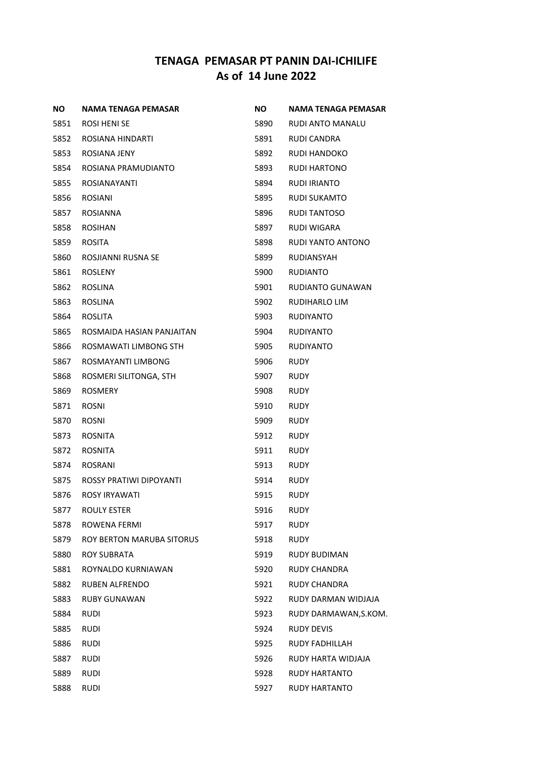| ΝO   | NAMA TENAGA PEMASAR              | NO.  | NAMA TENAGA PEMASAR   |
|------|----------------------------------|------|-----------------------|
| 5851 | ROSI HENI SE                     | 5890 | RUDI ANTO MANALU      |
| 5852 | ROSIANA HINDARTI                 | 5891 | RUDI CANDRA           |
| 5853 | ROSIANA JENY                     | 5892 | RUDI HANDOKO          |
| 5854 | ROSIANA PRAMUDIANTO              | 5893 | RUDI HARTONO          |
| 5855 | ROSIANAYANTI                     | 5894 | RUDI IRIANTO          |
| 5856 | <b>ROSIANI</b>                   | 5895 | RUDI SUKAMTO          |
| 5857 | ROSIANNA                         | 5896 | <b>RUDI TANTOSO</b>   |
| 5858 | <b>ROSIHAN</b>                   | 5897 | RUDI WIGARA           |
| 5859 | ROSITA                           | 5898 | RUDI YANTO ANTONO     |
| 5860 | ROSJIANNI RUSNA SE               | 5899 | RUDIANSYAH            |
| 5861 | ROSLENY                          | 5900 | RUDIANTO              |
| 5862 | ROSLINA                          | 5901 | RUDIANTO GUNAWAN      |
| 5863 | ROSLINA                          | 5902 | RUDIHARLO LIM         |
| 5864 | ROSLITA                          | 5903 | <b>RUDIYANTO</b>      |
| 5865 | ROSMAIDA HASIAN PANJAITAN        | 5904 | <b>RUDIYANTO</b>      |
| 5866 | ROSMAWATI LIMBONG STH            | 5905 | RUDIYANTO             |
| 5867 | ROSMAYANTI LIMBONG               | 5906 | <b>RUDY</b>           |
| 5868 | ROSMERI SILITONGA, STH           | 5907 | RUDY                  |
| 5869 | <b>ROSMERY</b>                   | 5908 | RUDY                  |
| 5871 | <b>ROSNI</b>                     | 5910 | RUDY                  |
| 5870 | <b>ROSNI</b>                     | 5909 | RUDY                  |
| 5873 | <b>ROSNITA</b>                   | 5912 | RUDY                  |
| 5872 | <b>ROSNITA</b>                   | 5911 | RUDY                  |
| 5874 | ROSRANI                          | 5913 | RUDY                  |
| 5875 | ROSSY PRATIWI DIPOYANTI          | 5914 | RUDY                  |
| 5876 | ROSY IRYAWATI                    | 5915 | RUDY                  |
| 5877 | <b>ROULY ESTER</b>               | 5916 | <b>RUDY</b>           |
| 5878 | <b>ROWENA FERMI</b>              | 5917 | <b>RUDY</b>           |
| 5879 | <b>ROY BERTON MARUBA SITORUS</b> | 5918 | RUDY                  |
| 5880 | <b>ROY SUBRATA</b>               | 5919 | <b>RUDY BUDIMAN</b>   |
| 5881 | ROYNALDO KURNIAWAN               | 5920 | <b>RUDY CHANDRA</b>   |
| 5882 | <b>RUBEN ALFRENDO</b>            | 5921 | RUDY CHANDRA          |
| 5883 | <b>RUBY GUNAWAN</b>              | 5922 | RUDY DARMAN WIDJAJA   |
| 5884 | <b>RUDI</b>                      | 5923 | RUDY DARMAWAN, S.KOM. |
| 5885 | <b>RUDI</b>                      | 5924 | <b>RUDY DEVIS</b>     |
| 5886 | RUDI                             | 5925 | RUDY FADHILLAH        |
| 5887 | <b>RUDI</b>                      | 5926 | RUDY HARTA WIDJAJA    |
| 5889 | <b>RUDI</b>                      | 5928 | <b>RUDY HARTANTO</b>  |
| 5888 | <b>RUDI</b>                      | 5927 | RUDY HARTANTO         |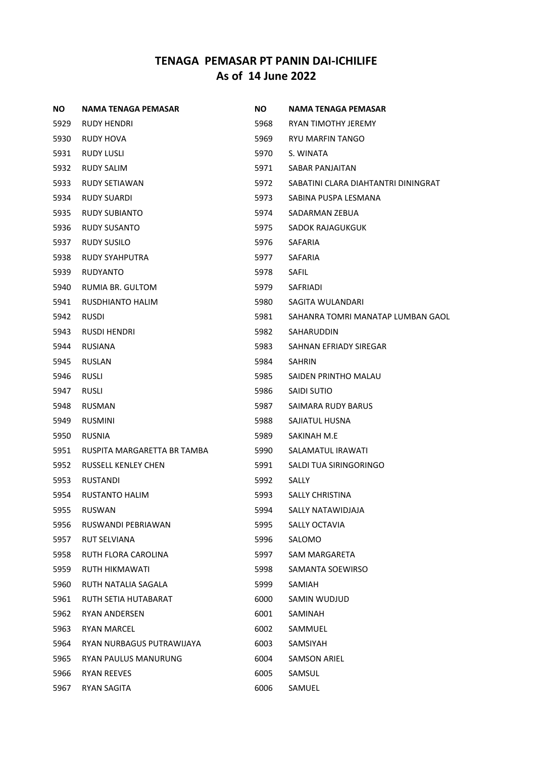| NO.  | NAMA TENAGA PEMASAR         | NO.  | <b>NAMA TENAGA PEMASAR</b>          |
|------|-----------------------------|------|-------------------------------------|
| 5929 | RUDY HENDRI                 | 5968 | RYAN TIMOTHY JEREMY                 |
| 5930 | RUDY HOVA                   | 5969 | RYU MARFIN TANGO                    |
| 5931 | RUDY LUSLI                  | 5970 | S. WINATA                           |
| 5932 | RUDY SALIM                  | 5971 | SABAR PANJAITAN                     |
| 5933 | RUDY SETIAWAN               | 5972 | SABATINI CLARA DIAHTANTRI DININGRAT |
| 5934 | <b>RUDY SUARDI</b>          | 5973 | SABINA PUSPA LESMANA                |
| 5935 | RUDY SUBIANTO               | 5974 | SADARMAN ZEBUA                      |
| 5936 | RUDY SUSANTO                | 5975 | SADOK RAJAGUKGUK                    |
| 5937 | RUDY SUSILO                 | 5976 | SAFARIA                             |
| 5938 | RUDY SYAHPUTRA              | 5977 | <b>SAFARIA</b>                      |
| 5939 | <b>RUDYANTO</b>             | 5978 | SAFIL                               |
| 5940 | RUMIA BR. GULTOM            | 5979 | SAFRIADI                            |
| 5941 | RUSDHIANTO HALIM            | 5980 | SAGITA WULANDARI                    |
| 5942 | RUSDI                       | 5981 | SAHANRA TOMRI MANATAP LUMBAN GAOL   |
| 5943 | RUSDI HENDRI                | 5982 | SAHARUDDIN                          |
| 5944 | <b>RUSIANA</b>              | 5983 | SAHNAN EFRIADY SIREGAR              |
| 5945 | <b>RUSLAN</b>               | 5984 | <b>SAHRIN</b>                       |
| 5946 | <b>RUSLI</b>                | 5985 | SAIDEN PRINTHO MALAU                |
| 5947 | RUSLI                       | 5986 | SAIDI SUTIO                         |
| 5948 | RUSMAN                      | 5987 | SAIMARA RUDY BARUS                  |
| 5949 | <b>RUSMINI</b>              | 5988 | SAJIATUL HUSNA                      |
| 5950 | RUSNIA                      | 5989 | SAKINAH M.E                         |
| 5951 | RUSPITA MARGARETTA BR TAMBA | 5990 | SALAMATUL IRAWATI                   |
| 5952 | <b>RUSSELL KENLEY CHEN</b>  | 5991 | SALDI TUA SIRINGORINGO              |
| 5953 | RUSTANDI                    | 5992 | SALLY                               |
| 5954 | RUSTANTO HALIM              | 5993 | <b>SALLY CHRISTINA</b>              |
| 5955 | RUSWAN                      | 5994 | SALLY NATAWIDJAJA                   |
| 5956 | RUSWANDI PEBRIAWAN          | 5995 | SALLY OCTAVIA                       |
| 5957 | <b>RUT SELVIANA</b>         | 5996 | SALOMO                              |
| 5958 | RUTH FLORA CAROLINA         | 5997 | SAM MARGARETA                       |
| 5959 | RUTH HIKMAWATI              | 5998 | SAMANTA SOEWIRSO                    |
| 5960 | RUTH NATALIA SAGALA         | 5999 | SAMIAH                              |
| 5961 | RUTH SETIA HUTABARAT        | 6000 | SAMIN WUDJUD                        |
| 5962 | <b>RYAN ANDERSEN</b>        | 6001 | SAMINAH                             |
| 5963 | <b>RYAN MARCEL</b>          | 6002 | SAMMUEL                             |
| 5964 | RYAN NURBAGUS PUTRAWIJAYA   | 6003 | SAMSIYAH                            |
| 5965 | RYAN PAULUS MANURUNG        | 6004 | <b>SAMSON ARIEL</b>                 |
| 5966 | <b>RYAN REEVES</b>          | 6005 | SAMSUL                              |
| 5967 | RYAN SAGITA                 | 6006 | SAMUEL                              |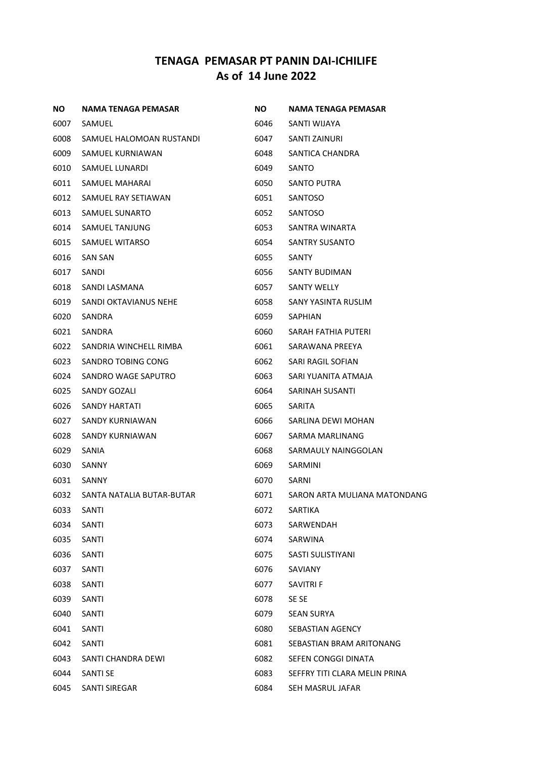| NO.  | NAMA TENAGA PEMASAR       | NO.  | NAMA TENAGA PEMASAR           |
|------|---------------------------|------|-------------------------------|
| 6007 | SAMUEL                    | 6046 | SANTI WIJAYA                  |
| 6008 | SAMUEL HALOMOAN RUSTANDI  | 6047 | SANTI ZAINURI                 |
| 6009 | SAMUEL KURNIAWAN          | 6048 | SANTICA CHANDRA               |
| 6010 | SAMUEL LUNARDI            | 6049 | SANTO                         |
| 6011 | SAMUEL MAHARAI            | 6050 | SANTO PUTRA                   |
| 6012 | SAMUEL RAY SETIAWAN       | 6051 | SANTOSO                       |
| 6013 | SAMUEL SUNARTO            | 6052 | SANTOSO                       |
| 6014 | SAMUEL TANJUNG            | 6053 | SANTRA WINARTA                |
| 6015 | SAMUEL WITARSO            | 6054 | SANTRY SUSANTO                |
| 6016 | <b>SAN SAN</b>            | 6055 | SANTY                         |
| 6017 | SANDI                     | 6056 | SANTY BUDIMAN                 |
| 6018 | SANDI LASMANA             | 6057 | <b>SANTY WELLY</b>            |
| 6019 | SANDI OKTAVIANUS NEHE     | 6058 | SANY YASINTA RUSLIM           |
| 6020 | SANDRA                    | 6059 | SAPHIAN                       |
| 6021 | SANDRA                    | 6060 | SARAH FATHIA PUTERI           |
| 6022 | SANDRIA WINCHELL RIMBA    | 6061 | SARAWANA PREEYA               |
| 6023 | SANDRO TOBING CONG        | 6062 | SARI RAGIL SOFIAN             |
| 6024 | SANDRO WAGE SAPUTRO       | 6063 | SARI YUANITA ATMAJA           |
| 6025 | SANDY GOZALI              | 6064 | SARINAH SUSANTI               |
| 6026 | SANDY HARTATI             | 6065 | <b>SARITA</b>                 |
| 6027 | SANDY KURNIAWAN           | 6066 | SARLINA DEWI MOHAN            |
| 6028 | SANDY KURNIAWAN           | 6067 | SARMA MARLINANG               |
| 6029 | SANIA                     | 6068 | SARMAULY NAINGGOLAN           |
| 6030 | SANNY                     | 6069 | <b>SARMINI</b>                |
| 6031 | SANNY                     | 6070 | SARNI                         |
| 6032 | SANTA NATALIA BUTAR-BUTAR | 6071 | SARON ARTA MULIANA MATONDANG  |
| 6033 | SANTI                     | 6072 | <b>SARTIKA</b>                |
| 6034 | SANTI                     | 6073 | SARWENDAH                     |
| 6035 | SANTI                     | 6074 | SARWINA                       |
| 6036 | SANTI                     | 6075 | SASTI SULISTIYANI             |
| 6037 | SANTI                     | 6076 | SAVIANY                       |
| 6038 | SANTI                     | 6077 | SAVITRI F                     |
| 6039 | <b>SANTI</b>              | 6078 | SE SE                         |
| 6040 | SANTI                     | 6079 | <b>SEAN SURYA</b>             |
| 6041 | SANTI                     | 6080 | <b>SEBASTIAN AGENCY</b>       |
| 6042 | SANTI                     | 6081 | SEBASTIAN BRAM ARITONANG      |
| 6043 | SANTI CHANDRA DEWI        | 6082 | SEFEN CONGGI DINATA           |
| 6044 | <b>SANTI SE</b>           | 6083 | SEFFRY TITI CLARA MELIN PRINA |
| 6045 | SANTI SIREGAR             | 6084 | SEH MASRUL JAFAR              |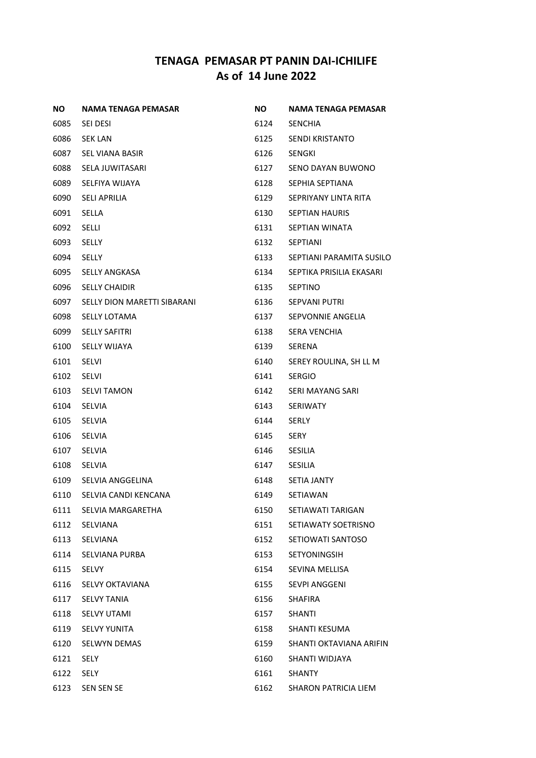| ΝO   | <b>NAMA TENAGA PEMASAR</b>  | <b>NO</b> | <b>NAMA TENAGA PEMASAR</b> |
|------|-----------------------------|-----------|----------------------------|
| 6085 | SEI DESI                    | 6124      | <b>SENCHIA</b>             |
| 6086 | <b>SEK LAN</b>              | 6125      | SENDI KRISTANTO            |
| 6087 | SEL VIANA BASIR             | 6126      | <b>SENGKI</b>              |
| 6088 | SELA JUWITASARI             | 6127      | SENO DAYAN BUWONO          |
| 6089 | SELFIYA WIJAYA              | 6128      | SEPHIA SEPTIANA            |
| 6090 | <b>SELI APRILIA</b>         | 6129      | SEPRIYANY LINTA RITA       |
| 6091 | <b>SELLA</b>                | 6130      | <b>SEPTIAN HAURIS</b>      |
| 6092 | <b>SELLI</b>                | 6131      | SEPTIAN WINATA             |
| 6093 | SELLY                       | 6132      | SEPTIANI                   |
| 6094 | SELLY                       | 6133      | SEPTIANI PARAMITA SUSILO   |
| 6095 | <b>SELLY ANGKASA</b>        | 6134      | SEPTIKA PRISILIA EKASARI   |
| 6096 | <b>SELLY CHAIDIR</b>        | 6135      | <b>SEPTINO</b>             |
| 6097 | SELLY DION MARETTI SIBARANI | 6136      | <b>SEPVANI PUTRI</b>       |
| 6098 | <b>SELLY LOTAMA</b>         | 6137      | SEPVONNIE ANGELIA          |
| 6099 | <b>SELLY SAFITRI</b>        | 6138      | SERA VENCHIA               |
| 6100 | <b>SELLY WIJAYA</b>         | 6139      | SERENA                     |
| 6101 | SELVI                       | 6140      | SEREY ROULINA, SH LL M     |
| 6102 | <b>SELVI</b>                | 6141      | <b>SERGIO</b>              |
| 6103 | <b>SELVI TAMON</b>          | 6142      | SERI MAYANG SARI           |
| 6104 | <b>SELVIA</b>               | 6143      | <b>SERIWATY</b>            |
| 6105 | <b>SELVIA</b>               | 6144      | SERLY                      |
| 6106 | <b>SELVIA</b>               | 6145      | SERY                       |
| 6107 | <b>SELVIA</b>               | 6146      | <b>SESILIA</b>             |
| 6108 | SELVIA                      | 6147      | <b>SESILIA</b>             |
| 6109 | SELVIA ANGGELINA            | 6148      | <b>SETIA JANTY</b>         |
| 6110 | SELVIA CANDI KENCANA        | 6149      | SETIAWAN                   |
| 6111 | SELVIA MARGARETHA           | 6150      | SETIAWATI TARIGAN          |
| 6112 | SELVIANA                    | 6151      | SETIAWATY SOETRISNO        |
| 6113 | SELVIANA                    | 6152      | SETIOWATI SANTOSO          |
| 6114 | <b>SELVIANA PURBA</b>       | 6153      | <b>SETYONINGSIH</b>        |
| 6115 | <b>SELVY</b>                | 6154      | SEVINA MELLISA             |
| 6116 | <b>SELVY OKTAVIANA</b>      | 6155      | <b>SEVPI ANGGENI</b>       |
| 6117 | <b>SELVY TANIA</b>          | 6156      | <b>SHAFIRA</b>             |
| 6118 | <b>SELVY UTAMI</b>          | 6157      | SHANTI                     |
| 6119 | <b>SELVY YUNITA</b>         | 6158      | SHANTI KESUMA              |
| 6120 | <b>SELWYN DEMAS</b>         | 6159      | SHANTI OKTAVIANA ARIFIN    |
| 6121 | SELY                        | 6160      | SHANTI WIDJAYA             |
| 6122 | SELY                        | 6161      | <b>SHANTY</b>              |
| 6123 | SEN SEN SE                  | 6162      | SHARON PATRICIA LIEM       |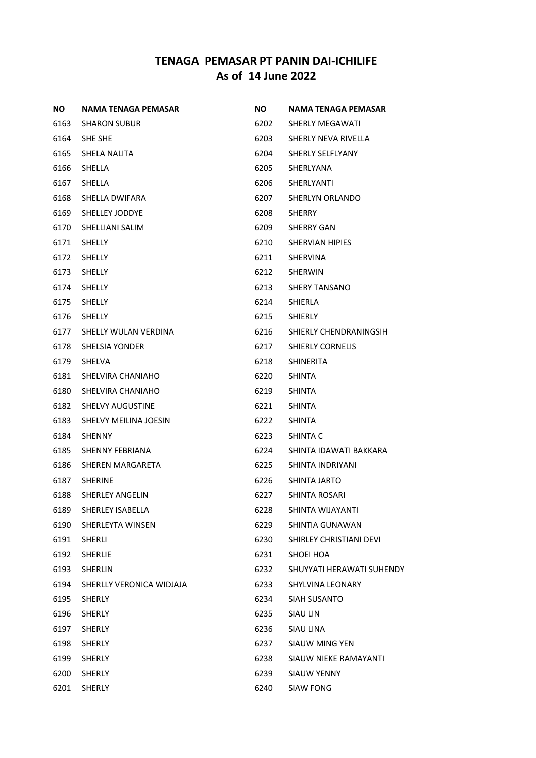| ΝO   | NAMA TENAGA PEMASAR          | <b>NO</b> | <b>NAMA TENAGA PEMASAR</b> |
|------|------------------------------|-----------|----------------------------|
| 6163 | <b>SHARON SUBUR</b>          | 6202      | SHERLY MEGAWATI            |
| 6164 | SHE SHE                      | 6203      | SHERLY NEVA RIVELLA        |
| 6165 | SHELA NALITA                 | 6204      | SHERLY SELFLYANY           |
| 6166 | SHELLA                       | 6205      | SHERLYANA                  |
| 6167 | SHELLA                       | 6206      | SHERLYANTI                 |
| 6168 | SHELLA DWIFARA               | 6207      | SHERLYN ORLANDO            |
| 6169 | SHELLEY JODDYE               | 6208      | SHERRY                     |
| 6170 | SHELLIANI SALIM              | 6209      | SHERRY GAN                 |
| 6171 | <b>SHELLY</b>                | 6210      | SHERVIAN HIPIES            |
| 6172 | <b>SHELLY</b>                | 6211      | SHERVINA                   |
| 6173 | <b>SHELLY</b>                | 6212      | SHERWIN                    |
| 6174 | <b>SHELLY</b>                | 6213      | <b>SHERY TANSANO</b>       |
| 6175 | <b>SHELLY</b>                | 6214      | SHIERLA                    |
| 6176 | <b>SHELLY</b>                | 6215      | <b>SHIERLY</b>             |
| 6177 | SHELLY WULAN VERDINA         | 6216      | SHIERLY CHENDRANINGSIH     |
| 6178 | SHELSIA YONDER               | 6217      | <b>SHIERLY CORNELIS</b>    |
| 6179 | SHELVA                       | 6218      | SHINERITA                  |
| 6181 | SHELVIRA CHANIAHO            | 6220      | <b>SHINTA</b>              |
| 6180 | SHELVIRA CHANIAHO            | 6219      | <b>SHINTA</b>              |
| 6182 | <b>SHELVY AUGUSTINE</b>      | 6221      | SHINTA                     |
| 6183 | <b>SHELVY MEILINA JOESIN</b> | 6222      | <b>SHINTA</b>              |
| 6184 | SHENNY                       | 6223      | SHINTA C                   |
| 6185 | SHENNY FEBRIANA              | 6224      | SHINTA IDAWATI BAKKARA     |
| 6186 | SHEREN MARGARETA             | 6225      | SHINTA INDRIYANI           |
| 6187 | <b>SHERINE</b>               | 6226      | SHINTA JARTO               |
| 6188 | <b>SHERLEY ANGELIN</b>       | 6227      | SHINTA ROSARI              |
| 6189 | SHERLEY ISABELLA             | 6228      | SHINTA WIJAYANTI           |
| 6190 | SHERLEYTA WINSEN             | 6229      | SHINTIA GUNAWAN            |
| 6191 | SHERLI                       | 6230      | SHIRLEY CHRISTIANI DEVI    |
| 6192 | <b>SHERLIE</b>               | 6231      | SHOEI HOA                  |
| 6193 | SHERLIN                      | 6232      | SHUYYATI HERAWATI SUHENDY  |
| 6194 | SHERLLY VERONICA WIDJAJA     | 6233      | SHYLVINA LEONARY           |
| 6195 | <b>SHERLY</b>                | 6234      | SIAH SUSANTO               |
| 6196 | <b>SHERLY</b>                | 6235      | <b>SIAU LIN</b>            |
| 6197 | <b>SHERLY</b>                | 6236      | SIAU LINA                  |
| 6198 | <b>SHERLY</b>                | 6237      | SIAUW MING YEN             |
| 6199 | SHERLY                       | 6238      | SIAUW NIEKE RAMAYANTI      |
| 6200 | <b>SHERLY</b>                | 6239      | <b>SIAUW YENNY</b>         |
| 6201 | SHERLY                       | 6240      | SIAW FONG                  |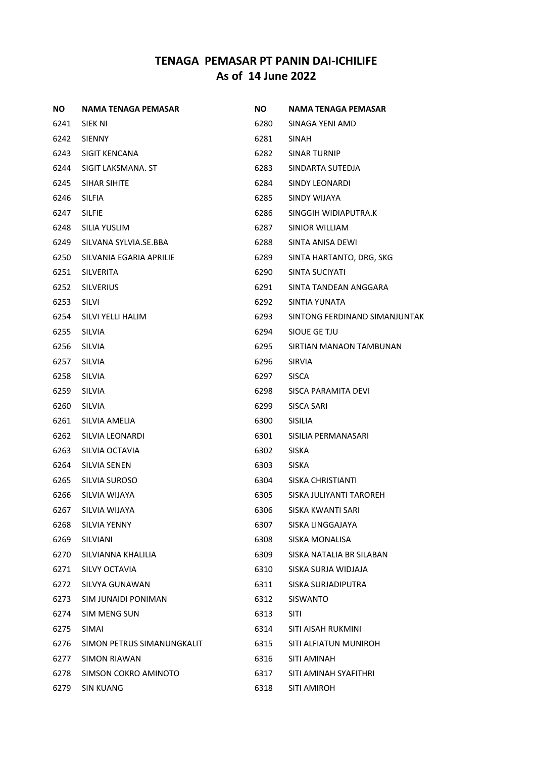| NO.  | NAMA TENAGA PEMASAR        | NO.  | NAMA TENAGA PEMASAR           |
|------|----------------------------|------|-------------------------------|
| 6241 | SIEK NI                    | 6280 | SINAGA YENI AMD               |
| 6242 | <b>SIENNY</b>              | 6281 | SINAH                         |
| 6243 | <b>SIGIT KENCANA</b>       | 6282 | <b>SINAR TURNIP</b>           |
| 6244 | SIGIT LAKSMANA. ST         | 6283 | SINDARTA SUTEDJA              |
| 6245 | SIHAR SIHITE               | 6284 | SINDY LEONARDI                |
| 6246 | <b>SILFIA</b>              | 6285 | SINDY WIJAYA                  |
| 6247 | <b>SILFIE</b>              | 6286 | SINGGIH WIDIAPUTRA.K          |
| 6248 | SILIA YUSLIM               | 6287 | SINIOR WILLIAM                |
| 6249 | SILVANA SYLVIA.SE.BBA      | 6288 | SINTA ANISA DEWI              |
| 6250 | SILVANIA EGARIA APRILIE    | 6289 | SINTA HARTANTO, DRG, SKG      |
| 6251 | <b>SILVERITA</b>           | 6290 | SINTA SUCIYATI                |
| 6252 | <b>SILVERIUS</b>           | 6291 | SINTA TANDEAN ANGGARA         |
| 6253 | SILVI                      | 6292 | SINTIA YUNATA                 |
| 6254 | SILVI YELLI HALIM          | 6293 | SINTONG FERDINAND SIMANJUNTAK |
| 6255 | <b>SILVIA</b>              | 6294 | SIQUE GE TJU                  |
| 6256 | <b>SILVIA</b>              | 6295 | SIRTIAN MANAON TAMBUNAN       |
| 6257 | <b>SILVIA</b>              | 6296 | <b>SIRVIA</b>                 |
| 6258 | <b>SILVIA</b>              | 6297 | <b>SISCA</b>                  |
| 6259 | <b>SILVIA</b>              | 6298 | SISCA PARAMITA DEVI           |
| 6260 | <b>SILVIA</b>              | 6299 | SISCA SARI                    |
| 6261 | SILVIA AMELIA              | 6300 | <b>SISILIA</b>                |
| 6262 | SILVIA LEONARDI            | 6301 | SISILIA PERMANASARI           |
| 6263 | SILVIA OCTAVIA             | 6302 | <b>SISKA</b>                  |
| 6264 | <b>SILVIA SENEN</b>        | 6303 | <b>SISKA</b>                  |
| 6265 | SILVIA SUROSO              | 6304 | SISKA CHRISTIANTI             |
| 6266 | SILVIA WIJAYA              | 6305 | SISKA JULIYANTI TAROREH       |
| 6267 | SILVIA WIJAYA              | 6306 | SISKA KWANTI SARI             |
| 6268 | <b>SILVIA YENNY</b>        | 6307 | SISKA LINGGAJAYA              |
| 6269 | SILVIANI                   | 6308 | <b>SISKA MONALISA</b>         |
| 6270 | SILVIANNA KHALILIA         | 6309 | SISKA NATALIA BR SILABAN      |
| 6271 | SILVY OCTAVIA              | 6310 | SISKA SURJA WIDJAJA           |
| 6272 | SILVYA GUNAWAN             | 6311 | SISKA SURJADIPUTRA            |
| 6273 | SIM JUNAIDI PONIMAN        | 6312 | <b>SISWANTO</b>               |
| 6274 | <b>SIM MENG SUN</b>        | 6313 | <b>SITI</b>                   |
| 6275 | <b>SIMAI</b>               | 6314 | SITI AISAH RUKMINI            |
| 6276 | SIMON PETRUS SIMANUNGKALIT | 6315 | SITI ALFIATUN MUNIROH         |
| 6277 | <b>SIMON RIAWAN</b>        | 6316 | SITI AMINAH                   |
| 6278 | SIMSON COKRO AMINOTO       | 6317 | SITI AMINAH SYAFITHRI         |
| 6279 | SIN KUANG                  | 6318 | SITI AMIROH                   |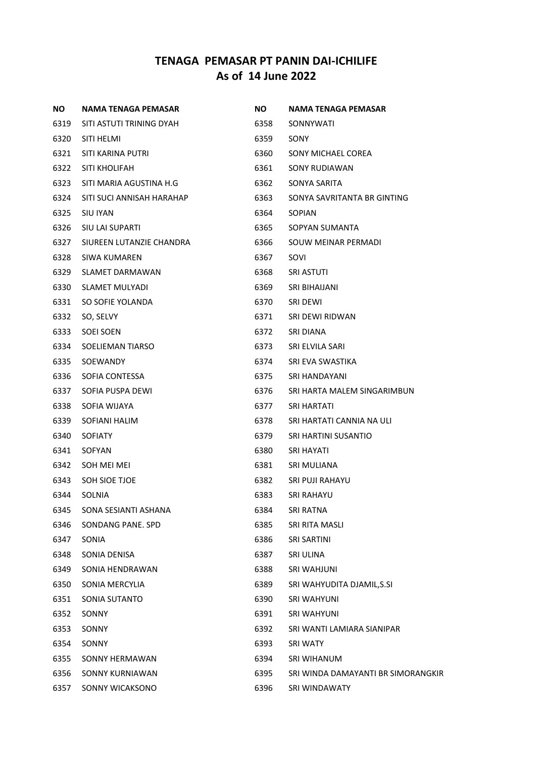| <b>NO</b> | NAMA TENAGA PEMASAR       | <b>NO</b> | NAMA TENAGA PEMASAR                |
|-----------|---------------------------|-----------|------------------------------------|
| 6319      | SITI ASTUTI TRINING DYAH  | 6358      | SONNYWATI                          |
| 6320      | SITI HELMI                | 6359      | SONY                               |
| 6321      | SITI KARINA PUTRI         | 6360      | SONY MICHAEL COREA                 |
| 6322      | SITI KHOLIFAH             | 6361      | SONY RUDIAWAN                      |
| 6323      | SITI MARIA AGUSTINA H.G   | 6362      | SONYA SARITA                       |
| 6324      | SITI SUCI ANNISAH HARAHAP | 6363      | SONYA SAVRITANTA BR GINTING        |
| 6325      | SIU IYAN                  | 6364      | <b>SOPIAN</b>                      |
| 6326      | SIU LAI SUPARTI           | 6365      | SOPYAN SUMANTA                     |
| 6327      | SIUREEN LUTANZIE CHANDRA  | 6366      | SOUW MEINAR PERMADI                |
| 6328      | SIWA KUMAREN              | 6367      | SOVI                               |
| 6329      | SLAMET DARMAWAN           | 6368      | <b>SRI ASTUTI</b>                  |
| 6330      | <b>SLAMET MULYADI</b>     | 6369      | SRI BIHAIJANI                      |
| 6331      | SO SOFIE YOLANDA          | 6370      | SRI DEWI                           |
| 6332      | SO, SELVY                 | 6371      | SRI DEWI RIDWAN                    |
| 6333      | SOEI SOEN                 | 6372      | SRI DIANA                          |
| 6334      | SOELIEMAN TIARSO          | 6373      | SRI ELVILA SARI                    |
| 6335      | SOEWANDY                  | 6374      | SRI EVA SWASTIKA                   |
| 6336      | SOFIA CONTESSA            | 6375      | SRI HANDAYANI                      |
| 6337      | SOFIA PUSPA DEWI          | 6376      | SRI HARTA MALEM SINGARIMBUN        |
| 6338      | SOFIA WIJAYA              | 6377      | SRI HARTATI                        |
| 6339      | SOFIANI HALIM             | 6378      | SRI HARTATI CANNIA NA ULI          |
| 6340      | <b>SOFIATY</b>            | 6379      | SRI HARTINI SUSANTIO               |
| 6341      | SOFYAN                    | 6380      | SRI HAYATI                         |
| 6342      | SOH MEI MEI               | 6381      | SRI MULIANA                        |
| 6343      | SOH SIOE TJOE             | 6382      | SRI PUJI RAHAYU                    |
| 6344      | <b>SOLNIA</b>             | 6383      | SRI RAHAYU                         |
| 6345      | SONA SESIANTI ASHANA      | 6384      | <b>SRI RATNA</b>                   |
| 6346      | SONDANG PANE, SPD         | 6385      | SRI RITA MASLI                     |
| 6347      | SONIA                     | 6386      | SRI SARTINI                        |
| 6348      | SONIA DENISA              | 6387      | SRI ULINA                          |
| 6349      | SONIA HENDRAWAN           | 6388      | SRI WAHJUNI                        |
| 6350      | SONIA MERCYLIA            | 6389      | SRI WAHYUDITA DJAMIL,S.SI          |
| 6351      | SONIA SUTANTO             | 6390      | <b>SRI WAHYUNI</b>                 |
| 6352      | <b>SONNY</b>              | 6391      | SRI WAHYUNI                        |
| 6353      | SONNY                     | 6392      | SRI WANTI LAMIARA SIANIPAR         |
| 6354      | SONNY                     | 6393      | SRI WATY                           |
| 6355      | SONNY HERMAWAN            | 6394      | SRI WIHANUM                        |
| 6356      | <b>SONNY KURNIAWAN</b>    | 6395      | SRI WINDA DAMAYANTI BR SIMORANGKIR |
| 6357      | SONNY WICAKSONO           | 6396      | SRI WINDAWATY                      |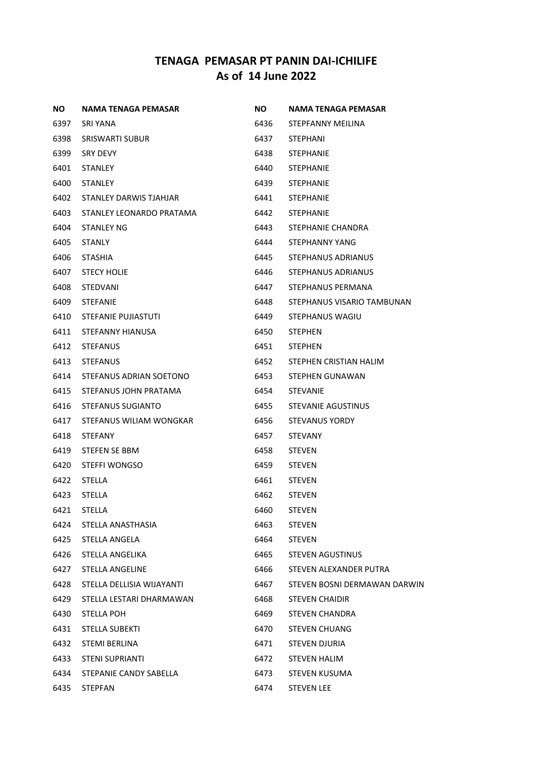| NO.  | <b>NAMA TENAGA PEMASAR</b> | NO.  | <b>NAMA TENAGA PEMASAR</b>   |
|------|----------------------------|------|------------------------------|
| 6397 | SRI YANA                   | 6436 | STEPFANNY MEILINA            |
| 6398 | SRISWARTI SUBUR            | 6437 | STEPHANI                     |
| 6399 | <b>SRY DEVY</b>            | 6438 | <b>STEPHANIE</b>             |
| 6401 | <b>STANLEY</b>             | 6440 | <b>STEPHANIE</b>             |
| 6400 | <b>STANLEY</b>             | 6439 | <b>STEPHANIE</b>             |
| 6402 | STANLEY DARWIS TJAHJAR     | 6441 | <b>STEPHANIE</b>             |
| 6403 | STANLEY LEONARDO PRATAMA   | 6442 | <b>STEPHANIE</b>             |
| 6404 | <b>STANLEY NG</b>          | 6443 | STEPHANIE CHANDRA            |
| 6405 | STANLY                     | 6444 | STEPHANNY YANG               |
| 6406 | <b>STASHIA</b>             | 6445 | STEPHANUS ADRIANUS           |
| 6407 | <b>STECY HOLIE</b>         | 6446 | STEPHANUS ADRIANUS           |
| 6408 | <b>STEDVANI</b>            | 6447 | STEPHANUS PERMANA            |
| 6409 | <b>STEFANIE</b>            | 6448 | STEPHANUS VISARIO TAMBUNAN   |
| 6410 | STEFANIE PUJIASTUTI        | 6449 | STEPHANUS WAGIU              |
| 6411 | STEFANNY HIANUSA           | 6450 | STEPHEN                      |
| 6412 | <b>STEFANUS</b>            | 6451 | <b>STEPHEN</b>               |
| 6413 | <b>STEFANUS</b>            | 6452 | STEPHEN CRISTIAN HALIM       |
| 6414 | STEFANUS ADRIAN SOETONO    | 6453 | STEPHEN GUNAWAN              |
| 6415 | STEFANUS JOHN PRATAMA      | 6454 | STEVANIE                     |
| 6416 | STEFANUS SUGIANTO          | 6455 | STEVANIE AGUSTINUS           |
| 6417 | STEFANUS WILIAM WONGKAR    | 6456 | <b>STEVANUS YORDY</b>        |
| 6418 | <b>STEFANY</b>             | 6457 | <b>STEVANY</b>               |
| 6419 | STEFEN SE BBM              | 6458 | <b>STEVEN</b>                |
| 6420 | STEFFI WONGSO              | 6459 | <b>STEVEN</b>                |
| 6422 | <b>STELLA</b>              | 6461 | <b>STEVEN</b>                |
| 6423 | <b>STELLA</b>              | 6462 | <b>STEVEN</b>                |
| 6421 | STELLA                     | 6460 | <b>STEVEN</b>                |
| 6424 | STELLA ANASTHASIA          | 6463 | <b>STEVEN</b>                |
| 6425 | STELLA ANGELA              | 6464 | <b>STEVEN</b>                |
| 6426 | STELLA ANGELIKA            | 6465 | <b>STEVEN AGUSTINUS</b>      |
| 6427 | <b>STELLA ANGELINE</b>     | 6466 | STEVEN ALEXANDER PUTRA       |
| 6428 | STELLA DELLISIA WIJAYANTI  | 6467 | STEVEN BOSNI DERMAWAN DARWIN |
| 6429 | STELLA LESTARI DHARMAWAN   | 6468 | <b>STEVEN CHAIDIR</b>        |
| 6430 | STELLA POH                 | 6469 | <b>STEVEN CHANDRA</b>        |
| 6431 | <b>STELLA SUBEKTI</b>      | 6470 | <b>STEVEN CHUANG</b>         |
| 6432 | <b>STEMI BERLINA</b>       | 6471 | <b>STEVEN DJURIA</b>         |
| 6433 | <b>STENI SUPRIANTI</b>     | 6472 | <b>STEVEN HALIM</b>          |
| 6434 | STEPANIE CANDY SABELLA     | 6473 | <b>STEVEN KUSUMA</b>         |
| 6435 | STEPFAN                    | 6474 | <b>STEVEN LEE</b>            |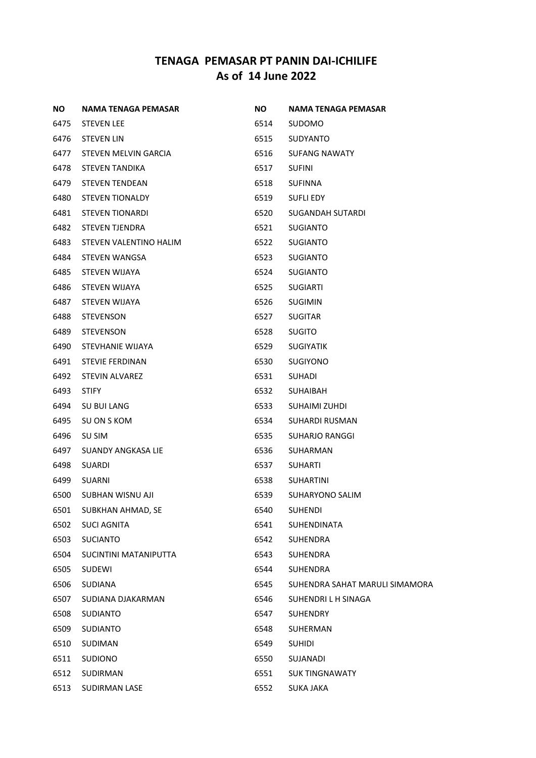| NO.  | NAMA TENAGA PEMASAR    | NO.  | NAMA TENAGA PEMASAR            |
|------|------------------------|------|--------------------------------|
| 6475 | <b>STEVEN LEE</b>      | 6514 | <b>SUDOMO</b>                  |
| 6476 | STEVEN LIN             | 6515 | <b>SUDYANTO</b>                |
| 6477 | STEVEN MELVIN GARCIA   | 6516 | SUFANG NAWATY                  |
| 6478 | <b>STEVEN TANDIKA</b>  | 6517 | <b>SUFINI</b>                  |
| 6479 | STEVEN TENDEAN         | 6518 | <b>SUFINNA</b>                 |
| 6480 | <b>STEVEN TIONALDY</b> | 6519 | <b>SUFLI EDY</b>               |
| 6481 | <b>STEVEN TIONARDI</b> | 6520 | SUGANDAH SUTARDI               |
| 6482 | <b>STEVEN TJENDRA</b>  | 6521 | <b>SUGIANTO</b>                |
| 6483 | STEVEN VALENTINO HALIM | 6522 | SUGIANTO                       |
| 6484 | STEVEN WANGSA          | 6523 | <b>SUGIANTO</b>                |
| 6485 | STEVEN WIJAYA          | 6524 | <b>SUGIANTO</b>                |
| 6486 | STEVEN WIJAYA          | 6525 | <b>SUGIARTI</b>                |
| 6487 | <b>STEVEN WIJAYA</b>   | 6526 | <b>SUGIMIN</b>                 |
| 6488 | <b>STEVENSON</b>       | 6527 | <b>SUGITAR</b>                 |
| 6489 | <b>STEVENSON</b>       | 6528 | <b>SUGITO</b>                  |
| 6490 | STEVHANIE WIJAYA       | 6529 | <b>SUGIYATIK</b>               |
| 6491 | <b>STEVIE FERDINAN</b> | 6530 | <b>SUGIYONO</b>                |
| 6492 | <b>STEVIN ALVAREZ</b>  | 6531 | <b>SUHADI</b>                  |
| 6493 | <b>STIFY</b>           | 6532 | SUHAIBAH                       |
| 6494 | SU BUI LANG            | 6533 | SUHAIMI ZUHDI                  |
| 6495 | SU ON S KOM            | 6534 | SUHARDI RUSMAN                 |
| 6496 | SU SIM                 | 6535 | SUHARJO RANGGI                 |
| 6497 | SUANDY ANGKASA LIE     | 6536 | <b>SUHARMAN</b>                |
| 6498 | SUARDI                 | 6537 | <b>SUHARTI</b>                 |
| 6499 | SUARNI                 | 6538 | SUHARTINI                      |
| 6500 | SUBHAN WISNU AJI       | 6539 | SUHARYONO SALIM                |
| 6501 | SUBKHAN AHMAD, SE      | 6540 | <b>SUHENDI</b>                 |
| 6502 | <b>SUCI AGNITA</b>     | 6541 | <b>SUHENDINATA</b>             |
| 6503 | <b>SUCIANTO</b>        | 6542 | <b>SUHENDRA</b>                |
| 6504 | SUCINTINI MATANIPUTTA  | 6543 | <b>SUHENDRA</b>                |
| 6505 | SUDEWI                 | 6544 | <b>SUHENDRA</b>                |
| 6506 | <b>SUDIANA</b>         | 6545 | SUHENDRA SAHAT MARULI SIMAMORA |
| 6507 | SUDIANA DJAKARMAN      | 6546 | SUHENDRI L H SINAGA            |
| 6508 | <b>SUDIANTO</b>        | 6547 | <b>SUHENDRY</b>                |
| 6509 | <b>SUDIANTO</b>        | 6548 | SUHERMAN                       |
| 6510 | SUDIMAN                | 6549 | <b>SUHIDI</b>                  |
| 6511 | <b>SUDIONO</b>         | 6550 | SUJANADI                       |
| 6512 | SUDIRMAN               | 6551 | <b>SUK TINGNAWATY</b>          |
| 6513 | <b>SUDIRMAN LASE</b>   | 6552 | SUKA JAKA                      |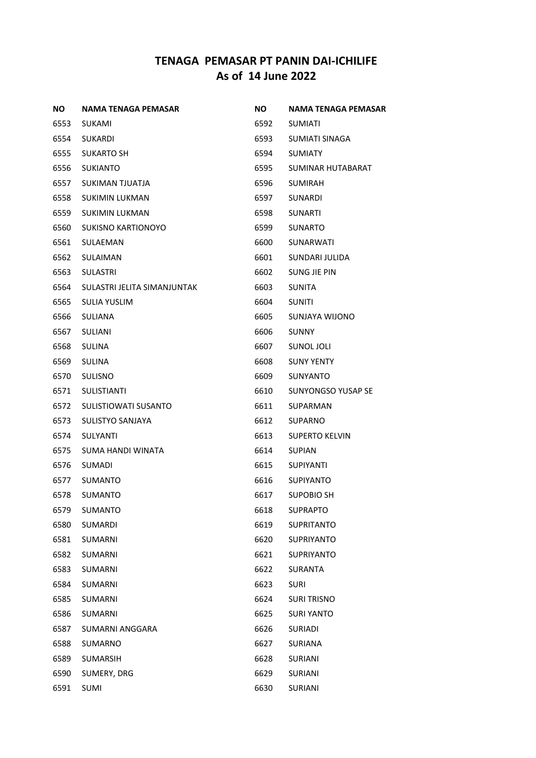| ΝO   | NAMA TENAGA PEMASAR         | NO.  | NAMA TENAGA PEMASAR   |
|------|-----------------------------|------|-----------------------|
| 6553 | SUKAMI                      | 6592 | <b>SUMIATI</b>        |
| 6554 | <b>SUKARDI</b>              | 6593 | SUMIATI SINAGA        |
| 6555 | <b>SUKARTO SH</b>           | 6594 | <b>SUMIATY</b>        |
| 6556 | <b>SUKIANTO</b>             | 6595 | SUMINAR HUTABARAT     |
| 6557 | SUKIMAN TJUATJA             | 6596 | <b>SUMIRAH</b>        |
| 6558 | <b>SUKIMIN LUKMAN</b>       | 6597 | SUNARDI               |
| 6559 | <b>SUKIMIN LUKMAN</b>       | 6598 | <b>SUNARTI</b>        |
| 6560 | <b>SUKISNO KARTIONOYO</b>   | 6599 | <b>SUNARTO</b>        |
| 6561 | SULAEMAN                    | 6600 | SUNARWATI             |
| 6562 | <b>SULAIMAN</b>             | 6601 | SUNDARI JULIDA        |
| 6563 | <b>SULASTRI</b>             | 6602 | SUNG JIE PIN          |
| 6564 | SULASTRI JELITA SIMANJUNTAK | 6603 | <b>SUNITA</b>         |
| 6565 | SULIA YUSLIM                | 6604 | <b>SUNITI</b>         |
| 6566 | <b>SULIANA</b>              | 6605 | SUNJAYA WIJONO        |
| 6567 | SULIANI                     | 6606 | <b>SUNNY</b>          |
| 6568 | <b>SULINA</b>               | 6607 | SUNOL JOLI            |
| 6569 | SULINA                      | 6608 | <b>SUNY YENTY</b>     |
| 6570 | <b>SULISNO</b>              | 6609 | <b>SUNYANTO</b>       |
| 6571 | <b>SULISTIANTI</b>          | 6610 | SUNYONGSO YUSAP SE    |
| 6572 | SULISTIOWATI SUSANTO        | 6611 | SUPARMAN              |
| 6573 | SULISTYO SANJAYA            | 6612 | <b>SUPARNO</b>        |
| 6574 | SULYANTI                    | 6613 | <b>SUPERTO KELVIN</b> |
| 6575 | SUMA HANDI WINATA           | 6614 | <b>SUPIAN</b>         |
| 6576 | <b>SUMADI</b>               | 6615 | <b>SUPIYANTI</b>      |
| 6577 | <b>SUMANTO</b>              | 6616 | <b>SUPIYANTO</b>      |
| 6578 | <b>SUMANTO</b>              | 6617 | <b>SUPOBIO SH</b>     |
| 6579 | SUMANTO                     | 6618 | <b>SUPRAPTO</b>       |
| 6580 | SUMARDI                     | 6619 | <b>SUPRITANTO</b>     |
| 6581 | SUMARNI                     | 6620 | <b>SUPRIYANTO</b>     |
| 6582 | <b>SUMARNI</b>              | 6621 | <b>SUPRIYANTO</b>     |
| 6583 | SUMARNI                     | 6622 | SURANTA               |
| 6584 | <b>SUMARNI</b>              | 6623 | <b>SURI</b>           |
| 6585 | <b>SUMARNI</b>              | 6624 | <b>SURI TRISNO</b>    |
| 6586 | <b>SUMARNI</b>              | 6625 | <b>SURI YANTO</b>     |
| 6587 | SUMARNI ANGGARA             | 6626 | <b>SURIADI</b>        |
| 6588 | SUMARNO                     | 6627 | <b>SURIANA</b>        |
| 6589 | SUMARSIH                    | 6628 | <b>SURIANI</b>        |
| 6590 | SUMERY, DRG                 | 6629 | <b>SURIANI</b>        |
| 6591 | SUMI                        | 6630 | SURIANI               |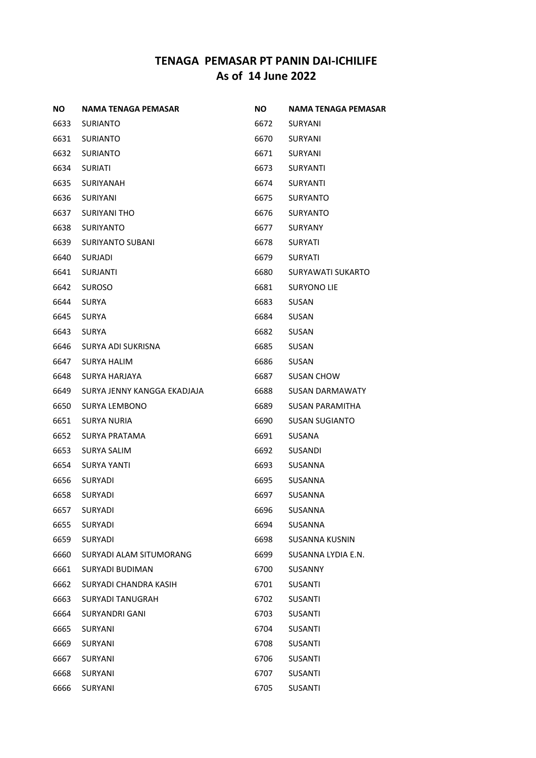| ΝO   | <b>NAMA TENAGA PEMASAR</b>  | NO.  | <b>NAMA TENAGA PEMASAR</b> |
|------|-----------------------------|------|----------------------------|
| 6633 | <b>SURIANTO</b>             | 6672 | SURYANI                    |
| 6631 | <b>SURIANTO</b>             | 6670 | SURYANI                    |
| 6632 | <b>SURIANTO</b>             | 6671 | SURYANI                    |
| 6634 | <b>SURIATI</b>              | 6673 | <b>SURYANTI</b>            |
| 6635 | SURIYANAH                   | 6674 | SURYANTI                   |
| 6636 | SURIYANI                    | 6675 | SURYANTO                   |
| 6637 | <b>SURIYANI THO</b>         | 6676 | <b>SURYANTO</b>            |
| 6638 | <b>SURIYANTO</b>            | 6677 | <b>SURYANY</b>             |
| 6639 | SURIYANTO SUBANI            | 6678 | SURYATI                    |
| 6640 | SURJADI                     | 6679 | <b>SURYATI</b>             |
| 6641 | SURJANTI                    | 6680 | SURYAWATI SUKARTO          |
| 6642 | <b>SUROSO</b>               | 6681 | SURYONO LIE                |
| 6644 | SURYA                       | 6683 | SUSAN                      |
| 6645 | <b>SURYA</b>                | 6684 | SUSAN                      |
| 6643 | <b>SURYA</b>                | 6682 | SUSAN                      |
| 6646 | SURYA ADI SUKRISNA          | 6685 | SUSAN                      |
| 6647 | SURYA HALIM                 | 6686 | SUSAN                      |
| 6648 | SURYA HARJAYA               | 6687 | <b>SUSAN CHOW</b>          |
| 6649 | SURYA JENNY KANGGA EKADJAJA | 6688 | SUSAN DARMAWATY            |
| 6650 | <b>SURYA LEMBONO</b>        | 6689 | SUSAN PARAMITHA            |
| 6651 | SURYA NURIA                 | 6690 | <b>SUSAN SUGIANTO</b>      |
| 6652 | SURYA PRATAMA               | 6691 | SUSANA                     |
| 6653 | SURYA SALIM                 | 6692 | SUSANDI                    |
| 6654 | SURYA YANTI                 | 6693 | SUSANNA                    |
| 6656 | SURYADI                     | 6695 | SUSANNA                    |
| 6658 | <b>SURYADI</b>              | 6697 | SUSANNA                    |
| 6657 | SURYADI                     | 6696 | <b>SUSANNA</b>             |
| 6655 | <b>SURYADI</b>              | 6694 | SUSANNA                    |
| 6659 | SURYADI                     | 6698 | <b>SUSANNA KUSNIN</b>      |
| 6660 | SURYADI ALAM SITUMORANG     | 6699 | SUSANNA LYDIA E.N.         |
| 6661 | <b>SURYADI BUDIMAN</b>      | 6700 | SUSANNY                    |
| 6662 | SURYADI CHANDRA KASIH       | 6701 | SUSANTI                    |
| 6663 | <b>SURYADI TANUGRAH</b>     | 6702 | SUSANTI                    |
| 6664 | SURYANDRI GANI              | 6703 | SUSANTI                    |
| 6665 | SURYANI                     | 6704 | SUSANTI                    |
| 6669 | SURYANI                     | 6708 | SUSANTI                    |
| 6667 | SURYANI                     | 6706 | SUSANTI                    |
| 6668 | SURYANI                     | 6707 | SUSANTI                    |
| 6666 | SURYANI                     | 6705 | SUSANTI                    |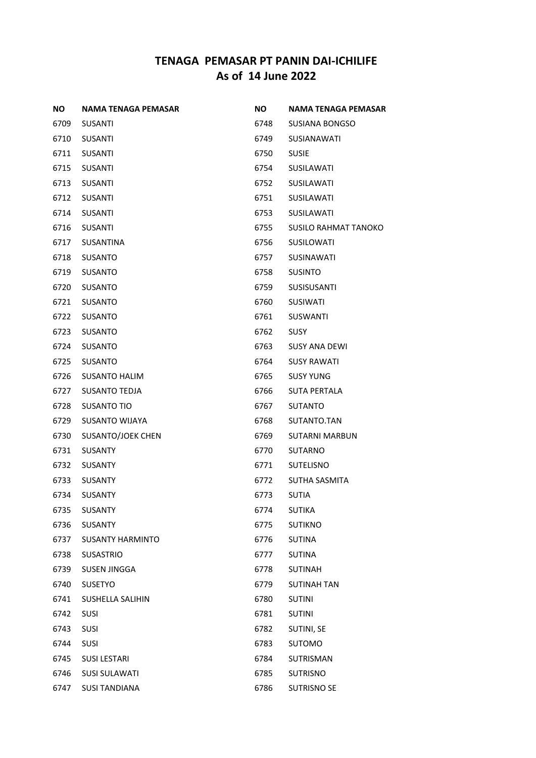| <b>NO</b> | NAMA TENAGA PEMASAR     | <b>NO</b> | NAMA TENAGA PEMASAR         |
|-----------|-------------------------|-----------|-----------------------------|
| 6709      | <b>SUSANTI</b>          | 6748      | SUSIANA BONGSO              |
| 6710      | <b>SUSANTI</b>          | 6749      | SUSIANAWATI                 |
| 6711      | <b>SUSANTI</b>          | 6750      | <b>SUSIE</b>                |
| 6715      | <b>SUSANTI</b>          | 6754      | <b>SUSILAWATI</b>           |
| 6713      | <b>SUSANTI</b>          | 6752      | <b>SUSILAWATI</b>           |
| 6712      | <b>SUSANTI</b>          | 6751      | <b>SUSILAWATI</b>           |
| 6714      | <b>SUSANTI</b>          | 6753      | <b>SUSILAWATI</b>           |
| 6716      | <b>SUSANTI</b>          | 6755      | <b>SUSILO RAHMAT TANOKO</b> |
| 6717      | <b>SUSANTINA</b>        | 6756      | SUSILOWATI                  |
| 6718      | <b>SUSANTO</b>          | 6757      | <b>SUSINAWATI</b>           |
| 6719      | <b>SUSANTO</b>          | 6758      | <b>SUSINTO</b>              |
| 6720      | <b>SUSANTO</b>          | 6759      | <b>SUSISUSANTI</b>          |
| 6721      | <b>SUSANTO</b>          | 6760      | <b>SUSIWATI</b>             |
| 6722      | <b>SUSANTO</b>          | 6761      | <b>SUSWANTI</b>             |
| 6723      | <b>SUSANTO</b>          | 6762      | <b>SUSY</b>                 |
| 6724      | SUSANTO                 | 6763      | <b>SUSY ANA DEWI</b>        |
| 6725      | <b>SUSANTO</b>          | 6764      | <b>SUSY RAWATI</b>          |
| 6726      | <b>SUSANTO HALIM</b>    | 6765      | <b>SUSY YUNG</b>            |
| 6727      | <b>SUSANTO TEDJA</b>    | 6766      | <b>SUTA PERTALA</b>         |
| 6728      | <b>SUSANTO TIO</b>      | 6767      | <b>SUTANTO</b>              |
| 6729      | <b>SUSANTO WIJAYA</b>   | 6768      | SUTANTO.TAN                 |
| 6730      | SUSANTO/JOEK CHEN       | 6769      | <b>SUTARNI MARBUN</b>       |
| 6731      | <b>SUSANTY</b>          | 6770      | <b>SUTARNO</b>              |
| 6732      | <b>SUSANTY</b>          | 6771      | <b>SUTELISNO</b>            |
| 6733      | <b>SUSANTY</b>          | 6772      | <b>SUTHA SASMITA</b>        |
| 6734      | <b>SUSANTY</b>          | 6773      | <b>SUTIA</b>                |
| 6735      | <b>SUSANTY</b>          | 6774      | <b>SUTIKA</b>               |
| 6736      | <b>SUSANTY</b>          | 6775      | <b>SUTIKNO</b>              |
| 6737      | <b>SUSANTY HARMINTO</b> | 6776      | <b>SUTINA</b>               |
| 6738      | <b>SUSASTRIO</b>        | 6777      | <b>SUTINA</b>               |
| 6739      | <b>SUSEN JINGGA</b>     | 6778      | <b>SUTINAH</b>              |
| 6740      | SUSETYO                 | 6779      | SUTINAH TAN                 |
| 6741      | SUSHELLA SALIHIN        | 6780      | <b>SUTINI</b>               |
| 6742      | <b>SUSI</b>             | 6781      | <b>SUTINI</b>               |
| 6743      | <b>SUSI</b>             | 6782      | SUTINI, SE                  |
| 6744      | <b>SUSI</b>             | 6783      | <b>SUTOMO</b>               |
| 6745      | <b>SUSI LESTARI</b>     | 6784      | <b>SUTRISMAN</b>            |
| 6746      | <b>SUSI SULAWATI</b>    | 6785      | <b>SUTRISNO</b>             |
| 6747      | <b>SUSI TANDIANA</b>    | 6786      | <b>SUTRISNO SE</b>          |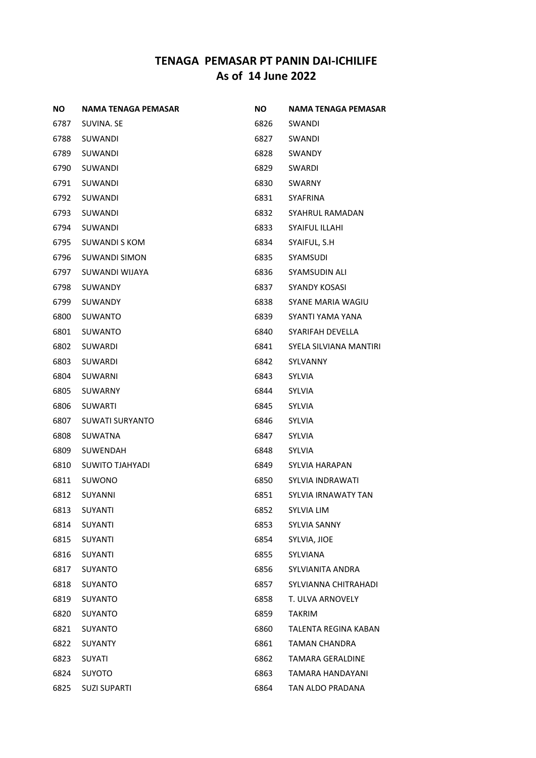| ΝO   | <b>NAMA TENAGA PEMASAR</b> | NO.  | <b>NAMA TENAGA PEMASAR</b> |
|------|----------------------------|------|----------------------------|
| 6787 | SUVINA. SE                 | 6826 | SWANDI                     |
| 6788 | <b>SUWANDI</b>             | 6827 | SWANDI                     |
| 6789 | SUWANDI                    | 6828 | SWANDY                     |
| 6790 | SUWANDI                    | 6829 | SWARDI                     |
| 6791 | SUWANDI                    | 6830 | SWARNY                     |
| 6792 | SUWANDI                    | 6831 | SYAFRINA                   |
| 6793 | SUWANDI                    | 6832 | SYAHRUL RAMADAN            |
| 6794 | SUWANDI                    | 6833 | <b>SYAIFUL ILLAHI</b>      |
| 6795 | <b>SUWANDI S KOM</b>       | 6834 | SYAIFUL, S.H               |
| 6796 | <b>SUWANDI SIMON</b>       | 6835 | SYAMSUDI                   |
| 6797 | SUWANDI WIJAYA             | 6836 | SYAMSUDIN ALI              |
| 6798 | <b>SUWANDY</b>             | 6837 | SYANDY KOSASI              |
| 6799 | SUWANDY                    | 6838 | SYANE MARIA WAGIU          |
| 6800 | <b>SUWANTO</b>             | 6839 | SYANTI YAMA YANA           |
| 6801 | <b>SUWANTO</b>             | 6840 | SYARIFAH DEVELLA           |
| 6802 | SUWARDI                    | 6841 | SYELA SILVIANA MANTIRI     |
| 6803 | SUWARDI                    | 6842 | SYLVANNY                   |
| 6804 | <b>SUWARNI</b>             | 6843 | <b>SYLVIA</b>              |
| 6805 | SUWARNY                    | 6844 | SYLVIA                     |
| 6806 | <b>SUWARTI</b>             | 6845 | <b>SYLVIA</b>              |
| 6807 | <b>SUWATI SURYANTO</b>     | 6846 | SYLVIA                     |
| 6808 | SUWATNA                    | 6847 | SYLVIA                     |
| 6809 | SUWENDAH                   | 6848 | SYLVIA                     |
| 6810 | SUWITO TJAHYADI            | 6849 | SYLVIA HARAPAN             |
| 6811 | SUWONO                     | 6850 | SYLVIA INDRAWATI           |
| 6812 | <b>SUYANNI</b>             | 6851 | SYLVIA IRNAWATY TAN        |
| 6813 | <b>SUYANTI</b>             | 6852 | SYLVIA LIM                 |
| 6814 | <b>SUYANTI</b>             | 6853 | <b>SYLVIA SANNY</b>        |
| 6815 | SUYANTI                    | 6854 | SYLVIA, JIOE               |
| 6816 | <b>SUYANTI</b>             | 6855 | SYLVIANA                   |
| 6817 | SUYANTO                    | 6856 | SYLVIANITA ANDRA           |
| 6818 | <b>SUYANTO</b>             | 6857 | SYLVIANNA CHITRAHADI       |
| 6819 | SUYANTO                    | 6858 | T. ULVA ARNOVELY           |
| 6820 | SUYANTO                    | 6859 | <b>TAKRIM</b>              |
| 6821 | SUYANTO                    | 6860 | TALENTA REGINA KABAN       |
| 6822 | SUYANTY                    | 6861 | <b>TAMAN CHANDRA</b>       |
| 6823 | SUYATI                     | 6862 | <b>TAMARA GERALDINE</b>    |
| 6824 | <b>SUYOTO</b>              | 6863 | TAMARA HANDAYANI           |
| 6825 | <b>SUZI SUPARTI</b>        | 6864 | TAN ALDO PRADANA           |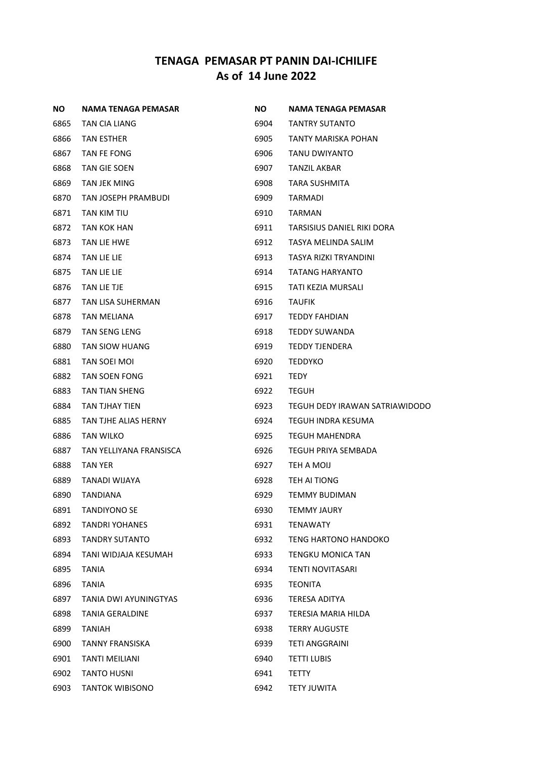| NO.  | <b>NAMA TENAGA PEMASAR</b> | <b>NO</b> | NAMA TENAGA PEMASAR            |
|------|----------------------------|-----------|--------------------------------|
| 6865 | TAN CIA LIANG              | 6904      | <b>TANTRY SUTANTO</b>          |
| 6866 | <b>TAN ESTHER</b>          | 6905      | TANTY MARISKA POHAN            |
| 6867 | TAN FE FONG                | 6906      | TANU DWIYANTO                  |
| 6868 | TAN GIE SOEN               | 6907      | TANZIL AKBAR                   |
| 6869 | TAN JEK MING               | 6908      | <b>TARA SUSHMITA</b>           |
| 6870 | TAN JOSEPH PRAMBUDI        | 6909      | TARMADI                        |
| 6871 | <b>TAN KIM TIU</b>         | 6910      | <b>TARMAN</b>                  |
| 6872 | TAN KOK HAN                | 6911      | TARSISIUS DANIEL RIKI DORA     |
| 6873 | TAN LIE HWE                | 6912      | TASYA MELINDA SALIM            |
| 6874 | TAN LIE LIE                | 6913      | TASYA RIZKI TRYANDINI          |
| 6875 | TAN LIE LIE                | 6914      | TATANG HARYANTO                |
| 6876 | TAN LIE TJE                | 6915      | TATI KEZIA MURSALI             |
| 6877 | TAN LISA SUHERMAN          | 6916      | <b>TAUFIK</b>                  |
| 6878 | TAN MELIANA                | 6917      | TEDDY FAHDIAN                  |
| 6879 | <b>TAN SENG LENG</b>       | 6918      | <b>TEDDY SUWANDA</b>           |
| 6880 | TAN SIOW HUANG             | 6919      | <b>TEDDY TJENDERA</b>          |
| 6881 | TAN SOEI MOI               | 6920      | <b>TEDDYKO</b>                 |
| 6882 | TAN SOEN FONG              | 6921      | <b>TEDY</b>                    |
| 6883 | TAN TIAN SHENG             | 6922      | <b>TEGUH</b>                   |
| 6884 | TAN TJHAY TIEN             | 6923      | TEGUH DEDY IRAWAN SATRIAWIDODO |
| 6885 | TAN TJHE ALIAS HERNY       | 6924      | TEGUH INDRA KESUMA             |
| 6886 | TAN WILKO                  | 6925      | TEGUH MAHENDRA                 |
| 6887 | TAN YELLIYANA FRANSISCA    | 6926      | TEGUH PRIYA SEMBADA            |
| 6888 | TAN YER                    | 6927      | TEH A MOIJ                     |
| 6889 | TANADI WIJAYA              | 6928      | TEH AI TIONG                   |
| 6890 | <b>TANDIANA</b>            | 6929      | TEMMY BUDIMAN                  |
| 6891 | <b>TANDIYONO SE</b>        | 6930      | <b>TEMMY JAURY</b>             |
| 6892 | <b>TANDRI YOHANES</b>      | 6931      | <b>TENAWATY</b>                |
| 6893 | TANDRY SUTANTO             | 6932      | TENG HARTONO HANDOKO           |
| 6894 | TANI WIDJAJA KESUMAH       | 6933      | TENGKU MONICA TAN              |
| 6895 | TANIA                      | 6934      | TENTI NOVITASARI               |
| 6896 | <b>TANIA</b>               | 6935      | <b>TEONITA</b>                 |
| 6897 | TANIA DWI AYUNINGTYAS      | 6936      | TERESA ADITYA                  |
| 6898 | TANIA GERALDINE            | 6937      | TERESIA MARIA HILDA            |
| 6899 | <b>TANIAH</b>              | 6938      | <b>TERRY AUGUSTE</b>           |
| 6900 | TANNY FRANSISKA            | 6939      | TETI ANGGRAINI                 |
| 6901 | TANTI MEILIANI             | 6940      | TETTI LUBIS                    |
| 6902 | <b>TANTO HUSNI</b>         | 6941      | TETTY                          |
| 6903 | <b>TANTOK WIBISONO</b>     | 6942      | <b>TETY JUWITA</b>             |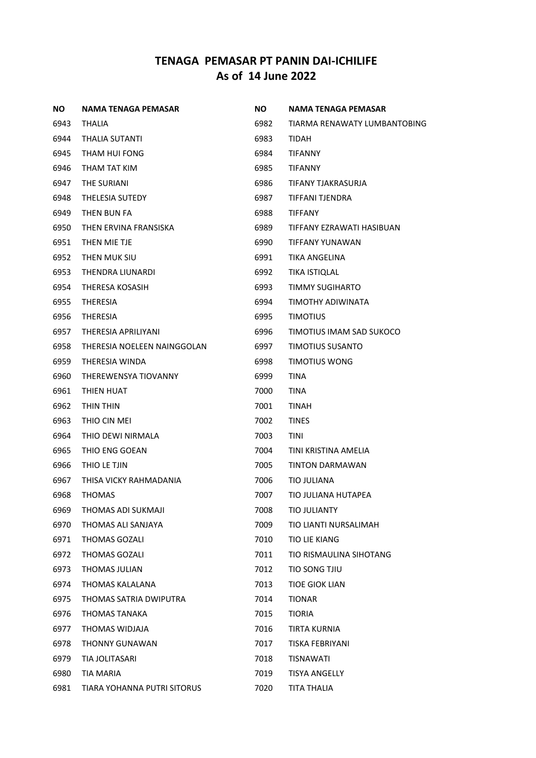| NO.  | NAMA TENAGA PEMASAR         | NO.  | <b>NAMA TENAGA PEMASAR</b>   |
|------|-----------------------------|------|------------------------------|
| 6943 | <b>THALIA</b>               | 6982 | TIARMA RENAWATY LUMBANTOBING |
| 6944 | THALIA SUTANTI              | 6983 | <b>TIDAH</b>                 |
| 6945 | THAM HUI FONG               | 6984 | TIFANNY                      |
| 6946 | THAM TAT KIM                | 6985 | <b>TIFANNY</b>               |
| 6947 | THE SURIANI                 | 6986 | TIFANY TJAKRASURJA           |
| 6948 | <b>THELESIA SUTEDY</b>      | 6987 | TIFFANI TJENDRA              |
| 6949 | THEN BUN FA                 | 6988 | <b>TIFFANY</b>               |
| 6950 | THEN ERVINA FRANSISKA       | 6989 | TIFFANY EZRAWATI HASIBUAN    |
| 6951 | THEN MIE TJE                | 6990 | TIFFANY YUNAWAN              |
| 6952 | THEN MUK SIU                | 6991 | TIKA ANGELINA                |
| 6953 | THENDRA LIUNARDI            | 6992 | TIKA ISTIQLAL                |
| 6954 | THERESA KOSASIH             | 6993 | TIMMY SUGIHARTO              |
| 6955 | <b>THERESIA</b>             | 6994 | TIMOTHY ADIWINATA            |
| 6956 | <b>THERESIA</b>             | 6995 | <b>TIMOTIUS</b>              |
| 6957 | THERESIA APRILIYANI         | 6996 | TIMOTIUS IMAM SAD SUKOCO     |
| 6958 | THERESIA NOELEEN NAINGGOLAN | 6997 | <b>TIMOTIUS SUSANTO</b>      |
| 6959 | THERESIA WINDA              | 6998 | TIMOTIUS WONG                |
| 6960 | THEREWENSYA TIOVANNY        | 6999 | <b>TINA</b>                  |
| 6961 | THIEN HUAT                  | 7000 | TINA                         |
| 6962 | THIN THIN                   | 7001 | <b>TINAH</b>                 |
| 6963 | THIO CIN MEI                | 7002 | <b>TINES</b>                 |
| 6964 | THIO DEWI NIRMALA           | 7003 | TINI                         |
| 6965 | THIO ENG GOEAN              | 7004 | TINI KRISTINA AMELIA         |
| 6966 | THIO LE TJIN                | 7005 | TINTON DARMAWAN              |
| 6967 | THISA VICKY RAHMADANIA      | 7006 | TIO JULIANA                  |
| 6968 | <b>THOMAS</b>               | 7007 | TIO JULIANA HUTAPEA          |
| 6969 | THOMAS ADI SUKMAJI          | 7008 | <b>TIO JULIANTY</b>          |
| 6970 | THOMAS ALI SANJAYA          | 7009 | TIO LIANTI NURSALIMAH        |
| 6971 | THOMAS GOZALI               | 7010 | TIO LIE KIANG                |
| 6972 | <b>THOMAS GOZALI</b>        | 7011 | TIO RISMAULINA SIHOTANG      |
| 6973 | THOMAS JULIAN               | 7012 | TIO SONG TJIU                |
| 6974 | THOMAS KALALANA             | 7013 | <b>TIOE GIOK LIAN</b>        |
| 6975 | THOMAS SATRIA DWIPUTRA      | 7014 | <b>TIONAR</b>                |
| 6976 | <b>THOMAS TANAKA</b>        | 7015 | <b>TIORIA</b>                |
| 6977 | THOMAS WIDJAJA              | 7016 | TIRTA KURNIA                 |
| 6978 | THONNY GUNAWAN              | 7017 | <b>TISKA FEBRIYANI</b>       |
| 6979 | TIA JOLITASARI              | 7018 | <b>TISNAWATI</b>             |
| 6980 | TIA MARIA                   | 7019 | <b>TISYA ANGELLY</b>         |
| 6981 | TIARA YOHANNA PUTRI SITORUS | 7020 | TITA THALIA                  |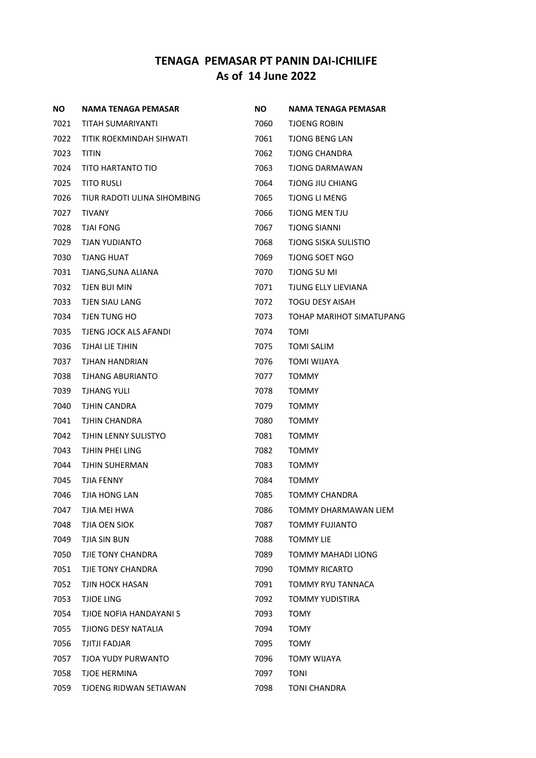| <b>NO</b> | NAMA TENAGA PEMASAR         | <b>NO</b> | <b>NAMA TENAGA PEMASAR</b>  |
|-----------|-----------------------------|-----------|-----------------------------|
| 7021      | TITAH SUMARIYANTI           | 7060      | <b>TJOENG ROBIN</b>         |
| 7022      | TITIK ROEKMINDAH SIHWATI    | 7061      | TJONG BENG LAN              |
| 7023      | <b>TITIN</b>                | 7062      | <b>TJONG CHANDRA</b>        |
| 7024      | TITO HARTANTO TIO           | 7063      | TJONG DARMAWAN              |
| 7025      | TITO RUSLI                  | 7064      | TJONG JIU CHIANG            |
| 7026      | TIUR RADOTI ULINA SIHOMBING | 7065      | <b>TJONG LI MENG</b>        |
| 7027      | TIVANY                      | 7066      | TJONG MEN TJU               |
| 7028      | TJAI FONG                   | 7067      | <b>TJONG SIANNI</b>         |
| 7029      | TJAN YUDIANTO               | 7068      | <b>TJONG SISKA SULISTIO</b> |
| 7030      | <b>TJANG HUAT</b>           | 7069      | <b>TJONG SOET NGO</b>       |
| 7031      | TJANG,SUNA ALIANA           | 7070      | TJONG SU MI                 |
| 7032      | TJEN BUI MIN                | 7071      | TJUNG ELLY LIEVIANA         |
| 7033      | TJEN SIAU LANG              | 7072      | <b>TOGU DESY AISAH</b>      |
| 7034      | TJEN TUNG HO                | 7073      | TOHAP MARIHOT SIMATUPANG    |
| 7035      | TJENG JOCK ALS AFANDI       | 7074      | <b>TOMI</b>                 |
| 7036      | TJHAI LIE TJHIN             | 7075      | <b>TOMI SALIM</b>           |
| 7037      | TJHAN HANDRIAN              | 7076      | <b>TOMI WIJAYA</b>          |
| 7038      | TJHANG ABURIANTO            | 7077      | <b>TOMMY</b>                |
| 7039      | <b>TJHANG YULI</b>          | 7078      | <b>TOMMY</b>                |
| 7040      | TJHIN CANDRA                | 7079      | <b>TOMMY</b>                |
| 7041      | TJHIN CHANDRA               | 7080      | <b>TOMMY</b>                |
| 7042      | TJHIN LENNY SULISTYO        | 7081      | <b>TOMMY</b>                |
| 7043      | TJHIN PHEI LING             | 7082      | TOMMY                       |
| 7044      | TJHIN SUHERMAN              | 7083      | <b>TOMMY</b>                |
| 7045      | TJIA FENNY                  | 7084      | TOMMY                       |
| 7046      | TJIA HONG LAN               | 7085      | <b>TOMMY CHANDRA</b>        |
| 7047      | TJIA MEI HWA                | 7086      | TOMMY DHARMAWAN LIEM        |
| 7048      | <b>TJIA OEN SIOK</b>        | 7087      | <b>TOMMY FUJIANTO</b>       |
| 7049      | TJIA SIN BUN                | 7088      | TOMMY LIE                   |
| 7050      | TJIE TONY CHANDRA           | 7089      | <b>TOMMY MAHADI LIONG</b>   |
| 7051      | TJIE TONY CHANDRA           | 7090      | <b>TOMMY RICARTO</b>        |
| 7052      | TJIN HOCK HASAN             | 7091      | <b>TOMMY RYU TANNACA</b>    |
| 7053      | TJIOE LING                  | 7092      | <b>TOMMY YUDISTIRA</b>      |
| 7054      | TJIOE NOFIA HANDAYANI S     | 7093      | TOMY                        |
| 7055      | TJIONG DESY NATALIA         | 7094      | <b>TOMY</b>                 |
| 7056      | TJITJI FADJAR               | 7095      | TOMY                        |
| 7057      | TJOA YUDY PURWANTO          | 7096      | <b>TOMY WIJAYA</b>          |
| 7058      | <b>TJOE HERMINA</b>         | 7097      | <b>TONI</b>                 |
| 7059      | TJOENG RIDWAN SETIAWAN      | 7098      | TONI CHANDRA                |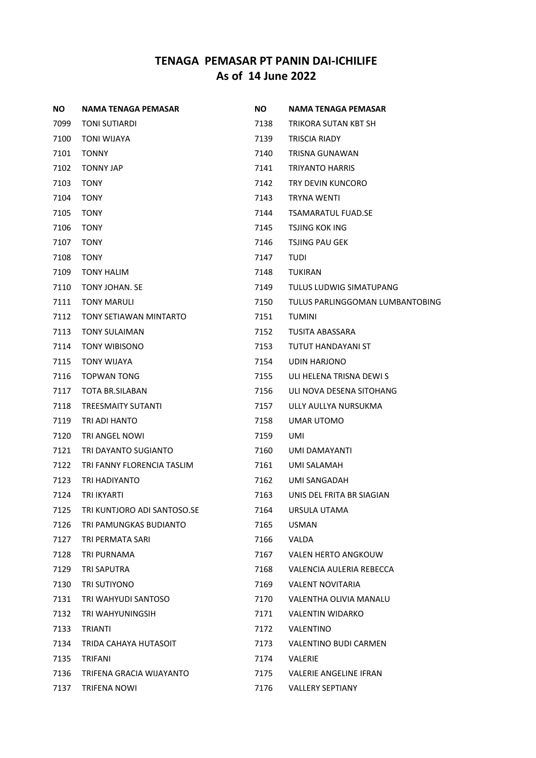| ΝO   | NAMA TENAGA PEMASAR         | <b>NO</b> | NAMA TENAGA PEMASAR             |
|------|-----------------------------|-----------|---------------------------------|
| 7099 | TONI SUTIARDI               | 7138      | TRIKORA SUTAN KBT SH            |
| 7100 | <b>TONI WIJAYA</b>          | 7139      | TRISCIA RIADY                   |
| 7101 | <b>TONNY</b>                | 7140      | <b>TRISNA GUNAWAN</b>           |
| 7102 | <b>TONNY JAP</b>            | 7141      | <b>TRIYANTO HARRIS</b>          |
| 7103 | <b>TONY</b>                 | 7142      | TRY DEVIN KUNCORO               |
| 7104 | <b>TONY</b>                 | 7143      | <b>TRYNA WENTI</b>              |
| 7105 | <b>TONY</b>                 | 7144      | <b>TSAMARATUL FUAD.SE</b>       |
| 7106 | <b>TONY</b>                 | 7145      | <b>TSJING KOK ING</b>           |
| 7107 | <b>TONY</b>                 | 7146      | <b>TSJING PAU GEK</b>           |
| 7108 | <b>TONY</b>                 | 7147      | TUDI                            |
| 7109 | TONY HALIM                  | 7148      | TUKIRAN                         |
| 7110 | TONY JOHAN. SE              | 7149      | TULUS LUDWIG SIMATUPANG         |
| 7111 | <b>TONY MARULI</b>          | 7150      | TULUS PARLINGGOMAN LUMBANTOBING |
| 7112 | TONY SETIAWAN MINTARTO      | 7151      | <b>TUMINI</b>                   |
| 7113 | <b>TONY SULAIMAN</b>        | 7152      | TUSITA ABASSARA                 |
| 7114 | <b>TONY WIBISONO</b>        | 7153      | TUTUT HANDAYANI ST              |
| 7115 | <b>TONY WIJAYA</b>          | 7154      | UDIN HARJONO                    |
| 7116 | TOPWAN TONG                 | 7155      | ULI HELENA TRISNA DEWI S        |
| 7117 | TOTA BR.SILABAN             | 7156      | ULI NOVA DESENA SITOHANG        |
| 7118 | <b>TREESMAITY SUTANTI</b>   | 7157      | ULLY AULLYA NURSUKMA            |
| 7119 | TRI ADI HANTO               | 7158      | UMAR UTOMO                      |
| 7120 | TRI ANGEL NOWI              | 7159      | UMI                             |
| 7121 | TRI DAYANTO SUGIANTO        | 7160      | UMI DAMAYANTI                   |
| 7122 | TRI FANNY FLORENCIA TASLIM  | 7161      | UMI SALAMAH                     |
| 7123 | TRI HADIYANTO               | 7162      | UMI SANGADAH                    |
| 7124 | TRI IKYARTI                 | 7163      | UNIS DEL FRITA BR SIAGIAN       |
| 7125 | TRI KUNTJORO ADI SANTOSO.SE | 7164      | URSULA UTAMA                    |
| 7126 | TRI PAMUNGKAS BUDIANTO      | 7165      | <b>USMAN</b>                    |
| 7127 | TRI PERMATA SARI            | 7166      | VALDA                           |
| 7128 | TRI PURNAMA                 | 7167      | VALEN HERTO ANGKOUW             |
| 7129 | TRI SAPUTRA                 | 7168      | VALENCIA AULERIA REBECCA        |
| 7130 | TRI SUTIYONO                | 7169      | <b>VALENT NOVITARIA</b>         |
| 7131 | TRI WAHYUDI SANTOSO         | 7170      | VALENTHA OLIVIA MANALU          |
| 7132 | TRI WAHYUNINGSIH            | 7171      | <b>VALENTIN WIDARKO</b>         |
| 7133 | <b>TRIANTI</b>              | 7172      | VALENTINO                       |
| 7134 | TRIDA CAHAYA HUTASOIT       | 7173      | VALENTINO BUDI CARMEN           |
| 7135 | TRIFANI                     | 7174      | VALERIE                         |
| 7136 | TRIFENA GRACIA WIJAYANTO    | 7175      | VALERIE ANGELINE IFRAN          |
| 7137 | TRIFENA NOWI                | 7176      | <b>VALLERY SEPTIANY</b>         |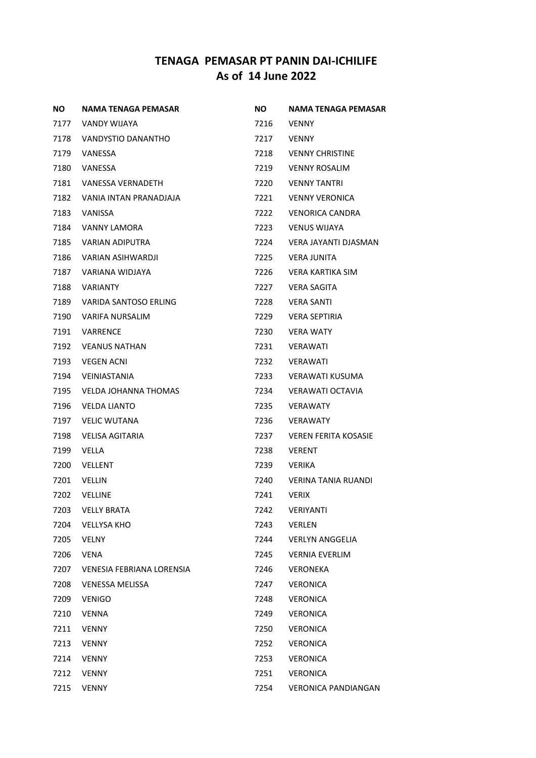| <b>NO</b> | NAMA TENAGA PEMASAR       | NO.  | NAMA TENAGA PEMASAR         |
|-----------|---------------------------|------|-----------------------------|
| 7177      | VANDY WIJAYA              | 7216 | <b>VENNY</b>                |
| 7178      | VANDYSTIO DANANTHO        | 7217 | <b>VENNY</b>                |
| 7179      | VANESSA                   | 7218 | <b>VENNY CHRISTINE</b>      |
| 7180      | VANESSA                   | 7219 | <b>VENNY ROSALIM</b>        |
| 7181      | VANESSA VERNADETH         | 7220 | <b>VENNY TANTRI</b>         |
| 7182      | VANIA INTAN PRANADJAJA    | 7221 | <b>VENNY VERONICA</b>       |
| 7183      | VANISSA                   | 7222 | <b>VENORICA CANDRA</b>      |
| 7184      | VANNY LAMORA              | 7223 | VENUS WIJAYA                |
| 7185      | VARIAN ADIPUTRA           | 7224 | VERA JAYANTI DJASMAN        |
| 7186      | VARIAN ASIHWARDJI         | 7225 | VERA JUNITA                 |
| 7187      | VARIANA WIDJAYA           | 7226 | VERA KARTIKA SIM            |
| 7188      | VARIANTY                  | 7227 | VERA SAGITA                 |
| 7189      | VARIDA SANTOSO ERLING     | 7228 | VERA SANTI                  |
| 7190      | VARIFA NURSALIM           | 7229 | <b>VERA SEPTIRIA</b>        |
| 7191      | VARRENCE                  | 7230 | <b>VERA WATY</b>            |
| 7192      | <b>VEANUS NATHAN</b>      | 7231 | VERAWATI                    |
| 7193      | <b>VEGEN ACNI</b>         | 7232 | VERAWATI                    |
| 7194      | VEINIASTANIA              | 7233 | VERAWATI KUSUMA             |
| 7195      | VELDA JOHANNA THOMAS      | 7234 | VERAWATI OCTAVIA            |
| 7196      | <b>VELDA LIANTO</b>       | 7235 | <b>VERAWATY</b>             |
| 7197      | <b>VELIC WUTANA</b>       | 7236 | <b>VERAWATY</b>             |
| 7198      | VELISA AGITARIA           | 7237 | <b>VEREN FERITA KOSASIE</b> |
| 7199      | VELLA                     | 7238 | <b>VERENT</b>               |
| 7200      | VELLENT                   | 7239 | <b>VERIKA</b>               |
| 7201      | VELLIN                    | 7240 | VERINA TANIA RUANDI         |
| 7202      | <b>VELLINE</b>            | 7241 | <b>VERIX</b>                |
| 7203      | <b>VELLY BRATA</b>        | 7242 | <b>VERIYANTI</b>            |
| 7204      | <b>VELLYSA KHO</b>        | 7243 | <b>VERLEN</b>               |
| 7205      | <b>VELNY</b>              | 7244 | <b>VERLYN ANGGELIA</b>      |
| 7206      | VENA                      | 7245 | <b>VERNIA EVERLIM</b>       |
| 7207      | VENESIA FEBRIANA LORENSIA | 7246 | <b>VERONEKA</b>             |
| 7208      | <b>VENESSA MELISSA</b>    | 7247 | <b>VERONICA</b>             |
| 7209      | <b>VENIGO</b>             | 7248 | <b>VERONICA</b>             |
| 7210      | <b>VENNA</b>              | 7249 | <b>VERONICA</b>             |
| 7211      | <b>VENNY</b>              | 7250 | <b>VERONICA</b>             |
| 7213      | <b>VENNY</b>              | 7252 | <b>VERONICA</b>             |
| 7214      | <b>VENNY</b>              | 7253 | <b>VERONICA</b>             |
| 7212      | <b>VENNY</b>              | 7251 | <b>VERONICA</b>             |
| 7215      | <b>VENNY</b>              | 7254 | <b>VERONICA PANDIANGAN</b>  |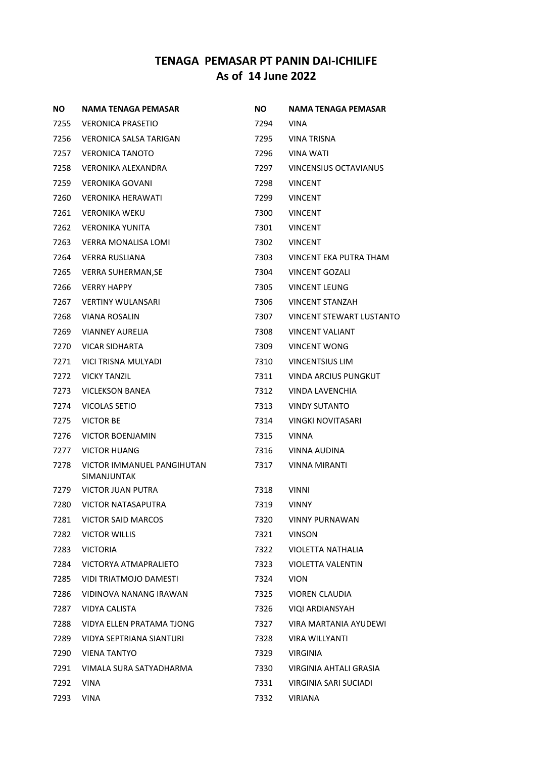| <b>NO</b> | <b>NAMA TENAGA PEMASAR</b>                | NO.        | NAMA TENAGA PEMASAR          |
|-----------|-------------------------------------------|------------|------------------------------|
| 7255      | VERONICA PRASETIO                         | 7294       | VINA                         |
| 7256      | <b>VERONICA SALSA TARIGAN</b>             | 7295       | VINA TRISNA                  |
| 7257      | <b>VERONICA TANOTO</b>                    | 7296       | <b>VINA WATI</b>             |
| 7258      | VERONIKA ALEXANDRA                        | 7297       | <b>VINCENSIUS OCTAVIANUS</b> |
| 7259      | VERONIKA GOVANI                           | 7298       | <b>VINCENT</b>               |
| 7260      | VERONIKA HERAWATI                         | 7299       | <b>VINCENT</b>               |
| 7261      | <b>VERONIKA WEKU</b>                      | 7300       | <b>VINCENT</b>               |
| 7262      | <b>VERONIKA YUNITA</b>                    | 7301       | <b>VINCENT</b>               |
| 7263      | VERRA MONALISA LOMI                       | 7302       | <b>VINCENT</b>               |
| 7264      | <b>VERRA RUSLIANA</b>                     | 7303       | VINCENT EKA PUTRA THAM       |
| 7265      | <b>VERRA SUHERMAN, SE</b>                 | 7304       | VINCENT GOZALI               |
| 7266      | <b>VERRY HAPPY</b>                        | 7305       | <b>VINCENT LEUNG</b>         |
| 7267      | <b>VERTINY WULANSARI</b>                  | 7306       | <b>VINCENT STANZAH</b>       |
| 7268      | VIANA ROSALIN                             | 7307       | VINCENT STEWART LUSTANTO     |
| 7269      | <b>VIANNEY AURELIA</b>                    | 7308       | <b>VINCENT VALIANT</b>       |
| 7270      | VICAR SIDHARTA                            | 7309       | <b>VINCENT WONG</b>          |
| 7271      | VICI TRISNA MULYADI                       | 7310       | <b>VINCENTSIUS LIM</b>       |
| 7272      | <b>VICKY TANZIL</b>                       | 7311       | VINDA ARCIUS PUNGKUT         |
| 7273      | VICLEKSON BANEA                           | 7312       | VINDA LAVENCHIA              |
| 7274      | VICOLAS SETIO                             | 7313       | <b>VINDY SUTANTO</b>         |
| 7275      | <b>VICTOR BE</b>                          | 7314       | VINGKI NOVITASARI            |
| 7276      | <b>VICTOR BOENJAMIN</b>                   | 7315       | <b>VINNA</b>                 |
| 7277      | <b>VICTOR HUANG</b>                       | 7316       | VINNA AUDINA                 |
| 7278      | VICTOR IMMANUEL PANGIHUTAN<br>SIMANJUNTAK | 7317       | VINNA MIRANTI                |
| 7279      | <b>VICTOR JUAN PUTRA</b>                  | 7318       | <b>VINNI</b>                 |
|           | 7280 VICTOR NATASAPUTRA                   | 7319 VINNY |                              |
| 7281      | VICTOR SAID MARCOS                        | 7320       | VINNY PURNAWAN               |
| 7282      | <b>VICTOR WILLIS</b>                      | 7321       | <b>VINSON</b>                |
| 7283      | <b>VICTORIA</b>                           | 7322       | VIOLETTA NATHALIA            |
| 7284      | VICTORYA ATMAPRALIETO                     | 7323       | <b>VIOLETTA VALENTIN</b>     |
| 7285      | VIDI TRIATMOJO DAMESTI                    | 7324       | <b>VION</b>                  |
| 7286      | VIDINOVA NANANG IRAWAN                    | 7325       | <b>VIOREN CLAUDIA</b>        |
| 7287      | VIDYA CALISTA                             | 7326       | VIQI ARDIANSYAH              |
| 7288      | VIDYA ELLEN PRATAMA TJONG                 | 7327       | VIRA MARTANIA AYUDEWI        |
| 7289      | VIDYA SEPTRIANA SIANTURI                  | 7328       | VIRA WILLYANTI               |
| 7290      | <b>VIENA TANTYO</b>                       | 7329       | <b>VIRGINIA</b>              |
| 7291      | VIMALA SURA SATYADHARMA                   | 7330       | VIRGINIA AHTALI GRASIA       |
| 7292      | <b>VINA</b>                               | 7331       | VIRGINIA SARI SUCIADI        |
| 7293      | VINA                                      | 7332       | VIRIANA                      |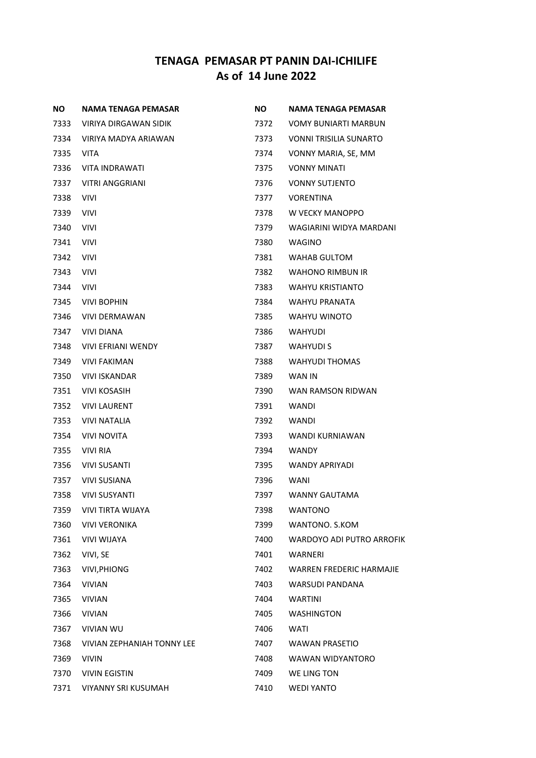| ΝO   | NAMA TENAGA PEMASAR        | <b>NO</b> | <b>NAMA TENAGA PEMASAR</b>       |
|------|----------------------------|-----------|----------------------------------|
| 7333 | VIRIYA DIRGAWAN SIDIK      | 7372      | <b>VOMY BUNIARTI MARBUN</b>      |
| 7334 | VIRIYA MADYA ARIAWAN       | 7373      | <b>VONNI TRISILIA SUNARTO</b>    |
| 7335 | VITA                       | 7374      | VONNY MARIA, SE, MM              |
| 7336 | VITA INDRAWATI             | 7375      | <b>VONNY MINATI</b>              |
| 7337 | <b>VITRI ANGGRIANI</b>     | 7376      | <b>VONNY SUTJENTO</b>            |
| 7338 | <b>VIVI</b>                | 7377      | <b>VORENTINA</b>                 |
| 7339 | <b>VIVI</b>                | 7378      | W VECKY MANOPPO                  |
| 7340 | <b>VIVI</b>                | 7379      | WAGIARINI WIDYA MARDANI          |
| 7341 | <b>VIVI</b>                | 7380      | WAGINO                           |
| 7342 | <b>VIVI</b>                | 7381      | WAHAB GULTOM                     |
| 7343 | VIVI                       | 7382      | WAHONO RIMBUN IR                 |
| 7344 | VIVI                       | 7383      | <b>WAHYU KRISTIANTO</b>          |
| 7345 | VIVI BOPHIN                | 7384      | <b>WAHYU PRANATA</b>             |
| 7346 | <b>VIVI DERMAWAN</b>       | 7385      | WAHYU WINOTO                     |
| 7347 | <b>VIVI DIANA</b>          | 7386      | <b>WAHYUDI</b>                   |
| 7348 | VIVI EFRIANI WENDY         | 7387      | <b>WAHYUDI S</b>                 |
| 7349 | <b>VIVI FAKIMAN</b>        | 7388      | <b>WAHYUDI THOMAS</b>            |
| 7350 | <b>VIVI ISKANDAR</b>       | 7389      | WAN IN                           |
| 7351 | VIVI KOSASIH               | 7390      | WAN RAMSON RIDWAN                |
| 7352 | <b>VIVI LAURENT</b>        | 7391      | WANDI                            |
| 7353 | VIVI NATALIA               | 7392      | WANDI                            |
| 7354 | <b>VIVI NOVITA</b>         | 7393      | WANDI KURNIAWAN                  |
| 7355 | <b>VIVI RIA</b>            | 7394      | WANDY                            |
| 7356 | VIVI SUSANTI               | 7395      | WANDY APRIYADI                   |
| 7357 | VIVI SUSIANA               | 7396      | WANI                             |
| 7358 | <b>VIVI SUSYANTI</b>       | 7397      | WANNY GAUTAMA                    |
| 7359 | <b>VIVI TIRTA WIJAYA</b>   | 7398      | <b>WANTONO</b>                   |
| 7360 | <b>VIVI VERONIKA</b>       | 7399      | WANTONO. S.KOM                   |
| 7361 | <b>VIVI WIJAYA</b>         | 7400      | <b>WARDOYO ADI PUTRO ARROFIK</b> |
| 7362 | VIVI, SE                   | 7401      | WARNERI                          |
| 7363 | <b>VIVI, PHIONG</b>        | 7402      | <b>WARREN FREDERIC HARMAJIE</b>  |
| 7364 | <b>VIVIAN</b>              | 7403      | <b>WARSUDI PANDANA</b>           |
| 7365 | <b>VIVIAN</b>              | 7404      | <b>WARTINI</b>                   |
| 7366 | <b>VIVIAN</b>              | 7405      | <b>WASHINGTON</b>                |
| 7367 | <b>VIVIAN WU</b>           | 7406      | <b>WATI</b>                      |
| 7368 | VIVIAN ZEPHANIAH TONNY LEE | 7407      | <b>WAWAN PRASETIO</b>            |
| 7369 | <b>VIVIN</b>               | 7408      | WAWAN WIDYANTORO                 |
| 7370 | <b>VIVIN EGISTIN</b>       | 7409      | WE LING TON                      |
| 7371 | VIYANNY SRI KUSUMAH        | 7410      | <b>WEDI YANTO</b>                |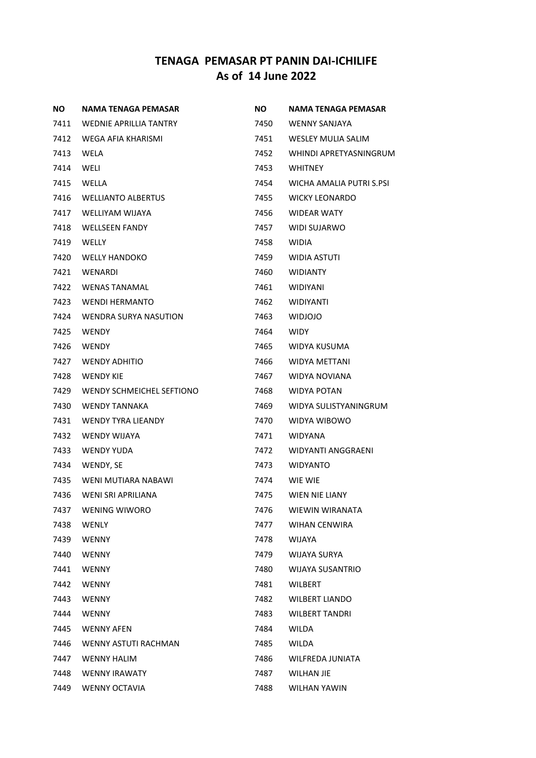| <b>NO</b> | NAMA TENAGA PEMASAR           | NO.  | <b>NAMA TENAGA PEMASAR</b> |
|-----------|-------------------------------|------|----------------------------|
| 7411      | <b>WEDNIE APRILLIA TANTRY</b> | 7450 | WENNY SANJAYA              |
| 7412      | WEGA AFIA KHARISMI            | 7451 | <b>WESLEY MULIA SALIM</b>  |
| 7413      | WELA                          | 7452 | WHINDI APRETYASNINGRUM     |
| 7414      | WELI                          | 7453 | <b>WHITNEY</b>             |
| 7415      | WELLA                         | 7454 | WICHA AMALIA PUTRI S.PSI   |
| 7416      | <b>WELLIANTO ALBERTUS</b>     | 7455 | <b>WICKY LEONARDO</b>      |
| 7417      | WELLIYAM WIJAYA               | 7456 | <b>WIDEAR WATY</b>         |
| 7418      | WELLSEEN FANDY                | 7457 | WIDI SUJARWO               |
| 7419      | WELLY                         | 7458 | WIDIA                      |
| 7420      | <b>WELLY HANDOKO</b>          | 7459 | WIDIA ASTUTI               |
| 7421      | WENARDI                       | 7460 | <b>WIDIANTY</b>            |
| 7422      | <b>WENAS TANAMAL</b>          | 7461 | <b>WIDIYANI</b>            |
| 7423      | <b>WENDI HERMANTO</b>         | 7462 | <b>WIDIYANTI</b>           |
| 7424      | <b>WENDRA SURYA NASUTION</b>  | 7463 | <b>WIDJOJO</b>             |
| 7425      | <b>WENDY</b>                  | 7464 | <b>WIDY</b>                |
| 7426      | WENDY                         | 7465 | WIDYA KUSUMA               |
| 7427      | <b>WENDY ADHITIO</b>          | 7466 | <b>WIDYA METTANI</b>       |
| 7428      | <b>WENDY KIE</b>              | 7467 | WIDYA NOVIANA              |
| 7429      | WENDY SCHMEICHEL SEFTIONO     | 7468 | <b>WIDYA POTAN</b>         |
| 7430      | <b>WENDY TANNAKA</b>          | 7469 | WIDYA SULISTYANINGRUM      |
| 7431      | <b>WENDY TYRA LIEANDY</b>     | 7470 | WIDYA WIBOWO               |
| 7432      | <b>WENDY WIJAYA</b>           | 7471 | <b>WIDYANA</b>             |
| 7433      | <b>WENDY YUDA</b>             | 7472 | WIDYANTI ANGGRAENI         |
| 7434      | WENDY, SE                     | 7473 | <b>WIDYANTO</b>            |
| 7435      | WENI MUTIARA NABAWI           | 7474 | WIE WIE                    |
| 7436      | WENI SRI APRILIANA            | 7475 | WIEN NIE LIANY             |
| 7437      | <b>WENING WIWORO</b>          | 7476 | WIEWIN WIRANATA            |
| 7438      | <b>WENLY</b>                  | 7477 | WIHAN CENWIRA              |
| 7439      | <b>WENNY</b>                  | 7478 | WIJAYA                     |
| 7440      | <b>WENNY</b>                  | 7479 | WIJAYA SURYA               |
| 7441      | <b>WENNY</b>                  | 7480 | <b>WIJAYA SUSANTRIO</b>    |
| 7442      | <b>WENNY</b>                  | 7481 | WILBERT                    |
| 7443      | <b>WENNY</b>                  | 7482 | <b>WILBERT LIANDO</b>      |
| 7444      | <b>WENNY</b>                  | 7483 | <b>WILBERT TANDRI</b>      |
| 7445      | <b>WENNY AFEN</b>             | 7484 | <b>WILDA</b>               |
| 7446      | WENNY ASTUTI RACHMAN          | 7485 | WILDA                      |
| 7447      | <b>WENNY HALIM</b>            | 7486 | WILFREDA JUNIATA           |
| 7448      | <b>WENNY IRAWATY</b>          | 7487 | <b>WILHAN JIE</b>          |
| 7449      | <b>WENNY OCTAVIA</b>          | 7488 | WILHAN YAWIN               |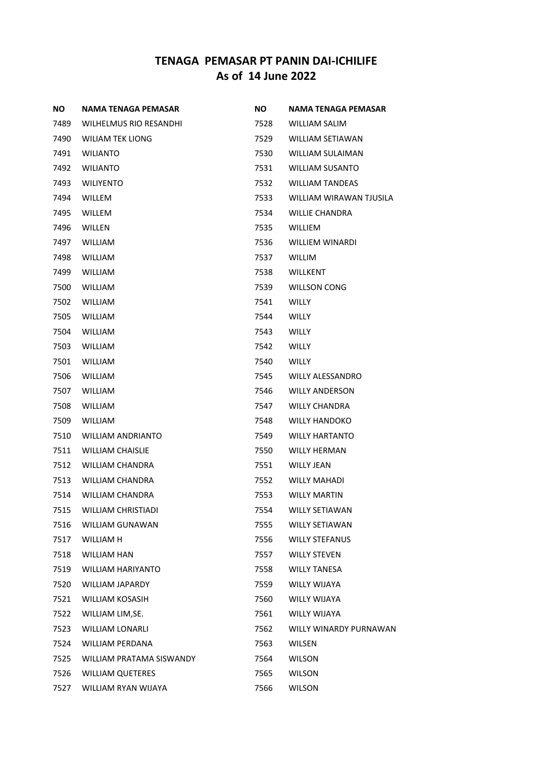| <b>NO</b> | NAMA TENAGA PEMASAR       | <b>NO</b> | NAMA TENAGA PEMASAR     |
|-----------|---------------------------|-----------|-------------------------|
| 7489      | WILHELMUS RIO RESANDHI    | 7528      | WILLIAM SALIM           |
| 7490      | WILIAM TEK LIONG          | 7529      | WILLIAM SETIAWAN        |
| 7491      | <b>WILIANTO</b>           | 7530      | WILLIAM SULAIMAN        |
| 7492      | <b>WILIANTO</b>           | 7531      | <b>WILLIAM SUSANTO</b>  |
| 7493      | <b>WILIYENTO</b>          | 7532      | <b>WILLIAM TANDEAS</b>  |
| 7494      | <b>WILLEM</b>             | 7533      | WILLIAM WIRAWAN TJUSILA |
| 7495      | <b>WILLEM</b>             | 7534      | <b>WILLIE CHANDRA</b>   |
| 7496      | WILLEN                    | 7535      | <b>WILLIEM</b>          |
| 7497      | <b>WILLIAM</b>            | 7536      | WILLIEM WINARDI         |
| 7498      | <b>WILLIAM</b>            | 7537      | <b>WILLIM</b>           |
| 7499      | <b>WILLIAM</b>            | 7538      | <b>WILLKENT</b>         |
| 7500      | <b>WILLIAM</b>            | 7539      | <b>WILLSON CONG</b>     |
| 7502      | <b>WILLIAM</b>            | 7541      | <b>WILLY</b>            |
| 7505      | <b>WILLIAM</b>            | 7544      | <b>WILLY</b>            |
| 7504      | <b>WILLIAM</b>            | 7543      | <b>WILLY</b>            |
| 7503      | <b>WILLIAM</b>            | 7542      | <b>WILLY</b>            |
| 7501      | <b>WILLIAM</b>            | 7540      | <b>WILLY</b>            |
| 7506      | <b>WILLIAM</b>            | 7545      | <b>WILLY ALESSANDRO</b> |
| 7507      | <b>WILLIAM</b>            | 7546      | <b>WILLY ANDERSON</b>   |
| 7508      | <b>WILLIAM</b>            | 7547      | <b>WILLY CHANDRA</b>    |
| 7509      | <b>WILLIAM</b>            | 7548      | <b>WILLY HANDOKO</b>    |
| 7510      | WILLIAM ANDRIANTO         | 7549      | <b>WILLY HARTANTO</b>   |
| 7511      | <b>WILLIAM CHAISLIE</b>   | 7550      | <b>WILLY HERMAN</b>     |
| 7512      | WILLIAM CHANDRA           | 7551      | <b>WILLY JEAN</b>       |
| 7513      | WILLIAM CHANDRA           | 7552      | <b>WILLY MAHADI</b>     |
| 7514      | <b>WILLIAM CHANDRA</b>    | 7553      | <b>WILLY MARTIN</b>     |
| 7515      | <b>WILLIAM CHRISTIADI</b> | 7554      | <b>WILLY SETIAWAN</b>   |
| 7516      | <b>WILLIAM GUNAWAN</b>    | 7555      | <b>WILLY SETIAWAN</b>   |
| 7517      | WILLIAM H                 | 7556      | <b>WILLY STEFANUS</b>   |
| 7518      | <b>WILLIAM HAN</b>        | 7557      | <b>WILLY STEVEN</b>     |
| 7519      | <b>WILLIAM HARIYANTO</b>  | 7558      | <b>WILLY TANESA</b>     |
| 7520      | <b>WILLIAM JAPARDY</b>    | 7559      | <b>WILLY WIJAYA</b>     |
| 7521      | WILLIAM KOSASIH           | 7560      | <b>WILLY WIJAYA</b>     |
| 7522      | WILLIAM LIM, SE.          | 7561      | <b>WILLY WIJAYA</b>     |
| 7523      | <b>WILLIAM LONARLI</b>    | 7562      | WILLY WINARDY PURNAWAN  |
| 7524      | <b>WILLIAM PERDANA</b>    | 7563      | WILSEN                  |
| 7525      | WILLIAM PRATAMA SISWANDY  | 7564      | <b>WILSON</b>           |
| 7526      | <b>WILLIAM QUETERES</b>   | 7565      | <b>WILSON</b>           |
| 7527      | WILLIAM RYAN WIJAYA       | 7566      | <b>WILSON</b>           |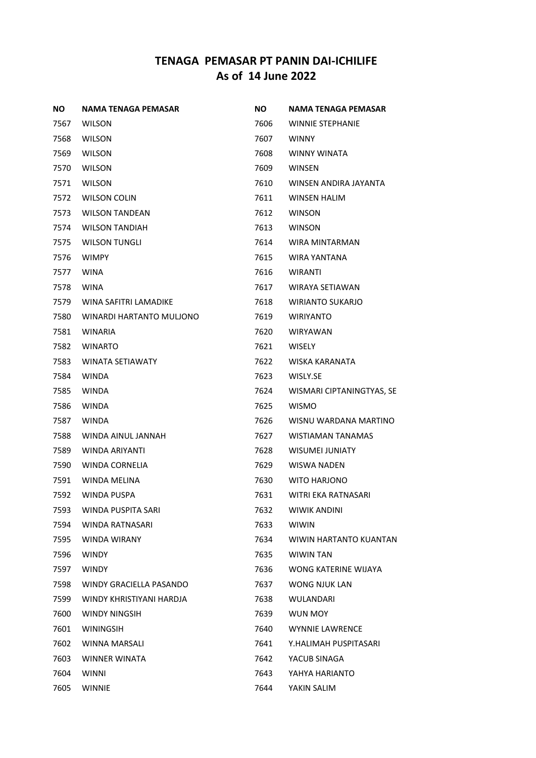| ΝO   | NAMA TENAGA PEMASAR      | NO.  | NAMA TENAGA PEMASAR       |
|------|--------------------------|------|---------------------------|
| 7567 | <b>WILSON</b>            | 7606 | <b>WINNIE STEPHANIE</b>   |
| 7568 | <b>WILSON</b>            | 7607 | <b>WINNY</b>              |
| 7569 | <b>WILSON</b>            | 7608 | <b>WINNY WINATA</b>       |
| 7570 | <b>WILSON</b>            | 7609 | <b>WINSEN</b>             |
| 7571 | <b>WILSON</b>            | 7610 | WINSEN ANDIRA JAYANTA     |
| 7572 | <b>WILSON COLIN</b>      | 7611 | <b>WINSEN HALIM</b>       |
| 7573 | <b>WILSON TANDEAN</b>    | 7612 | <b>WINSON</b>             |
| 7574 | <b>WILSON TANDIAH</b>    | 7613 | <b>WINSON</b>             |
| 7575 | <b>WILSON TUNGLI</b>     | 7614 | WIRA MINTARMAN            |
| 7576 | <b>WIMPY</b>             | 7615 | WIRA YANTANA              |
| 7577 | <b>WINA</b>              | 7616 | WIRANTI                   |
| 7578 | <b>WINA</b>              | 7617 | WIRAYA SETIAWAN           |
| 7579 | WINA SAFITRI LAMADIKE    | 7618 | <b>WIRIANTO SUKARJO</b>   |
| 7580 | WINARDI HARTANTO MULJONO | 7619 | <b>WIRIYANTO</b>          |
| 7581 | <b>WINARIA</b>           | 7620 | <b>WIRYAWAN</b>           |
| 7582 | <b>WINARTO</b>           | 7621 | <b>WISELY</b>             |
| 7583 | <b>WINATA SETIAWATY</b>  | 7622 | WISKA KARANATA            |
| 7584 | <b>WINDA</b>             | 7623 | WISLY.SE                  |
| 7585 | <b>WINDA</b>             | 7624 | WISMARI CIPTANINGTYAS, SE |
| 7586 | <b>WINDA</b>             | 7625 | <b>WISMO</b>              |
| 7587 | <b>WINDA</b>             | 7626 | WISNU WARDANA MARTINO     |
| 7588 | WINDA AINUL JANNAH       | 7627 | WISTIAMAN TANAMAS         |
| 7589 | WINDA ARIYANTI           | 7628 | <b>WISUMEI JUNIATY</b>    |
| 7590 | WINDA CORNELIA           | 7629 | WISWA NADEN               |
| 7591 | WINDA MELINA             | 7630 | <b>WITO HARJONO</b>       |
| 7592 | WINDA PUSPA              | 7631 | WITRI EKA RATNASARI       |
| 7593 | WINDA PUSPITA SARI       | 7632 | <b>WIWIK ANDINI</b>       |
| 7594 | WINDA RATNASARI          | 7633 | <b>WIWIN</b>              |
| 7595 | WINDA WIRANY             | 7634 | WIWIN HARTANTO KUANTAN    |
| 7596 | <b>WINDY</b>             | 7635 | <b>WIWIN TAN</b>          |
| 7597 | <b>WINDY</b>             | 7636 | WONG KATERINE WIJAYA      |
| 7598 | WINDY GRACIELLA PASANDO  | 7637 | WONG NJUK LAN             |
| 7599 | WINDY KHRISTIYANI HARDJA | 7638 | WULANDARI                 |
| 7600 | <b>WINDY NINGSIH</b>     | 7639 | WUN MOY                   |
| 7601 | <b>WININGSIH</b>         | 7640 | <b>WYNNIE LAWRENCE</b>    |
| 7602 | WINNA MARSALI            | 7641 | Y.HALIMAH PUSPITASARI     |
| 7603 | WINNER WINATA            | 7642 | YACUB SINAGA              |
| 7604 | <b>WINNI</b>             | 7643 | YAHYA HARIANTO            |
| 7605 | <b>WINNIE</b>            | 7644 | YAKIN SALIM               |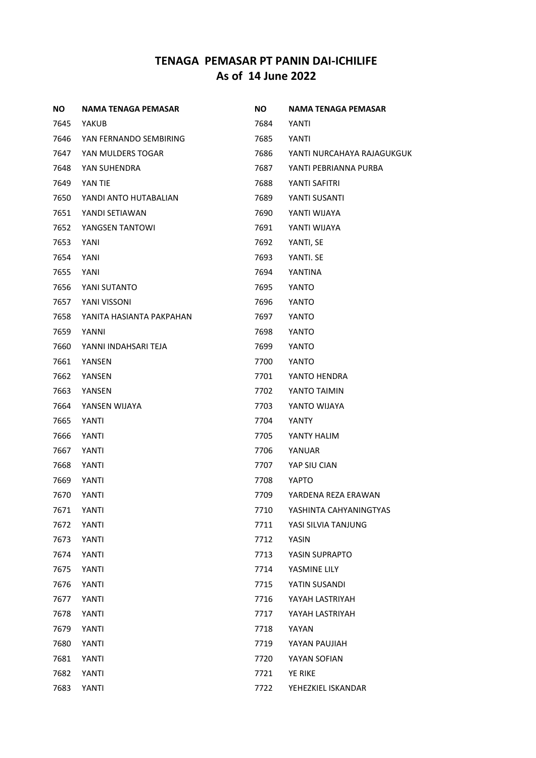| <b>NO</b> | NAMA TENAGA PEMASAR      | <b>NO</b> | NAMA TENAGA PEMASAR        |
|-----------|--------------------------|-----------|----------------------------|
| 7645      | YAKUB                    | 7684      | YANTI                      |
| 7646      | YAN FERNANDO SEMBIRING   | 7685      | YANTI                      |
| 7647      | YAN MULDERS TOGAR        | 7686      | YANTI NURCAHAYA RAJAGUKGUK |
| 7648      | YAN SUHENDRA             | 7687      | YANTI PEBRIANNA PURBA      |
| 7649      | YAN TIE                  | 7688      | YANTI SAFITRI              |
| 7650      | YANDI ANTO HUTABALIAN    | 7689      | YANTI SUSANTI              |
| 7651      | YANDI SETIAWAN           | 7690      | YANTI WIJAYA               |
| 7652      | YANGSEN TANTOWI          | 7691      | YANTI WIJAYA               |
| 7653      | YANI                     | 7692      | YANTI, SE                  |
| 7654      | YANI                     | 7693      | YANTI. SE                  |
| 7655      | YANI                     | 7694      | YANTINA                    |
| 7656      | YANI SUTANTO             | 7695      | YANTO                      |
| 7657      | YANI VISSONI             | 7696      | YANTO                      |
| 7658      | YANITA HASIANTA PAKPAHAN | 7697      | YANTO                      |
| 7659      | YANNI                    | 7698      | YANTO                      |
| 7660      | YANNI INDAHSARI TEJA     | 7699      | YANTO                      |
| 7661      | YANSEN                   | 7700      | YANTO                      |
| 7662      | YANSEN                   | 7701      | YANTO HENDRA               |
| 7663      | YANSEN                   | 7702      | YANTO TAIMIN               |
| 7664      | YANSEN WIJAYA            | 7703      | YANTO WIJAYA               |
| 7665      | YANTI                    | 7704      | YANTY                      |
| 7666      | YANTI                    | 7705      | YANTY HALIM                |
| 7667      | YANTI                    | 7706      | YANUAR                     |
| 7668      | YANTI                    | 7707      | YAP SIU CIAN               |
| 7669      | YANTI                    | 7708      | YAPTO                      |
| 7670      | YANTI                    | 7709      | YARDENA REZA ERAWAN        |
| 7671      | YANTI                    | 7710      | YASHINTA CAHYANINGTYAS     |
| 7672      | YANTI                    | 7711      | YASI SILVIA TANJUNG        |
| 7673      | YANTI                    | 7712      | YASIN                      |
| 7674      | YANTI                    | 7713      | YASIN SUPRAPTO             |
| 7675      | YANTI                    | 7714      | YASMINE LILY               |
| 7676      | YANTI                    | 7715      | YATIN SUSANDI              |
| 7677      | YANTI                    | 7716      | YAYAH LASTRIYAH            |
| 7678      | YANTI                    | 7717      | YAYAH LASTRIYAH            |
| 7679      | YANTI                    | 7718      | YAYAN                      |
| 7680      | YANTI                    | 7719      | YAYAN PAUJIAH              |
| 7681      | YANTI                    | 7720      | YAYAN SOFIAN               |
| 7682      | YANTI                    | 7721      | YE RIKE                    |
| 7683      | YANTI                    | 7722      | YEHEZKIEL ISKANDAR         |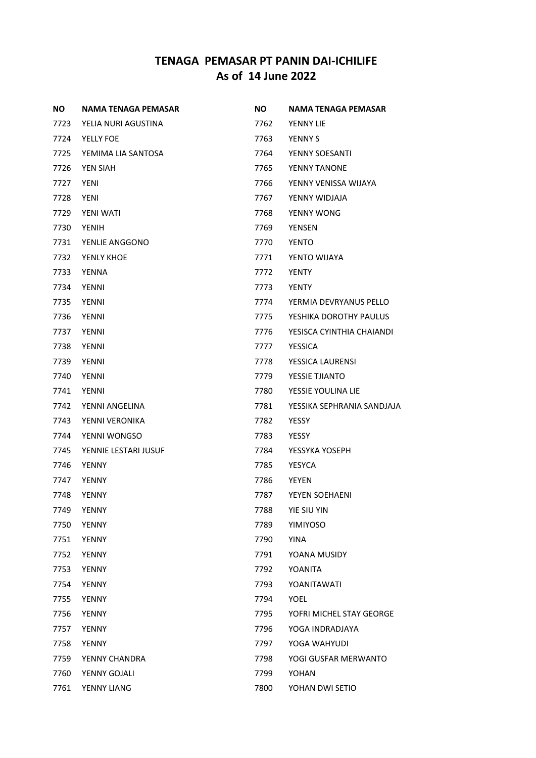| <b>NO</b> | NAMA TENAGA PEMASAR  | <b>NO</b> | NAMA TENAGA PEMASAR        |
|-----------|----------------------|-----------|----------------------------|
| 7723      | YELIA NURI AGUSTINA  | 7762      | YENNY LIE                  |
| 7724      | YELLY FOE            | 7763      | <b>YENNY S</b>             |
| 7725      | YEMIMA LIA SANTOSA   | 7764      | YENNY SOESANTI             |
| 7726      | YEN SIAH             | 7765      | YENNY TANONE               |
| 7727      | <b>YENI</b>          | 7766      | YENNY VENISSA WIJAYA       |
| 7728      | <b>YENI</b>          | 7767      | YENNY WIDJAJA              |
| 7729      | YENI WATI            | 7768      | YENNY WONG                 |
| 7730      | <b>YENIH</b>         | 7769      | <b>YENSEN</b>              |
| 7731      | YENLIE ANGGONO       | 7770      | <b>YENTO</b>               |
| 7732      | YENLY KHOE           | 7771      | YENTO WIJAYA               |
| 7733      | <b>YENNA</b>         | 7772      | <b>YENTY</b>               |
| 7734      | YENNI                | 7773      | <b>YENTY</b>               |
| 7735      | <b>YENNI</b>         | 7774      | YERMIA DEVRYANUS PELLO     |
| 7736      | <b>YENNI</b>         | 7775      | YESHIKA DOROTHY PAULUS     |
| 7737      | <b>YENNI</b>         | 7776      | YESISCA CYINTHIA CHAIANDI  |
| 7738      | YENNI                | 7777      | <b>YESSICA</b>             |
| 7739      | YENNI                | 7778      | YESSICA LAURENSI           |
| 7740      | YENNI                | 7779      | YESSIE TJIANTO             |
| 7741      | YENNI                | 7780      | YESSIE YOULINA LIE         |
| 7742      | YENNI ANGELINA       | 7781      | YESSIKA SEPHRANIA SANDJAJA |
| 7743      | YENNI VERONIKA       | 7782      | YESSY                      |
| 7744      | YENNI WONGSO         | 7783      | YESSY                      |
| 7745      | YENNIE LESTARI JUSUF | 7784      | YESSYKA YOSEPH             |
| 7746      | <b>YENNY</b>         | 7785      | <b>YESYCA</b>              |
| 7747      | YENNY                | 7786      | YEYEN                      |
| 7748      | <b>YENNY</b>         | 7787      | YEYEN SOEHAENI             |
| 7749      | YENNY                | 7788      | YIE SIU YIN                |
| 7750      | YENNY                | 7789      | YIMIYOSO                   |
| 7751      | <b>YENNY</b>         | 7790      | <b>YINA</b>                |
| 7752      | <b>YENNY</b>         | 7791      | YOANA MUSIDY               |
| 7753      | <b>YENNY</b>         | 7792      | YOANITA                    |
| 7754      | <b>YENNY</b>         | 7793      | YOANITAWATI                |
| 7755      | <b>YENNY</b>         | 7794      | YOEL                       |
| 7756      | <b>YENNY</b>         | 7795      | YOFRI MICHEL STAY GEORGE   |
| 7757      | <b>YENNY</b>         | 7796      | YOGA INDRADJAYA            |
| 7758      | <b>YENNY</b>         | 7797      | YOGA WAHYUDI               |
| 7759      | YENNY CHANDRA        | 7798      | YOGI GUSFAR MERWANTO       |
| 7760      | YENNY GOJALI         | 7799      | YOHAN                      |
| 7761      | YENNY LIANG          | 7800      | YOHAN DWI SETIO            |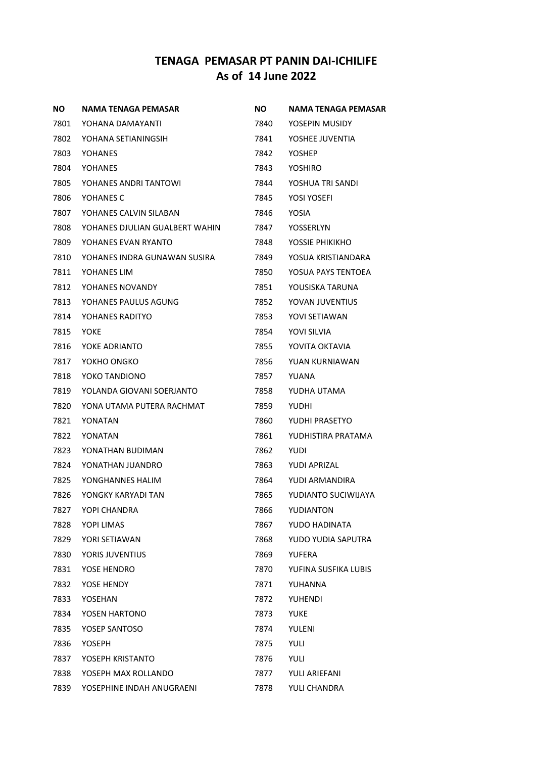| ΝO   | NAMA TENAGA PEMASAR            | NO.  | NAMA TENAGA PEMASAR  |
|------|--------------------------------|------|----------------------|
| 7801 | YOHANA DAMAYANTI               | 7840 | YOSEPIN MUSIDY       |
| 7802 | YOHANA SETIANINGSIH            | 7841 | YOSHEE JUVENTIA      |
| 7803 | YOHANES                        | 7842 | <b>YOSHEP</b>        |
| 7804 | YOHANES                        | 7843 | YOSHIRO              |
| 7805 | YOHANES ANDRI TANTOWI          | 7844 | YOSHUA TRI SANDI     |
| 7806 | YOHANES C                      | 7845 | YOSI YOSEFI          |
| 7807 | YOHANES CALVIN SILABAN         | 7846 | YOSIA                |
| 7808 | YOHANES DJULIAN GUALBERT WAHIN | 7847 | YOSSERLYN            |
| 7809 | YOHANES EVAN RYANTO            | 7848 | YOSSIE PHIKIKHO      |
| 7810 | YOHANES INDRA GUNAWAN SUSIRA . | 7849 | YOSUA KRISTIANDARA   |
| 7811 | YOHANES LIM                    | 7850 | YOSUA PAYS TENTOEA   |
| 7812 | YOHANES NOVANDY                | 7851 | YOUSISKA TARUNA      |
| 7813 | YOHANES PAULUS AGUNG           | 7852 | YOVAN JUVENTIUS      |
| 7814 | YOHANES RADITYO                | 7853 | YOVI SETIAWAN        |
| 7815 | YOKE                           | 7854 | YOVI SILVIA          |
| 7816 | YOKE ADRIANTO                  | 7855 | YOVITA OKTAVIA       |
| 7817 | YOKHO ONGKO                    | 7856 | YUAN KURNIAWAN       |
| 7818 | YOKO TANDIONO                  | 7857 | YUANA                |
| 7819 | YOLANDA GIOVANI SOERJANTO      | 7858 | YUDHA UTAMA          |
| 7820 | YONA UTAMA PUTERA RACHMAT      | 7859 | YUDHI                |
| 7821 | YONATAN                        | 7860 | YUDHI PRASETYO       |
| 7822 | YONATAN                        | 7861 | YUDHISTIRA PRATAMA   |
| 7823 | YONATHAN BUDIMAN               | 7862 | YUDI                 |
| 7824 | YONATHAN JUANDRO               | 7863 | YUDI APRIZAL         |
| 7825 | YONGHANNES HALIM               | 7864 | YUDI ARMANDIRA       |
| 7826 | YONGKY KARYADI TAN             | 7865 | YUDIANTO SUCIWIJAYA  |
| 7827 | YOPI CHANDRA                   | 7866 | YUDIANTON            |
| 7828 | YOPI LIMAS                     | 7867 | YUDO HADINATA        |
| 7829 | YORI SETIAWAN                  | 7868 | YUDO YUDIA SAPUTRA   |
| 7830 | YORIS JUVENTIUS                | 7869 | YUFERA               |
| 7831 | YOSE HENDRO                    | 7870 | YUFINA SUSFIKA LUBIS |
| 7832 | YOSE HENDY                     | 7871 | YUHANNA              |
| 7833 | YOSEHAN                        | 7872 | YUHENDI              |
| 7834 | YOSEN HARTONO                  | 7873 | YUKE                 |
| 7835 | YOSEP SANTOSO                  | 7874 | YULENI               |
| 7836 | YOSEPH                         | 7875 | <b>YULI</b>          |
| 7837 | YOSEPH KRISTANTO               | 7876 | YULI                 |
| 7838 | YOSEPH MAX ROLLANDO            | 7877 | YULI ARIEFANI        |
| 7839 | YOSEPHINE INDAH ANUGRAENI      | 7878 | YULI CHANDRA         |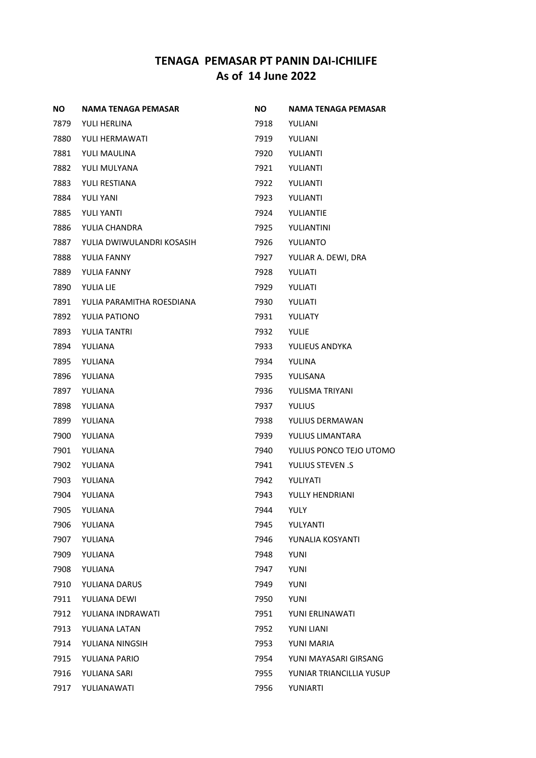| ΝO   | NAMA TENAGA PEMASAR       | <b>NO</b> | NAMA TENAGA PEMASAR      |
|------|---------------------------|-----------|--------------------------|
| 7879 | YULI HERLINA              | 7918      | YULIANI                  |
| 7880 | YULI HERMAWATI            | 7919      | YULIANI                  |
| 7881 | YULI MAULINA              | 7920      | YULIANTI                 |
| 7882 | YULI MULYANA              | 7921      | YULIANTI                 |
| 7883 | YULI RESTIANA             | 7922      | YULIANTI                 |
| 7884 | <b>YULI YANI</b>          | 7923      | YULIANTI                 |
| 7885 | YULI YANTI                | 7924      | YULIANTIE                |
| 7886 | YULIA CHANDRA             | 7925      | YULIANTINI               |
| 7887 | YULIA DWIWULANDRI KOSASIH | 7926      | YULIANTO                 |
| 7888 | YULIA FANNY               | 7927      | YULIAR A. DEWI, DRA      |
| 7889 | YULIA FANNY               | 7928      | YULIATI                  |
| 7890 | YULIA LIE                 | 7929      | YULIATI                  |
| 7891 | YULIA PARAMITHA ROESDIANA | 7930      | YULIATI                  |
| 7892 | YULIA PATIONO             | 7931      | YULIATY                  |
| 7893 | YULIA TANTRI              | 7932      | <b>YULIE</b>             |
| 7894 | YULIANA                   | 7933      | YULIEUS ANDYKA           |
| 7895 | YULIANA                   | 7934      | YULINA                   |
| 7896 | YULIANA                   | 7935      | YULISANA                 |
| 7897 | YULIANA                   | 7936      | YULISMA TRIYANI          |
| 7898 | YULIANA                   | 7937      | <b>YULIUS</b>            |
| 7899 | YULIANA                   | 7938      | YULIUS DERMAWAN          |
| 7900 | YULIANA                   | 7939      | YULIUS LIMANTARA         |
| 7901 | YULIANA                   | 7940      | YULIUS PONCO TEJO UTOMO  |
| 7902 | YULIANA                   | 7941      | <b>YULIUS STEVEN .S</b>  |
| 7903 | YULIANA                   | 7942      | YULIYATI                 |
| 7904 | YULIANA                   | 7943      | <b>YULLY HENDRIANI</b>   |
| 7905 | YULIANA                   | 7944      | YULY                     |
| 7906 | YULIANA                   | 7945      | YULYANTI                 |
| 7907 | YULIANA                   | 7946      | YUNALIA KOSYANTI         |
| 7909 | YULIANA                   | 7948      | <b>YUNI</b>              |
| 7908 | YULIANA                   | 7947      | <b>YUNI</b>              |
| 7910 | YULIANA DARUS             | 7949      | YUNI                     |
| 7911 | YULIANA DEWI              | 7950      | <b>YUNI</b>              |
| 7912 | YULIANA INDRAWATI         | 7951      | YUNI ERLINAWATI          |
| 7913 | YULIANA LATAN             | 7952      | YUNI LIANI               |
| 7914 | YULIANA NINGSIH           | 7953      | YUNI MARIA               |
| 7915 | YULIANA PARIO             | 7954      | YUNI MAYASARI GIRSANG    |
| 7916 | YULIANA SARI              | 7955      | YUNIAR TRIANCILLIA YUSUP |
| 7917 | YULIANAWATI               | 7956      | YUNIARTI                 |